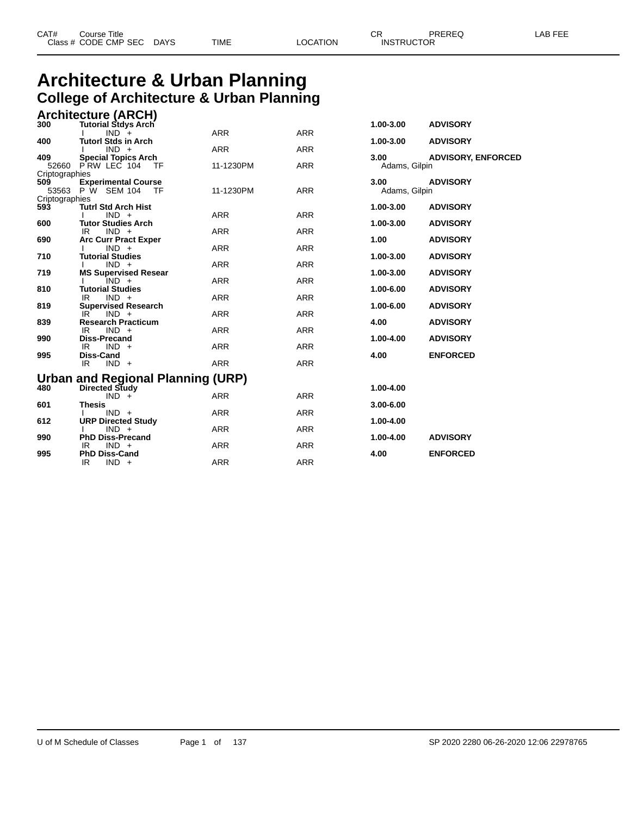#### **Architecture & Urban Planning College of Architecture & Urban Planning Architecture (ARCH)**

|                | <b>AIGHLEULUIG (ANUIT)</b>                              |            |            |               |                           |
|----------------|---------------------------------------------------------|------------|------------|---------------|---------------------------|
| 300            | <b>Tutorial Stdys Arch</b>                              |            |            | 1.00-3.00     | <b>ADVISORY</b>           |
|                | $IND +$                                                 | <b>ARR</b> | <b>ARR</b> |               |                           |
| 400            | <b>Tutorl Stds in Arch</b>                              |            |            | 1.00-3.00     | <b>ADVISORY</b>           |
| 409            | $IND +$                                                 | <b>ARR</b> | <b>ARR</b> | 3.00          |                           |
|                | <b>Special Topics Arch</b><br>52660 PRW LEC 104<br>- TF | 11-1230PM  | <b>ARR</b> | Adams, Gilpin | <b>ADVISORY, ENFORCED</b> |
| Criptographies |                                                         |            |            |               |                           |
| 509            | <b>Experimental Course</b>                              |            |            | 3.00          | <b>ADVISORY</b>           |
|                | 53563 P W SEM 104 TF                                    | 11-1230PM  | <b>ARR</b> | Adams, Gilpin |                           |
| Criptographies |                                                         |            |            |               |                           |
| 593            | <b>Tutrl Std Arch Hist</b>                              |            |            | 1.00-3.00     | <b>ADVISORY</b>           |
|                | $IND +$                                                 | <b>ARR</b> | <b>ARR</b> |               |                           |
| 600            | <b>Tutor Studies Arch</b>                               |            |            | 1.00-3.00     | <b>ADVISORY</b>           |
| 690            | $IND +$<br>IR.<br><b>Arc Curr Pract Exper</b>           | ARR        | <b>ARR</b> | 1.00          | <b>ADVISORY</b>           |
|                | $IND +$                                                 | <b>ARR</b> | <b>ARR</b> |               |                           |
| 710            | <b>Tutorial Studies</b>                                 |            |            | 1.00-3.00     | <b>ADVISORY</b>           |
|                | $IND +$                                                 | <b>ARR</b> | <b>ARR</b> |               |                           |
| 719            | <b>MS Supervised Resear</b>                             |            |            | 1.00-3.00     | <b>ADVISORY</b>           |
|                | $IND +$                                                 | <b>ARR</b> | <b>ARR</b> |               |                           |
| 810            | <b>Tutorial Studies</b>                                 |            |            | 1.00-6.00     | <b>ADVISORY</b>           |
|                | $IND +$<br>IR.                                          | <b>ARR</b> | <b>ARR</b> | 1.00-6.00     |                           |
| 819            | <b>Supervised Research</b><br>IR.<br>$IND +$            | <b>ARR</b> | <b>ARR</b> |               | <b>ADVISORY</b>           |
| 839            | <b>Research Practicum</b>                               |            |            | 4.00          | <b>ADVISORY</b>           |
|                | IR.<br>$IND +$                                          | <b>ARR</b> | <b>ARR</b> |               |                           |
| 990            | <b>Diss-Precand</b>                                     |            |            | 1.00-4.00     | <b>ADVISORY</b>           |
|                | IR.<br>$IND +$                                          | <b>ARR</b> | <b>ARR</b> |               |                           |
| 995            | Diss-Cand                                               |            |            | 4.00          | <b>ENFORCED</b>           |
|                | IR.<br>$IND +$                                          | <b>ARR</b> | <b>ARR</b> |               |                           |
|                | Urban and Regional Planning (URP)                       |            |            |               |                           |
| 480            | Directed Study                                          |            |            | 1.00-4.00     |                           |
|                | $IND +$                                                 | <b>ARR</b> | <b>ARR</b> |               |                           |
| 601            | <b>Thesis</b>                                           |            |            | $3.00 - 6.00$ |                           |
|                | $IND +$                                                 | <b>ARR</b> | <b>ARR</b> |               |                           |
| 612            | <b>URP Directed Study</b>                               |            |            | 1.00-4.00     |                           |
|                | $IND +$                                                 | <b>ARR</b> | <b>ARR</b> |               |                           |
| 990            | <b>PhD Diss-Precand</b>                                 |            |            | 1.00-4.00     | <b>ADVISORY</b>           |
| 995            | $IND +$<br>IR.<br><b>PhD Diss-Cand</b>                  | <b>ARR</b> | <b>ARR</b> | 4.00          | <b>ENFORCED</b>           |
|                | IR.<br>$IND +$                                          | <b>ARR</b> | <b>ARR</b> |               |                           |
|                |                                                         |            |            |               |                           |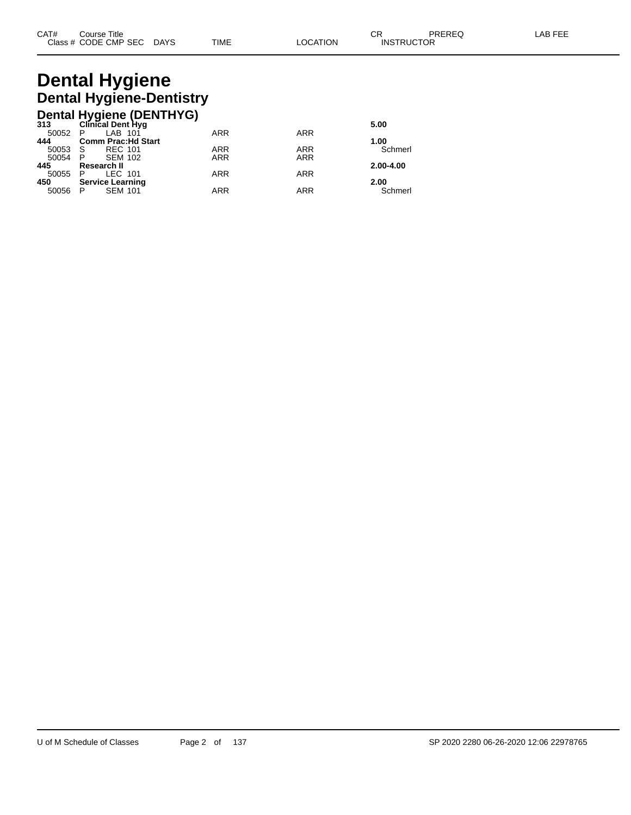# **Dental Hygiene Dental Hygiene-Dentistry**

|                            |                                                                               |                                                                 | 5.00       |
|----------------------------|-------------------------------------------------------------------------------|-----------------------------------------------------------------|------------|
|                            |                                                                               |                                                                 |            |
| <b>Comm Prac: Hd Start</b> |                                                                               |                                                                 | 1.00       |
| <b>REC 101</b>             | <b>ARR</b>                                                                    | <b>ARR</b>                                                      | Schmerl    |
| <b>SEM 102</b>             | <b>ARR</b>                                                                    | <b>ARR</b>                                                      |            |
| Research II                |                                                                               |                                                                 | 2.00-4.00  |
| LEC 101                    | <b>ARR</b>                                                                    | <b>ARR</b>                                                      |            |
|                            |                                                                               |                                                                 | 2.00       |
| <b>SEM 101</b>             | <b>ARR</b>                                                                    | <b>ARR</b>                                                      | Schmerl    |
|                            | LAB 101<br>50052 P<br>- S<br>- P<br>- P<br><b>Service Learning</b><br>50056 P | Dental Hygiene (DENTHYG)<br>313 Clinical Dent Hyg<br><b>ARR</b> | <b>ARR</b> |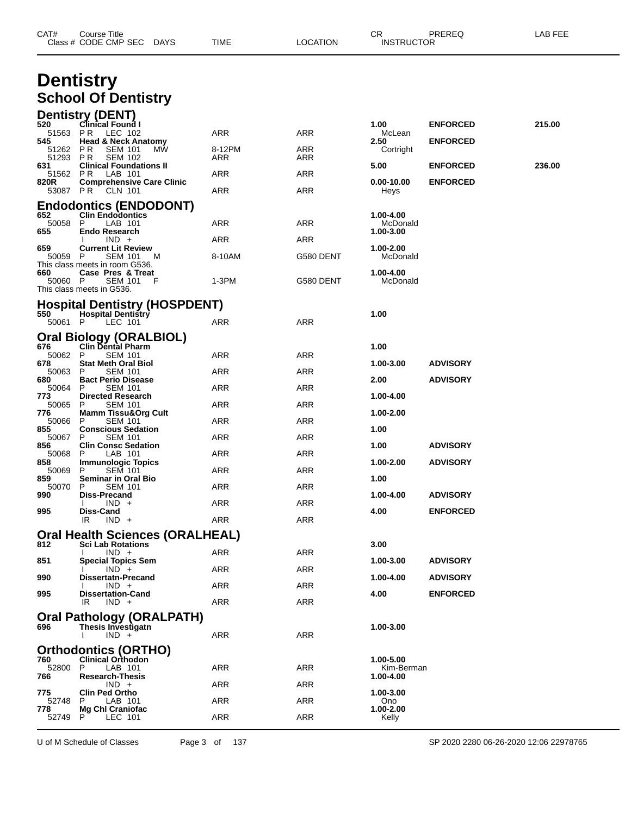| CAT#           | Course Title<br>Class # CODE CMP SEC DAYS                         | TIME       | LOCATION   | CR.<br><b>INSTRUCTOR</b> | PREREQ          | LAB FEE |
|----------------|-------------------------------------------------------------------|------------|------------|--------------------------|-----------------|---------|
|                | <b>Dentistry</b>                                                  |            |            |                          |                 |         |
|                | <b>School Of Dentistry</b>                                        |            |            |                          |                 |         |
| 520            | Dentistry (DENT)                                                  |            |            |                          |                 |         |
| 51563 PR       | Clinical Found I<br>LEC 102                                       | ARR        | ARR        | 1.00<br>McLean           | <b>ENFORCED</b> | 215.00  |
| 545<br>51262   | <b>Head &amp; Neck Anatomy</b><br>P R<br><b>SEM 101</b><br>МW     | 8-12PM     | ARR        | 2.50<br>Cortright        | <b>ENFORCED</b> |         |
| 51293<br>631   | P R<br><b>SEM 102</b><br><b>Clinical Foundations II</b>           | ARR        | ARR        | 5.00                     | <b>ENFORCED</b> | 236.00  |
| 51562<br>820R  | PR.<br>LAB 101<br><b>Comprehensive Care Clinic</b>                | ARR        | ARR        | $0.00 - 10.00$           | <b>ENFORCED</b> |         |
|                | 53087 PR CLN 101                                                  | ARR        | ARR        | Heys                     |                 |         |
| 652            | <b>Endodontics (ENDODONT)</b><br><b>Clin Endodontics</b>          |            |            | 1.00-4.00                |                 |         |
| 50058<br>655   | P<br>LAB 101<br><b>Endo Research</b>                              | ARR        | ARR        | McDonald<br>1.00-3.00    |                 |         |
| 659            | $IND +$<br><b>Current Lit Review</b>                              | ARR        | ARR        | 1.00-2.00                |                 |         |
| 50059 P        | <b>SEM 101</b><br>M<br>This class meets in room G536.             | 8-10AM     | G580 DENT  | McDonald                 |                 |         |
| 660<br>50060 P | Case Pres & Treat<br><b>SEM 101</b><br>F                          | 1-3PM      | G580 DENT  | 1.00-4.00<br>McDonald    |                 |         |
|                | This class meets in G536.                                         |            |            |                          |                 |         |
| 550            | <b>Hospital Dentistry (HOSPDENT)</b><br><b>Hospital Dentistry</b> |            |            | 1.00                     |                 |         |
| 50061 P        | LEC 101                                                           | ARR        | ARR        |                          |                 |         |
|                | <b>Oral Biology (ORALBIOL)</b>                                    |            |            |                          |                 |         |
| 676<br>50062   | <b>Clin Dental Pharm</b><br>P<br><b>SEM 101</b>                   | ARR        | ARR        | 1.00                     |                 |         |
| 678<br>50063   | <b>Stat Meth Oral Biol</b><br>P<br><b>SEM 101</b>                 | ARR        | ARR        | 1.00-3.00                | <b>ADVISORY</b> |         |
| 680<br>50064   | <b>Bact Perio Disease</b><br><b>SEM 101</b><br>P                  | ARR        | ARR        | 2.00                     | <b>ADVISORY</b> |         |
| 773<br>50065   | <b>Directed Research</b><br><b>SEM 101</b><br>P.                  | ARR        | ARR        | 1.00-4.00                |                 |         |
| 776<br>50066   | <b>Mamm Tissu&amp;Org Cult</b><br>P<br><b>SEM 101</b>             | ARR        | ARR        | 1.00-2.00                |                 |         |
| 855<br>50067   | <b>Conscious Sedation</b><br><b>SEM 101</b><br>P.                 | ARR        | ARR        | 1.00                     |                 |         |
| 856<br>50068   | <b>Clin Consc Sedation</b><br>LAB 101<br>P                        | ARR        | ARR        | 1.00                     | <b>ADVISORY</b> |         |
| 858<br>50069   | <b>Immunologic Topics</b><br>P<br><b>SEM 101</b>                  | ARR        | ARR        | $1.00 - 2.00$            | <b>ADVISORY</b> |         |
| 859<br>50070 P | <b>Seminar in Oral Bio</b><br><b>SEM 101</b>                      | ARR        | <b>ARR</b> | 1.00                     |                 |         |
| 990            | Diss-Precand<br>$IND +$                                           | <b>ARR</b> | <b>ARR</b> | 1.00-4.00                | <b>ADVISORY</b> |         |
| 995            | Diss-Cand<br>$IND +$<br>IR                                        | <b>ARR</b> | <b>ARR</b> | 4.00                     | <b>ENFORCED</b> |         |
|                | <b>Oral Health Sciences (ORALHEAL)</b>                            |            |            |                          |                 |         |
| 812            | <b>Sci Lab Rotations</b>                                          |            |            | 3.00                     |                 |         |
| 851            | $IND +$<br><b>Special Topics Sem</b>                              | ARR        | ARR        | 1.00-3.00                | <b>ADVISORY</b> |         |
| 990            | $IND +$<br><b>Dissertatn-Precand</b>                              | ARR        | <b>ARR</b> | 1.00-4.00                | <b>ADVISORY</b> |         |
| 995            | $IND +$<br><b>Dissertation-Cand</b>                               | ARR        | <b>ARR</b> | 4.00                     | <b>ENFORCED</b> |         |
|                | $IND +$<br>IR                                                     | ARR        | <b>ARR</b> |                          |                 |         |
| 696            | <b>Oral Pathology (ORALPATH)</b><br>Thesis Investigatn            |            |            | 1.00-3.00                |                 |         |
|                | $IND +$                                                           | ARR        | ARR        |                          |                 |         |
| 760            | <b>Orthodontics (ORTHO)</b><br><b>Clinical Orthodon</b>           |            |            | 1.00-5.00                |                 |         |
| 52800<br>766   | LAB 101<br>P<br><b>Research-Thesis</b>                            | ARR        | <b>ARR</b> | Kim-Berman<br>1.00-4.00  |                 |         |
| 775            | $IND +$<br><b>Clin Ped Ortho</b>                                  | ARR        | ARR        | 1.00-3.00                |                 |         |
| 52748<br>778   | LAB 101<br>P.                                                     | ARR        | ARR        | Ono<br>1.00-2.00         |                 |         |
| 52749 P        | <b>Mg Chl Craniofac</b><br>LEC 101                                | ARR        | <b>ARR</b> | Kelly                    |                 |         |

U of M Schedule of Classes Page 3 of 137 SP 2020 2280 06-26-2020 12:06 22978765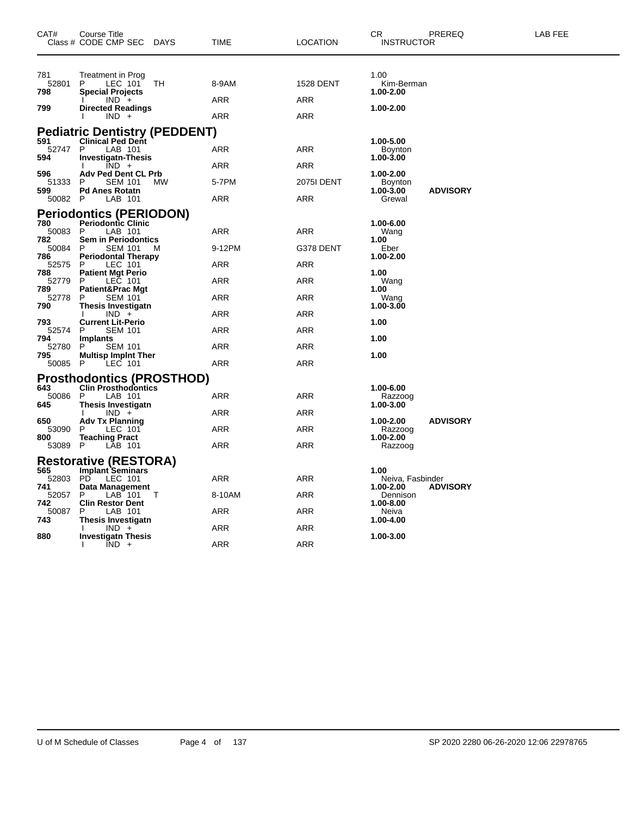| CAT#                  | Course Title<br>Class # CODE CMP SEC<br>DAYS                                             | TIME       | <b>LOCATION</b>   | CR.<br>PREREQ<br><b>INSTRUCTOR</b>                   | <b>LAB FEE</b> |
|-----------------------|------------------------------------------------------------------------------------------|------------|-------------------|------------------------------------------------------|----------------|
| 781<br>52801<br>798   | Treatment in Prog<br>LEC 101<br>P.<br>TH<br><b>Special Projects</b>                      | 8-9AM      | <b>1528 DENT</b>  | 1.00<br>Kim-Berman<br>1.00-2.00                      |                |
| 799                   | $IND +$<br><b>Directed Readings</b><br>$IND +$                                           | ARR<br>ARR | ARR<br>ARR        | 1.00-2.00                                            |                |
|                       | <b>Pediatric Dentistry (PEDDENT)</b>                                                     |            |                   |                                                      |                |
| 591<br>52747 P<br>594 | <b>Clinical Ped Dent</b><br>LAB 101<br><b>Investigatn-Thesis</b>                         | ARR        | ARR               | 1.00-5.00<br><b>Boynton</b><br>1.00-3.00             |                |
|                       | $\overline{IND}$ +                                                                       | ARR        | ARR               |                                                      |                |
| 596<br>51333<br>599   | <b>Adv Ped Dent CL Prb</b><br>P.<br><b>SEM 101</b><br><b>MW</b><br><b>Pd Anes Rotatn</b> | 5-7PM      | <b>2075I DENT</b> | 1.00-2.00<br>Boynton<br>1.00-3.00<br><b>ADVISORY</b> |                |
| 50082 P               | LAB 101                                                                                  | ARR        | ARR               | Grewal                                               |                |
| 780<br>50083          | <b>Periodontics (PERIODON)</b><br><b>Periodontic Clinic</b><br>P<br>LAB 101              | ARR        | ARR               | 1.00-6.00<br>Wang                                    |                |
| 782<br>50084 P        | <b>Sem in Periodontics</b><br><b>SEM 101</b><br>M                                        | 9-12PM     | G378 DENT         | 1.00<br>Eber                                         |                |
| 786<br>52575          | <b>Periodontal Therapy</b><br>LEC 101<br>P                                               | ARR        | <b>ARR</b>        | 1.00-2.00                                            |                |
| 788<br>52779 P        | <b>Patient Mgt Perio</b><br>LEC 101                                                      | ARR        | ARR               | 1.00<br>Wang                                         |                |
| 789<br>52778          | <b>Patient&amp;Prac Mgt</b><br><b>SEM 101</b><br>P                                       | ARR        | ARR               | 1.00<br>Wang                                         |                |
| 790                   | <b>Thesis Investigatn</b><br>$IND +$                                                     | ARR        | ARR               | 1.00-3.00                                            |                |
| 793<br>52574 P        | <b>Current Lit-Perio</b><br><b>SEM 101</b>                                               | ARR        | <b>ARR</b>        | 1.00                                                 |                |
| 794<br>52780<br>795   | Implants<br>P<br><b>SEM 101</b>                                                          | ARR        | <b>ARR</b>        | 1.00<br>1.00                                         |                |
| 50085 P               | <b>Multisp Implnt Ther</b><br>LEC 101                                                    | ARR        | ARR               |                                                      |                |
|                       | <b>Prosthodontics (PROSTHOD)</b>                                                         |            |                   |                                                      |                |
| 643<br>50086<br>645   | <b>Clin Prosthodontics</b><br>P<br>LAB 101<br>Thesis Investigatn                         | ARR        | <b>ARR</b>        | 1.00-6.00<br>Razzoog<br>1.00-3.00                    |                |
|                       | $IND +$                                                                                  | ARR        | <b>ARR</b>        |                                                      |                |
| 650<br>53090<br>800   | <b>Adv Tx Planning</b><br>P.<br>LEC 101<br><b>Teaching Pract</b>                         | ARR        | ARR               | <b>ADVISORY</b><br>1.00-2.00<br>Razzoog<br>1.00-2.00 |                |
| 53089 P               | LAB 101                                                                                  | ARR        | ARR               | Razzoog                                              |                |
|                       | <b>Restorative (RESTORA)</b>                                                             |            |                   |                                                      |                |
| 565<br>52803          | <b>Implant Seminars</b><br>PD<br>LEC 101                                                 | ARR        | ARR               | 1.00<br>Neiva, Fasbinder                             |                |
| 741<br>52057          | Data Management<br>P<br>LAB 101<br>Т<br><b>Clin Restor Dent</b>                          | 8-10AM     | ARR               | 1.00-2.00<br><b>ADVISORY</b><br>Dennison             |                |
| 742<br>50087          | P<br>LAB 101                                                                             | ARR        | ARR               | 1.00-8.00<br>Neiva                                   |                |
| 743<br>880            | <b>Thesis Investigatn</b><br>$IND +$                                                     | ARR        | ARR               | 1.00-4.00<br>1.00-3.00                               |                |
|                       | <b>Investigatn Thesis</b><br>$\overline{IND}$ +                                          | ARR        | <b>ARR</b>        |                                                      |                |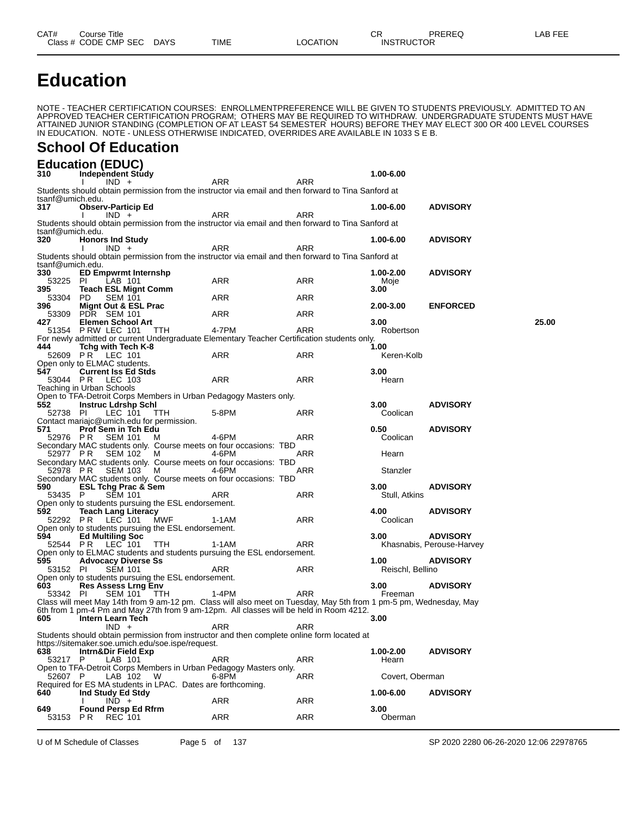# **Education**

NOTE - TEACHER CERTIFICATION COURSES: ENROLLMENTPREFERENCE WILL BE GIVEN TO STUDENTS PREVIOUSLY. ADMITTED TO AN APPROVED TEACHER CERTIFICATION PROGRAM; OTHERS MAY BE REQUIRED TO WITHDRAW. UNDERGRADUATE STUDENTS MUST HAVE ATTAINED JUNIOR STANDING (COMPLETION OF AT LEAST 54 SEMESTER HOURS) BEFORE THEY MAY ELECT 300 OR 400 LEVEL COURSES IN EDUCATION. NOTE - UNLESS OTHERWISE INDICATED, OVERRIDES ARE AVAILABLE IN 1033 S E B.

#### **School Of Education**

|                  | <b>Education (EDUC)</b>                                    |                                                             |                                                                                                                   |     |                   |                           |       |
|------------------|------------------------------------------------------------|-------------------------------------------------------------|-------------------------------------------------------------------------------------------------------------------|-----|-------------------|---------------------------|-------|
| 310              | <b>Independent Study</b>                                   |                                                             |                                                                                                                   |     | 1.00-6.00         |                           |       |
| tsanf@umich.edu. | $IND +$                                                    |                                                             | ARR<br>Students should obtain permission from the instructor via email and then forward to Tina Sanford at        | ARR |                   |                           |       |
| 317              | <b>Observ-Particip Ed</b>                                  |                                                             |                                                                                                                   |     | 1.00-6.00         | <b>ADVISORY</b>           |       |
|                  | $IND +$                                                    |                                                             | ARR                                                                                                               | ARR |                   |                           |       |
|                  |                                                            |                                                             | Students should obtain permission from the instructor via email and then forward to Tina Sanford at               |     |                   |                           |       |
| tsanf@umich.edu. |                                                            |                                                             |                                                                                                                   |     |                   |                           |       |
| 320              | <b>Honors Ind Study</b><br>$IND +$                         |                                                             | ARR                                                                                                               | ARR | 1.00-6.00         | <b>ADVISORY</b>           |       |
|                  |                                                            |                                                             | Students should obtain permission from the instructor via email and then forward to Tina Sanford at               |     |                   |                           |       |
| tsanf@umich.edu. |                                                            |                                                             |                                                                                                                   |     |                   |                           |       |
| 330              | <b>ED Empwrmt Internshp</b>                                |                                                             |                                                                                                                   |     | 1.00-2.00         | <b>ADVISORY</b>           |       |
| 53225 PI<br>395  | LAB 101<br><b>Teach ESL Mignt Comm</b>                     |                                                             | ARR                                                                                                               | ARR | Moje<br>3.00      |                           |       |
| 53304 PD         | <b>SEM 101</b>                                             |                                                             | <b>ARR</b>                                                                                                        | ARR |                   |                           |       |
| 396              | Mignt Out & ESL Prac                                       |                                                             |                                                                                                                   |     | 2.00-3.00         | <b>ENFORCED</b>           |       |
| 53309            | <b>PDR</b> SEM 101                                         |                                                             | ARR                                                                                                               | ARR |                   |                           |       |
| 427              | <b>Elemen School Art</b><br>51354 PRW LEC 101 TTH          |                                                             | 4-7PM                                                                                                             | ARR | 3.00<br>Robertson |                           | 25.00 |
|                  |                                                            |                                                             | For newly admitted or current Undergraduate Elementary Teacher Certification students only.                       |     |                   |                           |       |
| 444              | Tchg with Tech K-8                                         |                                                             |                                                                                                                   |     | 1.00              |                           |       |
|                  | 52609 PR LEC 101                                           |                                                             | ARR                                                                                                               | ARR | Keren-Kolb        |                           |       |
| 547              | Open only to ELMAC students.<br><b>Current Iss Ed Stds</b> |                                                             |                                                                                                                   |     | 3.00              |                           |       |
|                  | 53044 PR LEC 103                                           |                                                             | ARR                                                                                                               | ARR | Hearn             |                           |       |
|                  | Teaching in Urban Schools                                  |                                                             |                                                                                                                   |     |                   |                           |       |
|                  |                                                            |                                                             | Open to TFA-Detroit Corps Members in Urban Pedagogy Masters only.                                                 |     |                   |                           |       |
| 552              | <b>Instruc Ldrshp Schl</b>                                 |                                                             |                                                                                                                   |     | 3.00<br>Coolican  | <b>ADVISORY</b>           |       |
| 52738 PI         | LEC 101                                                    | TTH<br>Contact mariajc@umich.edu for permission.            | 5-8PM                                                                                                             | ARR |                   |                           |       |
| 571              | <b>Prof Sem in Tch Edu</b>                                 |                                                             |                                                                                                                   |     | 0.50              | <b>ADVISORY</b>           |       |
| 52976 PR         | <b>SEM 101</b>                                             | M                                                           | 4-6PM                                                                                                             | ARR | Coolican          |                           |       |
|                  |                                                            |                                                             | Secondary MAC students only. Course meets on four occasions: TBD                                                  |     |                   |                           |       |
|                  | 52977 PR SEM 102                                           | - M                                                         | 4-6PM<br>Secondary MAC students only. Course meets on four occasions: TBD                                         | ARR | Hearn             |                           |       |
| 52978 PR         | <b>SEM 103</b>                                             | - M                                                         | 4-6PM                                                                                                             | ARR | Stanzler          |                           |       |
|                  |                                                            |                                                             | Secondary MAC students only. Course meets on four occasions: TBD                                                  |     |                   |                           |       |
| 590              | <b>ESL Tchg Prac &amp; Sem</b>                             |                                                             |                                                                                                                   |     | 3.00 <sub>1</sub> | <b>ADVISORY</b>           |       |
| 53435 P          | <b>SEM 101</b>                                             | Open only to students pursuing the ESL endorsement.         | ARR                                                                                                               | ARR | Stull, Atkins     |                           |       |
| 592              | <b>Teach Lang Literacy</b>                                 |                                                             |                                                                                                                   |     | 4.00              | <b>ADVISORY</b>           |       |
|                  | 52292 PR LEC 101                                           | MWF                                                         | 1-1AM                                                                                                             | ARR | Coolican          |                           |       |
|                  |                                                            | Open only to students pursuing the ESL endorsement.         |                                                                                                                   |     |                   |                           |       |
| 594              | <b>Ed Multiling Soc</b><br>52544 PR LEC 101                | TTH                                                         | 1-1AM                                                                                                             | ARR | 3.00              | <b>ADVISORY</b>           |       |
|                  |                                                            |                                                             | Open only to ELMAC students and students pursuing the ESL endorsement.                                            |     |                   | Khasnabis, Perouse-Harvey |       |
| 595              | <b>Advocacy Diverse Ss</b>                                 |                                                             |                                                                                                                   |     | 1.00              | <b>ADVISORY</b>           |       |
| 53152 PI         | <b>SEM 101</b>                                             |                                                             | ARR                                                                                                               | ARR | Reischl, Bellino  |                           |       |
| 603              | <b>Res Assess Lrng Env</b>                                 | Open only to students pursuing the ESL endorsement.         |                                                                                                                   |     | 3.00 <sub>1</sub> | <b>ADVISORY</b>           |       |
| 53342 PI         | <b>SEM 101</b>                                             | TTH.                                                        | 1-4PM                                                                                                             | ARR | Freeman           |                           |       |
|                  |                                                            |                                                             | Class will meet May 14th from 9 am-12 pm. Class will also meet on Tuesday, May 5th from 1 pm-5 pm, Wednesday, May |     |                   |                           |       |
|                  |                                                            |                                                             | 6th from 1 pm-4 Pm and May 27th from 9 am-12pm. All classes will be held in Room 4212.                            |     |                   |                           |       |
| 605              | Intern Learn Tech                                          |                                                             |                                                                                                                   |     | 3.00              |                           |       |
|                  | $IND +$                                                    |                                                             | <b>ARR</b><br>Students should obtain permission from instructor and then complete online form located at          | ARR |                   |                           |       |
|                  |                                                            | https://sitemaker.soe.umich.edu/soe.ispe/request.           |                                                                                                                   |     |                   |                           |       |
| 638              | <b>Intrn&amp;Dir Field Exp</b>                             |                                                             |                                                                                                                   |     | 1.00-2.00         | <b>ADVISORY</b>           |       |
| 53217 P          | LAB 101                                                    |                                                             | ARR                                                                                                               | ARR | Hearn             |                           |       |
| 52607 P          | LAB 102                                                    | W                                                           | Open to TFA-Detroit Corps Members in Urban Pedagogy Masters only.<br>$6-8PM$                                      | ARR | Covert, Oberman   |                           |       |
|                  |                                                            | Required for ES MA students in LPAC. Dates are forthcoming. |                                                                                                                   |     |                   |                           |       |
| 640              | Ind Study Ed Stdy                                          |                                                             |                                                                                                                   |     | 1.00-6.00         | <b>ADVISORY</b>           |       |
|                  | $IND +$                                                    |                                                             | ARR                                                                                                               | ARR |                   |                           |       |
| 649<br>53153 PR  | <b>Found Persp Ed Rfrm</b><br><b>REC 101</b>               |                                                             | <b>ARR</b>                                                                                                        | ARR | 3.00<br>Oberman   |                           |       |
|                  |                                                            |                                                             |                                                                                                                   |     |                   |                           |       |

U of M Schedule of Classes Page 5 of 137 SP 2020 2280 06-26-2020 12:06 22978765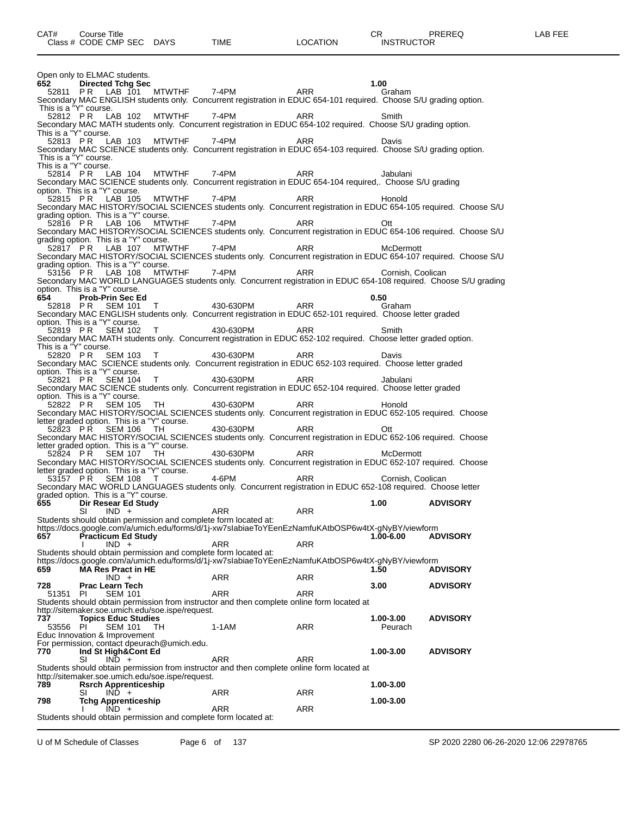|                                   | Open only to ELMAC students.                      |                                                                                                                                                                                                                                                                                                                                 |              |                                                                                                                                                                          |                      |                 |
|-----------------------------------|---------------------------------------------------|---------------------------------------------------------------------------------------------------------------------------------------------------------------------------------------------------------------------------------------------------------------------------------------------------------------------------------|--------------|--------------------------------------------------------------------------------------------------------------------------------------------------------------------------|----------------------|-----------------|
| 652                               | <b>Directed Tchg Sec</b>                          |                                                                                                                                                                                                                                                                                                                                 |              |                                                                                                                                                                          | 1.00<br>Graham       |                 |
|                                   |                                                   |                                                                                                                                                                                                                                                                                                                                 |              | Secondary MAC ENGLISH students only. Concurrent registration in EDUC 654-101 required. Choose S/U grading option.                                                        |                      |                 |
| This is a "Y" course.<br>52812 PR |                                                   | LAB 102                                                                                                                                                                                                                                                                                                                         | MTWTHF 7-4PM | ARR                                                                                                                                                                      | Smith                |                 |
| This is a "Y" course.             |                                                   |                                                                                                                                                                                                                                                                                                                                 |              | Secondary MAC MATH students only. Concurrent registration in EDUC 654-102 required. Choose S/U grading option.                                                           |                      |                 |
|                                   |                                                   | 52813 PR LAB 103 MTWTHF 7-4PM                                                                                                                                                                                                                                                                                                   |              | ARR<br>Secondary MAC SCIENCE students only. Concurrent registration in EDUC 654-103 required. Choose S/U grading option.                                                 | Davis                |                 |
| This is a "Y" course.             |                                                   |                                                                                                                                                                                                                                                                                                                                 |              |                                                                                                                                                                          |                      |                 |
| This is a "Y" course.             |                                                   | 52814 PR LAB 104 MTWTHF 7-4PM                                                                                                                                                                                                                                                                                                   |              | ARR                                                                                                                                                                      | Jabulani             |                 |
|                                   |                                                   |                                                                                                                                                                                                                                                                                                                                 |              | Secondary MAC SCIENCE students only. Concurrent registration in EDUC 654-104 required,. Choose S/U grading                                                               |                      |                 |
| 52815 PR                          | option. This is a "Y" course.<br>LAB 105          |                                                                                                                                                                                                                                                                                                                                 | MTWTHF 7-4PM | ARR                                                                                                                                                                      | Honold               |                 |
|                                   |                                                   | grading option. This is a "Y" course.                                                                                                                                                                                                                                                                                           |              | Secondary MAC HISTORY/SOCIAL SCIENCES students only. Concurrent registration in EDUC 654-105 required. Choose S/U                                                        |                      |                 |
|                                   |                                                   | 52816 P.R. LAB 106 MTWTHF 7-4PM                                                                                                                                                                                                                                                                                                 |              | ARR                                                                                                                                                                      | Ott                  |                 |
|                                   |                                                   | grading option. This is a "Y" course.                                                                                                                                                                                                                                                                                           |              | Secondary MAC HISTORY/SOCIAL SCIENCES students only. Concurrent registration in EDUC 654-106 required. Choose S/U                                                        |                      |                 |
|                                   |                                                   | 52817 PR LAB 107 MTWTHF 7-4PM                                                                                                                                                                                                                                                                                                   |              | ARR                                                                                                                                                                      | McDermott            |                 |
|                                   |                                                   | grading option. This is a "Y" course.                                                                                                                                                                                                                                                                                           |              | Secondary MAC HISTORY/SOCIAL SCIENCES students only. Concurrent registration in EDUC 654-107 required. Choose S/U                                                        |                      |                 |
|                                   |                                                   | 53156 PR LAB 108 MTWTHF 7-4PM                                                                                                                                                                                                                                                                                                   |              | 53156 PR LAB 108 MTWTHF 7-4PM ARR Cornish, Coolican<br>Secondary MAC WORLD LANGUAGES students only. Concurrent registration in EDUC 654-108 required. Choose S/U grading |                      |                 |
|                                   | option. This is a "Y" course.                     |                                                                                                                                                                                                                                                                                                                                 |              |                                                                                                                                                                          |                      |                 |
| 654                               | <b>Prob-Prin Sec Ed</b>                           |                                                                                                                                                                                                                                                                                                                                 |              | 52818 PR SEM 101 T 430-630PM ARR                                                                                                                                         | 0.50<br>Graham       |                 |
|                                   |                                                   |                                                                                                                                                                                                                                                                                                                                 |              | Secondary MAC ENGLISH students only. Concurrent registration in EDUC 652-101 required. Choose letter graded                                                              |                      |                 |
|                                   | option. This is a "Y" course.<br>52819 PR SEM 102 | $\top$                                                                                                                                                                                                                                                                                                                          | 430-630PM    | <b>ARR</b>                                                                                                                                                               | Smith                |                 |
| This is a "Y" course.             |                                                   |                                                                                                                                                                                                                                                                                                                                 |              | Secondary MAC MATH students only. Concurrent registration in EDUC 652-102 required. Choose letter graded option.                                                         |                      |                 |
|                                   |                                                   | 52820 PR SEM 103 T                                                                                                                                                                                                                                                                                                              | 430-630PM    | <b>ARR</b>                                                                                                                                                               | Davis                |                 |
|                                   | option. This is a "Y" course.                     |                                                                                                                                                                                                                                                                                                                                 |              | Secondary MAC SCIENCE students only. Concurrent registration in EDUC 652-103 required. Choose letter graded                                                              |                      |                 |
|                                   | 52821 PR SEM 104                                  | $\mathsf T$ and $\mathsf T$ and $\mathsf T$ are $\mathsf T$ and $\mathsf T$ are $\mathsf T$ and $\mathsf T$ are $\mathsf T$ and $\mathsf T$ are $\mathsf T$ and $\mathsf T$ are $\mathsf T$ and $\mathsf T$ are $\mathsf T$ and $\mathsf T$ are $\mathsf T$ and $\mathsf T$ are $\mathsf T$ and $\mathsf T$ are $\mathsf T$ and | 430-630PM    | ARR                                                                                                                                                                      | Jabulani             |                 |
|                                   | option. This is a "Y" course.                     |                                                                                                                                                                                                                                                                                                                                 |              | Secondary MAC SCIENCE students only. Concurrent registration in EDUC 652-104 required. Choose letter graded                                                              |                      |                 |
|                                   | 52822 PR SEM 105                                  | TH                                                                                                                                                                                                                                                                                                                              | 430-630PM    | ARR<br>Secondary MAC HISTORY/SOCIAL SCIENCES students only. Concurrent registration in EDUC 652-105 required. Choose                                                     | Honold               |                 |
|                                   |                                                   | letter graded option. This is a "Y" course.                                                                                                                                                                                                                                                                                     |              |                                                                                                                                                                          |                      |                 |
| 52823 PR                          | <b>SEM 106</b>                                    | TH                                                                                                                                                                                                                                                                                                                              | 430-630PM    | <b>ARR</b><br>Secondary MAC HISTORY/SOCIAL SCIENCES students only. Concurrent registration in EDUC 652-106 required. Choose                                              | Ott                  |                 |
| 52824 PR                          |                                                   | letter graded option. This is a "Y" course.<br><b>SEM 107 TH</b>                                                                                                                                                                                                                                                                | 430-630PM    | ARR                                                                                                                                                                      | McDermott            |                 |
|                                   |                                                   |                                                                                                                                                                                                                                                                                                                                 |              | Secondary MAC HISTORY/SOCIAL SCIENCES students only. Concurrent registration in EDUC 652-107 required. Choose                                                            |                      |                 |
|                                   | 53157 PR SEM 108 T                                | letter graded option. This is a "Y" course.                                                                                                                                                                                                                                                                                     | 4-6PM        | <b>ARR</b>                                                                                                                                                               | Cornish, Coolican    |                 |
|                                   |                                                   | graded option. This is a "Y" course.                                                                                                                                                                                                                                                                                            |              | Secondary MAC WORLD LANGUAGES students only. Concurrent registration in EDUC 652-108 required. Choose letter                                                             |                      |                 |
| 655 <b>65</b>                     | Dir Resear Ed Study                               |                                                                                                                                                                                                                                                                                                                                 |              |                                                                                                                                                                          | 1.00                 | <b>ADVISORY</b> |
|                                   | SI<br>$IND +$                                     | Students should obtain permission and complete form located at:                                                                                                                                                                                                                                                                 | ARR          | ARR                                                                                                                                                                      |                      |                 |
|                                   |                                                   |                                                                                                                                                                                                                                                                                                                                 |              | https://docs.google.com/a/umich.edu/forms/d/1j-xw7slabiaeToYEenEzNamfuKAtbOSP6w4tX-gNyBY/viewform                                                                        |                      |                 |
| 657                               | <b>Practicum Ed Study</b><br>$IND +$              |                                                                                                                                                                                                                                                                                                                                 | ARR          | <b>ARR</b>                                                                                                                                                               | 1.00-6.00            | <b>ADVISORY</b> |
|                                   |                                                   | Students should obtain permission and complete form located at:                                                                                                                                                                                                                                                                 |              | https://docs.google.com/a/umich.edu/forms/d/1j-xw7slabiaeToYEenEzNamfuKAtbOSP6w4tX-gNyBY/viewform                                                                        |                      |                 |
| 659                               | <b>MA Res Pract in HE</b>                         |                                                                                                                                                                                                                                                                                                                                 |              |                                                                                                                                                                          | 1.50                 | <b>ADVISORY</b> |
| 728                               | $IND +$<br><b>Prac Learn Tech</b>                 |                                                                                                                                                                                                                                                                                                                                 | <b>ARR</b>   | <b>ARR</b>                                                                                                                                                               | 3.00                 | <b>ADVISORY</b> |
| 51351                             | <b>PI</b>                                         | <b>SEM 101</b>                                                                                                                                                                                                                                                                                                                  | ARR          | ARR                                                                                                                                                                      |                      |                 |
|                                   |                                                   | http://sitemaker.soe.umich.edu/soe.ispe/request.                                                                                                                                                                                                                                                                                |              | Students should obtain permission from instructor and then complete online form located at                                                                               |                      |                 |
| 737<br>53556                      | <b>Topics Educ Studies</b><br>-PI                 | <b>SEM 101</b><br>TH.                                                                                                                                                                                                                                                                                                           | 1-1AM        | ARR                                                                                                                                                                      | 1.00-3.00<br>Peurach | <b>ADVISORY</b> |
|                                   | Educ Innovation & Improvement                     |                                                                                                                                                                                                                                                                                                                                 |              |                                                                                                                                                                          |                      |                 |
| 770                               | Ind St High&Cont Ed                               | For permission, contact dpeurach@umich.edu.                                                                                                                                                                                                                                                                                     |              |                                                                                                                                                                          | 1.00-3.00            | <b>ADVISORY</b> |
|                                   | SI<br>$IND +$                                     |                                                                                                                                                                                                                                                                                                                                 | <b>ARR</b>   | ARR<br>Students should obtain permission from instructor and then complete online form located at                                                                        |                      |                 |
|                                   |                                                   | http://sitemaker.soe.umich.edu/soe.ispe/request.                                                                                                                                                                                                                                                                                |              |                                                                                                                                                                          |                      |                 |
| 789                               | <b>Rsrch Apprenticeship</b><br>$IND +$<br>SI      |                                                                                                                                                                                                                                                                                                                                 | ARR          | ARR                                                                                                                                                                      | 1.00-3.00            |                 |
| 798                               | <b>Tchg Apprenticeship</b>                        |                                                                                                                                                                                                                                                                                                                                 |              |                                                                                                                                                                          | 1.00-3.00            |                 |
|                                   | $IND +$                                           | Students should obtain permission and complete form located at:                                                                                                                                                                                                                                                                 | ARR          | <b>ARR</b>                                                                                                                                                               |                      |                 |
|                                   |                                                   |                                                                                                                                                                                                                                                                                                                                 |              |                                                                                                                                                                          |                      |                 |

U of M Schedule of Classes Page 6 of 137 SP 2020 2280 06-26-2020 12:06 22978765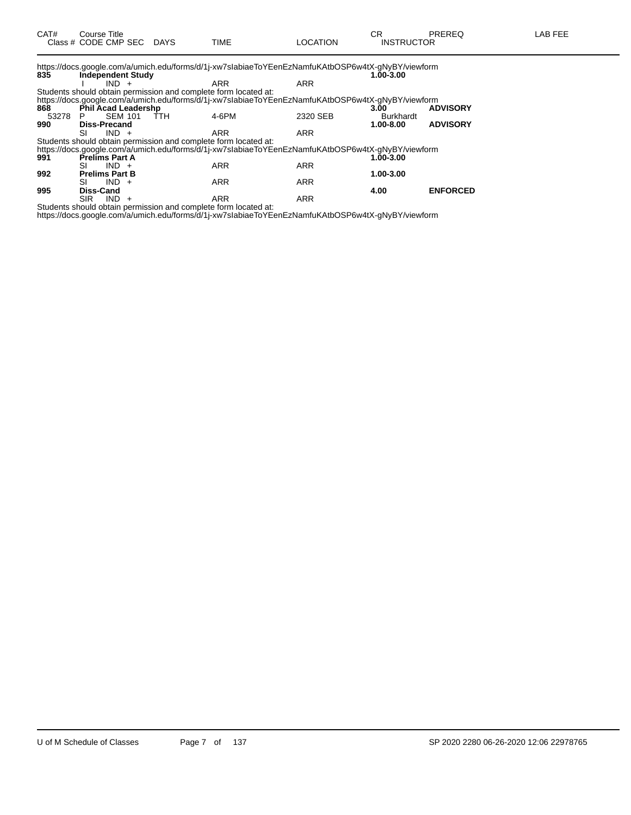|       |                             | https://docs.google.com/a/umich.edu/forms/d/1j-xw7slabiaeToYEenEzNamfuKAtbOSP6w4tX-gNyBY/viewform |            |                  |                 |
|-------|-----------------------------|---------------------------------------------------------------------------------------------------|------------|------------------|-----------------|
| 835   | <b>Independent Study</b>    |                                                                                                   |            | 1.00-3.00        |                 |
|       | $IND +$                     | <b>ARR</b>                                                                                        | <b>ARR</b> |                  |                 |
|       |                             | Students should obtain permission and complete form located at:                                   |            |                  |                 |
|       |                             | https://docs.google.com/a/umich.edu/forms/d/1j-xw7slabiaeToYEenEzNamfuKAtbOSP6w4tX-gNyBY/viewform |            |                  |                 |
| 868   | Phil Acad Leadershp         |                                                                                                   |            | 3.00             | <b>ADVISORY</b> |
| 53278 | <b>SEM 101</b><br>ŤTH<br>P. | 4-6PM                                                                                             | 2320 SEB   | <b>Burkhardt</b> |                 |
| 990   | <b>Diss-Precand</b>         |                                                                                                   |            | 1.00-8.00        | <b>ADVISORY</b> |
|       | SI<br>$IND +$               | <b>ARR</b>                                                                                        | <b>ARR</b> |                  |                 |
|       |                             | Students should obtain permission and complete form located at:                                   |            |                  |                 |
|       |                             | https://docs.google.com/a/umich.edu/forms/d/1j-xw7slabiaeToYEenEzNamfuKAtbOSP6w4tX-gNyBY/viewform |            |                  |                 |
| 991   | <b>Prelims Part A</b>       |                                                                                                   |            | 1.00-3.00        |                 |
|       | $IND +$<br>SI               | <b>ARR</b>                                                                                        | <b>ARR</b> |                  |                 |
| 992   | <b>Prelims Part B</b>       |                                                                                                   |            | 1.00-3.00        |                 |
|       | $IND +$<br>SI               | <b>ARR</b>                                                                                        | <b>ARR</b> |                  |                 |
| 995   | Diss-Cand                   |                                                                                                   |            | 4.00             | <b>ENFORCED</b> |
|       |                             |                                                                                                   |            |                  |                 |

SIR IND + ARR ARR ARR Students should obtain permission and complete form located at:

https://docs.google.com/a/umich.edu/forms/d/1j-xw7sIabiaeToYEenEzNamfuKAtbOSP6w4tX-gNyBY/viewform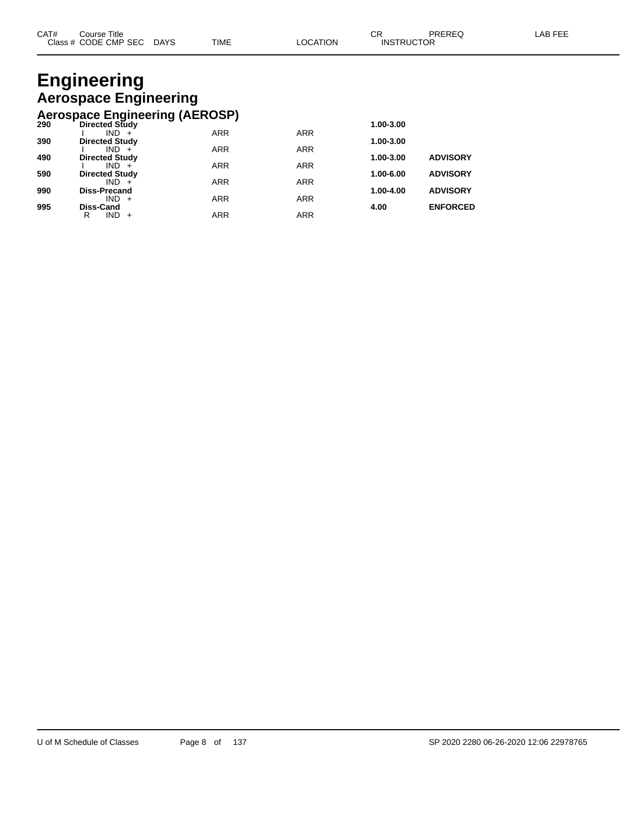### **Engineering Aerospace Engineering Aerospace Engineering (AEROSP)**

|     | Acrospace Engineering (AEROOL) |            |            |           |                 |
|-----|--------------------------------|------------|------------|-----------|-----------------|
| 290 | <b>Directed Study</b>          |            |            | 1.00-3.00 |                 |
|     | $IND +$                        | <b>ARR</b> | <b>ARR</b> |           |                 |
| 390 | <b>Directed Study</b>          |            |            | 1.00-3.00 |                 |
|     | $IND +$                        | <b>ARR</b> | <b>ARR</b> |           |                 |
| 490 | <b>Directed Study</b>          |            |            | 1.00-3.00 | <b>ADVISORY</b> |
|     | $IND +$                        | <b>ARR</b> | <b>ARR</b> |           |                 |
| 590 | <b>Directed Study</b>          |            |            | 1.00-6.00 | <b>ADVISORY</b> |
|     | $IND +$                        | <b>ARR</b> | <b>ARR</b> |           |                 |
| 990 | <b>Diss-Precand</b>            |            |            | 1.00-4.00 | <b>ADVISORY</b> |
|     | $IND +$                        | <b>ARR</b> | <b>ARR</b> |           |                 |
| 995 | Diss-Cand                      |            |            | 4.00      | <b>ENFORCED</b> |
|     | IND.<br>R<br>$+$               | ARR        | <b>ARR</b> |           |                 |
|     |                                |            |            |           |                 |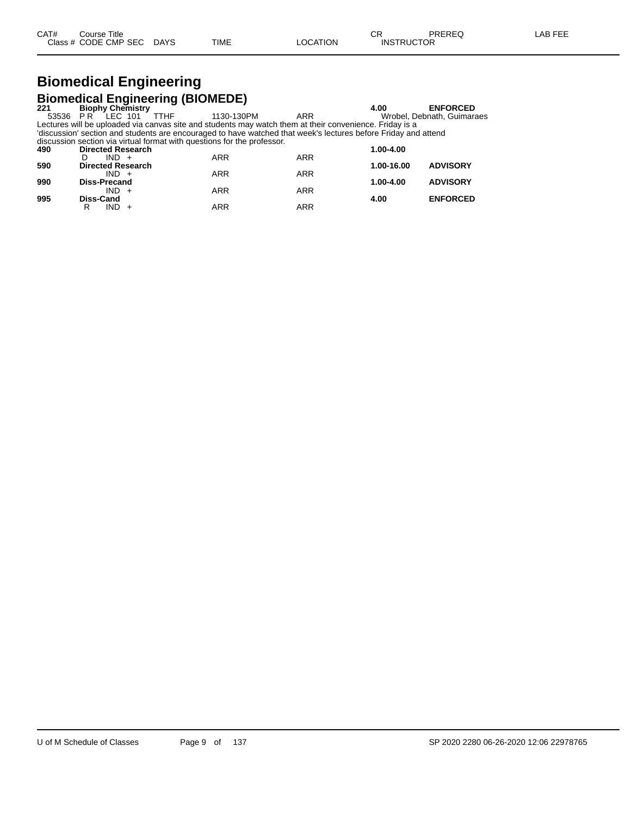#### **Biomedical Engineering Biomedical Engineering (BIOMEDE)**

|     |                          | <b>Promedical Engineering (Promede)</b>                                                                        |            |               |                            |
|-----|--------------------------|----------------------------------------------------------------------------------------------------------------|------------|---------------|----------------------------|
| 221 | <b>Biophy Chemistry</b>  |                                                                                                                |            | 4.00          | <b>ENFORCED</b>            |
|     | 53536 PR LEC 101         | TTHF<br>1130-130PM                                                                                             | ARR        |               | Wrobel, Debnath, Guimaraes |
|     |                          | Lectures will be uploaded via canvas site and students may watch them at their convenience. Friday is a        |            |               |                            |
|     |                          | 'discussion' section and students are encouraged to have watched that week's lectures before Friday and attend |            |               |                            |
|     |                          | discussion section via virtual format with questions for the professor.                                        |            |               |                            |
| 490 | <b>Directed Research</b> |                                                                                                                |            | 1.00-4.00     |                            |
|     | $IND +$                  | <b>ARR</b>                                                                                                     | <b>ARR</b> |               |                            |
| 590 | <b>Directed Research</b> |                                                                                                                |            | 1.00-16.00    | <b>ADVISORY</b>            |
|     | $IND +$                  | <b>ARR</b>                                                                                                     | <b>ARR</b> |               |                            |
| 990 | <b>Diss-Precand</b>      |                                                                                                                |            | $1.00 - 4.00$ | <b>ADVISORY</b>            |
|     | IND.                     | <b>ARR</b>                                                                                                     | <b>ARR</b> |               |                            |
|     |                          |                                                                                                                |            |               |                            |

**995 Diss-Cand 4.00 ENFORCED**

R IND + ARR ARR ARR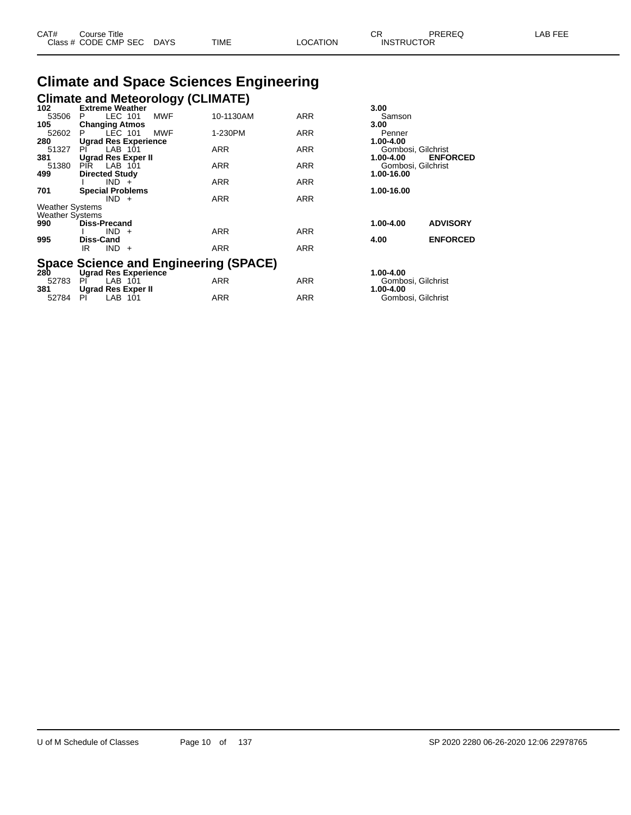| CAT# | Course Title              |      |          | $\cap$<br>- UN    | PREREQ | -AB FEE |
|------|---------------------------|------|----------|-------------------|--------|---------|
|      | Class # CODE CMP SEC DAYS | TIME | LOCATION | <b>INSTRUCTOR</b> |        |         |

# **Climate and Space Sciences Engineering Climate and Meteorology (CLIMATE) 102 Extreme Weather 3.00**

| 102                    | <b>Extreme Weather</b>      |            |            | 3.00                         |  |
|------------------------|-----------------------------|------------|------------|------------------------------|--|
| 53506                  | LEC 101<br><b>MWF</b><br>P. | 10-1130AM  | <b>ARR</b> | Samson                       |  |
| 105                    | <b>Changing Atmos</b>       |            |            | 3.00                         |  |
| 52602                  | <b>MWF</b><br>LEC 101<br>P. | 1-230PM    | <b>ARR</b> | Penner                       |  |
| 280                    | <b>Ugrad Res Experience</b> |            |            | 1.00-4.00                    |  |
| 51327                  | LAB 101<br>PL               | <b>ARR</b> | <b>ARR</b> | Gombosi, Gilchrist           |  |
| 381                    | Ugrad Res Exper II          |            |            | <b>ENFORCED</b><br>1.00-4.00 |  |
| 51380                  | PIR LAB 101                 | <b>ARR</b> | <b>ARR</b> | Gombosi, Gilchrist           |  |
| 499                    | <b>Directed Study</b>       |            |            | 1.00-16.00                   |  |
|                        | $IND +$                     | <b>ARR</b> | <b>ARR</b> |                              |  |
| 701                    | <b>Special Problems</b>     |            |            | 1.00-16.00                   |  |
|                        | $IND +$                     | <b>ARR</b> | <b>ARR</b> |                              |  |
| <b>Weather Systems</b> |                             |            |            |                              |  |
| <b>Weather Systems</b> |                             |            |            |                              |  |
| 990                    | <b>Diss-Precand</b>         |            |            | 1.00-4.00<br><b>ADVISORY</b> |  |
|                        | $IND +$                     | <b>ARR</b> | <b>ARR</b> |                              |  |
| 995                    | <b>Diss-Cand</b>            |            |            | <b>ENFORCED</b><br>4.00      |  |
|                        | $IND +$<br>IR               | <b>ARR</b> | <b>ARR</b> |                              |  |

# **Space Science and Engineering (SPACE) 280 Ugrad Res Experience 1.00-4.00**

| 280      | Ugrad Res Experience |     |     | 1.00-4.00          |
|----------|----------------------|-----|-----|--------------------|
| 52783 PL | LAB 101              | ARR | ARR | Gombosi, Gilchrist |
| 381      | Ugrad Res Exper II   |     |     | 1.00-4.00          |
| 52784    | - PI<br>LAB 101      | ARR | ARR | Gombosi, Gilchrist |

| 3.00<br>Samson<br>3.00<br>Penner<br>1.00-4.00<br>Gombosi, Gilchrist<br>1.00-4.00<br>Gombosi, Gilchrist<br>1.00-16.00<br>1.00-16.00 | <b>ENFORCED</b>                    |
|------------------------------------------------------------------------------------------------------------------------------------|------------------------------------|
| 1.00-4.00<br>4.00                                                                                                                  | <b>ADVISORY</b><br><b>ENFORCED</b> |
|                                                                                                                                    |                                    |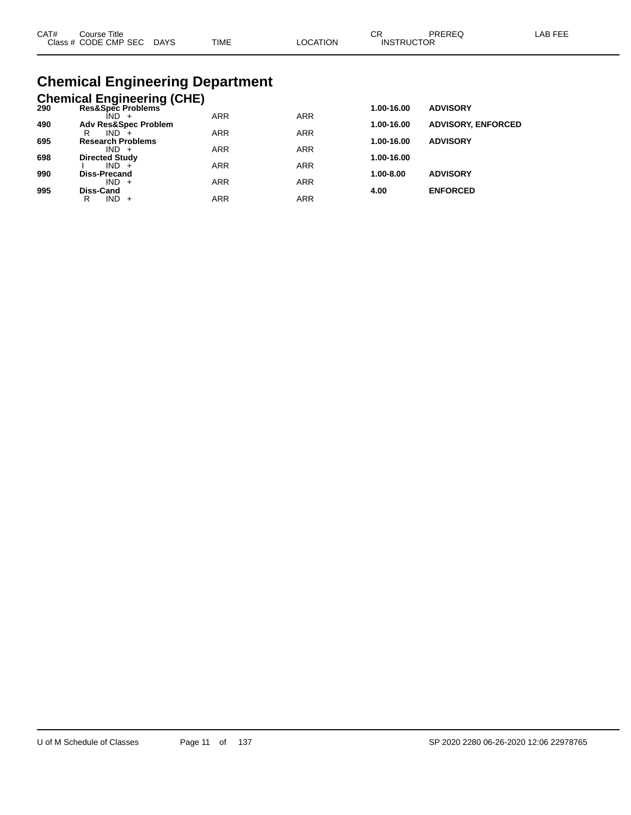| CAT# | Course Title              |             |          | ∩⊓                | PREREQ | LAB FEE |
|------|---------------------------|-------------|----------|-------------------|--------|---------|
|      | Class # CODE CMP SEC DAYS | <b>TIME</b> | ∟OCATION | <b>INSTRUCTOR</b> |        |         |

# **Chemical Engineering Department**

|     | <b>Chemical Engineering (CHE)</b>   |            |            |            |                           |
|-----|-------------------------------------|------------|------------|------------|---------------------------|
| 290 | Res&Spec Problems                   |            |            | 1.00-16.00 | <b>ADVISORY</b>           |
|     | ÎND -                               | <b>ARR</b> | <b>ARR</b> |            |                           |
| 490 | <b>Adv Res&amp;Spec Problem</b>     |            |            | 1.00-16.00 | <b>ADVISORY, ENFORCED</b> |
|     | $IND +$<br>R                        | <b>ARR</b> | <b>ARR</b> |            |                           |
| 695 | <b>Research Problems</b><br>$IND +$ | <b>ARR</b> | <b>ARR</b> | 1.00-16.00 | <b>ADVISORY</b>           |
| 698 | <b>Directed Study</b>               |            |            | 1.00-16.00 |                           |
|     | $IND +$                             | <b>ARR</b> | <b>ARR</b> |            |                           |
| 990 | Diss-Precand                        |            |            | 1.00-8.00  | <b>ADVISORY</b>           |
|     | $IND +$                             | <b>ARR</b> | <b>ARR</b> |            |                           |
| 995 | Diss-Cand                           |            |            | 4.00       | <b>ENFORCED</b>           |
|     | IND.<br>R<br>$+$                    | ARR        | <b>ARR</b> |            |                           |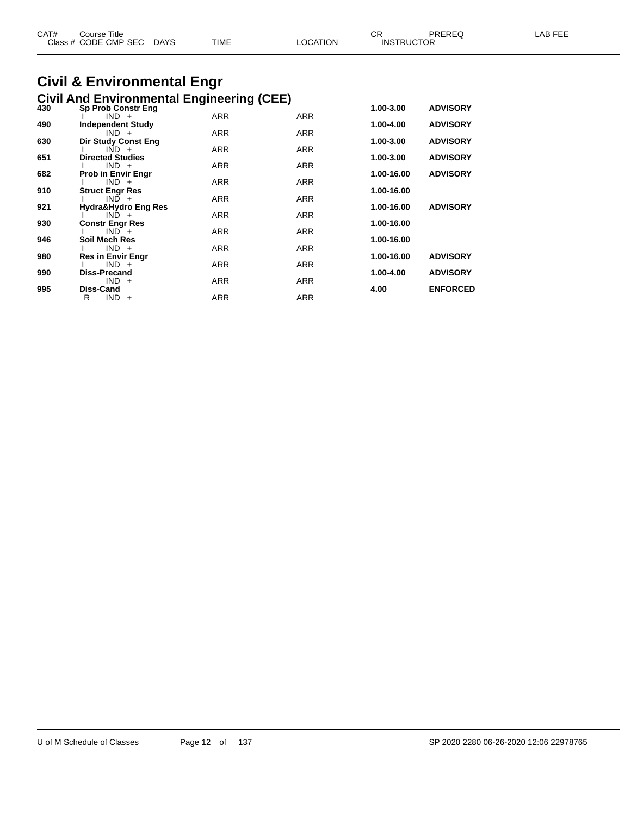| CAT# | Course Title<br>Class # CODE CMP SEC | <b>DAYS</b> | <b>TIME</b> | <b>LOCATION</b> | СR<br><b>INSTRUCTOR</b> | <b>PREREQ</b> | FEE<br>_AB- |
|------|--------------------------------------|-------------|-------------|-----------------|-------------------------|---------------|-------------|
|      |                                      |             |             |                 |                         |               |             |

#### **Civil & Environmental Engr Civil And Environmental Engineering (CEE)**

| 430 | <b>Sp Prob Constr Eng</b>      |            |            | 1.00-3.00  | <b>ADVISORY</b> |
|-----|--------------------------------|------------|------------|------------|-----------------|
|     | $IND +$                        | ARR        | <b>ARR</b> |            |                 |
| 490 | <b>Independent Study</b>       |            |            | 1.00-4.00  | <b>ADVISORY</b> |
|     | $IND +$                        | <b>ARR</b> | <b>ARR</b> |            |                 |
| 630 | <b>Dir Study Const Eng</b>     |            |            | 1.00-3.00  | <b>ADVISORY</b> |
|     | $IND +$                        | <b>ARR</b> | <b>ARR</b> |            |                 |
| 651 | <b>Directed Studies</b>        |            |            | 1.00-3.00  | <b>ADVISORY</b> |
|     | $IND +$                        | <b>ARR</b> | <b>ARR</b> |            |                 |
| 682 | <b>Prob in Envir Engr</b>      |            |            | 1.00-16.00 | <b>ADVISORY</b> |
|     | $IND +$                        | <b>ARR</b> | <b>ARR</b> |            |                 |
| 910 | <b>Struct Engr Res</b>         |            |            | 1.00-16.00 |                 |
|     | $IND +$                        | ARR        | <b>ARR</b> |            |                 |
| 921 | Hydra&Hydro Eng Res<br>$IND +$ | ARR        | <b>ARR</b> | 1.00-16.00 | <b>ADVISORY</b> |
| 930 | <b>Constr Engr Res</b>         |            |            | 1.00-16.00 |                 |
|     | $IND^+$                        | <b>ARR</b> | <b>ARR</b> |            |                 |
| 946 | Soil Mech Res                  |            |            | 1.00-16.00 |                 |
|     | $IND +$                        | <b>ARR</b> | <b>ARR</b> |            |                 |
| 980 | <b>Res in Envir Engr</b>       |            |            | 1.00-16.00 | <b>ADVISORY</b> |
|     | $IND +$                        | <b>ARR</b> | <b>ARR</b> |            |                 |
| 990 | <b>Diss-Precand</b>            |            |            | 1.00-4.00  | <b>ADVISORY</b> |
|     | $IND +$                        | ARR        | <b>ARR</b> |            |                 |
| 995 | Diss-Cand                      |            |            | 4.00       | <b>ENFORCED</b> |
|     | $IND +$<br>R                   | ARR        | <b>ARR</b> |            |                 |
|     |                                |            |            |            |                 |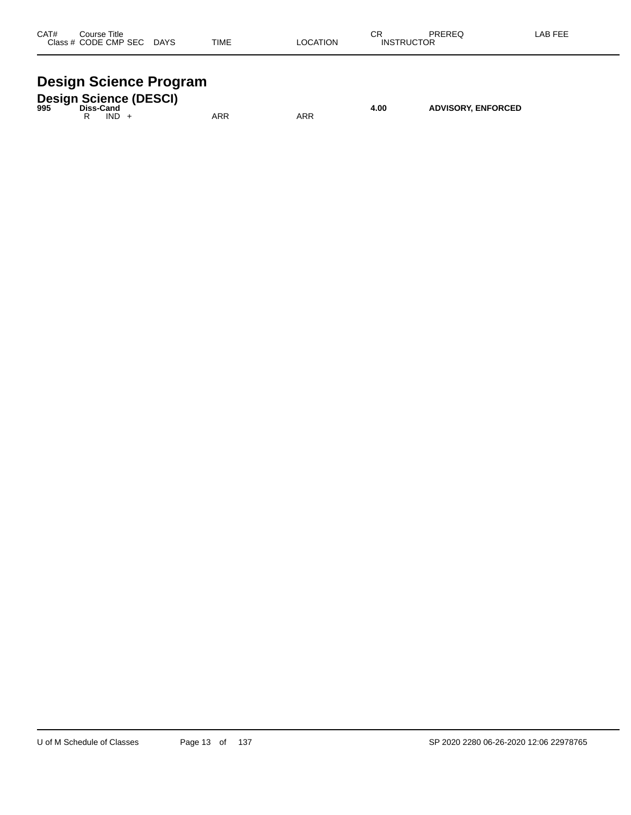| CAT#    | Title<br>Course |             |      |                 | ⌒冖<br>◡◠          | PREREQ | _AB FEF |
|---------|-----------------|-------------|------|-----------------|-------------------|--------|---------|
| Class # | / CODE CMP SEC  | <b>DAYS</b> | TIME | <b>_OCATION</b> | <b>INSTRUCTOR</b> |        |         |
|         |                 |             |      |                 |                   |        |         |

# **Design Science Program**

| 995 | Diss-Cand |      | <b>Design Science (DESCI)</b> |     |     | 4.00 | <b>ADVISORY, ENFORCED</b> |
|-----|-----------|------|-------------------------------|-----|-----|------|---------------------------|
|     |           | IND. |                               | ARR | ARR |      |                           |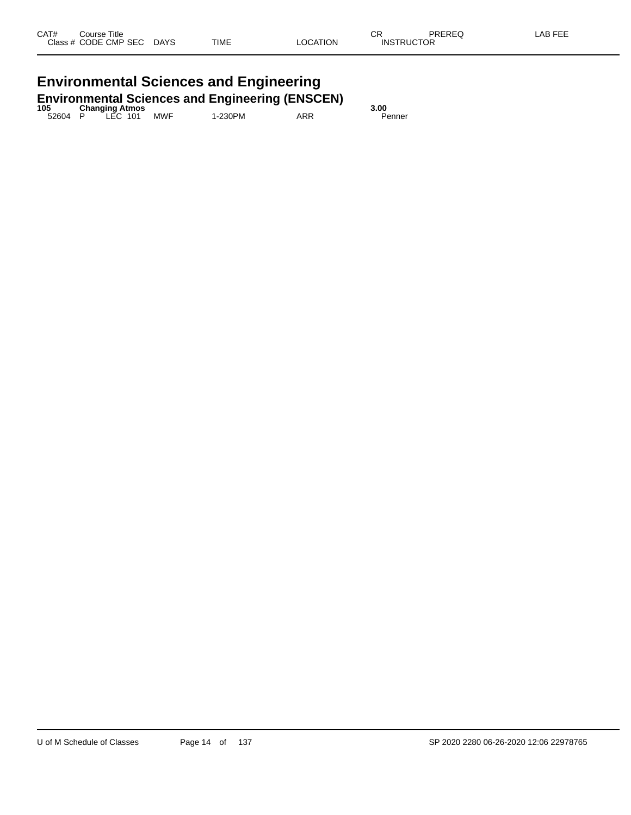# **Environmental Sciences and Engineering**

| 105     |                                    |     | <b>Environmental Sciences and Engineering (ENSCEN)</b> |     | 3.00   |
|---------|------------------------------------|-----|--------------------------------------------------------|-----|--------|
| 52604 P | <b>Changing Atmos</b><br>P LEC 101 | MWF | 1-230PM                                                | ARR | Penner |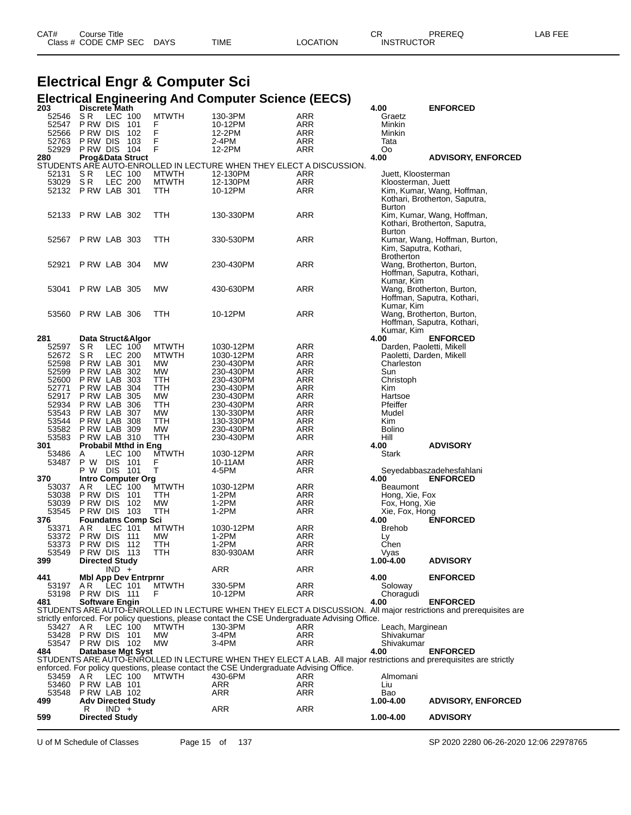| CAT# | Course Title              |      |                 | СR                | PREREQ | LAB FEE |
|------|---------------------------|------|-----------------|-------------------|--------|---------|
|      | Class # CODE CMP SEC DAYS | TIME | <b>LOCATION</b> | <b>INSTRUCTOR</b> |        |         |

|     | <b>Electrical Engr &amp; Computer Sci</b> |                            |                |                                  |                                                           |                        |  |                                                                                                |                                          |                                                                                                                    |
|-----|-------------------------------------------|----------------------------|----------------|----------------------------------|-----------------------------------------------------------|------------------------|--|------------------------------------------------------------------------------------------------|------------------------------------------|--------------------------------------------------------------------------------------------------------------------|
| 203 |                                           | <b>Discrete Math</b>       |                |                                  | <b>Electrical Engineering And Computer Science (EECS)</b> |                        |  |                                                                                                | 4.00                                     | <b>ENFORCED</b>                                                                                                    |
|     | 52546                                     | S R                        | LEC 100        |                                  | <b>MTWTH</b>                                              | 130-3PM                |  | ARR                                                                                            | Graetz                                   |                                                                                                                    |
|     | 52547                                     | P RW DIS                   |                | 101                              | F                                                         | 10-12PM                |  | ARR                                                                                            | Minkin                                   |                                                                                                                    |
|     | 52566                                     | P RW DIS                   |                | 102                              | F                                                         | 12-2PM                 |  | ARR                                                                                            | Minkin                                   |                                                                                                                    |
|     | 52763                                     | P RW DIS                   |                | 103                              | F                                                         | 2-4PM                  |  | ARR                                                                                            | Tata                                     |                                                                                                                    |
|     | 52929                                     | P RW DIS                   |                | 104                              | F                                                         | 12-2PM                 |  | ARR                                                                                            | Οo                                       |                                                                                                                    |
| 280 |                                           | Prog&Data Struct           |                |                                  |                                                           |                        |  |                                                                                                | 4.00                                     | <b>ADVISORY, ENFORCED</b>                                                                                          |
|     | 52131                                     | S R                        | LEC 100        |                                  | <b>MTWTH</b>                                              | 12-130PM               |  | STUDENTS ARE AUTO-ENROLLED IN LECTURE WHEN THEY ELECT A DISCUSSION.<br>ARR                     |                                          |                                                                                                                    |
|     | 53029                                     | S R                        | LEC 200        |                                  | <b>MTWTH</b>                                              | 12-130PM               |  | ARR                                                                                            | Juett, Kloosterman<br>Kloosterman, Juett |                                                                                                                    |
|     | 52132                                     | PRW LAB 301                |                |                                  | ттн                                                       | 10-12PM                |  | ARR                                                                                            |                                          | Kim, Kumar, Wang, Hoffman,                                                                                         |
|     |                                           |                            |                |                                  |                                                           |                        |  |                                                                                                |                                          | Kothari, Brotherton, Saputra,                                                                                      |
|     |                                           |                            |                |                                  |                                                           |                        |  |                                                                                                | Burton                                   |                                                                                                                    |
|     | 52133                                     | PRW LAB 302                |                |                                  | TTH                                                       | 130-330PM              |  | ARR                                                                                            |                                          | Kim, Kumar, Wang, Hoffman,                                                                                         |
|     |                                           |                            |                |                                  |                                                           |                        |  |                                                                                                |                                          | Kothari, Brotherton, Saputra,                                                                                      |
|     |                                           |                            |                |                                  |                                                           |                        |  |                                                                                                | Burton                                   |                                                                                                                    |
|     | 52567                                     | PRW LAB 303                |                |                                  | TTH                                                       | 330-530PM              |  | ARR                                                                                            | Kim, Saputra, Kothari,                   | Kumar, Wang, Hoffman, Burton,                                                                                      |
|     |                                           |                            |                |                                  |                                                           |                        |  |                                                                                                | <b>Brotherton</b>                        |                                                                                                                    |
|     | 52921                                     | PRW LAB 304                |                |                                  | МW                                                        | 230-430PM              |  | ARR                                                                                            |                                          | Wang, Brotherton, Burton,                                                                                          |
|     |                                           |                            |                |                                  |                                                           |                        |  |                                                                                                |                                          | Hoffman, Saputra, Kothari,                                                                                         |
|     |                                           |                            |                |                                  |                                                           |                        |  |                                                                                                | Kumar, Kim                               |                                                                                                                    |
|     | 53041                                     | PRW LAB 305                |                |                                  | МW                                                        | 430-630PM              |  | ARR                                                                                            |                                          | Wang, Brotherton, Burton,                                                                                          |
|     |                                           |                            |                |                                  |                                                           |                        |  |                                                                                                |                                          | Hoffman, Saputra, Kothari,                                                                                         |
|     |                                           |                            |                |                                  |                                                           |                        |  |                                                                                                | Kumar, Kim                               |                                                                                                                    |
|     | 53560                                     | PRW LAB 306                |                |                                  | ттн                                                       | 10-12PM                |  | ARR                                                                                            |                                          | Wang, Brotherton, Burton,                                                                                          |
|     |                                           |                            |                |                                  |                                                           |                        |  |                                                                                                |                                          | Hoffman, Saputra, Kothari,                                                                                         |
| 281 |                                           |                            |                | Data Struct&Algor                |                                                           |                        |  |                                                                                                | Kumar, Kim<br>4.00                       | <b>ENFORCED</b>                                                                                                    |
|     | 52597                                     | SR                         | LEC 100        |                                  | <b>MTWTH</b>                                              | 1030-12PM              |  | ARR                                                                                            | Darden, Paoletti, Mikell                 |                                                                                                                    |
|     | 52672                                     | SR.                        | <b>LEC 200</b> |                                  | <b>MTWTH</b>                                              | 1030-12PM              |  | ARR                                                                                            | Paoletti, Darden, Mikell                 |                                                                                                                    |
|     | 52598                                     | PRW LAB 301                |                |                                  | MW                                                        | 230-430PM              |  | ARR                                                                                            | Charleston                               |                                                                                                                    |
|     | 52599                                     | P RW LAB                   |                | 302                              | <b>MW</b>                                                 | 230-430PM              |  | ARR                                                                                            | Sun                                      |                                                                                                                    |
|     | 52600                                     | P RW LAB                   |                | 303                              | ттн                                                       | 230-430PM              |  | ARR                                                                                            | Christoph                                |                                                                                                                    |
|     | 52771                                     | P RW LAB                   |                | 304                              | TTH                                                       | 230-430PM              |  | ARR                                                                                            | Kim                                      |                                                                                                                    |
|     | 52917                                     | P RW LAB                   |                | 305                              | <b>MW</b>                                                 | 230-430PM              |  | ARR                                                                                            | Hartsoe                                  |                                                                                                                    |
|     | 52934<br>53543                            | P RW LAB<br>P RW LAB       |                | 306<br>307                       | TTH<br>МW                                                 | 230-430PM<br>130-330PM |  | ARR<br>ARR                                                                                     | Pfeiffer<br>Mudel                        |                                                                                                                    |
|     | 53544                                     | P RW LAB                   |                | 308                              | TTH                                                       | 130-330PM              |  | ARR                                                                                            | Kim                                      |                                                                                                                    |
|     | 53582                                     | PRW LAB 309                |                |                                  | МW                                                        | 230-430PM              |  | ARR                                                                                            | Bolino                                   |                                                                                                                    |
|     | 53583                                     | PRW LAB 310                |                |                                  | TTH                                                       | 230-430PM              |  | ARR                                                                                            | Hill                                     |                                                                                                                    |
| 301 |                                           |                            |                | <b>Probabil Mthd in Eng</b>      |                                                           |                        |  |                                                                                                | 4.00                                     | <b>ADVISORY</b>                                                                                                    |
|     | 53486                                     | A                          | LEC 100        |                                  | <b>MTWTH</b>                                              | 1030-12PM              |  | ARR                                                                                            | Stark                                    |                                                                                                                    |
|     | 53487                                     | P W                        | <b>DIS</b>     | - 101                            | F                                                         | 10-11AM                |  | ARR                                                                                            |                                          |                                                                                                                    |
| 370 |                                           | P W                        | DIS            | 101<br><b>Intro Computer Org</b> | т                                                         | 4-5PM                  |  | ARR                                                                                            | 4.00                                     | Seyedabbaszadehesfahlani<br><b>ENFORCED</b>                                                                        |
|     | 53037                                     | A R                        | LEC 100        |                                  | <b>MTWTH</b>                                              | 1030-12PM              |  | ARR                                                                                            | Beaumont                                 |                                                                                                                    |
|     | 53038                                     | P RW DIS                   |                | 101                              | ттн                                                       | 1-2PM                  |  | ARR                                                                                            | Hong, Xie, Fox                           |                                                                                                                    |
|     | 53039                                     | P RW DIS                   |                | 102                              | МW                                                        | 1-2PM                  |  | ARR                                                                                            | Fox, Hong, Xie                           |                                                                                                                    |
|     | 53545                                     | P RW DIS                   |                | 103                              | TTH                                                       | 1-2PM                  |  | ARR                                                                                            | Xie, Fox, Hong                           |                                                                                                                    |
| 376 |                                           |                            |                | <b>Foundatns Comp Sci</b>        |                                                           |                        |  |                                                                                                | 4.00                                     | <b>ENFORCED</b>                                                                                                    |
|     | 53371                                     | A R                        | LEC 101        |                                  | <b>MTWTH</b>                                              | 1030-12PM              |  | ARR                                                                                            | <b>Brehob</b>                            |                                                                                                                    |
|     | 53372 PRW DIS 111                         |                            |                |                                  | <b>MVV</b>                                                | 1-2PM<br>$1-2PM$       |  | ARR                                                                                            | Ly<br>Chen                               |                                                                                                                    |
|     | 53373<br>53549                            | PRW DIS 112<br>PRW DIS 113 |                |                                  | <b>TTH</b><br>TTH                                         | 830-930AM              |  | ARR<br>ARR                                                                                     | Vyas                                     |                                                                                                                    |
| 399 |                                           | <b>Directed Study</b>      |                |                                  |                                                           |                        |  |                                                                                                | 1.00-4.00                                | <b>ADVISORY</b>                                                                                                    |
|     |                                           |                            | $IND +$        |                                  |                                                           | ARR                    |  | ARR                                                                                            |                                          |                                                                                                                    |
| 441 |                                           |                            |                | <b>Mbl App Dev Entrprnr</b>      |                                                           |                        |  |                                                                                                | 4.00                                     | <b>ENFORCED</b>                                                                                                    |
|     | 53197                                     | AR.                        | LEC 101        |                                  | <b>MTWTH</b>                                              | 330-5PM                |  | ARR                                                                                            | Soloway                                  |                                                                                                                    |
|     | 53198 PRW DIS 111                         |                            |                |                                  | F                                                         | 10-12PM                |  | ARR                                                                                            | Choragudi                                |                                                                                                                    |
| 481 |                                           | <b>Software Engin</b>      |                |                                  |                                                           |                        |  |                                                                                                | 4.00                                     | <b>ENFORCED</b>                                                                                                    |
|     |                                           |                            |                |                                  |                                                           |                        |  | strictly enforced. For policy questions, please contact the CSE Undergraduate Advising Office. |                                          | STUDENTS ARE AUTO-ENROLLED IN LECTURE WHEN THEY ELECT A DISCUSSION. All major restrictions and prerequisites are   |
|     | 53427                                     | AR                         | LEC 100        |                                  | <b>MTWTH</b>                                              | 130-3PM                |  | ARR                                                                                            | Leach, Marginean                         |                                                                                                                    |
|     | 53428                                     | PRW DIS 101                |                |                                  | MW                                                        | 3-4PM                  |  | ARR                                                                                            | Shivakumar                               |                                                                                                                    |
|     | 53547 P RW DIS 102                        |                            |                |                                  | <b>MW</b>                                                 | 3-4PM                  |  | ARR                                                                                            | Shivakumar                               |                                                                                                                    |
| 484 |                                           |                            |                | Database Mgt Syst                |                                                           |                        |  |                                                                                                | 4.00                                     | <b>ENFORCED</b>                                                                                                    |
|     |                                           |                            |                |                                  |                                                           |                        |  |                                                                                                |                                          | STUDENTS ARE AUTO-ENROLLED IN LECTURE WHEN THEY ELECT A LAB. All major restrictions and prerequisites are strictly |
|     |                                           |                            |                |                                  |                                                           |                        |  | enforced. For policy questions, please contact the CSE Undergraduate Advising Office.          |                                          |                                                                                                                    |
|     | 53459                                     | AR                         | LEC 100        |                                  | MTWTH                                                     | 430-6PM                |  | ARR                                                                                            | Almomani                                 |                                                                                                                    |
|     | 53460<br>53548                            | PRW LAB 101<br>PRW LAB 102 |                |                                  |                                                           | ARR<br><b>ARR</b>      |  | ARR<br>ARR                                                                                     | Liu<br>Bao                               |                                                                                                                    |
| 499 |                                           |                            |                | <b>Adv Directed Study</b>        |                                                           |                        |  |                                                                                                | 1.00-4.00                                | <b>ADVISORY, ENFORCED</b>                                                                                          |
|     |                                           | R                          | $IND +$        |                                  |                                                           | ARR                    |  | ARR                                                                                            |                                          |                                                                                                                    |

**Directed Study 1.00-4.00 ADVISORY**

U of M Schedule of Classes Page 15 of 137 SP 2020 2280 06-26-2020 12:06 22978765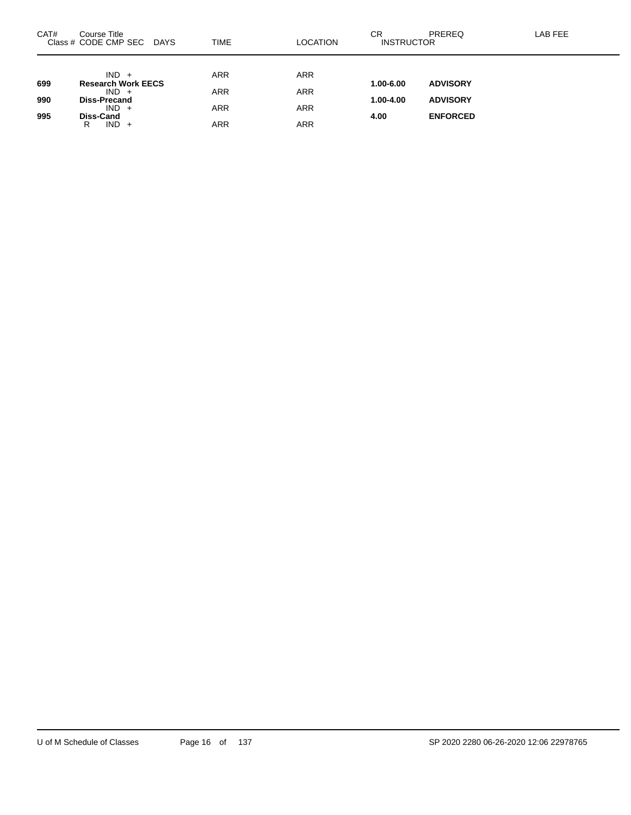| CAT# | Course Title<br>Class # CODE CMP SEC DAYS | TIME       | LOCATION   | СR<br><b>INSTRUCTOR</b> | PREREQ          | LAB FEE |
|------|-------------------------------------------|------------|------------|-------------------------|-----------------|---------|
|      | $IND +$                                   | <b>ARR</b> | <b>ARR</b> |                         |                 |         |
| 699  | <b>Research Work EECS</b><br>$IND +$      | ARR        | <b>ARR</b> | 1.00-6.00               | <b>ADVISORY</b> |         |
| 990  | <b>Diss-Precand</b><br>$IND +$            | <b>ARR</b> | <b>ARR</b> | 1.00-4.00               | <b>ADVISORY</b> |         |
| 995  | Diss-Cand<br>$IND +$<br>R                 | ARR        | ARR        | 4.00                    | <b>ENFORCED</b> |         |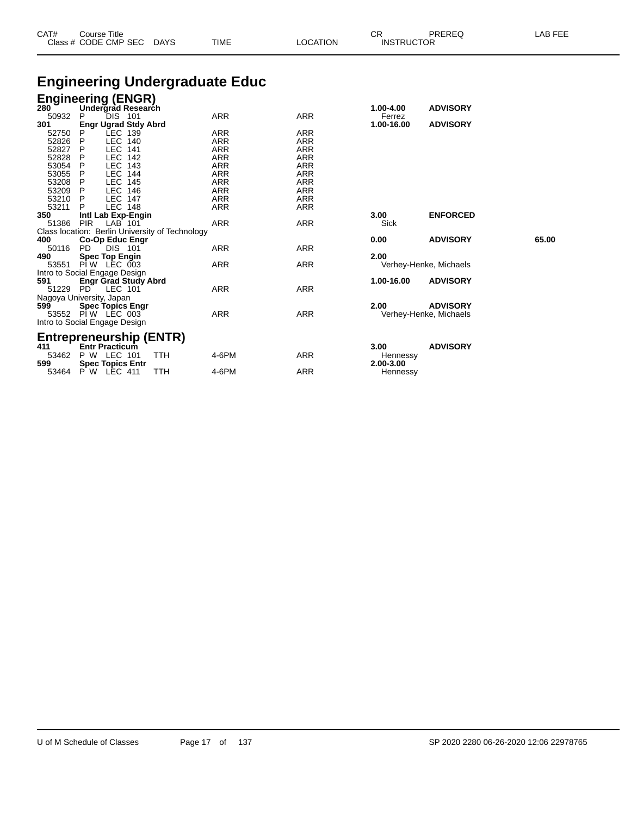| CAT# | Course Title<br>Class # CODE CMP SEC | DAYS | <b>TIME</b> | LOCATION | СR<br><b>INSTRUCTOR</b> | PREREQ | LAB FEE |
|------|--------------------------------------|------|-------------|----------|-------------------------|--------|---------|
|      |                                      |      |             |          |                         |        |         |

## **Engineering Undergraduate Educ**

### **Engineering (ENGR)**

| 280 |          | Undergrad Research                              |     |            |            | 1.00-4.00  | <b>ADVISORY</b>        |       |
|-----|----------|-------------------------------------------------|-----|------------|------------|------------|------------------------|-------|
|     | 50932    | DIS 101<br>P                                    |     | ARR        | ARR        | Ferrez     |                        |       |
| 301 |          | <b>Engr Ugrad Stdy Abrd</b>                     |     |            |            | 1.00-16.00 | <b>ADVISORY</b>        |       |
|     | 52750    | LEC 139<br>P                                    |     | ARR        | ARR        |            |                        |       |
|     | 52826    | <b>LEC</b><br>P<br>140                          |     | <b>ARR</b> | <b>ARR</b> |            |                        |       |
|     | 52827    | <b>LEC</b><br>141<br>P                          |     | ARR        | ARR        |            |                        |       |
|     | 52828    | <b>LEC</b><br>142<br>P                          |     | ARR        | ARR        |            |                        |       |
|     | 53054    | <b>LEC</b><br>143<br>P                          |     | <b>ARR</b> | <b>ARR</b> |            |                        |       |
|     | 53055    | <b>LEC</b><br>144                               |     | ARR        | <b>ARR</b> |            |                        |       |
|     | 53208    | <b>LEC</b><br>145<br>P                          |     | ARR        | <b>ARR</b> |            |                        |       |
|     | 53209    | <b>LEC</b><br>146<br>P.                         |     | ARR        | <b>ARR</b> |            |                        |       |
|     | 53210    | <b>LEC 147</b><br>P                             |     | ARR        | ARR        |            |                        |       |
|     | 53211    | <b>LEC 148</b>                                  |     | ARR        | ARR        |            |                        |       |
| 350 |          | Intl Lab Exp-Engin                              |     |            |            | 3.00       | <b>ENFORCED</b>        |       |
|     | 51386    | <b>PIR</b><br>LAB 101                           |     | <b>ARR</b> | <b>ARR</b> | Sick       |                        |       |
|     |          | Class location: Berlin University of Technology |     |            |            |            |                        |       |
| 400 |          | Co-Op Educ Engr                                 |     |            |            | 0.00       | <b>ADVISORY</b>        | 65.00 |
|     | 50116    | <b>DIS 101</b><br>PD.                           |     | ARR        | ARR        |            |                        |       |
| 490 |          | <b>Spec Top Engin</b>                           |     |            |            | 2.00       |                        |       |
|     | 53551    | PIW LEC 003                                     |     | ARR        | ARR        |            | Verhey-Henke, Michaels |       |
|     |          | Intro to Social Engage Design                   |     |            |            |            |                        |       |
| 591 |          | <b>Engr Grad Study Abrd</b>                     |     |            |            | 1.00-16.00 | <b>ADVISORY</b>        |       |
|     | 51229 PD | LEC 101                                         |     | ARR        | ARR        |            |                        |       |
|     |          | Nagoya University, Japan                        |     |            |            |            |                        |       |
| 599 |          | <b>Spec Topics Engr</b>                         |     |            |            | 2.00       | <b>ADVISORY</b>        |       |
|     |          | 53552 PIW LEC 003                               |     | <b>ARR</b> | ARR        |            | Verhey-Henke, Michaels |       |
|     |          | Intro to Social Engage Design                   |     |            |            |            |                        |       |
|     |          |                                                 |     |            |            |            |                        |       |
|     |          | Entrepreneurship (ENTR)                         |     |            |            |            |                        |       |
| 411 |          | <b>Entr Practicum</b>                           |     |            |            | 3.00       | <b>ADVISORY</b>        |       |
|     | 53462    | P W LEC 101                                     | TTH | 4-6PM      | ARR        | Hennessy   |                        |       |
| 599 |          | <b>Spec Topics Entr</b>                         |     |            |            | 2.00-3.00  |                        |       |

53464 P W LEC 411 TTH 4-6PM ARR Hennessy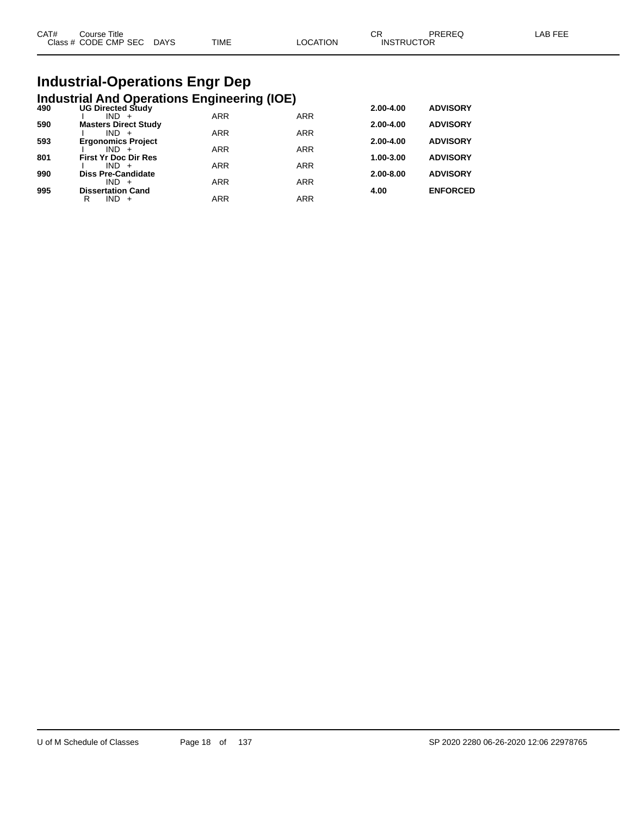| CAT# | Course Title         |             |      |          | ∩⊓<br>◡๙          | PREREQ | _AB FEE |
|------|----------------------|-------------|------|----------|-------------------|--------|---------|
|      | Class # CODE CMP SEC | <b>DAYS</b> | TIME | LOCATION | <b>INSTRUCTOR</b> |        |         |
|      |                      |             |      |          |                   |        |         |

# **Industrial-Operations Engr Dep**

|     | <b>Industrial And Operations Engineering (IOE)</b> |            |            |           |                 |
|-----|----------------------------------------------------|------------|------------|-----------|-----------------|
| 490 | <b>UG Directed Study</b>                           |            |            | 2.00-4.00 | <b>ADVISORY</b> |
|     | $IND +$                                            | <b>ARR</b> | <b>ARR</b> |           |                 |
| 590 | <b>Masters Direct Study</b>                        |            |            | 2.00-4.00 | <b>ADVISORY</b> |
| 593 | $IND +$<br><b>Ergonomics Project</b>               | <b>ARR</b> | <b>ARR</b> | 2.00-4.00 | <b>ADVISORY</b> |
|     | $IND +$                                            | <b>ARR</b> | <b>ARR</b> |           |                 |
| 801 | <b>First Yr Doc Dir Res</b>                        |            |            | 1.00-3.00 | <b>ADVISORY</b> |
|     | $IND +$                                            | <b>ARR</b> | <b>ARR</b> |           |                 |
| 990 | <b>Diss Pre-Candidate</b>                          |            |            | 2.00-8.00 | <b>ADVISORY</b> |
| 995 | $IND +$                                            | <b>ARR</b> | <b>ARR</b> | 4.00      |                 |
|     | <b>Dissertation Cand</b><br>$IND +$<br>R           | <b>ARR</b> | <b>ARR</b> |           | <b>ENFORCED</b> |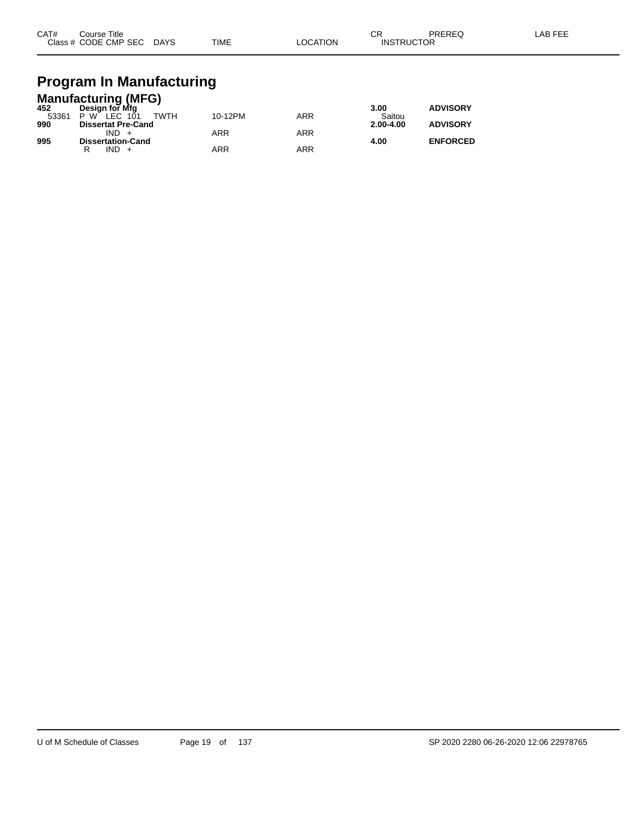| CAT# | Course Title         |             |             |          | σг<br>◡           | PREREC | LAB FEF |
|------|----------------------|-------------|-------------|----------|-------------------|--------|---------|
|      | Class # CODE CMP SEC | <b>DAYS</b> | <b>TIME</b> | LOCATION | <b>INSTRUCTOR</b> |        |         |

# **Program In Manufacturing**

|       | <b>Manufacturing (MFG)</b>      |         |     |               |                 |  |  |  |  |  |
|-------|---------------------------------|---------|-----|---------------|-----------------|--|--|--|--|--|
| 452   | Design for Mfg                  |         |     | 3.00          | <b>ADVISORY</b> |  |  |  |  |  |
| 53361 | <b>TWTH</b><br>LEC $101$<br>P W | 10-12PM | ARR | Saitou        |                 |  |  |  |  |  |
| 990   | <b>Dissertat Pre-Cand</b>       |         |     | $2.00 - 4.00$ | <b>ADVISORY</b> |  |  |  |  |  |
|       | $IND +$                         | ARR     | ARR |               |                 |  |  |  |  |  |
| 995   | <b>Dissertation-Cand</b>        |         |     | 4.00          | <b>ENFORCED</b> |  |  |  |  |  |
|       | $IND +$                         | ARR     | ARR |               |                 |  |  |  |  |  |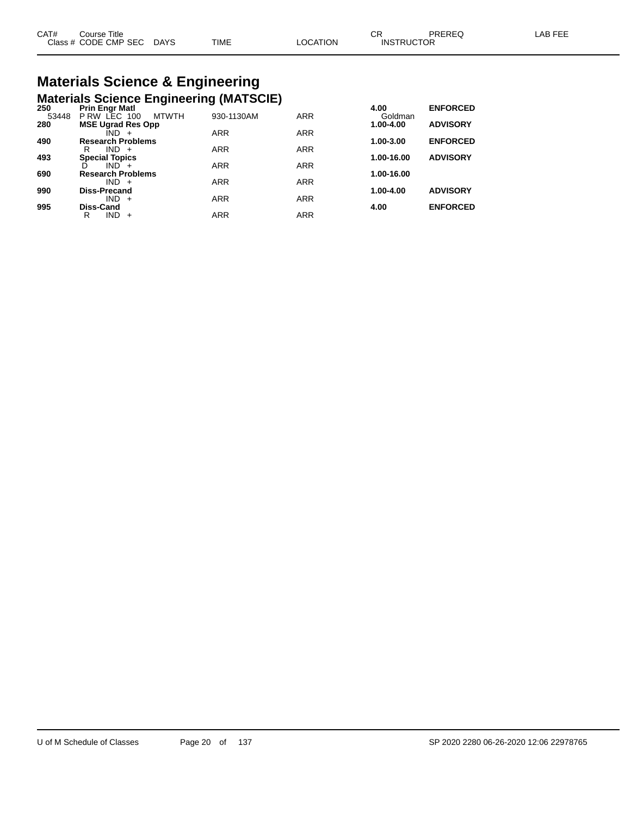# **Materials Science & Engineering**

|       | <b>Materials Science Engineering (MATSCIE)</b> |            |            |               |                 |
|-------|------------------------------------------------|------------|------------|---------------|-----------------|
| 250   | <b>Prin Engr Matl</b>                          |            |            | 4.00          | <b>ENFORCED</b> |
| 53448 | P RW LEC 100<br><b>MTWTH</b>                   | 930-1130AM | <b>ARR</b> | Goldman       |                 |
| 280   | <b>MSE Ugrad Res Opp</b>                       |            |            | 1.00-4.00     | <b>ADVISORY</b> |
| 490   | $IND +$<br><b>Research Problems</b>            | <b>ARR</b> | <b>ARR</b> | 1.00-3.00     | <b>ENFORCED</b> |
|       | IND.<br>R<br>$+$                               | <b>ARR</b> | <b>ARR</b> |               |                 |
| 493   | <b>Special Topics</b>                          |            |            | 1.00-16.00    | <b>ADVISORY</b> |
|       | $IND +$                                        | <b>ARR</b> | <b>ARR</b> |               |                 |
| 690   | <b>Research Problems</b>                       |            |            | 1.00-16.00    |                 |
|       | $IND +$                                        | <b>ARR</b> | <b>ARR</b> |               |                 |
| 990   | <b>Diss-Precand</b>                            |            |            | $1.00 - 4.00$ | <b>ADVISORY</b> |
| 995   | $IND +$<br>Diss-Cand                           | <b>ARR</b> | <b>ARR</b> | 4.00          | <b>ENFORCED</b> |
|       | R<br>IND.<br>$+$                               | <b>ARR</b> | <b>ARR</b> |               |                 |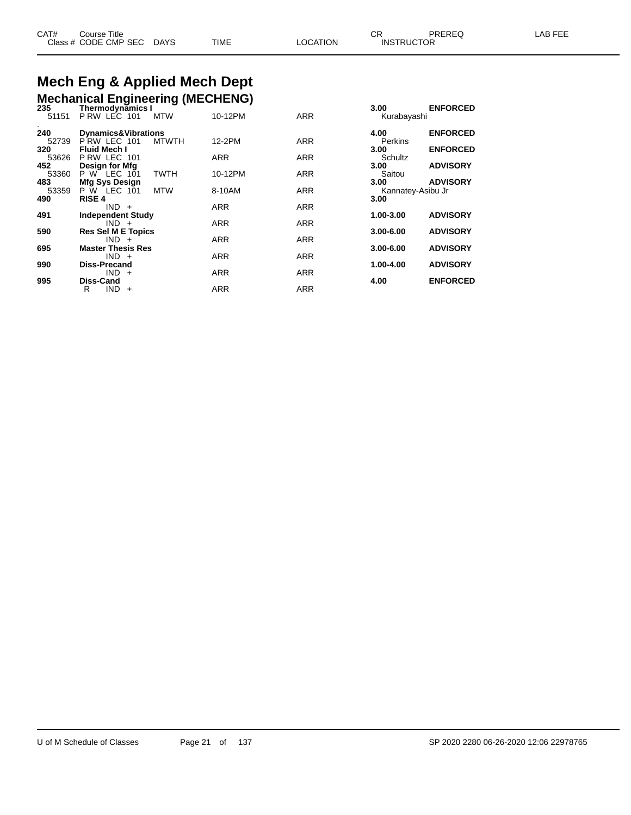#### **Mech Eng & Applied Mech Dept Mechanical Engineering (MECHENG)**

| 235   | <b>Mechanical Linghleening (MCCHLING)</b><br>Thermodynamics I |              |            |            | 3.00              | <b>ENFORCED</b> |
|-------|---------------------------------------------------------------|--------------|------------|------------|-------------------|-----------------|
| 51151 | PRW LEC 101                                                   | <b>MTW</b>   | 10-12PM    | <b>ARR</b> | Kurabayashi       |                 |
| 240   | <b>Dynamics&amp;Vibrations</b>                                |              |            |            | 4.00              | <b>ENFORCED</b> |
| 52739 | PRW LEC 101                                                   | <b>MTWTH</b> | 12-2PM     | <b>ARR</b> | Perkins           |                 |
| 320   | <b>Fluid Mech I</b>                                           |              |            |            | 3.00              | <b>ENFORCED</b> |
| 53626 | P RW LEC 101                                                  |              | <b>ARR</b> | <b>ARR</b> | Schultz           |                 |
| 452   | Design for Mfg                                                |              |            |            | 3.00              | <b>ADVISORY</b> |
| 53360 | P W LEC 101                                                   | <b>TWTH</b>  | 10-12PM    | <b>ARR</b> | Saitou            |                 |
| 483   | Mfg Sys Design                                                |              |            |            | 3.00              | <b>ADVISORY</b> |
| 53359 | $P \ W$ LEC 101                                               | <b>MTW</b>   | 8-10AM     | <b>ARR</b> | Kannatey-Asibu Jr |                 |
| 490   | <b>RISE 4</b>                                                 |              |            |            | 3.00              |                 |
| 491   | $IND +$                                                       |              | <b>ARR</b> | <b>ARR</b> | 1.00-3.00         | <b>ADVISORY</b> |
|       | <b>Independent Study</b><br>$IND +$                           |              | <b>ARR</b> | <b>ARR</b> |                   |                 |
| 590   | <b>Res Sel M E Topics</b>                                     |              |            |            | $3.00 - 6.00$     | <b>ADVISORY</b> |
|       | $IND +$                                                       |              | <b>ARR</b> | <b>ARR</b> |                   |                 |
| 695   | <b>Master Thesis Res</b>                                      |              |            |            | $3.00 - 6.00$     | <b>ADVISORY</b> |
|       | $IND +$                                                       |              | <b>ARR</b> | <b>ARR</b> |                   |                 |
| 990   | <b>Diss-Precand</b>                                           |              |            |            | 1.00-4.00         | <b>ADVISORY</b> |
|       | $IND +$                                                       |              | <b>ARR</b> | <b>ARR</b> |                   |                 |
| 995   | Diss-Cand                                                     |              |            |            | 4.00              | <b>ENFORCED</b> |
|       | $IND +$<br>R                                                  |              | <b>ARR</b> | <b>ARR</b> |                   |                 |
|       |                                                               |              |            |            |                   |                 |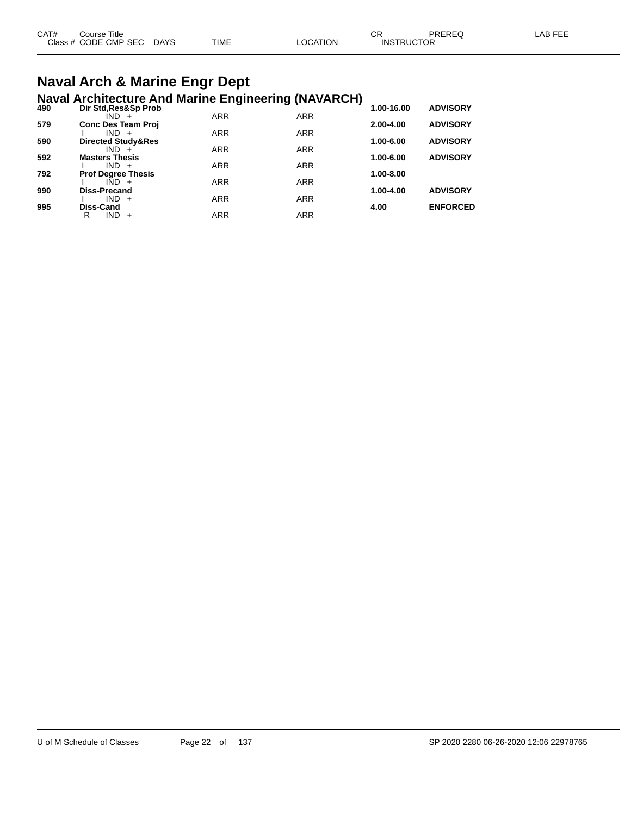| CAT# | Course Title              |      |          | СF                | PREREQ | LAB FEE |
|------|---------------------------|------|----------|-------------------|--------|---------|
|      | Class # CODE CMP SEC DAYS | TIME | LOCATION | <b>INSTRUCTOR</b> |        |         |

#### **Naval Arch & Marine Engr Dept Naval Architecture And Marine Engineering (NAVARCH)**

| 490 | Dir Std, Res&Sp Prob             |            |            | 1.00-16.00 | <b>ADVISORY</b> |
|-----|----------------------------------|------------|------------|------------|-----------------|
|     | $IND +$                          | <b>ARR</b> | <b>ARR</b> |            |                 |
| 579 | <b>Conc Des Team Proj</b>        |            |            | 2.00-4.00  | <b>ADVISORY</b> |
|     | $IND +$                          | <b>ARR</b> | <b>ARR</b> |            |                 |
| 590 | Directed Study&Res               |            |            | 1.00-6.00  | <b>ADVISORY</b> |
|     | $IND +$                          | <b>ARR</b> | <b>ARR</b> |            |                 |
| 592 | <b>Masters Thesis</b><br>$IND +$ | <b>ARR</b> | <b>ARR</b> | 1.00-6.00  | <b>ADVISORY</b> |
| 792 | <b>Prof Degree Thesis</b>        |            |            | 1.00-8.00  |                 |
|     | $IND +$                          | <b>ARR</b> | <b>ARR</b> |            |                 |
| 990 | <b>Diss-Precand</b>              |            |            | 1.00-4.00  | <b>ADVISORY</b> |
|     | $IND +$                          | <b>ARR</b> | <b>ARR</b> |            |                 |
| 995 | Diss-Cand                        |            |            | 4.00       | <b>ENFORCED</b> |
|     | <b>IND</b><br>R<br>$+$           | <b>ARR</b> | <b>ARR</b> |            |                 |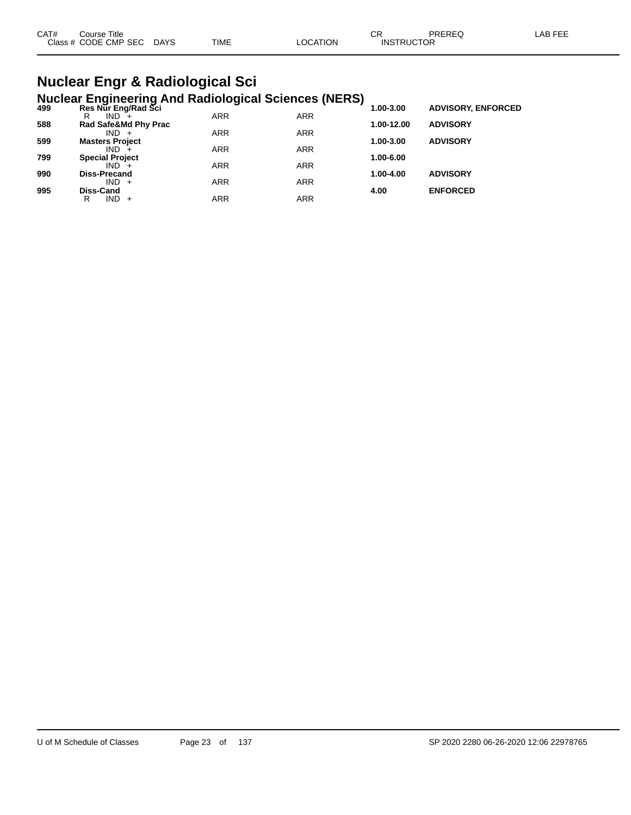| CAT#<br>Course Title |      |             |                | ⌒冖 | PREREC            | LAB FEF |
|----------------------|------|-------------|----------------|----|-------------------|---------|
| Class # CODE CMP SEC | DAYS | <b>TIME</b> | <b>OCATION</b> |    | <b>INSTRUCTOR</b> |         |

### **Nuclear Engr & Radiological Sci Nuclear Engineering And Radiological Sciences (NERS)**

| 499 | Res Nur Eng/Rad Sci    | ~          |            | 1.00-3.00  | <b>ADVISORY, ENFORCED</b> |
|-----|------------------------|------------|------------|------------|---------------------------|
|     | $IND^{-}$<br>R         | <b>ARR</b> | <b>ARR</b> |            |                           |
| 588 | Rad Safe&Md Phy Prac   |            |            | 1.00-12.00 | <b>ADVISORY</b>           |
|     | $IND +$                | <b>ARR</b> | <b>ARR</b> |            |                           |
| 599 | <b>Masters Project</b> |            |            | 1.00-3.00  | <b>ADVISORY</b>           |
|     | $IND +$                | <b>ARR</b> | <b>ARR</b> |            |                           |
| 799 | <b>Special Project</b> |            |            | 1.00-6.00  |                           |
|     | $IND +$                | <b>ARR</b> | <b>ARR</b> |            |                           |
| 990 | <b>Diss-Precand</b>    |            |            | 1.00-4.00  | <b>ADVISORY</b>           |
|     | $IND +$                | <b>ARR</b> | <b>ARR</b> |            |                           |
| 995 | Diss-Cand              |            |            | 4.00       | <b>ENFORCED</b>           |
|     | $IND +$<br>R           | <b>ARR</b> | ARR        |            |                           |
|     |                        |            |            |            |                           |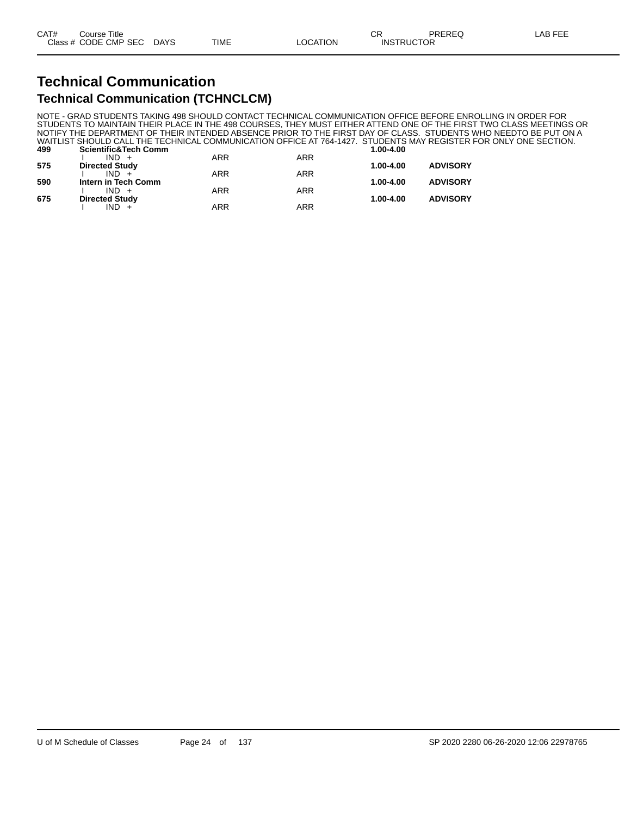# **Technical Communication**

#### **Technical Communication (TCHNCLCM)**

NOTE - GRAD STUDENTS TAKING 498 SHOULD CONTACT TECHNICAL COMMUNICATION OFFICE BEFORE ENROLLING IN ORDER FOR STUDENTS TO MAINTAIN THEIR PLACE IN THE 498 COURSES, THEY MUST EITHER ATTEND ONE OF THE FIRST TWO CLASS MEETINGS OR NOTIFY THE DEPARTMENT OF THEIR INTENDED ABSENCE PRIOR TO THE FIRST DAY OF CLASS. STUDENTS WHO NEEDTO BE PUT ON A WAITLIST SHOULD CALL THE TECHNICAL COMMUNICATION OFFICE AT 764-1427. STUDENTS MAY REGISTER FOR ONLY ONE SECTION. **499 Scientific&Tech Comm 1.00-4.00**

|     | $IND +$               | <b>ARR</b> | <b>ARR</b> |           |                 |
|-----|-----------------------|------------|------------|-----------|-----------------|
| 575 | <b>Directed Study</b> |            |            | 1.00-4.00 | <b>ADVISORY</b> |
|     | $IND +$               | <b>ARR</b> | <b>ARR</b> |           |                 |
| 590 | Intern in Tech Comm   |            |            | 1.00-4.00 | <b>ADVISORY</b> |
|     | $IND +$               | <b>ARR</b> | <b>ARR</b> |           |                 |
| 675 | <b>Directed Study</b> |            |            | 1.00-4.00 | <b>ADVISORY</b> |
|     | $IND +$               | <b>ARR</b> | ARR        |           |                 |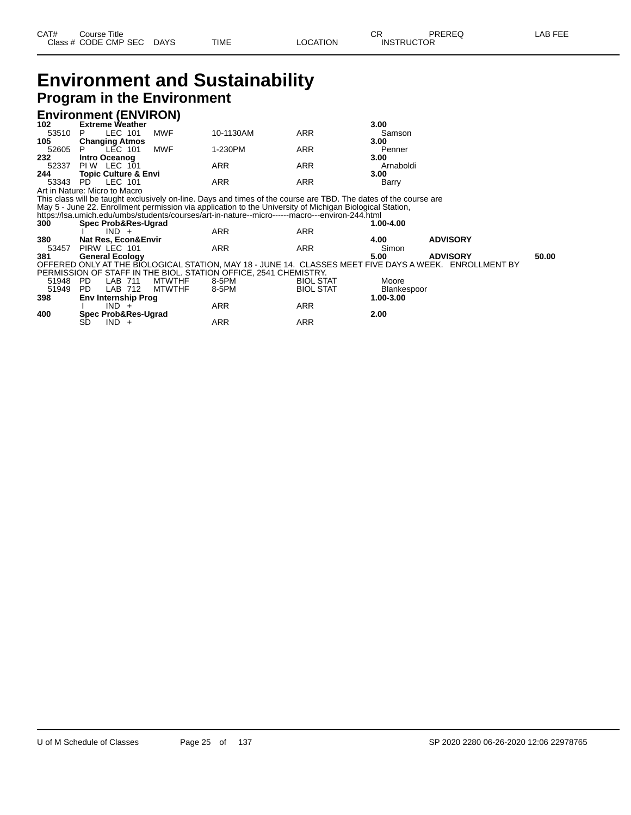### **Environment and Sustainability Program in the Environment**

#### **Environment (ENVIRON)**

| 102      | <b>Extreme Weather</b>          |     |            |            | 3.00      |
|----------|---------------------------------|-----|------------|------------|-----------|
| 53510 P  | LEC 101                         | MWF | 10-1130AM  | ARR        | Samson    |
| 105      | <b>Changing Atmos</b>           |     |            |            | 3.00      |
| 52605 P  | LEC 101                         | MWF | 1-230PM    | ARR        | Penner    |
| 232      | <b>Intro Oceanog</b>            |     |            |            | 3.00      |
|          | 52337 PIW LEC 101               |     | ARR        | ARR        | Arnaboldi |
| 244      | <b>Topic Culture &amp; Envi</b> |     |            |            | 3.00      |
| 53343 PD | LEC 101                         |     | <b>ARR</b> | <b>ARR</b> | Barry     |
|          | Art in Nature: Micro to Macro   |     |            |            |           |

This class will be taught exclusively on-line. Days and times of the course are TBD. The dates of the course are May 5 - June 22. Enrollment permission via application to the University of Michigan Biological Station,

https://lsa.umich.edu/umbs/students/courses/art-in-nature--micro------macro---environ-244.html **300 Spec Prob&Res-Ugrad 1.00-4.00** I IND + ARR ARR **380 Nat Res, Econ&Envir 4.00 ADVISORY** 53457 PIRW LEC 101 ARR ARR Simon **381 General Ecology 5.00 ADVISORY 50.00** OFFERED ONLY AT THE BIOLOGICAL STATION, MAY 18 - JUNE 14. CLASSES MEET FIVE DAYS A WEEK. ENROLLMENT BY PERMISSION OF STAFF IN THE BIOL. STATION OFFICE, 2541 CHEMISTRY.

| 51948 | <b>PD</b><br><b>MTWTHF</b><br>_AB.<br>711 | 8-5PM | <b>BIOL STAT</b> | Moore       |
|-------|-------------------------------------------|-------|------------------|-------------|
| 51949 | <b>PD</b><br><b>MTWTHF</b><br>LAB<br>712  | 8-5PM | <b>BIOL STAT</b> | Blankespoor |
| 398   | <b>Env Internship Prog</b>                |       |                  | 1.00-3.00   |
|       | IND.                                      | ARR   | ARR              |             |
| 400   | <b>Spec Prob&amp;Res-Ugrad</b>            |       |                  | 2.00        |
|       | SD<br><b>IND</b>                          | ARR   | ARR              |             |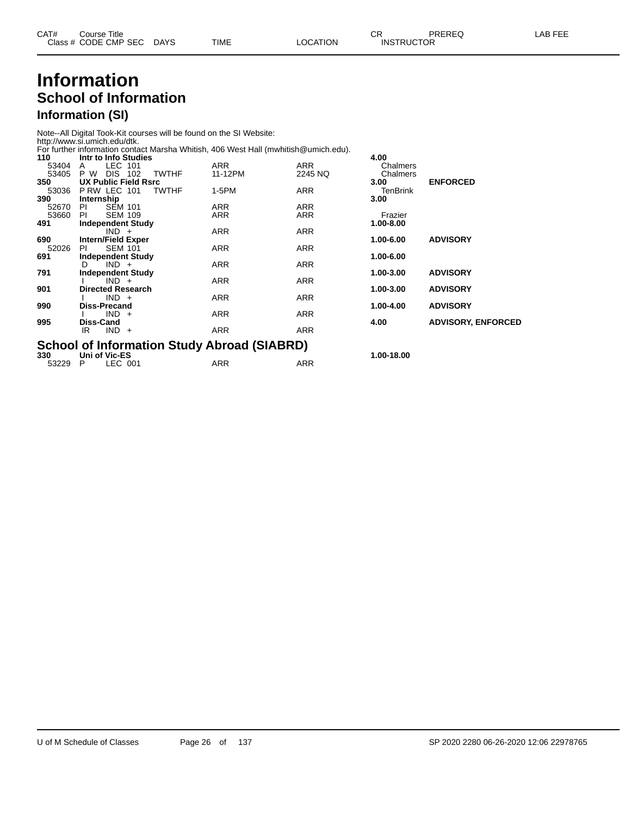### **Information School of Information Information (SI)**

Note--All Digital Took-Kit courses will be found on the SI Website:

http://www.si.umich.edu/dtk. For further information contact Marsha Whitish, 406 West Hall (mwhitish@umich.edu).

| 110   | Intr to Info Studies                               |            |            | 4.00       |                           |
|-------|----------------------------------------------------|------------|------------|------------|---------------------------|
| 53404 | LEC 101<br>A                                       | <b>ARR</b> | ARR        | Chalmers   |                           |
| 53405 | DIS.<br>P W<br>102<br><b>TWTHF</b>                 | 11-12PM    | 2245 NQ    | Chalmers   |                           |
| 350   | <b>UX Public Field Rsrc</b>                        |            |            | 3.00       | <b>ENFORCED</b>           |
| 53036 | PRW LEC 101<br><b>TWTHF</b>                        | 1-5PM      | ARR        | TenBrink   |                           |
| 390   | Internship                                         |            |            | 3.00       |                           |
| 52670 | <b>SEM 101</b><br>PI.                              | <b>ARR</b> | <b>ARR</b> |            |                           |
| 53660 | <b>SEM 109</b><br>PI                               | <b>ARR</b> | <b>ARR</b> | Frazier    |                           |
| 491   | <b>Independent Study</b>                           |            |            | 1.00-8.00  |                           |
|       | $IND +$                                            | <b>ARR</b> | <b>ARR</b> |            |                           |
| 690   | <b>Intern/Field Exper</b>                          |            |            | 1.00-6.00  | <b>ADVISORY</b>           |
| 52026 | <b>SEM 101</b><br>PI.                              | ARR        | ARR        | 1.00-6.00  |                           |
| 691   | <b>Independent Study</b><br>$IND +$<br>D.          | <b>ARR</b> | ARR        |            |                           |
| 791   | <b>Independent Study</b>                           |            |            | 1.00-3.00  | <b>ADVISORY</b>           |
|       | $IND +$                                            | ARR        | ARR        |            |                           |
| 901   | <b>Directed Research</b>                           |            |            | 1.00-3.00  | <b>ADVISORY</b>           |
|       | $IND +$                                            | ARR        | ARR        |            |                           |
| 990   | Diss-Precand                                       |            |            | 1.00-4.00  | <b>ADVISORY</b>           |
|       | $IND +$                                            | <b>ARR</b> | ARR        |            |                           |
| 995   | Diss-Cand                                          |            |            | 4.00       | <b>ADVISORY, ENFORCED</b> |
|       | $IND +$<br>IR                                      | <b>ARR</b> | <b>ARR</b> |            |                           |
|       |                                                    |            |            |            |                           |
|       | <b>School of Information Study Abroad (SIABRD)</b> |            |            |            |                           |
| 330   | Uni of Vic-ES                                      |            |            | 1.00-18.00 |                           |
| 53229 | LEC 001<br>P                                       | ARR        | ARR        |            |                           |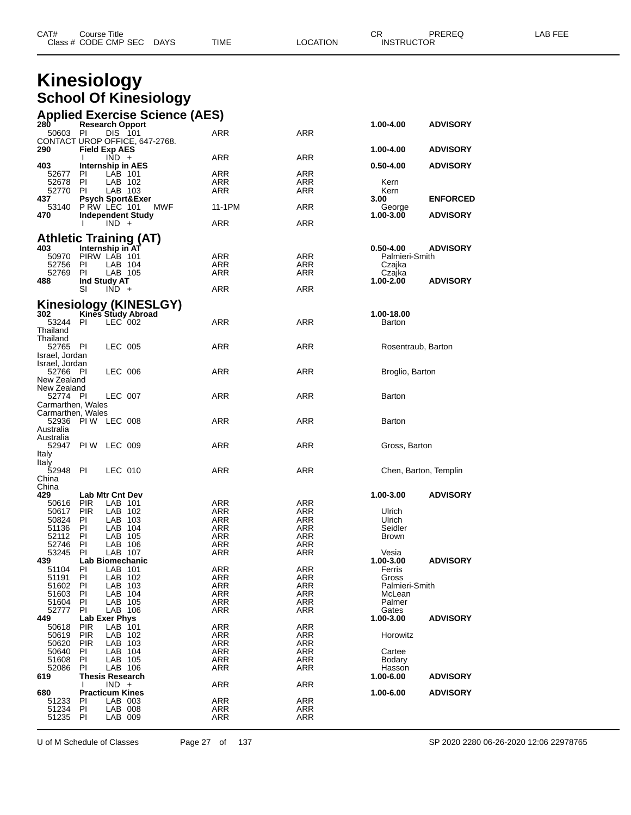| CAT# | Title<br>Course      |             |      |          | ◠г<br>◡⊓ | PREREQ            | AR FFF |
|------|----------------------|-------------|------|----------|----------|-------------------|--------|
|      | Class # CODE CMP SEC | <b>DAYS</b> | TIME | LOCATION |          | <b>INSTRUCTOR</b> |        |

|                                        | Class # CODE CMP SEC                       | <b>DAYS</b> | TIME                     | LOCATION          | <b>INSTRUCTOR</b>               |                       |
|----------------------------------------|--------------------------------------------|-------------|--------------------------|-------------------|---------------------------------|-----------------------|
|                                        | <b>Kinesiology</b>                         |             |                          |                   |                                 |                       |
|                                        |                                            |             |                          |                   |                                 |                       |
|                                        | <b>School Of Kinesiology</b>               |             |                          |                   |                                 |                       |
|                                        | <b>Applied Exercise Science (AES)</b>      |             |                          |                   |                                 |                       |
| 280<br>50603                           | <b>Research Opport</b><br>- PI<br>DIS 101  |             | ARR                      | <b>ARR</b>        | 1.00-4.00                       | <b>ADVISORY</b>       |
|                                        | CONTACT UROP OFFICE, 647-2768.             |             |                          |                   |                                 | <b>ADVISORY</b>       |
| 290                                    | <b>Field Exp AES</b><br>$IND +$<br>L       |             | ARR                      | ARR               | 1.00-4.00                       |                       |
| 403                                    | Internship in AES                          |             |                          |                   | $0.50 - 4.00$                   | <b>ADVISORY</b>       |
| 52677<br>52678                         | PL<br>LAB 101<br>PI.<br>LAB 102            |             | ARR<br>ARR               | ARR<br>ARR        | Kern                            |                       |
| 52770                                  | PI.<br>LAB 103                             |             | <b>ARR</b>               | ARR               | Kern                            |                       |
| 437<br>53140                           | <b>Psych Sport&amp;Exer</b><br>PRW LEC 101 | MWF         | 11-1PM                   | ARR               | 3.00<br>George                  | <b>ENFORCED</b>       |
| 470                                    | <b>Independent Study</b>                   |             |                          |                   | 1.00-3.00                       | <b>ADVISORY</b>       |
|                                        | $IND +$<br>I.                              |             | ARR                      | ARR               |                                 |                       |
|                                        | <b>Athletic Training (AT)</b>              |             |                          |                   |                                 |                       |
| 403<br>50970                           | Internship in AT<br>PIRW LAB 101           |             | ARR                      | ARR               | $0.50 - 4.00$<br>Palmieri-Smith | <b>ADVISORY</b>       |
| 52756                                  | PL<br>LAB 104                              |             | <b>ARR</b>               | ARR               | Czajka                          |                       |
| 52769                                  | PI<br>LAB 105                              |             | <b>ARR</b>               | ARR               | Czajka                          |                       |
| 488                                    | Ind Study AT<br>SI<br>$IND +$              |             | <b>ARR</b>               | <b>ARR</b>        | 1.00-2.00                       | <b>ADVISORY</b>       |
|                                        | <b>Kinesiology (KINESLGY)</b>              |             |                          |                   |                                 |                       |
| 302                                    | Kines Study Abroad                         |             |                          |                   | 1.00-18.00                      |                       |
| 53244                                  | LEC 002<br>PI.                             |             | ARR                      | <b>ARR</b>        | Barton                          |                       |
| Thailand<br>Thailand                   |                                            |             |                          |                   |                                 |                       |
| 52765 PI                               | LEC 005                                    |             | ARR                      | ARR               |                                 | Rosentraub, Barton    |
| Israel, Jordan<br>Israel, Jordan       |                                            |             |                          |                   |                                 |                       |
| 52766 PI                               | LEC 006                                    |             | ARR                      | ARR               | Broglio, Barton                 |                       |
| New Zealand<br>New Zealand             |                                            |             |                          |                   |                                 |                       |
| 52774 PI                               | LEC 007                                    |             | ARR                      | ARR               | Barton                          |                       |
| Carmarthen, Wales<br>Carmarthen, Wales |                                            |             |                          |                   |                                 |                       |
|                                        | 52936 PIW LEC 008                          |             | ARR                      | ARR               | Barton                          |                       |
| Australia<br>Australia                 |                                            |             |                          |                   |                                 |                       |
| 52947                                  | PI W<br>LEC 009                            |             | ARR                      | ARR               | Gross, Barton                   |                       |
| Italy<br>Italy                         |                                            |             |                          |                   |                                 |                       |
| 52948                                  | PI.<br>LEC 010                             |             | ARR                      | ARR               |                                 | Chen, Barton, Templin |
| China                                  |                                            |             |                          |                   |                                 |                       |
| China<br>429                           | <b>Lab Mtr Cnt Dev</b>                     |             |                          |                   | 1.00-3.00                       | <b>ADVISORY</b>       |
| 50616                                  | <b>PIR</b><br>LAB 101                      |             | <b>ARR</b>               | ARR               |                                 |                       |
| 50617<br>50824                         | <b>PIR</b><br>LAB 102<br>LAB 103<br>PI     |             | ARR<br><b>ARR</b>        | ARR<br>ARR        | Ulrich<br>Ulrich                |                       |
| 51136                                  | LAB 104<br>PI.                             |             | <b>ARR</b>               | ARR               | Seidler                         |                       |
| 52112                                  | LAB 105<br>PI.                             |             | ARR                      | ARR               | <b>Brown</b>                    |                       |
| 52746                                  | LAB 106<br>ΡI                              |             | <b>ARR</b>               | ARR               |                                 |                       |
| 53245<br>439                           | LAB 107<br>PI.<br>Lab Biomechanic          |             | <b>ARR</b>               | ARR               | Vesia<br>1.00-3.00              | <b>ADVISORY</b>       |
| 51104                                  | LAB 101<br>PI.                             |             | <b>ARR</b>               | <b>ARR</b>        | Ferris                          |                       |
| 51191                                  | LAB 102<br>ΡI                              |             | <b>ARR</b>               | ARR               | Gross                           |                       |
| 51602                                  | LAB 103<br>PI                              |             | ARR                      | ARR               | Palmieri-Smith                  |                       |
| 51603<br>51604                         | LAB 104<br>ΡI<br>LAB 105<br>ΡI             |             | <b>ARR</b><br><b>ARR</b> | ARR<br><b>ARR</b> | McLean<br>Palmer                |                       |
| 52777                                  | LAB 106<br>ΡI                              |             | ARR                      | ARR               | Gates                           |                       |

U of M Schedule of Classes Page 27 of 137 SP 2020 2280 06-26-2020 12:06 22978765

1991 - 1991 - 1992 - 1993 - 1994 - 1995 - 1996 - 1997 - 1998 - 1999 - 1999 - 1999 - 1999 - 1999 - 1999 - 1999<br>1999 - 1999 - 1999 - 1999 - 1999 - 1999 - 1999 - 1999 - 1999 - 1999 - 1999 - 1999 - 1999 - 1999 - 1999 - 1999<br>19

PIR LAB 103 ARR ARR

 PI LAB 003 ARR ARR PI LAB 008 ARR ARR PI LAB 009 ARR ARR

I IND + ARR ARR ARR

**Lab Exer Phys 1.00-3.00 ADVISORY**

**Thesis Research 1.00-6.00 ADVISORY**

**Practicum Kines 1.00-6.00 ADVISORY**

PIR LAB 102 ARR ARR Horowitz

1999 - The The Time of the Time of the ARR ARR Cartee<br>1996 - Time of Time ARR ARR ARR Bodary<br>1996 - Time ARR ARR ARR Hasson 51608 PI LAB 105 ARR ARR Bodary PI LAB 106 ARR ARR Hasson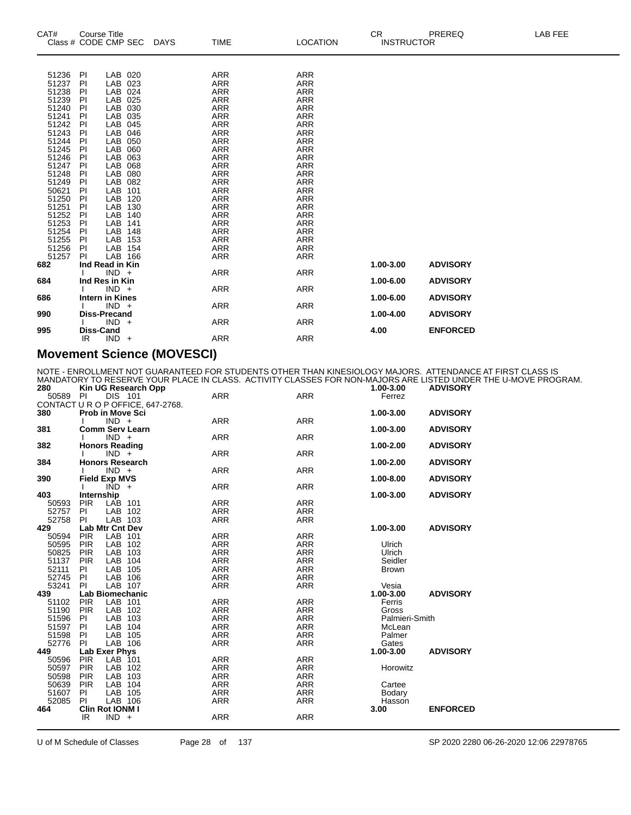| CAT#                                                                                                                                                                                                            | <b>Course Title</b><br>Class # CODE CMP SEC                                                                                                                                                                                                                                                                                                                     | <b>DAYS</b>                                                                                                  | <b>TIME</b>                                                                                                                                                                                                                                                                                                             | <b>LOCATION</b>                                                                                                                                                                                                                                                                                                                | CR<br><b>INSTRUCTOR</b> | PREREQ                             | LAB FEE |
|-----------------------------------------------------------------------------------------------------------------------------------------------------------------------------------------------------------------|-----------------------------------------------------------------------------------------------------------------------------------------------------------------------------------------------------------------------------------------------------------------------------------------------------------------------------------------------------------------|--------------------------------------------------------------------------------------------------------------|-------------------------------------------------------------------------------------------------------------------------------------------------------------------------------------------------------------------------------------------------------------------------------------------------------------------------|--------------------------------------------------------------------------------------------------------------------------------------------------------------------------------------------------------------------------------------------------------------------------------------------------------------------------------|-------------------------|------------------------------------|---------|
| 51236<br>51237<br>51238<br>51239<br>51240<br>51241<br>51242<br>51243<br>51244<br>51245<br>51246<br>51247<br>51248<br>51249<br>50621<br>51250<br>51251<br>51251<br>$51253$<br>$51254$<br>51255<br>51256<br>51257 | LAB 020<br><b>PI</b><br>LAB 023<br>PI<br>PI<br>LAB 024<br>LAB<br>PI<br>LAB<br>PI<br>PI<br>LAB<br>PI<br>LAB<br>PI<br>LAB<br><b>LAB</b><br>PI<br><b>LAB</b><br>PI<br>LAB<br>PI<br>PI<br>LAB<br>LAB<br>PI<br>PI<br>LAB<br>LAB<br>PI<br>LAB<br>PI<br>LAB<br>PI<br>PI<br>LAB<br>PI<br>LAB<br>PI<br>LAB 148<br>LAB 153<br><b>PI</b><br>LAB 154<br>PI<br>LAB 166<br>PI | 025<br>030<br>035<br>045<br>046<br>050<br>060<br>063<br>068<br>080<br>082<br>101<br>120<br>130<br>140<br>141 | <b>ARR</b><br><b>ARR</b><br><b>ARR</b><br><b>ARR</b><br><b>ARR</b><br><b>ARR</b><br><b>ARR</b><br><b>ARR</b><br><b>ARR</b><br><b>ARR</b><br><b>ARR</b><br><b>ARR</b><br><b>ARR</b><br><b>ARR</b><br>ARR<br><b>ARR</b><br><b>ARR</b><br><b>ARR</b><br><b>ARR</b><br><b>ARR</b><br><b>ARR</b><br><b>ARR</b><br><b>ARR</b> | <b>ARR</b><br><b>ARR</b><br><b>ARR</b><br><b>ARR</b><br><b>ARR</b><br><b>ARR</b><br><b>ARR</b><br><b>ARR</b><br><b>ARR</b><br><b>ARR</b><br><b>ARR</b><br><b>ARR</b><br><b>ARR</b><br><b>ARR</b><br><b>ARR</b><br><b>ARR</b><br><b>ARR</b><br><b>ARR</b><br><b>ARR</b><br><b>ARR</b><br><b>ARR</b><br><b>ARR</b><br><b>ARR</b> |                         |                                    |         |
| 682                                                                                                                                                                                                             | Ind Read in Kin                                                                                                                                                                                                                                                                                                                                                 |                                                                                                              |                                                                                                                                                                                                                                                                                                                         |                                                                                                                                                                                                                                                                                                                                | 1.00-3.00               | <b>ADVISORY</b>                    |         |
| 684<br>686                                                                                                                                                                                                      | $IND +$<br>Ind Res in Kin<br>$IND +$<br><b>Intern in Kines</b>                                                                                                                                                                                                                                                                                                  |                                                                                                              | <b>ARR</b><br><b>ARR</b>                                                                                                                                                                                                                                                                                                | <b>ARR</b><br><b>ARR</b>                                                                                                                                                                                                                                                                                                       | 1.00-6.00<br>1.00-6.00  | <b>ADVISORY</b><br><b>ADVISORY</b> |         |
| 990                                                                                                                                                                                                             | $IND +$<br><b>Diss-Precand</b>                                                                                                                                                                                                                                                                                                                                  |                                                                                                              | <b>ARR</b>                                                                                                                                                                                                                                                                                                              | <b>ARR</b>                                                                                                                                                                                                                                                                                                                     | 1.00-4.00               | <b>ADVISORY</b>                    |         |
| 995                                                                                                                                                                                                             | $IND +$<br><b>Diss-Cand</b>                                                                                                                                                                                                                                                                                                                                     |                                                                                                              | <b>ARR</b>                                                                                                                                                                                                                                                                                                              | <b>ARR</b>                                                                                                                                                                                                                                                                                                                     | 4.00                    | <b>ENFORCED</b>                    |         |
|                                                                                                                                                                                                                 | IR.<br>$IND +$                                                                                                                                                                                                                                                                                                                                                  |                                                                                                              | <b>ARR</b>                                                                                                                                                                                                                                                                                                              | <b>ARR</b>                                                                                                                                                                                                                                                                                                                     |                         |                                    |         |

#### **Movement Science (MOVESCI)**

NOTE - ENROLLMENT NOT GUARANTEED FOR STUDENTS OTHER THAN KINESIOLOGY MAJORS. ATTENDANCE AT FIRST CLASS IS MANDATORY TO RESERVE YOUR PLACE IN CLASS. ACTIVITY CLASSES FOR NON-MAJORS ARE LISTED UNDER THE U-MOVE PROGRAM.

| 280   |            |                         | Kin UG Research Opp               |            |            | 1.00-3.00      | <b>ADVISORY</b> |
|-------|------------|-------------------------|-----------------------------------|------------|------------|----------------|-----------------|
| 50589 | PI         | DIS 101                 |                                   | <b>ARR</b> | <b>ARR</b> | Ferrez         |                 |
|       |            |                         | CONTACT U R O P OFFICE, 647-2768. |            |            |                |                 |
| 380   |            | <b>Prob in Move Sci</b> |                                   |            |            | 1.00-3.00      | <b>ADVISORY</b> |
|       |            | $IND +$                 |                                   | ARR        | ARR        |                |                 |
| 381   |            | <b>Comm Serv Learn</b>  |                                   |            |            | 1.00-3.00      | <b>ADVISORY</b> |
|       |            | $IND +$                 |                                   | <b>ARR</b> | <b>ARR</b> |                |                 |
| 382   |            | <b>Honors Reading</b>   |                                   |            |            | 1.00-2.00      | <b>ADVISORY</b> |
|       |            | $IND +$                 |                                   | <b>ARR</b> | <b>ARR</b> |                |                 |
| 384   |            | <b>Honors Research</b>  |                                   |            |            | 1.00-2.00      | <b>ADVISORY</b> |
|       |            | $IND +$                 |                                   | ARR        | <b>ARR</b> |                |                 |
| 390   |            | <b>Field Exp MVS</b>    |                                   |            |            | 1.00-8.00      | <b>ADVISORY</b> |
|       |            | $\overline{IND}$ +      |                                   | <b>ARR</b> | <b>ARR</b> |                |                 |
| 403   |            | Internship              |                                   |            |            | 1.00-3.00      | <b>ADVISORY</b> |
| 50593 | <b>PIR</b> | LAB 101                 |                                   | <b>ARR</b> | <b>ARR</b> |                |                 |
| 52757 | PI         | LAB 102                 |                                   | <b>ARR</b> | <b>ARR</b> |                |                 |
| 52758 | <b>PI</b>  | LAB 103                 |                                   | ARR        | ARR        |                |                 |
| 429   |            | Lab Mtr Cnt Dev         |                                   |            |            | 1.00-3.00      | <b>ADVISORY</b> |
| 50594 | <b>PIR</b> | LAB 101                 |                                   | ARR        | <b>ARR</b> |                |                 |
| 50595 | <b>PIR</b> | LAB 102                 |                                   | <b>ARR</b> | <b>ARR</b> | Ulrich         |                 |
| 50825 | <b>PIR</b> | LAB 103                 |                                   | <b>ARR</b> | <b>ARR</b> | Ulrich         |                 |
| 51137 |            | LAB 104                 |                                   | ARR        |            | Seidler        |                 |
|       | <b>PIR</b> |                         |                                   |            | ARR        |                |                 |
| 52111 | PI         | LAB 105                 |                                   | ARR        | <b>ARR</b> | <b>Brown</b>   |                 |
| 52745 | PI         | LAB 106                 |                                   | ARR        | <b>ARR</b> |                |                 |
| 53241 | <b>PI</b>  | LAB 107                 |                                   | <b>ARR</b> | <b>ARR</b> | Vesia          |                 |
| 439   |            | <b>Lab Biomechanic</b>  |                                   |            |            | 1.00-3.00      | <b>ADVISORY</b> |
| 51102 | <b>PIR</b> | LAB 101                 |                                   | <b>ARR</b> | <b>ARR</b> | Ferris         |                 |
| 51190 | <b>PIR</b> | LAB 102                 |                                   | <b>ARR</b> | ARR        | Gross          |                 |
| 51596 | PI         | LAB 103                 |                                   | <b>ARR</b> | <b>ARR</b> | Palmieri-Smith |                 |
| 51597 | PI         | LAB 104                 |                                   | <b>ARR</b> | <b>ARR</b> | McLean         |                 |
| 51598 | PI         | LAB 105                 |                                   | <b>ARR</b> | <b>ARR</b> | Palmer         |                 |
| 52776 | PI.        | LAB 106                 |                                   | <b>ARR</b> | ARR        | Gates          |                 |
| 449   |            | Lab Exer Phys           |                                   |            |            | 1.00-3.00      | <b>ADVISORY</b> |
| 50596 | <b>PIR</b> | LAB 101                 |                                   | <b>ARR</b> | <b>ARR</b> |                |                 |
| 50597 | <b>PIR</b> | LAB 102                 |                                   | ARR        | <b>ARR</b> | Horowitz       |                 |
| 50598 | <b>PIR</b> | LAB 103                 |                                   | <b>ARR</b> | <b>ARR</b> |                |                 |
| 50639 | <b>PIR</b> | LAB 104                 |                                   | <b>ARR</b> | ARR        | Cartee         |                 |
| 51607 | PI         | LAB 105                 |                                   | <b>ARR</b> | <b>ARR</b> | Bodary         |                 |
| 52085 | <b>PI</b>  | LAB 106                 |                                   | <b>ARR</b> | <b>ARR</b> | Hasson         |                 |
| 464   |            | Clin Rot IONM I         |                                   |            |            | 3.00           | <b>ENFORCED</b> |
|       | IR         | $IND +$                 |                                   | ARR        | ARR        |                |                 |
|       |            |                         |                                   |            |            |                |                 |

U of M Schedule of Classes Page 28 of 137 SP 2020 2280 06-26-2020 12:06 22978765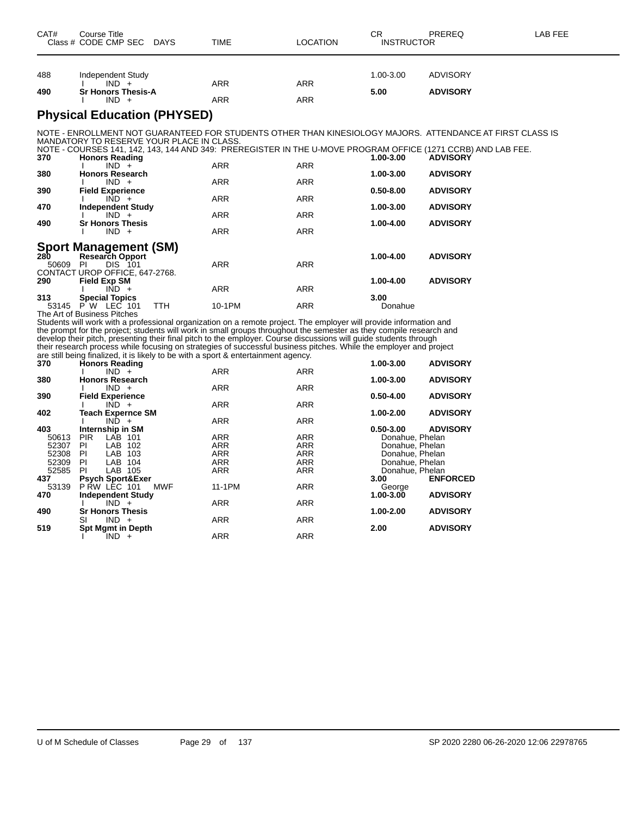| CAT# | Course Title<br>Class # CODE CMP SEC DAYS | TIME | LOCATION   | СR<br><b>INSTRUCTOR</b> | PREREQ          | LAB FEE |
|------|-------------------------------------------|------|------------|-------------------------|-----------------|---------|
|      |                                           |      |            |                         |                 |         |
| 488  | Independent Study<br>$IND +$              | ARR  | <b>ARR</b> | 1.00-3.00               | <b>ADVISORY</b> |         |
| 490  | <b>Sr Honors Thesis-A</b><br>$IND +$      | ARR  | ARR        | 5.00                    | <b>ADVISORY</b> |         |

#### **Physical Education (PHYSED)**

NOTE - ENROLLMENT NOT GUARANTEED FOR STUDENTS OTHER THAN KINESIOLOGY MAJORS. ATTENDANCE AT FIRST CLASS IS MANDATORY TO RESERVE YOUR PLACE IN CLASS.

|       | NOTE - COURSES 141, 142, 143, 144 AND 349: PREREGISTER IN THE U-MOVE PROGRAM OFFICE (1271 CCRB) AND LAB FEE. |            |            |               |                 |
|-------|--------------------------------------------------------------------------------------------------------------|------------|------------|---------------|-----------------|
| 370   | <b>Honors Reading</b>                                                                                        |            |            | 1.00-3.00     | <b>ADVISORY</b> |
|       | $IND +$                                                                                                      | <b>ARR</b> | <b>ARR</b> |               |                 |
| 380   | <b>Honors Research</b>                                                                                       |            |            | 1.00-3.00     | <b>ADVISORY</b> |
|       | $IND +$                                                                                                      | <b>ARR</b> | <b>ARR</b> |               |                 |
| 390   | <b>Field Experience</b>                                                                                      |            |            | $0.50 - 8.00$ | <b>ADVISORY</b> |
|       | $IND +$                                                                                                      | <b>ARR</b> | <b>ARR</b> |               |                 |
| 470   | <b>Independent Study</b>                                                                                     |            |            | 1.00-3.00     | <b>ADVISORY</b> |
|       | $IND +$                                                                                                      | <b>ARR</b> | <b>ARR</b> |               |                 |
| 490   | <b>Sr Honors Thesis</b>                                                                                      |            |            | 1.00-4.00     | <b>ADVISORY</b> |
|       | $IND +$                                                                                                      | <b>ARR</b> | <b>ARR</b> |               |                 |
|       |                                                                                                              |            |            |               |                 |
|       | <b>Sport Management (SM)</b>                                                                                 |            |            |               |                 |
| 280   | <b>Research Opport</b>                                                                                       |            |            | 1.00-4.00     | <b>ADVISORY</b> |
| 50609 | <b>DIS</b> 101<br>PI                                                                                         | <b>ARR</b> | <b>ARR</b> |               |                 |
|       | CONTACT UROP OFFICE, 647-2768.                                                                               |            |            |               |                 |
| 290   | <b>Field Exp SM</b>                                                                                          |            |            | 1.00-4.00     | <b>ADVISORY</b> |
|       | $IND +$                                                                                                      | <b>ARR</b> | <b>ARR</b> |               |                 |
| 313   | <b>Special Topics</b>                                                                                        |            |            | 3.00          |                 |
| 53145 | LEC 101<br>P W<br>TTH                                                                                        | 10-1PM     | <b>ARR</b> | Donahue       |                 |
|       | The Art of Business Pitches                                                                                  |            |            |               |                 |

Students will work with a professional organization on a remote project. The employer will provide information and the prompt for the project; students will work in small groups throughout the semester as they compile research and develop their pitch, presenting their final pitch to the employer. Course discussions will guide students through their research process while focusing on strategies of successful business pitches. While the employer and project are still being finalized, it is likely to be with a sport & entertainment agency.

| 370   | Honors Reading              |            |            | 1.00-3.00       | <b>ADVISORY</b> |
|-------|-----------------------------|------------|------------|-----------------|-----------------|
|       | $IND +$                     | <b>ARR</b> | <b>ARR</b> |                 |                 |
| 380   | <b>Honors Research</b>      |            |            | 1.00-3.00       | <b>ADVISORY</b> |
|       | $IND +$                     | <b>ARR</b> | <b>ARR</b> |                 |                 |
| 390   | <b>Field Experience</b>     |            |            | $0.50 - 4.00$   | <b>ADVISORY</b> |
|       | $IND +$                     | <b>ARR</b> | <b>ARR</b> |                 |                 |
| 402   | <b>Teach Expernce SM</b>    |            |            | 1.00-2.00       | <b>ADVISORY</b> |
|       | $IND +$                     | <b>ARR</b> | <b>ARR</b> |                 |                 |
| 403   | Internship in SM            |            |            | $0.50 - 3.00$   | <b>ADVISORY</b> |
| 50613 | <b>PIR</b><br>LAB 101       | <b>ARR</b> | <b>ARR</b> | Donahue, Phelan |                 |
| 52307 | LAB<br>PI<br>102            | <b>ARR</b> | <b>ARR</b> | Donahue, Phelan |                 |
| 52308 | LAB<br>PI<br>103            | <b>ARR</b> | <b>ARR</b> | Donahue, Phelan |                 |
| 52309 | PI<br>LAB 104               | <b>ARR</b> | <b>ARR</b> | Donahue, Phelan |                 |
| 52585 | PI<br>LAB 105               | <b>ARR</b> | <b>ARR</b> | Donahue, Phelan |                 |
| 437   | <b>Psych Sport&amp;Exer</b> |            |            | 3.00            | <b>ENFORCED</b> |
| 53139 | P RW LEC 101<br>MWF         | 11-1PM     | <b>ARR</b> | George          |                 |
| 470   | <b>Independent Study</b>    |            |            | 1.00-3.00       | <b>ADVISORY</b> |
|       | $IND +$                     | <b>ARR</b> | <b>ARR</b> |                 |                 |
| 490   | <b>Sr Honors Thesis</b>     |            |            | 1.00-2.00       | <b>ADVISORY</b> |
|       | $IND +$<br>SI               | <b>ARR</b> | <b>ARR</b> |                 |                 |
| 519   | <b>Spt Mgmt in Depth</b>    |            |            | 2.00            | <b>ADVISORY</b> |
|       | $IND +$                     | <b>ARR</b> | <b>ARR</b> |                 |                 |
|       |                             |            |            |                 |                 |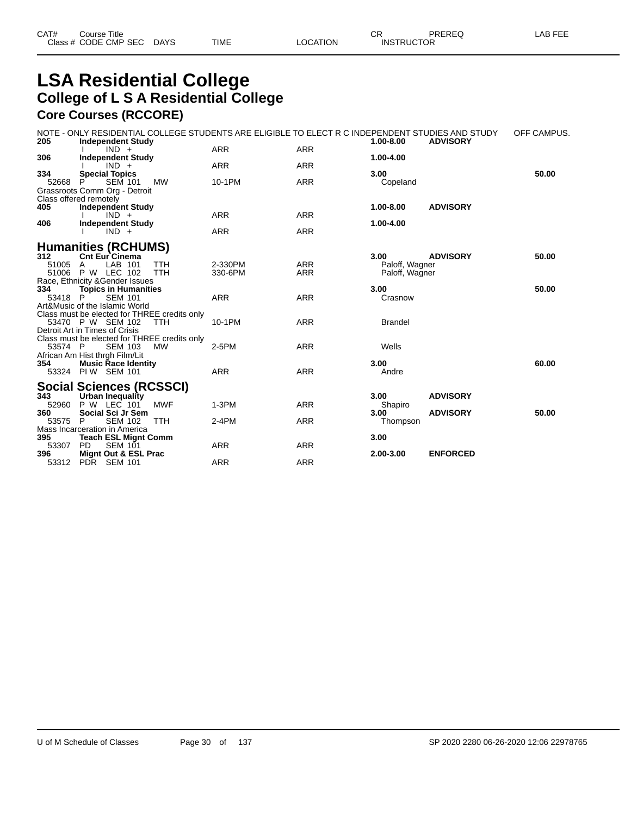### **LSA Residential College College of L S A Residential College Core Courses (RCCORE)**

NOTE - ONLY RESIDENTIAL COLLEGE STUDENTS ARE ELIGIBLE TO ELECT R C INDEPENDENT STUDIES AND STUDY OFF CAMPUS.

| 205                   | <b>Independent Study</b>                                                                                           |                    |                          | 1.00-8.00<br><b>ADVISORY</b>                                |       |
|-----------------------|--------------------------------------------------------------------------------------------------------------------|--------------------|--------------------------|-------------------------------------------------------------|-------|
| 306                   | $IND +$<br><b>Independent Study</b>                                                                                | <b>ARR</b>         | <b>ARR</b>               | 1.00-4.00                                                   |       |
|                       | $IND +$                                                                                                            | <b>ARR</b>         | <b>ARR</b>               |                                                             |       |
| 334<br>52668          | <b>Special Topics</b><br><b>SEM 101</b><br><b>MW</b><br>P                                                          | 10-1PM             | <b>ARR</b>               | 3.00<br>Copeland                                            | 50.00 |
|                       | Grassroots Comm Org - Detroit<br>Class offered remotely                                                            |                    |                          |                                                             |       |
| 405                   | <b>Independent Study</b><br>$IND +$                                                                                | <b>ARR</b>         | <b>ARR</b>               | 1.00-8.00<br><b>ADVISORY</b>                                |       |
| 406                   | <b>Independent Study</b><br>$IND +$                                                                                | <b>ARR</b>         | <b>ARR</b>               | 1.00-4.00                                                   |       |
|                       | <b>Humanities (RCHUMS)</b>                                                                                         |                    |                          |                                                             |       |
| 312<br>51005<br>51006 | <b>Cnt Eur Cinema</b><br>LAB 101<br><b>TTH</b><br>A<br>P W LEC 102<br><b>TTH</b>                                   | 2-330PM<br>330-6PM | <b>ARR</b><br><b>ARR</b> | <b>ADVISORY</b><br>3.00<br>Paloff, Wagner<br>Paloff, Wagner | 50.00 |
| 334<br>53418 P        | Race, Ethnicity & Gender Issues<br><b>Topics in Humanities</b><br><b>SEM 101</b><br>Art&Music of the Islamic World | <b>ARR</b>         | <b>ARR</b>               | 3.00<br>Crasnow                                             | 50.00 |
|                       | Class must be elected for THREE credits only<br>53470 P W SEM 102<br><b>TTH</b><br>Detroit Art in Times of Crisis  | 10-1PM             | <b>ARR</b>               | <b>Brandel</b>                                              |       |
| 53574 P               | Class must be elected for THREE credits only<br><b>SEM 103</b><br><b>MW</b><br>African Am Hist thrgh Film/Lit      | $2-5PM$            | <b>ARR</b>               | Wells                                                       |       |
| 354                   | <b>Music Race Identity</b><br>53324 PIW SEM 101                                                                    | <b>ARR</b>         | <b>ARR</b>               | 3.00<br>Andre                                               | 60.00 |
|                       | <b>Social Sciences (RCSSCI)</b>                                                                                    |                    |                          |                                                             |       |
| 343<br>52960          | Urban Inequality<br><b>MWF</b><br><b>P W LEC 101</b>                                                               | $1-3PM$            | <b>ARR</b>               | <b>ADVISORY</b><br>3.00<br>Shapiro                          |       |
| 360<br>53575          | Social Sci Jr Sem<br>TTH<br>P<br><b>SEM 102</b><br>Mass Incarceration in America                                   | $2-4PM$            | <b>ARR</b>               | <b>ADVISORY</b><br>3.00<br>Thompson                         | 50.00 |
| 395<br>53307          | <b>Teach ESL Mignt Comm</b><br><b>SEM 101</b><br><b>PD</b>                                                         | ARR                | <b>ARR</b>               | 3.00                                                        |       |
| 396<br>53312          | Mignt Out & ESL Prac<br>PDR SEM 101                                                                                | <b>ARR</b>         | <b>ARR</b>               | <b>ENFORCED</b><br>2.00-3.00                                |       |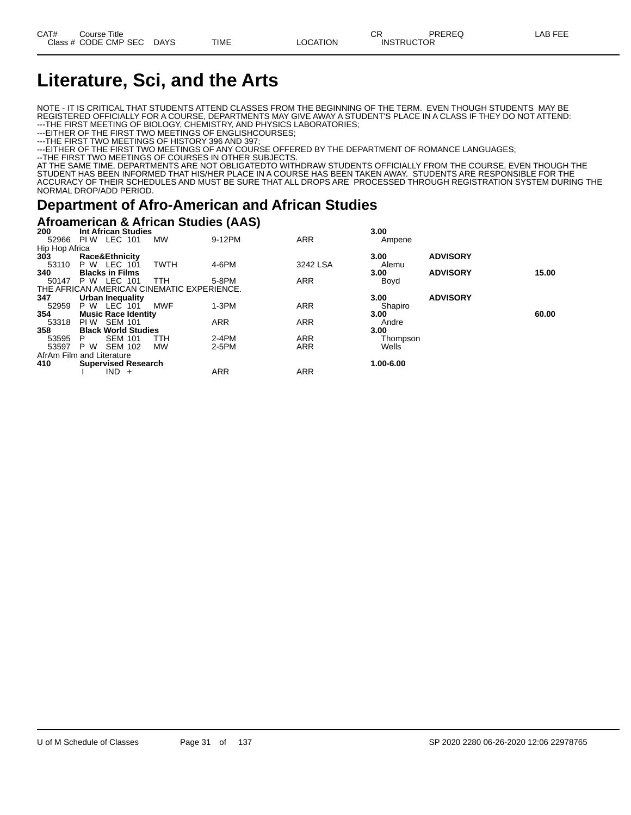# **Literature, Sci, and the Arts**

NOTE - IT IS CRITICAL THAT STUDENTS ATTEND CLASSES FROM THE BEGINNING OF THE TERM. EVEN THOUGH STUDENTS MAY BE REGISTERED OFFICIALLY FOR A COURSE, DEPARTMENTS MAY GIVE AWAY A STUDENT'S PLACE IN A CLASS IF THEY DO NOT ATTEND: ---THE FIRST MEETING OF BIOLOGY, CHEMISTRY, AND PHYSICS LABORATORIES;

---EITHER OF THE FIRST TWO MEETINGS OF ENGLISHCOURSES;

---THE FIRST TWO MEETINGS OF HISTORY 396 AND 397;

---EITHER OF THE FIRST TWO MEETINGS OF ANY COURSE OFFERED BY THE DEPARTMENT OF ROMANCE LANGUAGES;

--THE FIRST TWO MEETINGS OF COURSES IN OTHER SUBJECTS.

AT THE SAME TIME, DEPARTMENTS ARE NOT OBLIGATEDTO WITHDRAW STUDENTS OFFICIALLY FROM THE COURSE, EVEN THOUGH THE STUDENT HAS BEEN INFORMED THAT HIS/HER PLACE IN A COURSE HAS BEEN TAKEN AWAY. STUDENTS ARE RESPONSIBLE FOR THE ACCURACY OF THEIR SCHEDULES AND MUST BE SURE THAT ALL DROPS ARE PROCESSED THROUGH REGISTRATION SYSTEM DURING THE NORMAL DROP/ADD PERIOD.

#### **Department of Afro-American and African Studies**

#### **Afroamerican & African Studies (AAS)**

| 200                       |                           |                | <b>Int African Studies</b> |                                            |            |            | 3.00      |                 |       |
|---------------------------|---------------------------|----------------|----------------------------|--------------------------------------------|------------|------------|-----------|-----------------|-------|
| 52966                     | PI W                      | LEC 101        |                            | <b>MW</b>                                  | 9-12PM     | <b>ARR</b> | Ampene    |                 |       |
| Hip Hop Africa            |                           |                |                            |                                            |            |            |           |                 |       |
| 303                       | <b>Race&amp;Ethnicity</b> |                |                            |                                            |            |            | 3.00      | <b>ADVISORY</b> |       |
| 53110                     | <b>P W LEC 101</b>        |                |                            | <b>TWTH</b>                                | 4-6PM      | 3242 LSA   | Alemu     |                 |       |
| 340                       | <b>Blacks in Films</b>    |                |                            |                                            |            |            | 3.00      | <b>ADVISORY</b> | 15.00 |
| 50147                     | P W                       | LEC            | 101                        | TTH                                        | 5-8PM      | <b>ARR</b> | Boyd      |                 |       |
|                           |                           |                |                            | THE AFRICAN AMERICAN CINEMATIC EXPERIENCE. |            |            |           |                 |       |
| 347                       | Urban Inequality          |                |                            |                                            |            |            | 3.00      | <b>ADVISORY</b> |       |
| 52959                     | P W                       | LEC 101        |                            | MWF                                        | $1-3PM$    | <b>ARR</b> | Shapiro   |                 |       |
| 354                       |                           |                | <b>Music Race Identity</b> |                                            |            |            | 3.00      |                 | 60.00 |
| 53318                     | PI W                      | <b>SEM 101</b> |                            |                                            | <b>ARR</b> | <b>ARR</b> | Andre     |                 |       |
| 358                       |                           |                | <b>Black World Studies</b> |                                            |            |            | 3.00      |                 |       |
| 53595                     | P.                        | <b>SEM 101</b> |                            | TTH                                        | $2-4PM$    | <b>ARR</b> | Thompson  |                 |       |
| 53597                     | P W                       | <b>SEM 102</b> |                            | <b>MW</b>                                  | 2-5PM      | <b>ARR</b> | Wells     |                 |       |
| AfrAm Film and Literature |                           |                |                            |                                            |            |            |           |                 |       |
| 410                       |                           |                | <b>Supervised Research</b> |                                            |            |            | 1.00-6.00 |                 |       |
|                           |                           | $IND +$        |                            |                                            | <b>ARR</b> | <b>ARR</b> |           |                 |       |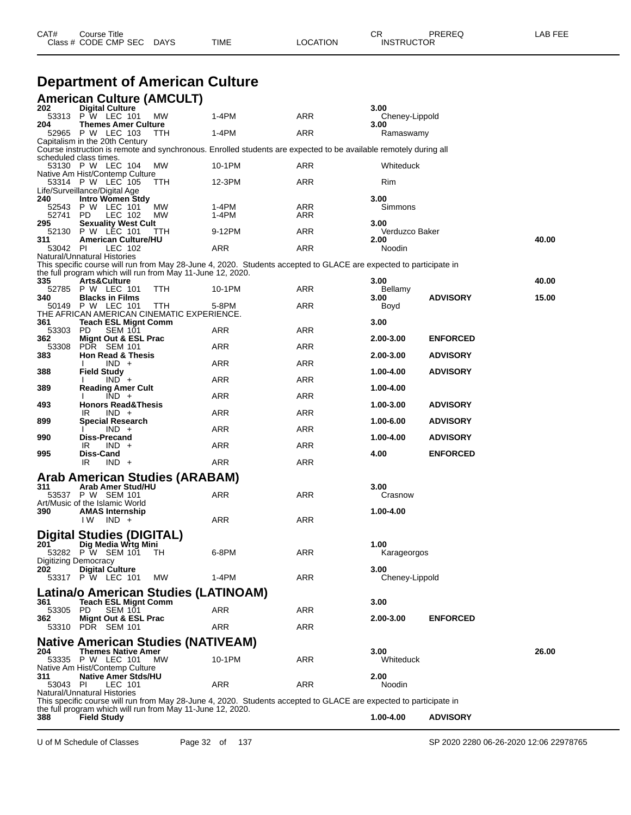| CAT# | Title<br>∴ourse      |             |      |          | Ωn<br>◡∩          | PREREQ | . EEE<br>A <sub>R</sub> |
|------|----------------------|-------------|------|----------|-------------------|--------|-------------------------|
|      | Class # CODE CMP SEC | <b>DAYS</b> | TIME | LOCATION | <b>INSTRUCTOR</b> |        |                         |
|      |                      |             |      |          |                   |        |                         |

#### **Department of American Culture**

|                                           | <b>American Culture (AMCULT)</b>                                                                                                                                                                               |                |            |                        |                 |       |  |
|-------------------------------------------|----------------------------------------------------------------------------------------------------------------------------------------------------------------------------------------------------------------|----------------|------------|------------------------|-----------------|-------|--|
| 202                                       | <b>Digital Culture</b><br>53313 P W LEC 101<br>МW                                                                                                                                                              | $1-4PM$        | ARR        | 3.00<br>Cheney-Lippold |                 |       |  |
| 204                                       | <b>Themes Amer Culture</b><br>52965 P W LEC 103<br>TTH                                                                                                                                                         | 1-4PM          | ARR        | 3.00<br>Ramaswamy      |                 |       |  |
|                                           | Capitalism in the 20th Century<br>Course instruction is remote and synchronous. Enrolled students are expected to be available remotely during all                                                             |                |            |                        |                 |       |  |
|                                           | scheduled class times.                                                                                                                                                                                         |                |            |                        |                 |       |  |
|                                           | MW<br>53130 P W LEC 104<br>Native Am Hist/Contemp Culture                                                                                                                                                      | 10-1PM         | ARR        | Whiteduck              |                 |       |  |
|                                           | 53314 P W LEC 105<br>ттн<br>Life/Surveillance/Digital Age                                                                                                                                                      | 12-3PM         | ARR        | Rim                    |                 |       |  |
| 240                                       | <b>Intro Women Stdy</b>                                                                                                                                                                                        |                |            | 3.00                   |                 |       |  |
| 52741                                     | 52543 P W LEC 101<br>МW<br>- PD<br>LEC 102<br><b>MW</b>                                                                                                                                                        | 1-4PM<br>1-4PM | ARR<br>ARR | Simmons                |                 |       |  |
| 295                                       | <b>Sexuality West Cult</b>                                                                                                                                                                                     |                |            | 3.00                   |                 |       |  |
| 311                                       | 52130 P W LEC 101<br>TTH<br><b>American Culture/HU</b>                                                                                                                                                         | 9-12PM         | ARR        | Verduzco Baker<br>2.00 |                 | 40.00 |  |
| 53042 PI                                  | LEC 102                                                                                                                                                                                                        | ARR            | ARR        | Noodin                 |                 |       |  |
|                                           | Natural/Unnatural Histories<br>This specific course will run from May 28-June 4, 2020. Students accepted to GLACE are expected to participate in<br>the full program which will run from May 11-June 12, 2020. |                |            |                        |                 |       |  |
| 335                                       | Arts&Culture                                                                                                                                                                                                   |                |            | 3.00                   |                 | 40.00 |  |
| 340                                       | 52785 P W LEC 101<br>ттн<br><b>Blacks in Films</b>                                                                                                                                                             | 10-1PM         | ARR        | Bellamy<br>3.00        | <b>ADVISORY</b> | 15.00 |  |
|                                           | 50149 P W LEC 101<br>TTH                                                                                                                                                                                       | 5-8PM          | ARR        | Boyd                   |                 |       |  |
| 361                                       | THE AFRICAN AMERICAN CINEMATIC EXPERIENCE.<br><b>Teach ESL Mignt Comm</b>                                                                                                                                      |                |            | 3.00                   |                 |       |  |
| 53303                                     | <b>SEM 101</b><br>PD.                                                                                                                                                                                          | ARR            | ARR        |                        |                 |       |  |
| 362<br>53308                              | Mignt Out & ESL Prac<br>PDR SEM 101                                                                                                                                                                            | ARR            | ARR        | 2.00-3.00              | <b>ENFORCED</b> |       |  |
| 383                                       | <b>Hon Read &amp; Thesis</b><br>$IND +$                                                                                                                                                                        | ARR            | ARR        | 2.00-3.00              | <b>ADVISORY</b> |       |  |
| 388                                       | <b>Field Study</b>                                                                                                                                                                                             |                | ARR        | 1.00-4.00              | <b>ADVISORY</b> |       |  |
| 389                                       | $IND +$<br><b>Reading Amer Cult</b>                                                                                                                                                                            | ARR            |            | 1.00-4.00              |                 |       |  |
| 493                                       | $IND +$<br><b>Honors Read&amp;Thesis</b>                                                                                                                                                                       | ARR            | ARR        | 1.00-3.00              | <b>ADVISORY</b> |       |  |
| 899                                       | $IND +$<br>IR<br><b>Special Research</b>                                                                                                                                                                       | ARR            | ARR        | 1.00-6.00              | <b>ADVISORY</b> |       |  |
|                                           | $IND +$                                                                                                                                                                                                        | ARR            | ARR        |                        |                 |       |  |
| 990                                       | Diss-Precand<br>$IND +$<br>IR                                                                                                                                                                                  | ARR            | ARR        | 1.00-4.00              | <b>ADVISORY</b> |       |  |
| 995                                       | Diss-Cand<br>IR<br>$IND +$                                                                                                                                                                                     | <b>ARR</b>     | <b>ARR</b> | 4.00                   | <b>ENFORCED</b> |       |  |
|                                           | Arab American Studies (ARABAM)                                                                                                                                                                                 |                |            |                        |                 |       |  |
| 311                                       | Arab Amer Stud/HU                                                                                                                                                                                              |                |            | 3.00                   |                 |       |  |
|                                           | 53537 P W SEM 101<br>Art/Music of the Islamic World                                                                                                                                                            | ARR            | ARR        | Crasnow                |                 |       |  |
| 390                                       | <b>AMAS Internship</b><br>$IW$ $IND +$                                                                                                                                                                         | ARR            | ARR        | 1.00-4.00              |                 |       |  |
|                                           |                                                                                                                                                                                                                |                |            |                        |                 |       |  |
| 201                                       | <b>Digital Studies (DIGITAL)</b><br>Dig Media Wrtg Mini                                                                                                                                                        |                |            | 1.00                   |                 |       |  |
| 53282                                     | P W SEM 101<br>- TH                                                                                                                                                                                            | 6-8PM          | <b>ARR</b> | Karageorgos            |                 |       |  |
| Digitizing Democracy<br>202               | <b>Digital Culture</b>                                                                                                                                                                                         |                |            | 3.00                   |                 |       |  |
|                                           | 53317 P W LEC 101<br><b>MW</b>                                                                                                                                                                                 | 1-4PM          | ARR        | Cheney-Lippold         |                 |       |  |
|                                           | Latina/o American Studies (LATINOAM)                                                                                                                                                                           |                |            |                        |                 |       |  |
| 361                                       | <b>Teach ESL Mignt Comm</b>                                                                                                                                                                                    |                |            | 3.00                   |                 |       |  |
| 53305 PD<br>362                           | <b>SEM 101</b><br><b>Mignt Out &amp; ESL Prac</b>                                                                                                                                                              | <b>ARR</b>     | ARR        | 2.00-3.00              | <b>ENFORCED</b> |       |  |
|                                           | 53310 PDR SEM 101                                                                                                                                                                                              | ARR            | ARR        |                        |                 |       |  |
| <b>Native American Studies (NATIVEAM)</b> |                                                                                                                                                                                                                |                |            |                        |                 |       |  |
| 204                                       | <b>Themes Native Amer</b><br>53335 P W LEC 101<br><b>MW</b>                                                                                                                                                    | 10-1PM         | ARR        | 3.00<br>Whiteduck      |                 | 26.00 |  |
|                                           | Native Am Hist/Contemp Culture                                                                                                                                                                                 |                |            |                        |                 |       |  |
| 311<br>53043 PI                           | <b>Native Amer Stds/HU</b><br>LEC 101                                                                                                                                                                          | ARR            | ARR        | 2.00<br>Noodin         |                 |       |  |
|                                           | Natural/Unnatural Histories                                                                                                                                                                                    |                |            |                        |                 |       |  |
|                                           | This specific course will run from May 28-June 4, 2020. Students accepted to GLACE are expected to participate in<br>the full program which will run from May 11-June 12, 2020.                                |                |            |                        |                 |       |  |
| 388                                       | <b>Field Study</b>                                                                                                                                                                                             |                |            | 1.00-4.00              | <b>ADVISORY</b> |       |  |

U of M Schedule of Classes Page 32 of 137 SP 2020 2280 06-26-2020 12:06 22978765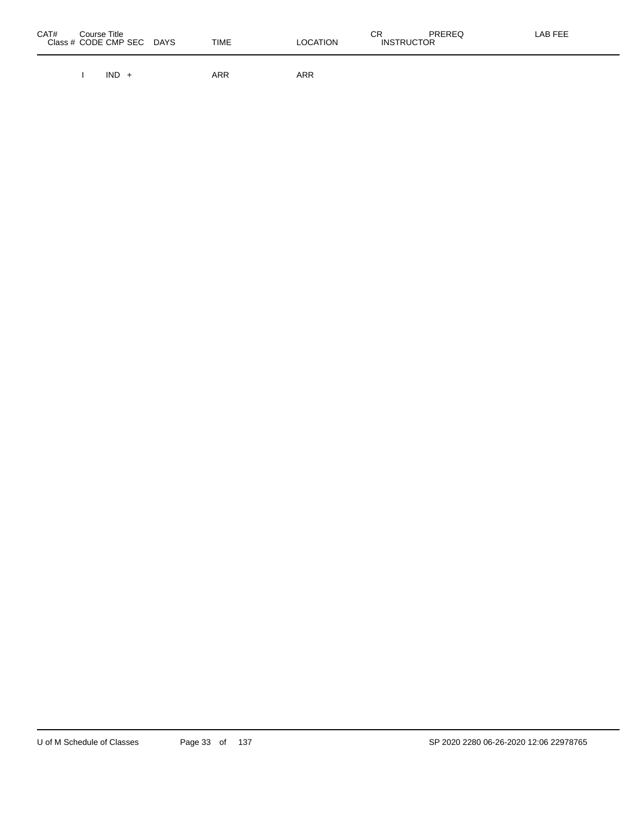| CAT# | Course Title<br>Class # CODE CMP SEC | <b>DAYS</b> | <b>TIME</b> | <b>LOCATION</b> | СR<br><b>INSTRUCTOR</b> | <b>PREREQ</b> | LAB FEE |
|------|--------------------------------------|-------------|-------------|-----------------|-------------------------|---------------|---------|
|      |                                      |             |             |                 |                         |               |         |

I IND + ARR ARR ARR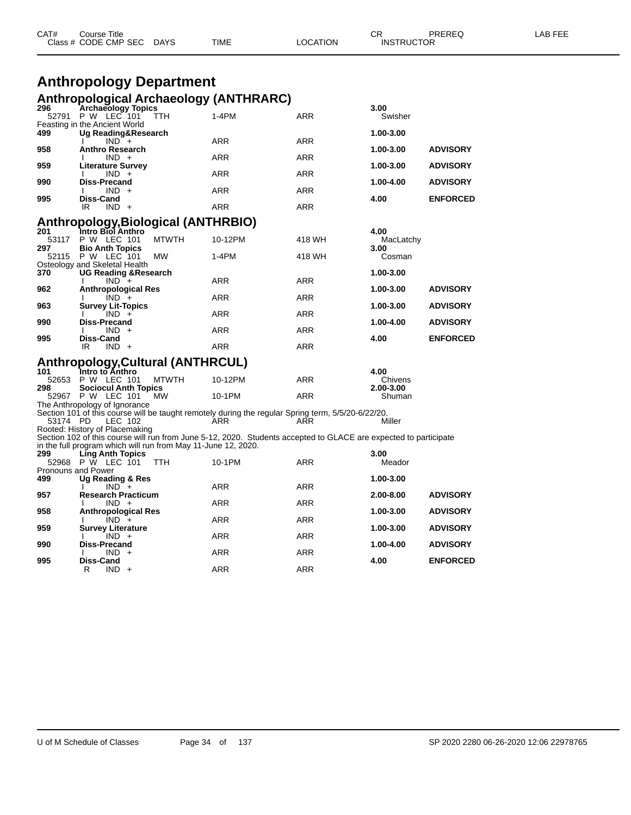| CAT# | Course Title              |      |          | СR                | PREREQ | LAB FEE |
|------|---------------------------|------|----------|-------------------|--------|---------|
|      | Class # CODE CMP SEC DAYS | TIME | LOCATION | <b>INSTRUCTOR</b> |        |         |

# **Anthropology Department**

|                             |                                             |                                                               | <b>Anthropological Archaeology (ANTHRARC)</b>                                                                    |            |                     |                 |
|-----------------------------|---------------------------------------------|---------------------------------------------------------------|------------------------------------------------------------------------------------------------------------------|------------|---------------------|-----------------|
| 296<br>52791                | <b>Archaeology Topics</b><br>P W LEC 101    | <b>TTH</b>                                                    | $1-4PM$                                                                                                          | ARR        | 3.00<br>Swisher     |                 |
|                             | Feasting in the Ancient World               |                                                               |                                                                                                                  |            |                     |                 |
| 499                         | Ug Reading&Research<br>$IND +$              |                                                               | <b>ARR</b>                                                                                                       | <b>ARR</b> | 1.00-3.00           |                 |
| 958                         | <b>Anthro Research</b>                      |                                                               |                                                                                                                  |            | 1.00-3.00           | <b>ADVISORY</b> |
| 959                         | $IND +$<br><b>Literature Survey</b>         |                                                               | ARR                                                                                                              | <b>ARR</b> | 1.00-3.00           | <b>ADVISORY</b> |
|                             | $IND +$<br>л.<br><b>Diss-Precand</b>        |                                                               | ARR                                                                                                              | ARR        | 1.00-4.00           |                 |
| 990                         | $IND +$                                     |                                                               | <b>ARR</b>                                                                                                       | <b>ARR</b> |                     | <b>ADVISORY</b> |
| 995                         | Diss-Cand<br>IR<br>$IND +$                  |                                                               | <b>ARR</b>                                                                                                       | <b>ARR</b> | 4.00                | <b>ENFORCED</b> |
|                             |                                             | Anthropology, Biological (ANTHRBIO)                           |                                                                                                                  |            |                     |                 |
| 201                         | Intro Biol Anthro                           |                                                               |                                                                                                                  |            | 4.00                |                 |
| 53117                       | P W LEC 101                                 | <b>MTWTH</b>                                                  | 10-12PM                                                                                                          | 418 WH     | MacLatchy           |                 |
| 297<br>52115                | <b>Bio Anth Topics</b><br>P W LEC 101       | <b>MW</b>                                                     | $1-4PM$                                                                                                          | 418 WH     | 3.00<br>Cosman      |                 |
| 370                         | Osteology and Skeletal Health               |                                                               |                                                                                                                  |            | 1.00-3.00           |                 |
|                             | <b>UG Reading &amp; Research</b><br>$IND +$ |                                                               | <b>ARR</b>                                                                                                       | <b>ARR</b> |                     |                 |
| 962                         | <b>Anthropological Res</b><br>$IND +$       |                                                               | <b>ARR</b>                                                                                                       | ARR        | 1.00-3.00           | <b>ADVISORY</b> |
| 963                         | <b>Survey Lit-Topics</b>                    |                                                               |                                                                                                                  |            | 1.00-3.00           | <b>ADVISORY</b> |
| 990                         | $IND +$<br><b>Diss-Precand</b>              |                                                               | <b>ARR</b>                                                                                                       | <b>ARR</b> | 1.00-4.00           | <b>ADVISORY</b> |
|                             | $IND +$                                     |                                                               | <b>ARR</b>                                                                                                       | <b>ARR</b> |                     |                 |
| 995                         | Diss-Cand<br>IR.<br>$IND +$                 |                                                               | <b>ARR</b>                                                                                                       | ARR        | 4.00                | <b>ENFORCED</b> |
|                             |                                             |                                                               |                                                                                                                  |            |                     |                 |
| 101                         | Intro to Anthro                             | Anthropology, Cultural (ANTHRCUL)                             |                                                                                                                  |            | 4.00                |                 |
| 52653                       | P W LEC 101                                 | <b>MTWTH</b>                                                  | 10-12PM                                                                                                          | <b>ARR</b> | Chivens             |                 |
| 298<br>52967                | <b>Sociocul Anth Topics</b><br>P W LEC 101  | MW                                                            | 10-1PM                                                                                                           | ARR        | 2.00-3.00<br>Shuman |                 |
|                             | The Anthropology of Ignorance               |                                                               |                                                                                                                  |            |                     |                 |
| 53174 PD                    | LEC 102                                     |                                                               | Section 101 of this course will be taught remotely during the regular Spring term, 5/5/20-6/22/20.<br>ARR        | ARR        | Miller              |                 |
|                             | Rooted: History of Placemaking              |                                                               |                                                                                                                  |            |                     |                 |
|                             |                                             | in the full program which will run from May 11-June 12, 2020. | Section 102 of this course will run from June 5-12, 2020. Students accepted to GLACE are expected to participate |            |                     |                 |
| 299                         | <b>Ling Anth Topics</b>                     |                                                               |                                                                                                                  |            | 3.00                |                 |
| 52968<br>Pronouns and Power | P W LEC 101                                 | <b>TTH</b>                                                    | 10-1PM                                                                                                           | ARR        | Meador              |                 |
| 499                         | Ug Reading & Res                            |                                                               |                                                                                                                  |            | 1.00-3.00           |                 |
| 957                         | $IND +$<br><b>Research Practicum</b>        |                                                               | <b>ARR</b>                                                                                                       | ARR        | 2.00-8.00           | <b>ADVISORY</b> |
|                             | $IND +$                                     |                                                               | <b>ARR</b>                                                                                                       | ARR        |                     |                 |
| 958                         | <b>Anthropological Res</b><br>$IND +$       |                                                               | ARR                                                                                                              | ARR        | 1.00-3.00           | <b>ADVISORY</b> |
| 959                         | <b>Survey Literature</b>                    |                                                               |                                                                                                                  |            | 1.00-3.00           | <b>ADVISORY</b> |
| 990                         | $IND +$<br><b>Diss-Precand</b>              |                                                               | ARR                                                                                                              | ARR        | 1.00-4.00           | <b>ADVISORY</b> |
|                             | $IND +$                                     |                                                               | <b>ARR</b>                                                                                                       | ARR        |                     |                 |
| 995                         | Diss-Cand<br>R<br>$IND +$                   |                                                               | <b>ARR</b>                                                                                                       | <b>ARR</b> | 4.00                | <b>ENFORCED</b> |
|                             |                                             |                                                               |                                                                                                                  |            |                     |                 |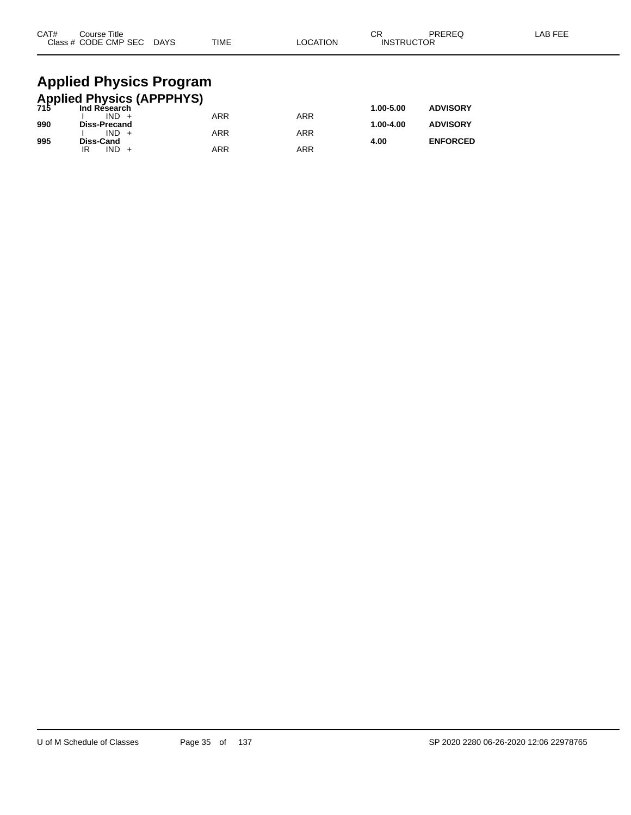| CAT# | Course Title<br>Class # CODE CMP SEC DAYS            | <b>TIME</b> | <b>LOCATION</b> | СR<br><b>INSTRUCTOR</b> | PREREQ          | LAB FEE |
|------|------------------------------------------------------|-------------|-----------------|-------------------------|-----------------|---------|
|      | <b>Applied Physics Program</b>                       |             |                 |                         |                 |         |
|      | <b>Applied Physics (APPPHYS)</b><br>715 Ind Research |             |                 |                         |                 |         |
|      | $IND +$                                              | <b>ARR</b>  | <b>ARR</b>      | 1.00-5.00               | <b>ADVISORY</b> |         |
| 990  | Diss-Precand                                         |             |                 | 1.00-4.00               | <b>ADVISORY</b> |         |
| 995  | $IND +$<br>Diss-Cand                                 | <b>ARR</b>  | <b>ARR</b>      | 4.00                    | <b>ENFORCED</b> |         |

IR IND + ARR ARR ARR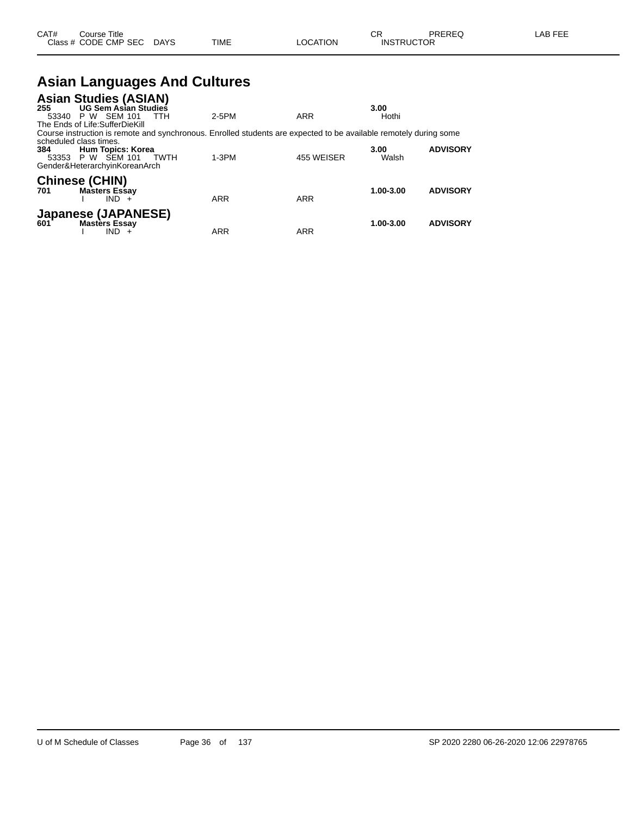| CAT# | Title<br>Course T    |             |      |          | ⌒冖<br>- UN        | PREREQ | EEE<br>AR |
|------|----------------------|-------------|------|----------|-------------------|--------|-----------|
|      | Class # CODE CMP SEC | <b>DAYS</b> | TIME | LOCATION | <b>INSTRUCTOR</b> |        |           |
|      |                      |             |      |          |                   |        |           |

# **Asian Languages And Cultures**

| <b>Asian Studies (ASIAN)</b>                                                                                      |            |            |           |                 |
|-------------------------------------------------------------------------------------------------------------------|------------|------------|-----------|-----------------|
| <b>UG Sem Asian Studies</b><br>255                                                                                |            |            | 3.00      |                 |
| 53340 P W SEM 101<br>TTH                                                                                          | $2-5PM$    | ARR        | Hothi     |                 |
| The Ends of Life:SufferDieKill                                                                                    |            |            |           |                 |
| Course instruction is remote and synchronous. Enrolled students are expected to be available remotely during some |            |            |           |                 |
| scheduled class times.                                                                                            |            |            |           |                 |
| <b>Hum Topics: Korea</b><br>384                                                                                   |            |            | 3.00      | <b>ADVISORY</b> |
| 53353 P W SEM 101<br>TWTH                                                                                         | $1-3PM$    | 455 WEISER | Walsh     |                 |
| Gender&HeterarchyinKoreanArch                                                                                     |            |            |           |                 |
| <b>Chinese (CHIN)</b>                                                                                             |            |            |           |                 |
| <b>Masters Essay</b><br>701                                                                                       |            |            | 1.00-3.00 | <b>ADVISORY</b> |
| $IND +$                                                                                                           | <b>ARR</b> | <b>ARR</b> |           |                 |
|                                                                                                                   |            |            |           |                 |
| <b>Japanese (JAPANESE)</b>                                                                                        |            |            |           |                 |
| <b>Masters Essay</b><br>601                                                                                       |            |            | 1.00-3.00 | <b>ADVISORY</b> |
|                                                                                                                   | <b>ARR</b> | <b>ARR</b> |           |                 |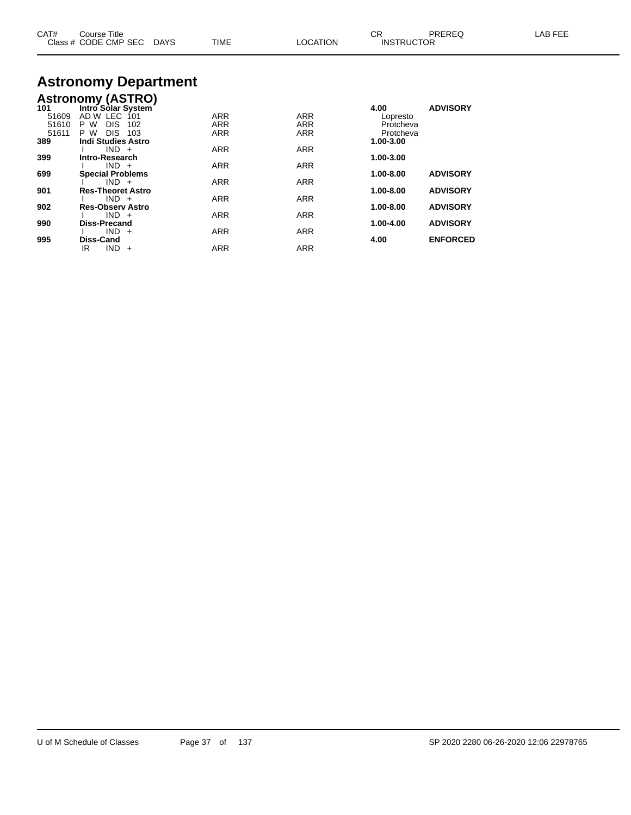| CAT#           | Course Title<br>Class # CODE CMP SEC DAYS               | <b>TIME</b>              | <b>LOCATION</b>          | СR<br><b>INSTRUCTOR</b> | PREREQ          | LAB FEE |
|----------------|---------------------------------------------------------|--------------------------|--------------------------|-------------------------|-----------------|---------|
|                | <b>Astronomy Department</b><br><b>Astronomy (ASTRO)</b> |                          |                          |                         |                 |         |
| 101            | Intro Solar System                                      |                          |                          | 4.00                    | <b>ADVISORY</b> |         |
| 51609<br>51610 | AD W LEC<br>-101<br>P W<br>DIS.<br>102                  | <b>ARR</b><br><b>ARR</b> | <b>ARR</b><br><b>ARR</b> | Lopresto<br>Protcheva   |                 |         |
| 51611          | DIS.<br>P W<br>103                                      | <b>ARR</b>               | ARR                      | Protcheva               |                 |         |
| 389            | <b>Indi Studies Astro</b>                               |                          |                          | 1.00-3.00               |                 |         |
|                | $IND +$                                                 | <b>ARR</b>               | <b>ARR</b>               |                         |                 |         |
| 399            | Intro-Research                                          |                          |                          | 1.00-3.00               |                 |         |
|                | $IND +$                                                 | <b>ARR</b>               | <b>ARR</b>               |                         |                 |         |

I IND + ARR ARR ARR

I IND + ARR ARR

I IND + ARR ARR ARR

I IND + ARR ARR ARR

I IND + ARR ARR ARR

IR IND + ARR ARR ARR

**699 Special Problems 1.00-8.00 ADVISORY**

**901 Res-Theoret Astro 1.00-8.00 ADVISORY**

**902 Res-Observ Astro 1.00-8.00 ADVISORY**

**990 Diss-Precand 1.00-4.00 ADVISORY**

**995 Diss-Cand 4.00 ENFORCED**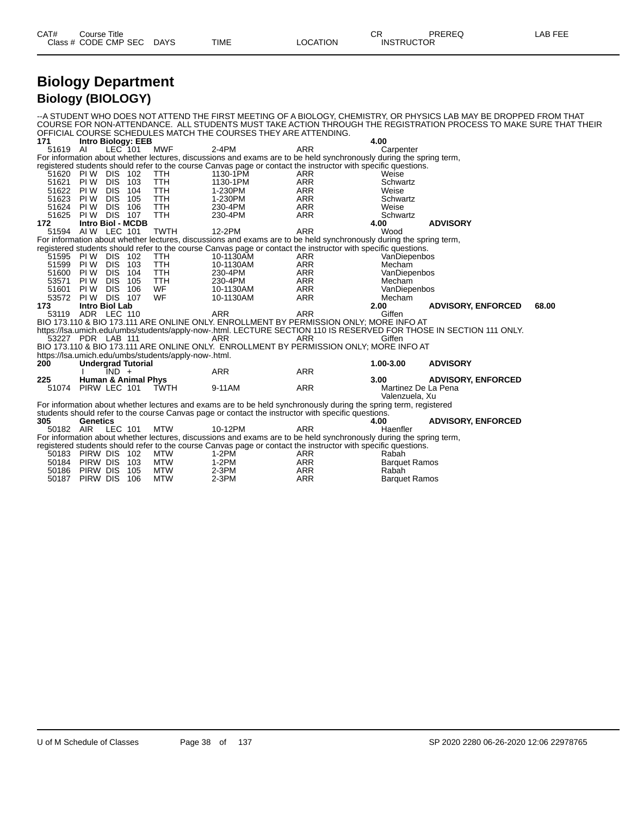| CAT# | Title<br>∴ourse      |             |             |          | ~~<br>- UN        | PREREQ | ---<br>ΔR.<br>--- |
|------|----------------------|-------------|-------------|----------|-------------------|--------|-------------------|
|      | Class # CODE CMP SEC | <b>DAYS</b> | <b>TIME</b> | ∟OCATION | <b>INSTRUCTOR</b> |        |                   |

### **Biology Department Biology (BIOLOGY)**

|           |                                        |            |            |                                                      | OFFICIAL COURSE SCHEDULES MATCH THE COURSES THEY ARE ATTENDING.                                                    |                          |                        | --A STUDENT WHO DOES NOT ATTEND THE FIRST MEETING OF A BIOLOGY, CHEMISTRY, OR PHYSICS LAB MAY BE DROPPED FROM THAT<br>COURSE FOR NON-ATTENDANCE. ALL STUDENTS MUST TAKE ACTION THROUGH THE REGISTRATION PROCESS TO MAKE SURE THAT THEIR |       |
|-----------|----------------------------------------|------------|------------|------------------------------------------------------|--------------------------------------------------------------------------------------------------------------------|--------------------------|------------------------|-----------------------------------------------------------------------------------------------------------------------------------------------------------------------------------------------------------------------------------------|-------|
| 171       | <b>Intro Biology: EEB</b>              |            |            |                                                      |                                                                                                                    |                          | 4.00                   |                                                                                                                                                                                                                                         |       |
| 51619 AI  |                                        | LEC 101    |            | <b>MWF</b>                                           | $2-4PM$                                                                                                            | <b>ARR</b>               | Carpenter              |                                                                                                                                                                                                                                         |       |
|           |                                        |            |            |                                                      | For information about whether lectures, discussions and exams are to be held synchronously during the spring term, |                          |                        |                                                                                                                                                                                                                                         |       |
|           |                                        |            |            |                                                      | registered students should refer to the course Canvas page or contact the instructor with specific questions.      |                          |                        |                                                                                                                                                                                                                                         |       |
|           | 51620 PIW DIS 102                      |            |            | TTH                                                  | 1130-1PM                                                                                                           | ARR                      | Weise                  |                                                                                                                                                                                                                                         |       |
| 51621     | <b>PIW DIS 103</b>                     |            |            | <b>TTH</b>                                           | 1130-1PM                                                                                                           | <b>ARR</b>               | Schwartz               |                                                                                                                                                                                                                                         |       |
| 51622     | PIW DIS                                |            | 104        | TTH                                                  | 1-230PM                                                                                                            | <b>ARR</b>               | Weise                  |                                                                                                                                                                                                                                         |       |
| 51623 PIW |                                        | <b>DIS</b> | 105        | TTH                                                  | 1-230PM                                                                                                            | <b>ARR</b>               | Schwartz               |                                                                                                                                                                                                                                         |       |
|           | 51624 PIW DIS                          |            | 106        | <b>TTH</b>                                           | 230-4PM                                                                                                            | <b>ARR</b>               | Weise                  |                                                                                                                                                                                                                                         |       |
| 51625     | <b>PIW DIS 107</b>                     |            |            | <b>TTH</b>                                           | 230-4PM                                                                                                            | <b>ARR</b>               | Schwartz               |                                                                                                                                                                                                                                         |       |
| 172       | <b>Intro Biol - MCDB</b>               |            |            |                                                      |                                                                                                                    |                          | 4.00                   | <b>ADVISORY</b>                                                                                                                                                                                                                         |       |
|           | 51594 AIW LEC 101                      |            |            | <b>TWTH</b>                                          | 12-2PM                                                                                                             | <b>ARR</b>               | Wood                   |                                                                                                                                                                                                                                         |       |
|           |                                        |            |            |                                                      | For information about whether lectures, discussions and exams are to be held synchronously during the spring term, |                          |                        |                                                                                                                                                                                                                                         |       |
|           |                                        |            |            |                                                      | registered students should refer to the course Canvas page or contact the instructor with specific questions.      |                          |                        |                                                                                                                                                                                                                                         |       |
|           | 51595 PIW DIS 102<br>51599 PIW DIS 103 |            |            | <b>TTH</b><br><b>TTH</b>                             | 10-1130AM<br>10-1130AM                                                                                             | ARR<br><b>ARR</b>        | VanDiepenbos<br>Mecham |                                                                                                                                                                                                                                         |       |
|           | 51600 PIW DIS                          |            |            |                                                      | 230-4PM                                                                                                            |                          |                        |                                                                                                                                                                                                                                         |       |
| 53571     | PIW DIS                                |            | 104<br>105 | TTH<br><b>TTH</b>                                    | 230-4PM                                                                                                            | <b>ARR</b><br><b>ARR</b> | VanDiepenbos<br>Mecham |                                                                                                                                                                                                                                         |       |
| 51601     | PI W                                   | <b>DIS</b> | 106        | WF                                                   | 10-1130AM                                                                                                          | <b>ARR</b>               | VanDiepenbos           |                                                                                                                                                                                                                                         |       |
| 53572     | <b>PIW DIS 107</b>                     |            |            | <b>WF</b>                                            | 10-1130AM                                                                                                          | <b>ARR</b>               | Mecham                 |                                                                                                                                                                                                                                         |       |
| 173       | Intro Biol Lab                         |            |            |                                                      |                                                                                                                    |                          | 2.00                   | <b>ADVISORY, ENFORCED</b>                                                                                                                                                                                                               | 68.00 |
| 53119     | ADR LEC 110                            |            |            |                                                      | <b>ARR</b>                                                                                                         | <b>ARR</b>               | Giffen                 |                                                                                                                                                                                                                                         |       |
|           |                                        |            |            |                                                      | BIO 173.110 & BIO 173.111 ARE ONLINE ONLY. ENROLLMENT BY PERMISSION ONLY; MORE INFO AT                             |                          |                        |                                                                                                                                                                                                                                         |       |
|           |                                        |            |            |                                                      |                                                                                                                    |                          |                        | https://lsa.umich.edu/umbs/students/apply-now-.html. LECTURE SECTION 110 IS RESERVED FOR THOSE IN SECTION 111 ONLY.                                                                                                                     |       |
|           | 53227 PDR LAB 111                      |            |            |                                                      | ARR                                                                                                                | <b>ARR</b>               | Giffen                 |                                                                                                                                                                                                                                         |       |
|           |                                        |            |            |                                                      | BIO 173.110 & BIO 173.111 ARE ONLINE ONLY. ENROLLMENT BY PERMISSION ONLY: MORE INFO AT                             |                          |                        |                                                                                                                                                                                                                                         |       |
|           |                                        |            |            | https://lsa.umich.edu/umbs/students/apply-now-.html. |                                                                                                                    |                          |                        |                                                                                                                                                                                                                                         |       |
| 200       | <b>Undergrad Tutorial</b>              |            |            |                                                      |                                                                                                                    |                          | 1.00-3.00              | <b>ADVISORY</b>                                                                                                                                                                                                                         |       |
|           |                                        | $IND +$    |            |                                                      | <b>ARR</b>                                                                                                         | <b>ARR</b>               |                        |                                                                                                                                                                                                                                         |       |
| 225       | <b>Human &amp; Animal Phys</b>         |            |            |                                                      |                                                                                                                    |                          | 3.00                   | <b>ADVISORY, ENFORCED</b>                                                                                                                                                                                                               |       |
|           | 51074 PIRW LEC 101                     |            |            | TWTH                                                 | 9-11AM                                                                                                             | <b>ARR</b>               | Martinez De La Pena    |                                                                                                                                                                                                                                         |       |
|           |                                        |            |            |                                                      |                                                                                                                    |                          | Valenzuela, Xu         |                                                                                                                                                                                                                                         |       |
|           |                                        |            |            |                                                      | For information about whether lectures and exams are to be held synchronously during the spring term, registered   |                          |                        |                                                                                                                                                                                                                                         |       |
|           |                                        |            |            |                                                      | students should refer to the course Canvas page or contact the instructor with specific questions.                 |                          |                        |                                                                                                                                                                                                                                         |       |
| 305       | Genetics                               |            |            |                                                      |                                                                                                                    |                          | 4.00                   | <b>ADVISORY, ENFORCED</b>                                                                                                                                                                                                               |       |
|           | 50182 AIR LEC 101                      |            |            | <b>MTW</b>                                           | 10-12PM                                                                                                            | <b>ARR</b>               | Haenfler               |                                                                                                                                                                                                                                         |       |
|           |                                        |            |            |                                                      | For information about whether lectures, discussions and exams are to be held synchronously during the spring term, |                          |                        |                                                                                                                                                                                                                                         |       |
|           |                                        |            |            |                                                      | registered students should refer to the course Canvas page or contact the instructor with specific questions.      |                          |                        |                                                                                                                                                                                                                                         |       |
|           | 50183 PIRW DIS 102                     |            |            | MTW                                                  | $1-2PM$                                                                                                            | ARR                      | Rabah                  |                                                                                                                                                                                                                                         |       |
|           | 50184 PIRW DIS                         |            | - 103      | MTW                                                  | 1-2PM                                                                                                              | <b>ARR</b>               | <b>Barquet Ramos</b>   |                                                                                                                                                                                                                                         |       |
| 50186     | PIRW DIS                               |            | 105        | <b>MTW</b>                                           | 2-3PM                                                                                                              | <b>ARR</b>               | Rabah                  |                                                                                                                                                                                                                                         |       |
| 50187     | PIRW DIS 106                           |            |            | <b>MTW</b>                                           | $2-3PM$                                                                                                            | <b>ARR</b>               | <b>Barquet Ramos</b>   |                                                                                                                                                                                                                                         |       |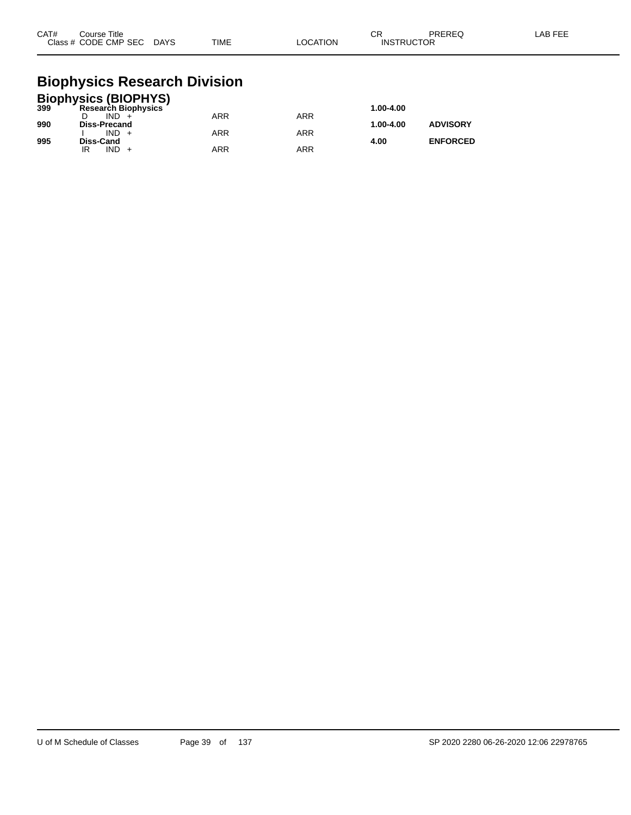| CAT# | Course Title<br>Class # CODE CMP SEC | <b>DAYS</b> | <b>TIME</b> | <b>LOCATION</b> | ◠<br>◡∩<br><b>INSTRUCTOR</b> | PREREQ | AB FEE |
|------|--------------------------------------|-------------|-------------|-----------------|------------------------------|--------|--------|
|      |                                      |             |             |                 |                              |        |        |

### **Biophysics Research Division**

|     | <b>Biophysics (BIOPHYS)</b> |            |     |           |                 |
|-----|-----------------------------|------------|-----|-----------|-----------------|
| 399 | <b>Research Biophysics</b>  |            |     | 1.00-4.00 |                 |
|     | $IND +$                     | <b>ARR</b> | ARR |           |                 |
| 990 | <b>Diss-Precand</b>         |            |     | 1.00-4.00 | <b>ADVISORY</b> |
|     | $IND +$                     | <b>ARR</b> | ARR |           |                 |
| 995 | Diss-Cand                   |            |     | 4.00      | <b>ENFORCED</b> |
|     | $IND +$                     | ARR        | ARR |           |                 |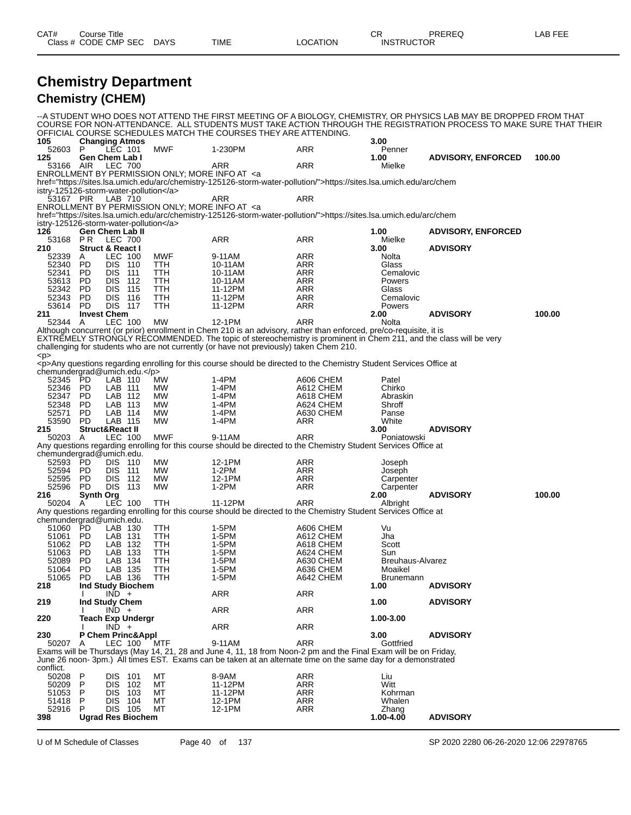| CAT#           | Course Title           | Class # CODE CMP SEC DAYS          |                             | TIME                                                                                                                                                                                                                  | <b>LOCATION</b>                                                                                                                                                                                                                  | <b>CR</b><br><b>INSTRUCTOR</b> | PREREQ                                                                                                             | LAB FEE |
|----------------|------------------------|------------------------------------|-----------------------------|-----------------------------------------------------------------------------------------------------------------------------------------------------------------------------------------------------------------------|----------------------------------------------------------------------------------------------------------------------------------------------------------------------------------------------------------------------------------|--------------------------------|--------------------------------------------------------------------------------------------------------------------|---------|
|                |                        |                                    | <b>Chemistry Department</b> |                                                                                                                                                                                                                       |                                                                                                                                                                                                                                  |                                |                                                                                                                    |         |
|                |                        | <b>Chemistry (CHEM)</b>            |                             |                                                                                                                                                                                                                       |                                                                                                                                                                                                                                  |                                |                                                                                                                    |         |
|                |                        |                                    |                             |                                                                                                                                                                                                                       |                                                                                                                                                                                                                                  |                                | --A STUDENT WHO DOES NOT ATTEND THE FIRST MEETING OF A BIOLOGY, CHEMISTRY, OR PHYSICS LAB MAY BE DROPPED FROM THAT |         |
|                |                        |                                    |                             |                                                                                                                                                                                                                       | OFFICIAL COURSE SCHEDULES MATCH THE COURSES THEY ARE ATTENDING.                                                                                                                                                                  |                                | COURSE FOR NON-ATTENDANCE. ALL STUDENTS MUST TAKE ACTION THROUGH THE REGISTRATION PROCESS TO MAKE SURE THAT THEIR  |         |
| 105            |                        | <b>Changing Atmos</b>              |                             |                                                                                                                                                                                                                       |                                                                                                                                                                                                                                  | 3.00                           |                                                                                                                    |         |
| 52603 P        |                        | LEC 101                            | <b>MWF</b>                  | 1-230PM                                                                                                                                                                                                               | ARR                                                                                                                                                                                                                              | Penner                         |                                                                                                                    |         |
| 125            |                        | Gen Chem Lab I<br><b>LEC 700</b>   |                             | <b>ARR</b>                                                                                                                                                                                                            | <b>ARR</b>                                                                                                                                                                                                                       | 1.00                           | <b>ADVISORY, ENFORCED</b>                                                                                          | 100.00  |
| 53166 AIR      |                        |                                    |                             | ENROLLMENT BY PERMISSION ONLY; MORE INFO AT <a< td=""><td></td><td>Mielke</td><td></td><td></td></a<>                                                                                                                 |                                                                                                                                                                                                                                  | Mielke                         |                                                                                                                    |         |
|                |                        |                                    |                             |                                                                                                                                                                                                                       | href="https://sites.lsa.umich.edu/arc/chemistry-125126-storm-water-pollution/">https://sites.lsa.umich.edu/arc/chem                                                                                                              |                                |                                                                                                                    |         |
|                |                        | istry-125126-storm-water-pollution |                             |                                                                                                                                                                                                                       |                                                                                                                                                                                                                                  |                                |                                                                                                                    |         |
| 53167 PIR      |                        | LAB 710                            |                             | <b>ARR</b>                                                                                                                                                                                                            | ARR                                                                                                                                                                                                                              |                                |                                                                                                                    |         |
|                |                        |                                    |                             | ENROLLMENT BY PERMISSION ONLY; MORE INFO AT <a< td=""><td>href="https://sites.lsa.umich.edu/arc/chemistry-125126-storm-water-pollution/"&gt;https://sites.lsa.umich.edu/arc/chem</td><td></td><td></td><td></td></a<> | href="https://sites.lsa.umich.edu/arc/chemistry-125126-storm-water-pollution/">https://sites.lsa.umich.edu/arc/chem                                                                                                              |                                |                                                                                                                    |         |
|                |                        | istry-125126-storm-water-pollution |                             |                                                                                                                                                                                                                       |                                                                                                                                                                                                                                  |                                |                                                                                                                    |         |
| 126            |                        | <b>Gen Chem Lab II</b>             |                             |                                                                                                                                                                                                                       |                                                                                                                                                                                                                                  | 1.00                           | <b>ADVISORY, ENFORCED</b>                                                                                          |         |
|                |                        | 53168 PR LEC 700                   |                             | <b>ARR</b>                                                                                                                                                                                                            | <b>ARR</b>                                                                                                                                                                                                                       | Mielke                         |                                                                                                                    |         |
| 210            |                        | <b>Struct &amp; React I</b>        |                             |                                                                                                                                                                                                                       |                                                                                                                                                                                                                                  | 3.00                           | <b>ADVISORY</b>                                                                                                    |         |
| 52339          | A                      | LEC 100                            | MWF                         | 9-11AM                                                                                                                                                                                                                | <b>ARR</b>                                                                                                                                                                                                                       | <b>Nolta</b>                   |                                                                                                                    |         |
| 52340<br>52341 | <b>PD</b><br><b>PD</b> | <b>DIS 110</b><br>DIS.<br>111      | TTH<br><b>TTH</b>           | 10-11AM<br>10-11AM                                                                                                                                                                                                    | ARR<br><b>ARR</b>                                                                                                                                                                                                                | Glass<br>Cemalovic             |                                                                                                                    |         |
| 53613          | <b>PD</b>              | <b>DIS</b><br>112                  | <b>TTH</b>                  | 10-11AM                                                                                                                                                                                                               | <b>ARR</b>                                                                                                                                                                                                                       | Powers                         |                                                                                                                    |         |
| 52342          | <b>PD</b>              | <b>DIS 115</b>                     | <b>TTH</b>                  | 11-12PM                                                                                                                                                                                                               | <b>ARR</b>                                                                                                                                                                                                                       | Glass                          |                                                                                                                    |         |
| 52343          | <b>PD</b>              | <b>DIS 116</b>                     | <b>TTH</b>                  | 11-12PM                                                                                                                                                                                                               | <b>ARR</b>                                                                                                                                                                                                                       | Cemalovic                      |                                                                                                                    |         |
| 53614          | <b>PD</b>              | <b>DIS 117</b>                     | <b>TTH</b>                  | 11-12PM                                                                                                                                                                                                               | <b>ARR</b>                                                                                                                                                                                                                       | Powers                         |                                                                                                                    |         |
| 211            |                        | <b>Invest Chem</b>                 |                             |                                                                                                                                                                                                                       |                                                                                                                                                                                                                                  | 2.00                           | <b>ADVISORY</b>                                                                                                    | 100.00  |
| 52344 A        |                        | <b>LEC 100</b>                     | <b>MW</b>                   | 12-1PM                                                                                                                                                                                                                | <b>ARR</b>                                                                                                                                                                                                                       | Nolta                          |                                                                                                                    |         |
|                |                        |                                    |                             |                                                                                                                                                                                                                       | Although concurrent (or prior) enrollment in Chem 210 is an advisory, rather than enforced, pre/co-requisite, it is<br>EXTREMELY STRONGLY RECOMMENDED. The topic of stereochemistry is prominent in Chem 211, and the class will |                                |                                                                                                                    |         |
|                |                        |                                    |                             |                                                                                                                                                                                                                       | challenging for students who are not currently (or have not previously) taken Chem 210.                                                                                                                                          |                                |                                                                                                                    |         |
| < p >          |                        |                                    |                             |                                                                                                                                                                                                                       |                                                                                                                                                                                                                                  |                                |                                                                                                                    |         |
|                |                        |                                    |                             |                                                                                                                                                                                                                       | <p>Any questions regarding enrolling for this course should be directed to the Chemistry Student Services Office at</p>                                                                                                          |                                |                                                                                                                    |         |
| 52345 PD       |                        | chemundergrad@umich.edu.           |                             |                                                                                                                                                                                                                       |                                                                                                                                                                                                                                  |                                |                                                                                                                    |         |
| 52346          | PD                     | LAB 110<br>LAB 111                 | <b>MW</b><br><b>MW</b>      | 1-4PM<br>$1-4PM$                                                                                                                                                                                                      | A606 CHEM<br>A612 CHEM                                                                                                                                                                                                           | Patel<br>Chirko                |                                                                                                                    |         |
| 52347 PD       |                        | LAB 112                            | <b>MW</b>                   | 1-4PM                                                                                                                                                                                                                 | A618 CHEM                                                                                                                                                                                                                        | Abraskin                       |                                                                                                                    |         |
| 52348          | <b>PD</b>              | LAB 113                            | <b>MW</b>                   | 1-4PM                                                                                                                                                                                                                 | A624 CHEM                                                                                                                                                                                                                        | Shroff                         |                                                                                                                    |         |
| 52571          | <b>PD</b>              | LAB 114                            | <b>MW</b>                   | 1-4PM                                                                                                                                                                                                                 | A630 CHEM                                                                                                                                                                                                                        | Panse                          |                                                                                                                    |         |
| 53590          | <b>PD</b>              | LAB 115                            | <b>MW</b>                   | $1-4PM$                                                                                                                                                                                                               | ARR                                                                                                                                                                                                                              | White                          |                                                                                                                    |         |
| 215            |                        | <b>Struct&amp;React II</b>         |                             |                                                                                                                                                                                                                       |                                                                                                                                                                                                                                  | 3.00                           | <b>ADVISORY</b>                                                                                                    |         |
| 50203 A        |                        | <b>LEC 100</b>                     | <b>MWF</b>                  | 9-11AM                                                                                                                                                                                                                | <b>ARR</b>                                                                                                                                                                                                                       | Poniatowski                    |                                                                                                                    |         |
|                |                        | chemundergrad@umich.edu.           |                             |                                                                                                                                                                                                                       | Any questions regarding enrolling for this course should be directed to the Chemistry Student Services Office at                                                                                                                 |                                |                                                                                                                    |         |
| 52593          | PD                     | DIS 110                            | <b>MW</b>                   | 12-1PM                                                                                                                                                                                                                | ARR                                                                                                                                                                                                                              | Joseph                         |                                                                                                                    |         |
| 52594          | <b>PD</b>              | <b>DIS</b><br>- 111                | <b>MW</b>                   | $1-2PM$                                                                                                                                                                                                               | ARR                                                                                                                                                                                                                              | Joseph                         |                                                                                                                    |         |
| EOEOE          | <b>DD</b>              | DIO.<br>440                        | <b>BALAI</b>                | 40.4 <sub>DB</sub>                                                                                                                                                                                                    |                                                                                                                                                                                                                                  |                                |                                                                                                                    |         |

| 52595                    | PD.       | DIS.              | 112 | MW         | 12-1PM                                                                                                           | ARR        | Carpenter        |                 |        |
|--------------------------|-----------|-------------------|-----|------------|------------------------------------------------------------------------------------------------------------------|------------|------------------|-----------------|--------|
| 52596                    | PD.       | DIS.              | 113 | МW         | $1-2PM$                                                                                                          | ARR        | Carpenter        |                 |        |
| 216                      | Synth Org |                   |     |            |                                                                                                                  |            | 2.00             | <b>ADVISORY</b> | 100.00 |
| 50204                    | A         | <b>LEC 100</b>    |     | <b>TTH</b> | 11-12PM                                                                                                          | <b>ARR</b> | Albright         |                 |        |
|                          |           |                   |     |            | Any questions regarding enrolling for this course should be directed to the Chemistry Student Services Office at |            |                  |                 |        |
| chemundergrad@umich.edu. |           |                   |     |            |                                                                                                                  |            |                  |                 |        |
| 51060                    | PD.       | LAB 130           |     | <b>TTH</b> | $1-5PM$                                                                                                          | A606 CHEM  | Vu               |                 |        |
| 51061                    | PD.       | LAB               | 131 | TTH        | $1-5PM$                                                                                                          | A612 CHEM  | Jha              |                 |        |
| 51062                    | <b>PD</b> | LAB               | 132 | <b>TTH</b> | 1-5PM                                                                                                            | A618 CHEM  | Scott            |                 |        |
| 51063                    | <b>PD</b> | LAB               | 133 | <b>TTH</b> | $1-5PM$                                                                                                          | A624 CHEM  | Sun              |                 |        |
| 52089                    | PD.       | LAB               | 134 | <b>TTH</b> | 1-5PM                                                                                                            | A630 CHEM  | Breuhaus-Alvarez |                 |        |
| 51064                    | PD.       | LAB               | 135 | <b>TTH</b> | 1-5PM                                                                                                            | A636 CHEM  | Moaikel          |                 |        |
| 51065                    | <b>PD</b> | LAB 136           |     | <b>TTH</b> | $1-5PM$                                                                                                          | A642 CHEM  | <b>Brunemann</b> |                 |        |
| 218                      |           | Ind Study Biochem |     |            |                                                                                                                  |            | 1.00             | <b>ADVISORY</b> |        |
|                          |           | $IND +$           |     |            | ARR                                                                                                              | ARR        |                  |                 |        |
| 219                      |           | Ind Study Chem    |     |            |                                                                                                                  |            | 1.00             | <b>ADVISORY</b> |        |
|                          |           | $IND +$           |     |            | ARR                                                                                                              | ARR        |                  |                 |        |
| 220                      |           | Teach Exp Undergr |     |            |                                                                                                                  |            | 1.00-3.00        |                 |        |
|                          |           | $IND +$           |     |            | ARR                                                                                                              | ARR        |                  |                 |        |
| 230                      |           | P Chem Princ&Appl |     |            |                                                                                                                  |            | 3.00             | <b>ADVISORY</b> |        |
| 50207                    | A         | LEC 100           |     | MTF        | 9-11AM                                                                                                           | <b>ARR</b> | Gottfried        |                 |        |
|                          |           |                   |     |            | Exams will be Thursdays (May 14, 21, 28 and June 4, 11, 18 from Noon-2 pm and the Final Exam will be on Friday,  |            |                  |                 |        |
|                          |           |                   |     |            | June 26 noon-3pm.) All times EST. Exams can be taken at an alternate time on the same day for a demonstrated     |            |                  |                 |        |
| conflict.                |           |                   |     |            |                                                                                                                  |            |                  |                 |        |
| 50208                    | P         | DIS.              | 101 | MT         | 8-9AM                                                                                                            | ARR        | Liu              |                 |        |
| 50209                    | P         | DIS.              | 102 | МT         | 11-12PM                                                                                                          | ARR        | Witt             |                 |        |
| 51053                    | P         | DIS.              | 103 | MT         | 11-12PM                                                                                                          | ARR        | Kohrman          |                 |        |
| 51418                    | P         | <b>DIS</b>        | 104 | MT         | 12-1PM                                                                                                           | ARR        | Whalen           |                 |        |
| 52916                    | P         | <b>DIS</b>        | 105 | МT         | 12-1PM                                                                                                           | <b>ARR</b> | Zhang            |                 |        |

**Ugrad Res Biochem 1.00-4.00 ADVISORY**

U of M Schedule of Classes Page 40 of 137 SP 2020 2280 06-26-2020 12:06 22978765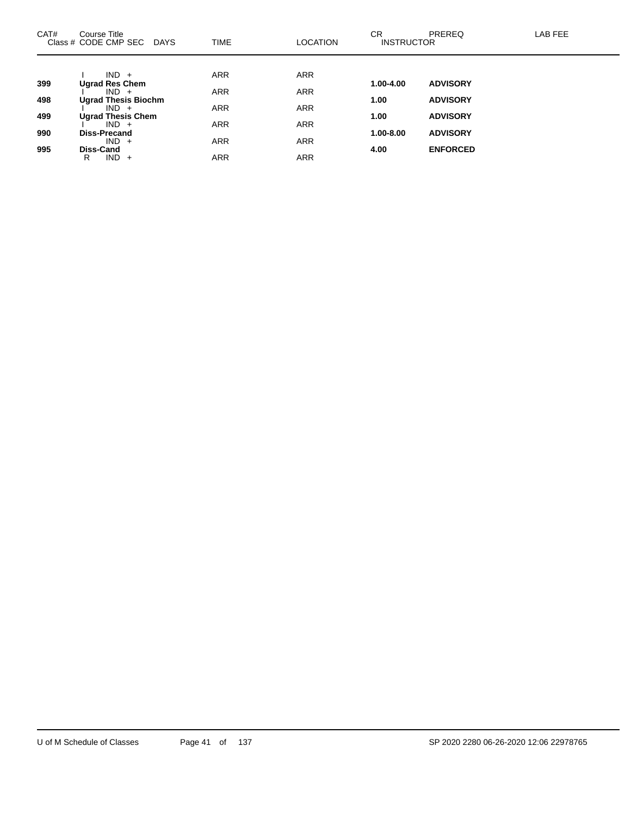| CAT# | Course Title<br>Class # CODE CMP SEC<br><b>DAYS</b> | <b>TIME</b> | <b>LOCATION</b> | <b>CR</b><br><b>INSTRUCTOR</b> | <b>PREREQ</b>   | LAB FEE |
|------|-----------------------------------------------------|-------------|-----------------|--------------------------------|-----------------|---------|
|      |                                                     |             |                 |                                |                 |         |
|      | $IND +$                                             | <b>ARR</b>  | <b>ARR</b>      |                                |                 |         |
| 399  | <b>Ugrad Res Chem</b><br>$IND +$                    | <b>ARR</b>  | <b>ARR</b>      | 1.00-4.00                      | <b>ADVISORY</b> |         |
| 498  | <b>Ugrad Thesis Biochm</b>                          |             |                 | 1.00                           | <b>ADVISORY</b> |         |
|      | $IND +$                                             | <b>ARR</b>  | <b>ARR</b>      |                                |                 |         |
| 499  | <b>Ugrad Thesis Chem</b>                            |             |                 | 1.00                           | <b>ADVISORY</b> |         |
|      | $IND +$                                             | <b>ARR</b>  | <b>ARR</b>      |                                |                 |         |
| 990  | <b>Diss-Precand</b>                                 |             |                 | $1.00 - 8.00$                  | <b>ADVISORY</b> |         |
| 995  | $IND +$<br>Diss-Cand                                | <b>ARR</b>  | <b>ARR</b>      | 4.00                           | <b>ENFORCED</b> |         |
|      | $IND +$<br>R                                        | <b>ARR</b>  | <b>ARR</b>      |                                |                 |         |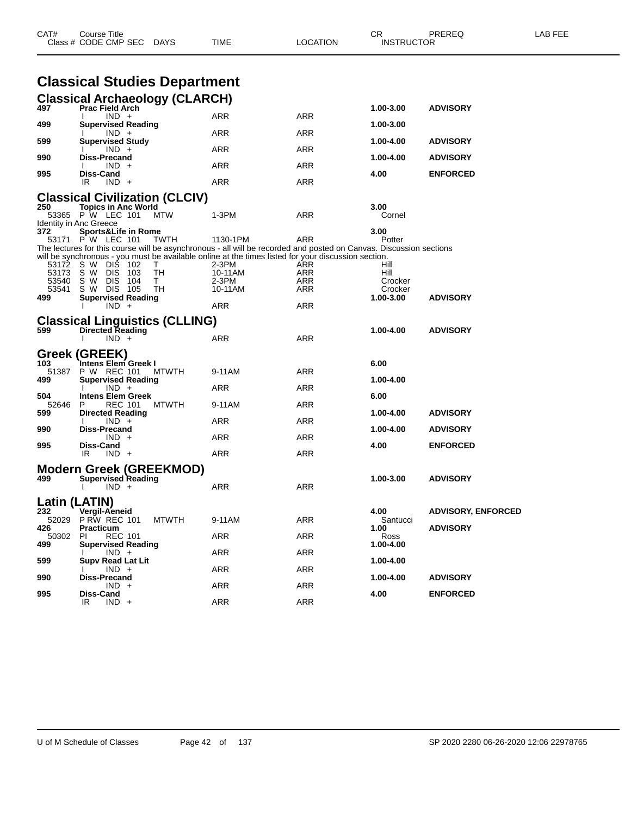| CAT#          | Course Title<br>Class # CODE CMP SEC                        | DAYS         | TIME                                                                                                                                                                                                                      | LOCATION   | СR<br><b>INSTRUCTOR</b> | PREREQ                    | LAB FEE |
|---------------|-------------------------------------------------------------|--------------|---------------------------------------------------------------------------------------------------------------------------------------------------------------------------------------------------------------------------|------------|-------------------------|---------------------------|---------|
|               | <b>Classical Studies Department</b>                         |              |                                                                                                                                                                                                                           |            |                         |                           |         |
|               | <b>Classical Archaeology (CLARCH)</b>                       |              |                                                                                                                                                                                                                           |            |                         |                           |         |
| 497           | <b>Prac Field Arch</b><br>$IND +$                           |              | ARR                                                                                                                                                                                                                       | <b>ARR</b> | 1.00-3.00               | <b>ADVISORY</b>           |         |
| 499           | <b>Supervised Reading</b>                                   |              |                                                                                                                                                                                                                           |            | 1.00-3.00               |                           |         |
| 599           | $IND +$<br><b>Supervised Study</b>                          |              | ARR                                                                                                                                                                                                                       | ARR        | 1.00-4.00               | <b>ADVISORY</b>           |         |
| 990           | $IND +$<br><b>Diss-Precand</b>                              |              | ARR                                                                                                                                                                                                                       | ARR        | 1.00-4.00               | <b>ADVISORY</b>           |         |
| 995           | $IND +$<br>Diss-Cand                                        |              | <b>ARR</b>                                                                                                                                                                                                                | ARR        | 4.00                    | <b>ENFORCED</b>           |         |
|               | IR.<br>$IND +$                                              |              | ARR                                                                                                                                                                                                                       | ARR        |                         |                           |         |
|               | <b>Classical Civilization (CLCIV)</b>                       |              |                                                                                                                                                                                                                           |            |                         |                           |         |
| 250           | <b>Topics in Anc World</b><br>53365 P W LEC 101             | MTW          | 1-3PM                                                                                                                                                                                                                     | ARR        | 3.00<br>Cornel          |                           |         |
| 372           | Identity in Anc Greece<br><b>Sports&amp;Life in Rome</b>    |              |                                                                                                                                                                                                                           |            | 3.00                    |                           |         |
|               | 53171 P W LEC 101                                           | TWTH         | 1130-1PM                                                                                                                                                                                                                  | ARR        | Potter                  |                           |         |
|               |                                                             |              | The lectures for this course will be asynchronous - all will be recorded and posted on Canvas. Discussion sections<br>will be synchronous - you must be available online at the times listed for your discussion section. |            |                         |                           |         |
| 53173         | 53172 SW DIS 102<br>s w<br><b>DIS 103</b>                   | т<br>TН      | 2-3PM<br>10-11AM                                                                                                                                                                                                          | ARR<br>ARR | Hill<br>Hill            |                           |         |
| 53540         | S W<br><b>DIS</b><br>- 104                                  | т            | 2-3PM                                                                                                                                                                                                                     | ARR        | Crocker                 |                           |         |
| 53541         | s w<br><b>DIS 105</b>                                       | TН           | 10-11AM                                                                                                                                                                                                                   | ARR        | Crocker                 |                           |         |
| 499           | <b>Supervised Reading</b><br>$IND +$                        |              | ARR                                                                                                                                                                                                                       | ARR        | 1.00-3.00               | <b>ADVISORY</b>           |         |
|               | <b>Classical Linguistics (CLLING)</b>                       |              |                                                                                                                                                                                                                           |            |                         |                           |         |
| 599           | <b>Directed Reading</b><br>$IND +$<br>Ι.                    |              | ARR                                                                                                                                                                                                                       | <b>ARR</b> | 1.00-4.00               | <b>ADVISORY</b>           |         |
|               | Greek (GREEK)                                               |              |                                                                                                                                                                                                                           |            |                         |                           |         |
| 103           | <b>Intens Elem Greek I</b>                                  |              |                                                                                                                                                                                                                           |            | 6.00                    |                           |         |
| 51387         | P W REC 101                                                 | <b>MTWTH</b> | 9-11AM                                                                                                                                                                                                                    | ARR        |                         |                           |         |
| 499           | <b>Supervised Reading</b><br>$IND +$                        |              | ARR                                                                                                                                                                                                                       | ARR        | 1.00-4.00               |                           |         |
| 504<br>52646  | <b>Intens Elem Greek</b><br>P<br>REC 101                    | <b>MTWTH</b> | 9-11AM                                                                                                                                                                                                                    | ARR        | 6.00                    |                           |         |
| 599           | <b>Directed Reading</b><br>$IND +$                          |              | ARR                                                                                                                                                                                                                       | ARR        | 1.00-4.00               | <b>ADVISORY</b>           |         |
| 990           | <b>Diss-Precand</b><br>$IND +$                              |              | ARR                                                                                                                                                                                                                       | ARR        | 1.00-4.00               | <b>ADVISORY</b>           |         |
| 995           | Diss-Cand                                                   |              |                                                                                                                                                                                                                           |            | 4.00                    | <b>ENFORCED</b>           |         |
|               | IR.<br>$IND +$                                              |              | ARR                                                                                                                                                                                                                       | ARR        |                         |                           |         |
| 499           | <b>Modern Greek (GREEKMOD)</b><br><b>Supervised Reading</b> |              |                                                                                                                                                                                                                           |            | 1.00-3.00               | <b>ADVISORY</b>           |         |
|               | $IND +$                                                     |              | ARR                                                                                                                                                                                                                       | ARR        |                         |                           |         |
| Latin (LATIN) |                                                             |              |                                                                                                                                                                                                                           |            |                         |                           |         |
| 232           | Vergil-Aeneid<br>52029 P RW REC 101                         | <b>MTWTH</b> | 9-11AM                                                                                                                                                                                                                    | <b>ARR</b> | 4.00<br>Santucci        | <b>ADVISORY, ENFORCED</b> |         |
| 426<br>50302  | <b>Practicum</b><br><b>REC 101</b><br>PI.                   |              | ARR                                                                                                                                                                                                                       | ARR        | 1.00<br>Ross            | <b>ADVISORY</b>           |         |
| 499           | <b>Supervised Reading</b>                                   |              | <b>ARR</b>                                                                                                                                                                                                                | ARR        | 1.00-4.00               |                           |         |
| 599           | $IND +$<br><b>Supv Read Lat Lit</b>                         |              |                                                                                                                                                                                                                           |            | 1.00-4.00               |                           |         |
| 990           | $IND +$<br><b>Diss-Precand</b>                              |              | ARR                                                                                                                                                                                                                       | <b>ARR</b> | 1.00-4.00               | <b>ADVISORY</b>           |         |
| 995           | $IND +$<br>Diss-Cand                                        |              | <b>ARR</b>                                                                                                                                                                                                                | ARR        | 4.00                    | <b>ENFORCED</b>           |         |
|               | IR<br>$IND +$                                               |              | ARR                                                                                                                                                                                                                       | <b>ARR</b> |                         |                           |         |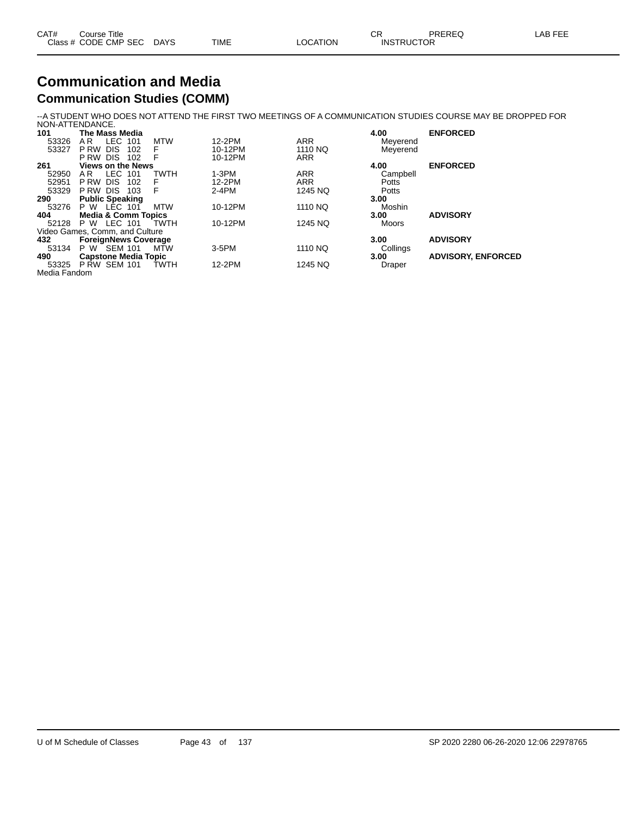| CAT# | Course Title              |      |          | ◡ॸ                | PREREQ | ∟AB FEE |
|------|---------------------------|------|----------|-------------------|--------|---------|
|      | Class # CODE CMP SEC DAYS | TIME | LOCATION | <b>INSTRUCTOR</b> |        |         |

#### **Communication and Media Communication Studies (COMM)**

--A STUDENT WHO DOES NOT ATTEND THE FIRST TWO MEETINGS OF A COMMUNICATION STUDIES COURSE MAY BE DROPPED FOR

|              | NON-ATTENDANCE.                   |          |            |              |                           |
|--------------|-----------------------------------|----------|------------|--------------|---------------------------|
| 101          | The Mass Media                    |          |            | 4.00         | <b>ENFORCED</b>           |
| 53326        | LEC.<br><b>MTW</b><br>A R<br>101  | 12-2PM   | <b>ARR</b> | Meyerend     |                           |
| 53327        | F<br>P RW<br><b>DIS</b><br>102    | 10-12PM  | 1110 NQ    | Meyerend     |                           |
|              | F<br>P RW<br><b>DIS</b><br>102    | 10-12PM  | <b>ARR</b> |              |                           |
| 261          | <b>Views on the News</b>          |          |            | 4.00         | <b>ENFORCED</b>           |
| 52950        | <b>LEC</b><br>TWTH<br>A R<br>101  | $1-3PM$  | <b>ARR</b> | Campbell     |                           |
| 52951        | F<br>P RW<br><b>DIS</b><br>102    | 12-2PM   | <b>ARR</b> | <b>Potts</b> |                           |
| 53329        | F<br><b>DIS</b><br>103<br>P RW    | $2-4PM$  | 1245 NQ    | Potts        |                           |
| 290          | <b>Public Speaking</b>            |          |            | 3.00         |                           |
| 53276        | P W LEC 101<br><b>MTW</b>         | 10-12PM  | 1110 NQ    | Moshin       |                           |
| 404          | <b>Media &amp; Comm Topics</b>    |          |            | 3.00         | <b>ADVISORY</b>           |
| 52128        | LEC 101<br><b>TWTH</b><br>P W     | 10-12PM  | 1245 NQ    | Moors        |                           |
|              | Video Games, Comm, and Culture    |          |            |              |                           |
| 432          | <b>ForeignNews Coverage</b>       |          |            | 3.00         | <b>ADVISORY</b>           |
| 53134        | P W SEM 101<br>MTW                | $3-5$ PM | 1110 NQ    | Collings     |                           |
| 490          | <b>Capstone Media Topic</b>       |          |            | 3.00         | <b>ADVISORY, ENFORCED</b> |
| 53325        | <b>PRW SEM 101</b><br><b>TWTH</b> | 12-2PM   | 1245 NQ    | Draper       |                           |
| Media Fandom |                                   |          |            |              |                           |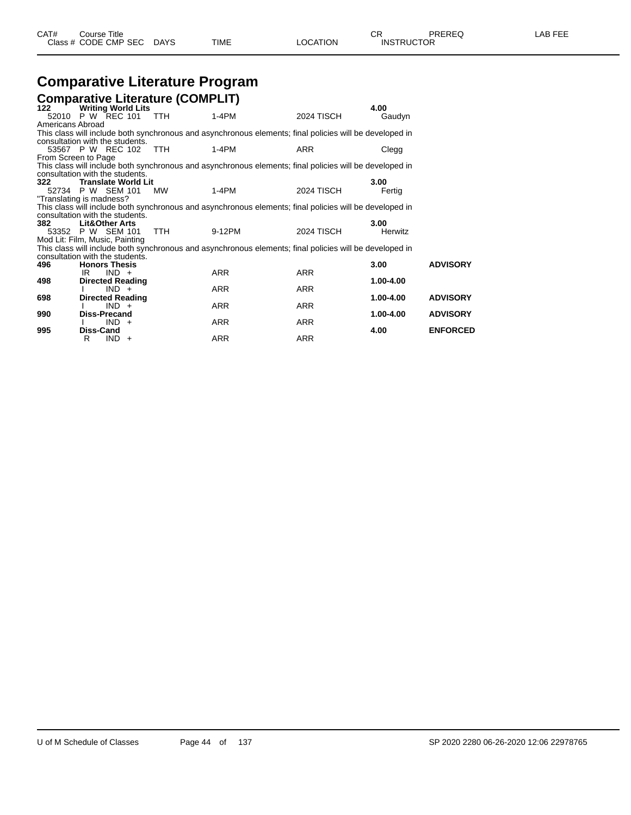| ◡◠<br>Class # CODE CMP SEC<br>TIME<br><b>INSTRUCTOR</b><br>LOCATION<br><b>DAYS</b> | CAT#<br>Course Title | PREREQ<br>~~ | _AB FEE |
|------------------------------------------------------------------------------------|----------------------|--------------|---------|
|------------------------------------------------------------------------------------|----------------------|--------------|---------|

### **Comparative Literature Program**

|                  |                                 | <b>Comparative Literature (COMPLIT)</b> |                                                                                                         |                   |           |                 |
|------------------|---------------------------------|-----------------------------------------|---------------------------------------------------------------------------------------------------------|-------------------|-----------|-----------------|
| 122              | <b>Writing World Lits</b>       |                                         |                                                                                                         |                   | 4.00      |                 |
|                  | 52010 P W REC 101               | TTH                                     | $1-4PM$                                                                                                 | <b>2024 TISCH</b> | Gaudyn    |                 |
| Americans Abroad |                                 |                                         |                                                                                                         |                   |           |                 |
|                  |                                 |                                         | This class will include both synchronous and asynchronous elements; final policies will be developed in |                   |           |                 |
|                  | consultation with the students. |                                         |                                                                                                         |                   |           |                 |
|                  | 53567 P W REC 102 TTH           |                                         | $1-4PM$                                                                                                 | <b>ARR</b>        | Clegg     |                 |
|                  | From Screen to Page             |                                         |                                                                                                         |                   |           |                 |
|                  |                                 |                                         | This class will include both synchronous and asynchronous elements; final policies will be developed in |                   |           |                 |
|                  | consultation with the students. |                                         |                                                                                                         |                   |           |                 |
| 322              | Translate World Lit             |                                         |                                                                                                         |                   | 3.00      |                 |
|                  | 52734 P W SEM 101               | <b>MW</b>                               | 1-4PM                                                                                                   | <b>2024 TISCH</b> | Fertig    |                 |
|                  | "Translating is madness?        |                                         |                                                                                                         |                   |           |                 |
|                  |                                 |                                         | This class will include both synchronous and asynchronous elements; final policies will be developed in |                   |           |                 |
|                  | consultation with the students. |                                         |                                                                                                         |                   |           |                 |
| 382              | <b>Lit&amp;Other Arts</b>       |                                         |                                                                                                         |                   | 3.00      |                 |
|                  | 53352 P W SEM 101               | <b>TTH</b>                              | 9-12PM                                                                                                  | <b>2024 TISCH</b> | Herwitz   |                 |
|                  | Mod Lit: Film, Music, Painting  |                                         |                                                                                                         |                   |           |                 |
|                  |                                 |                                         | This class will include both synchronous and asynchronous elements; final policies will be developed in |                   |           |                 |
|                  | consultation with the students. |                                         |                                                                                                         |                   |           |                 |
| 496              | <b>Honors Thesis</b>            |                                         |                                                                                                         |                   | 3.00      | <b>ADVISORY</b> |
|                  | $IND +$<br>IR                   |                                         | <b>ARR</b>                                                                                              | <b>ARR</b>        |           |                 |
| 498              | <b>Directed Reading</b>         |                                         |                                                                                                         |                   | 1.00-4.00 |                 |
|                  | $IND +$                         |                                         | <b>ARR</b>                                                                                              | <b>ARR</b>        |           |                 |
| 698              | <b>Directed Reading</b>         |                                         |                                                                                                         |                   | 1.00-4.00 | <b>ADVISORY</b> |
|                  | $IND +$                         |                                         | <b>ARR</b>                                                                                              | <b>ARR</b>        |           |                 |
| 990              | Diss-Precand                    |                                         |                                                                                                         |                   | 1.00-4.00 | <b>ADVISORY</b> |
|                  | $IND +$                         |                                         | ARR                                                                                                     | ARR               |           |                 |
| 995              | Diss-Cand                       |                                         |                                                                                                         |                   | 4.00      | <b>ENFORCED</b> |
|                  | $IND +$<br>R                    |                                         | <b>ARR</b>                                                                                              | <b>ARR</b>        |           |                 |
|                  |                                 |                                         |                                                                                                         |                   |           |                 |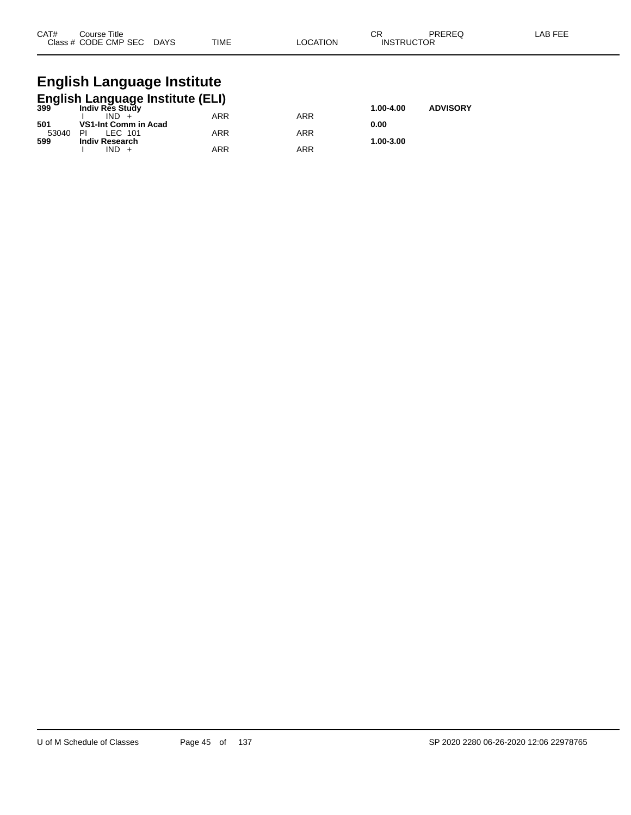| CAT# | Course Title              |             |          | ∩⊓<br>◡           | PREREQ | -AB FEE |
|------|---------------------------|-------------|----------|-------------------|--------|---------|
|      | Class # CODE CMP SEC DAYS | <b>TIME</b> | LOCATION | <b>INSTRUCTOR</b> |        |         |

## **English Language Institute**

|       | <b>English Language Institute (ELI)</b><br><sup>399</sup> Indiy Res Study |           |                 |           |  |  |  |  |  |  |  |
|-------|---------------------------------------------------------------------------|-----------|-----------------|-----------|--|--|--|--|--|--|--|
|       |                                                                           | 1.00-4.00 | <b>ADVISORY</b> |           |  |  |  |  |  |  |  |
|       | $IND +$                                                                   | ARR       | ARR             |           |  |  |  |  |  |  |  |
| 501   | VS1-Int Comm in Acad                                                      |           |                 | 0.00      |  |  |  |  |  |  |  |
| 53040 | LEC 101<br>PI                                                             | ARR       | ARR             |           |  |  |  |  |  |  |  |
| 599   | <b>Indiv Research</b>                                                     |           |                 | 1.00-3.00 |  |  |  |  |  |  |  |
|       | IND +                                                                     | ARR       | ARR             |           |  |  |  |  |  |  |  |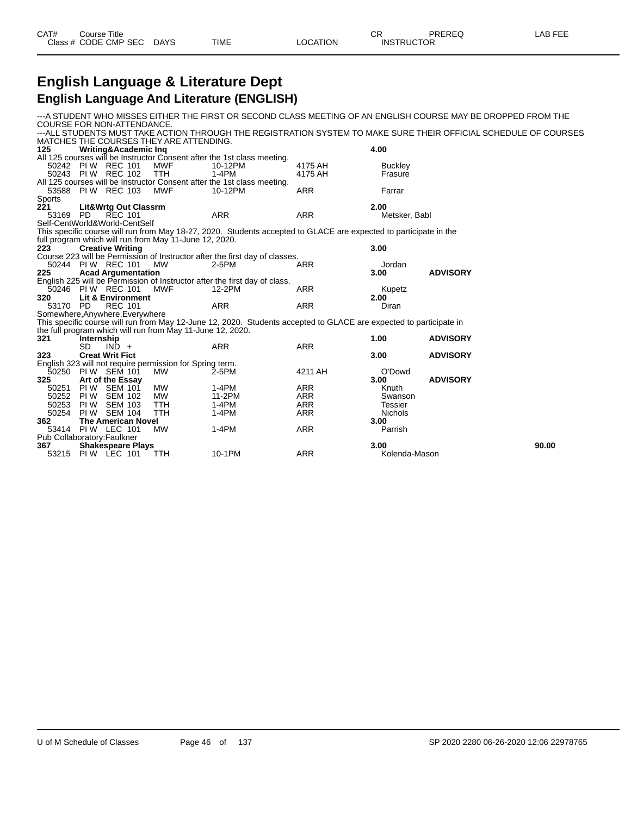#### **English Language & Literature Dept English Language And Literature (ENGLISH)**

---A STUDENT WHO MISSES EITHER THE FIRST OR SECOND CLASS MEETING OF AN ENGLISH COURSE MAY BE DROPPED FROM THE COURSE FOR NON-ATTENDANCE. ---ALL STUDENTS MUST TAKE ACTION THROUGH THE REGISTRATION SYSTEM TO MAKE SURE THEIR OFFICIAL SCHEDULE OF COURSES MATCHES THE COURSES THEY ARE ATTENDING.<br>125 Writing&Academic Ing **125 Writing&Academic Inq 4.00** All 125 courses will be Instructor Consent after the 1st class meeting.<br>50242 PIW REC 101 MWF 10-12PM<br>50243 PIW REC 102 TTH 1-4PM 50242 PI W REC 101 MWF 10-12PM 4175 AH Buckley 50243 PI W REC 102 TTH 1-4PM 4175 AH Frasure All 125 courses will be Instructor Consent after the 1st class meeting.<br>53588 PIW REC 103 MWF 10-12PM 53588 PI W REC 103 MWF 10-12PM ARR Farrar Sports<br>221 **221 Lit&Wrtg Out Classrm 2.00** 53169 PD REC 101 ARR ARR Metsker, Babl Self-CentWorld&World-CentSelf This specific course will run from May 18-27, 2020. Students accepted to GLACE are expected to participate in the full program which will run from May 11-June 12, 2020.<br>223 Creative Writing **223 Creative Writing 3.00** Course 223 will be Permission of Instructor after the first day of classes. 50244 PIW REC 101 MW 2-5PM ARR ARR Jordan **225 Acad Argumentation 3.00 ADVISORY** English 225 will be Permission of Instructor after the first day of class. 50246 PI W REC 101 MWF 12-2PM ARR Kupetz **320 Lit & Environment 2.00** 53170 PD REC 101 ARR ARR ARR Diran Somewhere,Anywhere,Everywhere This specific course will run from May 12-June 12, 2020. Students accepted to GLACE are expected to participate in the full program which will run from May 11-June 12, 2020.<br>321 **Internship 321 Internship 1.00 ADVISORY** SD IND + ARR ARR ARR **323 Creat Writ Fict 3.00 ADVISORY** English 323 will not require permission for Spring term. 50250 PI W SEM 101 MW 2-5PM 4211 AH O'Dowd **325 Art of the Essay 3.00 ADVISORY** 50251 PIW SEM 101 MW 1-4PM ARR Knuth 50252 PI W SEM 102 MW 11-2PM ARR Swanson 50253 PI W SEM 103 TTH 1-4PM ARR Tessier 50254 PI W SEM 104 TTH 1-4PM ARR Nichols **362 The American Novel 3.00 PI W LEC 101** Pub Collaboratory: Faulkner<br>367 **Shakespeare P 367 Shakespeare Plays 3.00 90.00** 53215 PIW LEC 101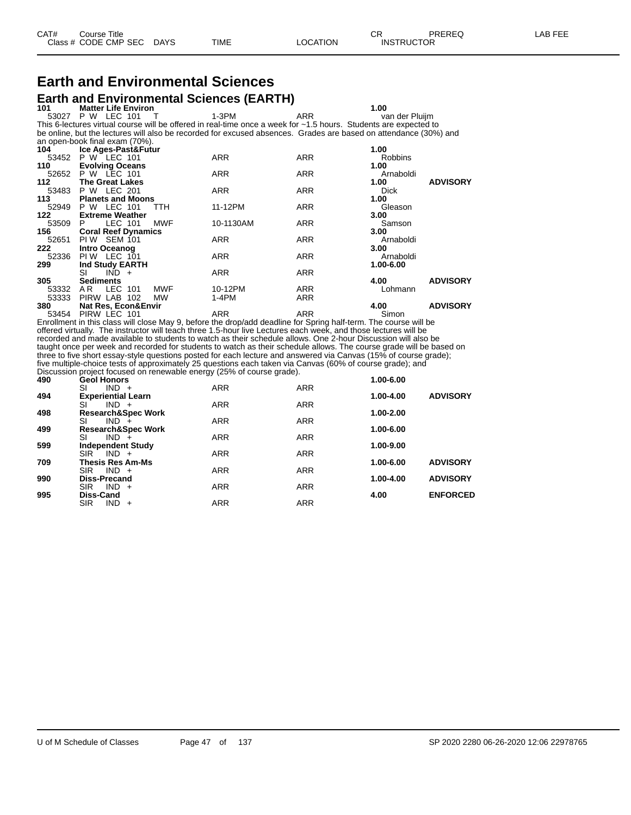# **Earth and Environmental Sciences**

**Earth and Environmental Sciences (EARTH)**<br>101 Matter Life Environ **1.00**<br>
P W LEC 101 T 1-3PM ARR Mander Pluijm 53027 P W LEC 101 This 6-lectures virtual course will be offered in real-time once a week for ~1.5 hours. Students are expected to be online, but the lectures will also be recorded for excused absences. Grades are based on attendance (30%) and an open-book final exam (70%). **104 Ice Ages-Past&Futur 1.00** 53452 P W LEC 101 ARR ARR Robbins **110 Evolving Oceans 1.00** 52652 P W LEC 101 ARR ARR Arnaboldi **112 The Great Lakes 1.00 ADVISORY** 53483 P W LEC 201 ARR ARR Dick **113 Planets and Moons 1.00** 52949 P W LEC 101 TTH 11-12PM ARR Cleason Gleason<br>**122 Extreme Weather** 11-12PM ARR 3.00 **122 Extreme Weather** 

| $\overline{\phantom{a}}$ | елично повино                |            |            | v.vv                    |
|--------------------------|------------------------------|------------|------------|-------------------------|
| 53509                    | <b>MWF</b><br>LEC 101<br>P   | 10-1130AM  | <b>ARR</b> | Samson                  |
| 156                      | <b>Coral Reef Dynamics</b>   |            |            | 3.00                    |
| 52651                    | PIW SEM 101                  | <b>ARR</b> | <b>ARR</b> | Arnaboldi               |
| 222                      | Intro Oceanog                |            |            | 3.00                    |
| 52336                    | <b>PIW LEC 101</b>           | <b>ARR</b> | <b>ARR</b> | Arnaboldi               |
| 299                      | Ind Study EARTH              |            |            | 1.00-6.00               |
|                          | SI<br>$IND +$                | <b>ARR</b> | <b>ARR</b> |                         |
| 305                      | <b>Sediments</b>             |            |            | <b>ADVISORY</b><br>4.00 |
| 53332                    | <b>MWF</b><br>LEC 101<br>AR. | 10-12PM    | <b>ARR</b> | Lohmann                 |
| 53333                    | PIRW LAB 102<br>MW           | $1-4PM$    | <b>ARR</b> |                         |
| 380                      | Nat Res, Econ&Envir          |            |            | <b>ADVISORY</b><br>4.00 |
|                          |                              |            |            |                         |

53454 PIRW LEC 101 **ARR** ARR ARR Simon Enrollment in this class will close May 9, before the drop/add deadline for Spring half-term. The course will be offered virtually. The instructor will teach three 1.5-hour live Lectures each week, and those lectures will be recorded and made available to students to watch as their schedule allows. One 2-hour Discussion will also be taught once per week and recorded for students to watch as their schedule allows. The course grade will be based on three to five short essay-style questions posted for each lecture and answered via Canvas (15% of course grade); five multiple-choice tests of approximately 25 questions each taken via Canvas (60% of course grade); and Discussion project focused on renewable energy (25% of course grade).

| 490 | <b>Geol Honors</b>              |            |            | 1.00-6.00 |                 |
|-----|---------------------------------|------------|------------|-----------|-----------------|
|     | $IND +$<br>SI                   | <b>ARR</b> | <b>ARR</b> |           |                 |
| 494 | <b>Experiential Learn</b>       |            |            | 1.00-4.00 | <b>ADVISORY</b> |
|     | $IND +$<br>SI                   | <b>ARR</b> | <b>ARR</b> |           |                 |
| 498 | <b>Research&amp;Spec Work</b>   |            |            | 1.00-2.00 |                 |
|     | SI<br>$IND +$                   | <b>ARR</b> | <b>ARR</b> |           |                 |
| 499 | <b>Research&amp;Spec Work</b>   |            |            | 1.00-6.00 |                 |
|     | SI<br>$IND +$                   | <b>ARR</b> | <b>ARR</b> |           |                 |
| 599 | <b>Independent Study</b>        |            |            | 1.00-9.00 |                 |
|     | <b>SIR</b><br>$IND +$           | <b>ARR</b> | <b>ARR</b> |           |                 |
| 709 | Thesis Res Am-Ms                |            |            | 1.00-6.00 | <b>ADVISORY</b> |
|     | <b>SIR</b><br>$IND +$           | <b>ARR</b> | <b>ARR</b> |           |                 |
| 990 | Diss-Precand                    |            |            | 1.00-4.00 | <b>ADVISORY</b> |
|     | $IND +$<br><b>SIR</b>           | <b>ARR</b> | <b>ARR</b> |           |                 |
| 995 | Diss-Cand                       |            |            | 4.00      | <b>ENFORCED</b> |
|     | <b>SIR</b><br><b>IND</b><br>$+$ | <b>ARR</b> | <b>ARR</b> |           |                 |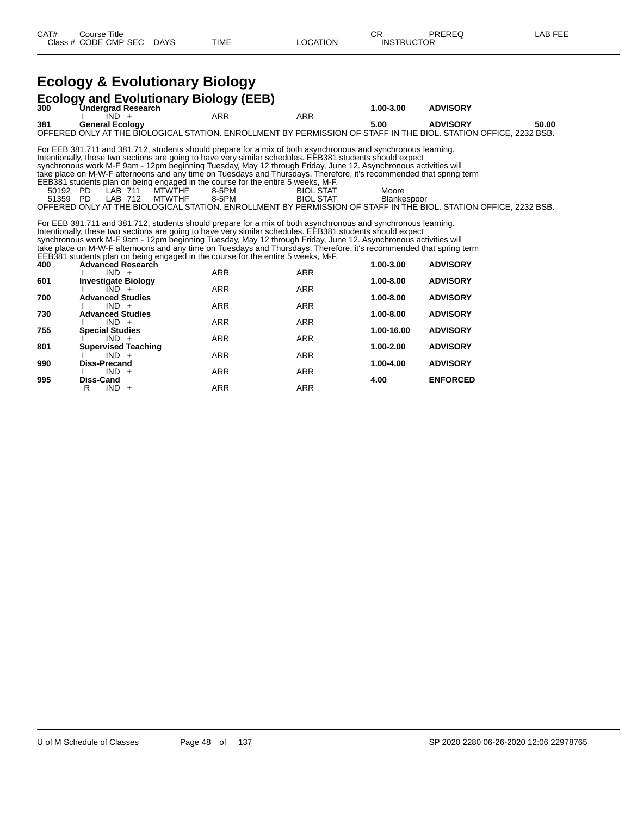## **Ecology & Evolutionary Biology**

| 300                                                                                                                                                                                                                                                                                                                                                                                                                                                                                                                                                      | <b>Ecology and Evolutionary Biology (EEB)</b><br>1.00-3.00<br><b>ADVISORY</b>                                                                                                                                                                                                                                                                                                                                                                                                                                                                                                                                                                                                                                                                                                                                                                  |            |            |            |                 |       |  |  |  |  |
|----------------------------------------------------------------------------------------------------------------------------------------------------------------------------------------------------------------------------------------------------------------------------------------------------------------------------------------------------------------------------------------------------------------------------------------------------------------------------------------------------------------------------------------------------------|------------------------------------------------------------------------------------------------------------------------------------------------------------------------------------------------------------------------------------------------------------------------------------------------------------------------------------------------------------------------------------------------------------------------------------------------------------------------------------------------------------------------------------------------------------------------------------------------------------------------------------------------------------------------------------------------------------------------------------------------------------------------------------------------------------------------------------------------|------------|------------|------------|-----------------|-------|--|--|--|--|
|                                                                                                                                                                                                                                                                                                                                                                                                                                                                                                                                                          | Undergrad Research<br>$\overline{1}ND +$                                                                                                                                                                                                                                                                                                                                                                                                                                                                                                                                                                                                                                                                                                                                                                                                       | <b>ARR</b> | <b>ARR</b> |            |                 |       |  |  |  |  |
| 381                                                                                                                                                                                                                                                                                                                                                                                                                                                                                                                                                      | <b>General Ecology</b><br>OFFERED ONLY AT THE BIOLOGICAL STATION. ENROLLMENT BY PERMISSION OF STAFF IN THE BIOL. STATION OFFICE. 2232 BSB.                                                                                                                                                                                                                                                                                                                                                                                                                                                                                                                                                                                                                                                                                                     |            |            | 5.00       | <b>ADVISORY</b> | 50.00 |  |  |  |  |
|                                                                                                                                                                                                                                                                                                                                                                                                                                                                                                                                                          | For EEB 381.711 and 381.712, students should prepare for a mix of both asynchronous and synchronous learning.<br>Intentionally, these two sections are going to have very similar schedules. EEB381 students should expect<br>synchronous work M-F 9am - 12pm beginning Tuesday, May 12 through Friday, June 12. Asynchronous activities will<br>take place on M-W-F afternoons and any time on Tuesdays and Thursdays. Therefore, it's recommended that spring term<br>EEB381 students plan on being engaged in the course for the entire 5 weeks, M-F.<br>Moore<br><b>MTWTHF</b><br>50192 PD<br>LAB 711<br>8-5PM<br><b>BIOL STAT</b><br>LAB 712<br><b>MTWTHF</b><br>8-5PM<br><b>BIOL STAT</b><br>51359 PD<br>Blankespoor<br>OFFERED ONLY AT THE BIOLOGICAL STATION. ENROLLMENT BY PERMISSION OF STAFF IN THE BIOL. STATION OFFICE, 2232 BSB. |            |            |            |                 |       |  |  |  |  |
| For EEB 381.711 and 381.712, students should prepare for a mix of both asynchronous and synchronous learning.<br>Intentionally, these two sections are going to have very similar schedules. EEB381 students should expect<br>synchronous work M-F 9am - 12pm beginning Tuesday, May 12 through Friday, June 12. Asynchronous activities will<br>take place on M-W-F afternoons and any time on Tuesdays and Thursdays. Therefore, it's recommended that spring term<br>EEB381 students plan on being engaged in the course for the entire 5 weeks, M-F. |                                                                                                                                                                                                                                                                                                                                                                                                                                                                                                                                                                                                                                                                                                                                                                                                                                                |            |            |            |                 |       |  |  |  |  |
| 400                                                                                                                                                                                                                                                                                                                                                                                                                                                                                                                                                      | <b>Advanced Research</b>                                                                                                                                                                                                                                                                                                                                                                                                                                                                                                                                                                                                                                                                                                                                                                                                                       |            |            | 1.00-3.00  | <b>ADVISORY</b> |       |  |  |  |  |
|                                                                                                                                                                                                                                                                                                                                                                                                                                                                                                                                                          | $IND +$                                                                                                                                                                                                                                                                                                                                                                                                                                                                                                                                                                                                                                                                                                                                                                                                                                        | <b>ARR</b> | <b>ARR</b> |            |                 |       |  |  |  |  |
| 601                                                                                                                                                                                                                                                                                                                                                                                                                                                                                                                                                      | <b>Investigate Biology</b><br>$IND +$                                                                                                                                                                                                                                                                                                                                                                                                                                                                                                                                                                                                                                                                                                                                                                                                          | <b>ARR</b> | <b>ARR</b> | 1.00-8.00  | <b>ADVISORY</b> |       |  |  |  |  |
| 700                                                                                                                                                                                                                                                                                                                                                                                                                                                                                                                                                      | <b>Advanced Studies</b>                                                                                                                                                                                                                                                                                                                                                                                                                                                                                                                                                                                                                                                                                                                                                                                                                        |            |            | 1.00-8.00  | <b>ADVISORY</b> |       |  |  |  |  |
|                                                                                                                                                                                                                                                                                                                                                                                                                                                                                                                                                          | $IND +$                                                                                                                                                                                                                                                                                                                                                                                                                                                                                                                                                                                                                                                                                                                                                                                                                                        | <b>ARR</b> | <b>ARR</b> |            |                 |       |  |  |  |  |
| 730                                                                                                                                                                                                                                                                                                                                                                                                                                                                                                                                                      | <b>Advanced Studies</b>                                                                                                                                                                                                                                                                                                                                                                                                                                                                                                                                                                                                                                                                                                                                                                                                                        |            |            | 1.00-8.00  | <b>ADVISORY</b> |       |  |  |  |  |
|                                                                                                                                                                                                                                                                                                                                                                                                                                                                                                                                                          | $IND +$                                                                                                                                                                                                                                                                                                                                                                                                                                                                                                                                                                                                                                                                                                                                                                                                                                        | <b>ARR</b> | <b>ARR</b> |            |                 |       |  |  |  |  |
| 755                                                                                                                                                                                                                                                                                                                                                                                                                                                                                                                                                      | <b>Special Studies</b>                                                                                                                                                                                                                                                                                                                                                                                                                                                                                                                                                                                                                                                                                                                                                                                                                         | <b>ARR</b> | <b>ARR</b> | 1.00-16.00 | <b>ADVISORY</b> |       |  |  |  |  |
| 801                                                                                                                                                                                                                                                                                                                                                                                                                                                                                                                                                      | $IND +$<br><b>Supervised Teaching</b>                                                                                                                                                                                                                                                                                                                                                                                                                                                                                                                                                                                                                                                                                                                                                                                                          |            |            | 1.00-2.00  | <b>ADVISORY</b> |       |  |  |  |  |
|                                                                                                                                                                                                                                                                                                                                                                                                                                                                                                                                                          | $IND +$                                                                                                                                                                                                                                                                                                                                                                                                                                                                                                                                                                                                                                                                                                                                                                                                                                        | <b>ARR</b> | <b>ARR</b> |            |                 |       |  |  |  |  |
| 990                                                                                                                                                                                                                                                                                                                                                                                                                                                                                                                                                      | <b>Diss-Precand</b>                                                                                                                                                                                                                                                                                                                                                                                                                                                                                                                                                                                                                                                                                                                                                                                                                            |            |            | 1.00-4.00  | <b>ADVISORY</b> |       |  |  |  |  |
|                                                                                                                                                                                                                                                                                                                                                                                                                                                                                                                                                          | $IND +$                                                                                                                                                                                                                                                                                                                                                                                                                                                                                                                                                                                                                                                                                                                                                                                                                                        | ARR        | ARR        |            |                 |       |  |  |  |  |
| 995                                                                                                                                                                                                                                                                                                                                                                                                                                                                                                                                                      | <b>Diss-Cand</b>                                                                                                                                                                                                                                                                                                                                                                                                                                                                                                                                                                                                                                                                                                                                                                                                                               |            |            | 4.00       | <b>ENFORCED</b> |       |  |  |  |  |
|                                                                                                                                                                                                                                                                                                                                                                                                                                                                                                                                                          | R<br>$IND +$                                                                                                                                                                                                                                                                                                                                                                                                                                                                                                                                                                                                                                                                                                                                                                                                                                   | <b>ARR</b> | <b>ARR</b> |            |                 |       |  |  |  |  |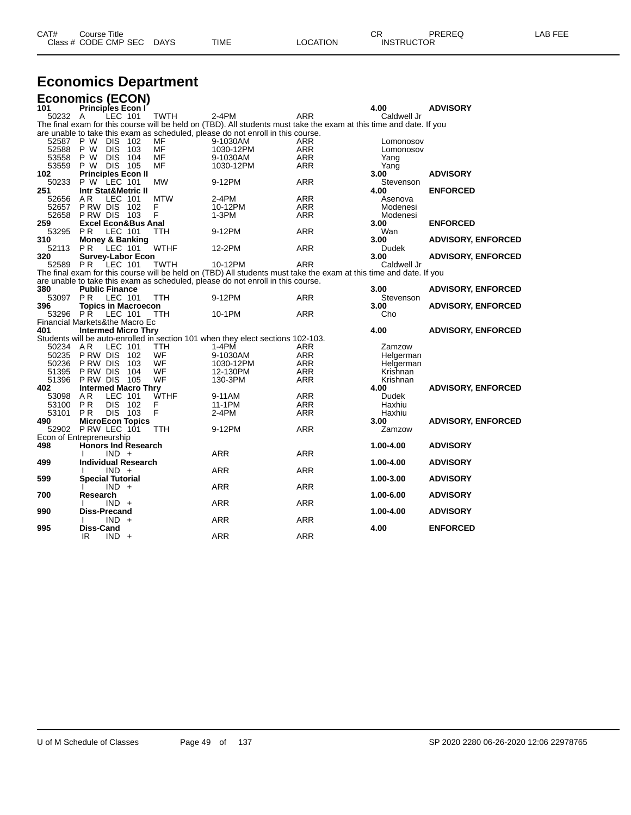| CAT# | Title<br>Course<br>Class # CODE CMP SEC | DAYS | TIME | LOCATION | ΩD.<br>◡<br><b>INSTRUCTOR</b> | PREREQ | . EEF<br>AR |
|------|-----------------------------------------|------|------|----------|-------------------------------|--------|-------------|
|      |                                         |      |      |          |                               |        |             |

## **Economics Department**

| <b>Economics (ECON)</b>        |                                |            |       |             |                                                                                                                     |            |              |                           |
|--------------------------------|--------------------------------|------------|-------|-------------|---------------------------------------------------------------------------------------------------------------------|------------|--------------|---------------------------|
| 101                            | Principles Econ I              |            |       |             |                                                                                                                     |            | 4.00         | <b>ADVISORY</b>           |
| 50232 A                        |                                | LEC 101    |       | <b>TWTH</b> | $2-4PM$                                                                                                             | ARR        | Caldwell Jr  |                           |
|                                |                                |            |       |             | The final exam for this course will be held on (TBD). All students must take the exam at this time and date. If you |            |              |                           |
|                                |                                |            |       |             | are unable to take this exam as scheduled, please do not enroll in this course.                                     |            |              |                           |
| 52587                          | P W                            | <b>DIS</b> | 102   | MF          | 9-1030AM                                                                                                            | ARR        | Lomonosov    |                           |
| 52588                          | P W                            | <b>DIS</b> | 103   | MF          | 1030-12PM                                                                                                           | ARR        | Lomonosov    |                           |
| 53558                          | P W                            | <b>DIS</b> | 104   | MF          | 9-1030AM                                                                                                            | <b>ARR</b> | Yang         |                           |
| 53559                          | P W DIS                        |            | - 105 | <b>MF</b>   | 1030-12PM                                                                                                           | ARR        | Yang         |                           |
| 102                            | <b>Principles Econ II</b>      |            |       |             |                                                                                                                     |            | 3.00         | <b>ADVISORY</b>           |
| 50233                          | P W LEC 101                    |            |       | <b>MW</b>   | 9-12PM                                                                                                              | ARR        | Stevenson    |                           |
| 251                            | <b>Intr Stat&amp;Metric II</b> |            |       |             |                                                                                                                     |            | 4.00         | <b>ENFORCED</b>           |
| 52656                          | A <sub>R</sub>                 | LEC 101    |       | <b>MTW</b>  | 2-4PM                                                                                                               | ARR        | Asenova      |                           |
| 52657                          | P RW DIS                       |            | - 102 | F           | 10-12PM                                                                                                             | <b>ARR</b> | Modenesi     |                           |
| 52658                          | PRW DIS 103                    |            |       | F           | $1-3PM$                                                                                                             | <b>ARR</b> | Modenesi     |                           |
| 259                            | <b>Excel Econ&amp;Bus Anal</b> |            |       |             |                                                                                                                     |            | 3.00         | <b>ENFORCED</b>           |
| 53295                          | P <sub>R</sub>                 | LEC 101    |       | TTH         | 9-12PM                                                                                                              | ARR        | Wan          |                           |
| 310                            | <b>Money &amp; Banking</b>     |            |       |             |                                                                                                                     |            | 3.00         | <b>ADVISORY, ENFORCED</b> |
| 52113                          | <b>PR</b>                      | LEC 101    |       | <b>WTHF</b> | 12-2PM                                                                                                              | <b>ARR</b> | <b>Dudek</b> |                           |
| 320                            | <b>Survey-Labor Econ</b>       |            |       |             |                                                                                                                     |            | 3.00         | <b>ADVISORY, ENFORCED</b> |
| 52589                          | P R                            | LEC 101    |       | <b>TWTH</b> | 10-12PM                                                                                                             | ARR        | Caldwell Jr  |                           |
|                                |                                |            |       |             | The final exam for this course will be held on (TBD) All students must take the exam at this time and date. If you  |            |              |                           |
|                                |                                |            |       |             | are unable to take this exam as scheduled, please do not enroll in this course.                                     |            |              |                           |
| 380                            | <b>Public Finance</b>          |            |       |             |                                                                                                                     |            | 3.00         | <b>ADVISORY, ENFORCED</b> |
| 53097                          | <b>PR</b>                      | LEC 101    |       | <b>TTH</b>  | 9-12PM                                                                                                              | ARR        | Stevenson    |                           |
| 396                            | <b>Topics in Macroecon</b>     |            |       |             |                                                                                                                     |            | 3.00         | <b>ADVISORY, ENFORCED</b> |
| 53296                          | PŔ                             | LEC 101    |       | TTH         | 10-1PM                                                                                                              | ARR        | Cho          |                           |
| Financial Markets&the Macro Ec |                                |            |       |             |                                                                                                                     |            |              |                           |
| 401                            | <b>Intermed Micro Thry</b>     |            |       |             |                                                                                                                     |            | 4.00         | <b>ADVISORY, ENFORCED</b> |
|                                |                                |            |       |             | Students will be auto-enrolled in section 101 when they elect sections 102-103.                                     |            |              |                           |
| 50234                          | AR                             | LEC 101    |       | <b>TTH</b>  | 1-4PM                                                                                                               | ARR        | Zamzow       |                           |
| 50235                          | P RW DIS                       |            | 102   | WF          | 9-1030AM                                                                                                            | <b>ARR</b> | Helgerman    |                           |
| 50236                          | PRW DIS                        |            | 103   | WF          | 1030-12PM                                                                                                           | ARR        | Helgerman    |                           |
| 51395                          | P RW DIS                       |            | 104   | WF          | 12-130PM                                                                                                            | <b>ARR</b> | Krishnan     |                           |
| 51396                          | <b>PRW DIS 105</b>             |            |       | WF          | 130-3PM                                                                                                             | ARR        | Krishnan     |                           |
| 402                            | <b>Intermed Macro Thry</b>     |            |       |             |                                                                                                                     |            | 4.00         | <b>ADVISORY, ENFORCED</b> |
| 53098                          | A <sub>R</sub>                 | LEC 101    |       | <b>WTHF</b> | 9-11AM                                                                                                              | ARR        | Dudek        |                           |
| 53100                          | PR                             | <b>DIS</b> | 102   | F           | 11-1PM                                                                                                              | <b>ARR</b> | Haxhiu       |                           |
| 53101                          | <b>PR</b>                      | <b>DIS</b> | 103   | F           | 2-4PM                                                                                                               | ARR        | Haxhiu       |                           |
| 490                            | <b>MicroEcon Topics</b>        |            |       |             |                                                                                                                     |            | 3.00         | <b>ADVISORY, ENFORCED</b> |
| 52902                          | PRW LEC 101                    |            |       | TTH         | 9-12PM                                                                                                              | <b>ARR</b> | Zamzow       |                           |
| Econ of Entrepreneurship       |                                |            |       |             |                                                                                                                     |            |              |                           |
| 498                            | <b>Honors Ind Research</b>     |            |       |             |                                                                                                                     |            | 1.00-4.00    | <b>ADVISORY</b>           |
|                                |                                | $IND +$    |       |             | <b>ARR</b>                                                                                                          | ARR        |              |                           |
| 499                            | <b>Individual Research</b>     |            |       |             |                                                                                                                     |            | 1.00-4.00    | <b>ADVISORY</b>           |
|                                |                                | $IND +$    |       |             | ARR                                                                                                                 | <b>ARR</b> |              |                           |
| 599                            | <b>Special Tutorial</b>        |            |       |             |                                                                                                                     |            | 1.00-3.00    | <b>ADVISORY</b>           |
|                                |                                | $IND +$    |       |             | <b>ARR</b>                                                                                                          | <b>ARR</b> |              |                           |
| 700                            | Research                       |            |       |             |                                                                                                                     |            | 1.00-6.00    | <b>ADVISORY</b>           |
|                                |                                | $IND +$    |       |             | <b>ARR</b>                                                                                                          | <b>ARR</b> |              |                           |
| 990                            | Diss-Precand                   |            |       |             |                                                                                                                     |            | 1.00-4.00    | <b>ADVISORY</b>           |
|                                |                                | $IND +$    |       |             | <b>ARR</b>                                                                                                          | <b>ARR</b> |              |                           |
| 995                            | <b>Diss-Cand</b>               |            |       |             | <b>ARR</b>                                                                                                          | <b>ARR</b> | 4.00         | <b>ENFORCED</b>           |
|                                | IR.                            | $IND +$    |       |             |                                                                                                                     |            |              |                           |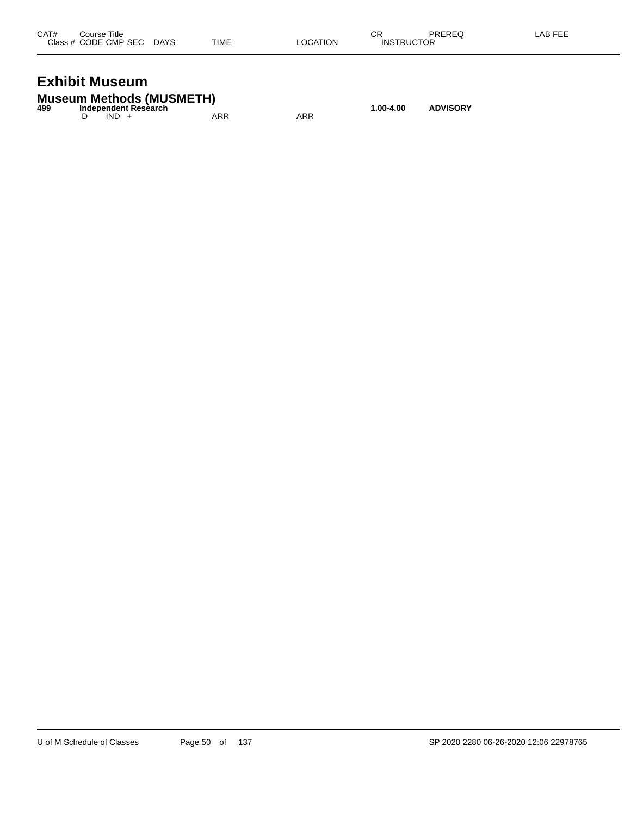| CAT# | Course Title              |      |          | СR                | PREREQ | LAB FEE |
|------|---------------------------|------|----------|-------------------|--------|---------|
|      | Class # CODE CMP SEC DAYS | TIME | LOCATION | <b>INSTRUCTOR</b> |        |         |
|      |                           |      |          |                   |        |         |

### **Exhibit Museum**

|     | <b>Museum Methods (MUSMETH)</b> |     |     |           |                 |
|-----|---------------------------------|-----|-----|-----------|-----------------|
| 499 | Independent Research            |     |     | 1.00-4.00 | <b>ADVISORY</b> |
|     | $IND +$                         | ARR | ARR |           |                 |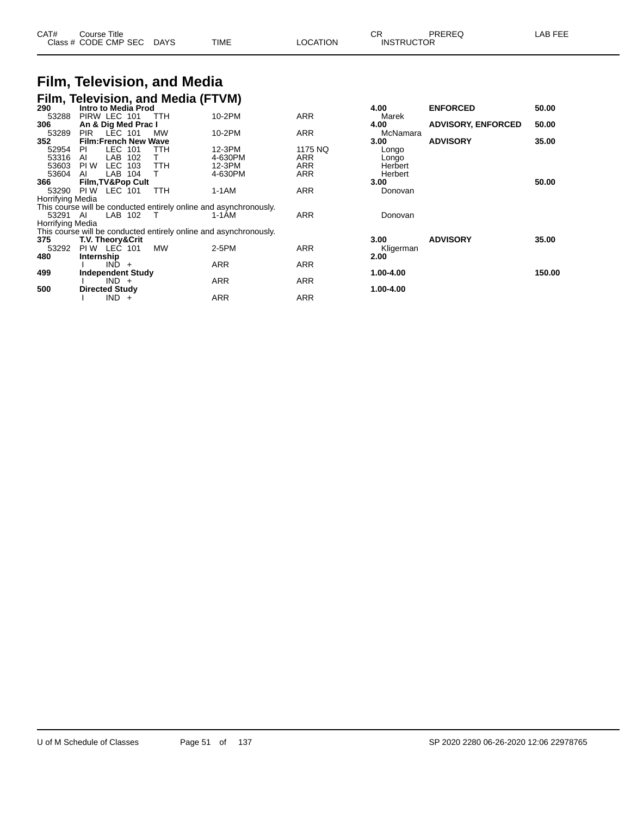| CAT# | Course Title              |      |          | ה ה<br>◡ጙ         | PREREQ | LAB FEE |
|------|---------------------------|------|----------|-------------------|--------|---------|
|      | Class # CODE CMP SEC DAYS | TIME | LOCATION | <b>INSTRUCTOR</b> |        |         |

#### **Film, Television, and Media Film, Television, and Media (FTVM)**

| 290                     | <b>Intro to Media Prod</b>   |         |     |            |                                                                   |            | 4.00      | <b>ENFORCED</b>           | 50.00  |
|-------------------------|------------------------------|---------|-----|------------|-------------------------------------------------------------------|------------|-----------|---------------------------|--------|
|                         |                              |         |     |            |                                                                   |            |           |                           |        |
| 53288                   | PIRW LEC 101                 |         |     | TTH        | 10-2PM                                                            | ARR        | Marek     |                           |        |
| 306                     | An & Dig Med Prac I          |         |     |            |                                                                   |            | 4.00      | <b>ADVISORY, ENFORCED</b> | 50.00  |
| 53289                   | <b>PIR</b>                   | LEC 101 |     | MW         | 10-2PM                                                            | <b>ARR</b> | McNamara  |                           |        |
| 352                     | <b>Film:French New Wave</b>  |         |     |            |                                                                   |            | 3.00      | <b>ADVISORY</b>           | 35.00  |
| 52954                   | PI                           | LEC     | 101 | TTH        | 12-3PM                                                            | 1175 NQ    | Longo     |                           |        |
| 53316                   | Al                           | LAB     | 102 |            | 4-630PM                                                           | <b>ARR</b> | Longo     |                           |        |
|                         |                              |         |     |            |                                                                   |            |           |                           |        |
| 53603                   | PI W                         | LEC     | 103 | <b>TTH</b> | 12-3PM                                                            | ARR        | Herbert   |                           |        |
| 53604                   | AI                           | LAB     | 104 |            | 4-630PM                                                           | <b>ARR</b> | Herbert   |                           |        |
| 366                     | <b>Film, TV&amp;Pop Cult</b> |         |     |            |                                                                   |            | 3.00      |                           | 50.00  |
| 53290                   | PI W                         | LEC 101 |     | TTH        | 1-1AM                                                             | <b>ARR</b> | Donovan   |                           |        |
| <b>Horrifying Media</b> |                              |         |     |            |                                                                   |            |           |                           |        |
|                         |                              |         |     |            | This course will be conducted entirely online and asynchronously. |            |           |                           |        |
| 53291 AI                |                              | LAB 102 |     |            | 1-1AM                                                             | <b>ARR</b> | Donovan   |                           |        |
| <b>Horrifying Media</b> |                              |         |     |            |                                                                   |            |           |                           |        |
|                         |                              |         |     |            | This course will be conducted entirely online and asynchronously. |            |           |                           |        |
| 375                     | <b>T.V. Theory&amp;Crit</b>  |         |     |            |                                                                   |            | 3.00      | <b>ADVISORY</b>           | 35.00  |
|                         |                              |         |     |            |                                                                   |            |           |                           |        |
| 53292                   | PIW LEC 101                  |         |     | <b>MW</b>  | $2-5PM$                                                           | <b>ARR</b> | Kligerman |                           |        |
| 480                     | Internship                   |         |     |            |                                                                   |            | 2.00      |                           |        |
|                         |                              | IND     | $+$ |            | <b>ARR</b>                                                        | ARR        |           |                           |        |
| 499                     | <b>Independent Study</b>     |         |     |            |                                                                   |            | 1.00-4.00 |                           | 150.00 |
|                         |                              | $IND +$ |     |            | ARR                                                               | <b>ARR</b> |           |                           |        |
| 500                     | <b>Directed Study</b>        |         |     |            |                                                                   |            | 1.00-4.00 |                           |        |
|                         |                              |         |     |            |                                                                   |            |           |                           |        |
|                         |                              | $IND +$ |     |            | ARR                                                               | ARR        |           |                           |        |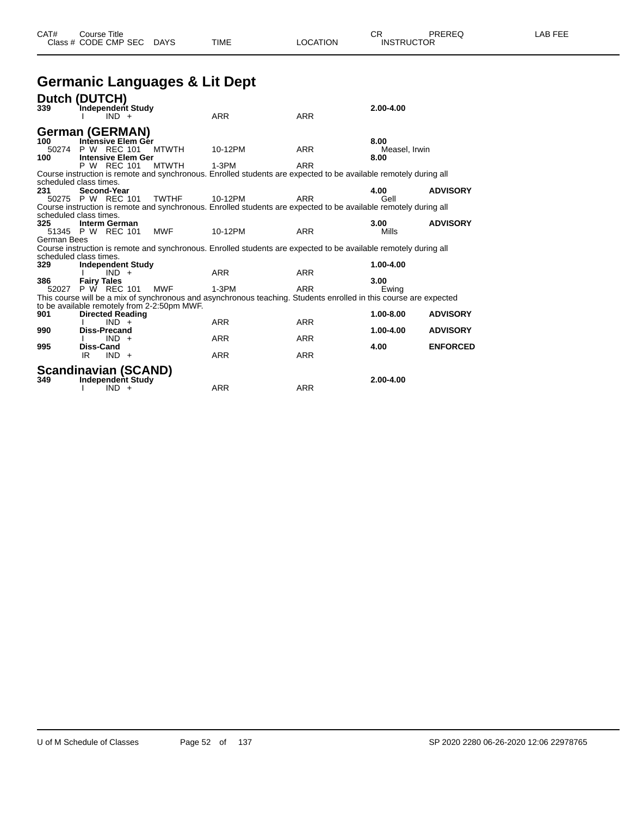### **Germanic Languages & Lit Dept**

|             | Dutch (DUTCH)                         |                                             |                                                                                                                   |            |               |                 |
|-------------|---------------------------------------|---------------------------------------------|-------------------------------------------------------------------------------------------------------------------|------------|---------------|-----------------|
| 339         | Independent Study                     |                                             |                                                                                                                   |            | $2.00 - 4.00$ |                 |
|             | $IND +$                               |                                             | <b>ARR</b>                                                                                                        | <b>ARR</b> |               |                 |
|             | <b>German (GERMAN)</b>                |                                             |                                                                                                                   |            |               |                 |
| 100         | Intensive Elem Ger                    |                                             |                                                                                                                   |            | 8.00          |                 |
| 50274       | P W REC 101                           | <b>MTWTH</b>                                | 10-12PM                                                                                                           | <b>ARR</b> | Measel, Irwin |                 |
| 100         | <b>Intensive Elem Ger</b>             |                                             |                                                                                                                   |            | 8.00          |                 |
|             | P W REC 101                           | <b>MTWTH</b>                                | $1-3PM$                                                                                                           | <b>ARR</b> |               |                 |
|             |                                       |                                             | Course instruction is remote and synchronous. Enrolled students are expected to be available remotely during all  |            |               |                 |
| 231         | scheduled class times.<br>Second-Year |                                             |                                                                                                                   |            | 4.00          | <b>ADVISORY</b> |
|             | 50275 P W REC 101                     | <b>TWTHF</b>                                | 10-12PM                                                                                                           | <b>ARR</b> | Gell          |                 |
|             |                                       |                                             | Course instruction is remote and synchronous. Enrolled students are expected to be available remotely during all  |            |               |                 |
|             | scheduled class times.                |                                             |                                                                                                                   |            |               |                 |
| 325         | Interm German                         |                                             |                                                                                                                   |            | 3.00          | <b>ADVISORY</b> |
|             | 51345 P W REC 101                     | <b>MWF</b>                                  | 10-12PM                                                                                                           | <b>ARR</b> | Mills         |                 |
| German Bees |                                       |                                             |                                                                                                                   |            |               |                 |
|             |                                       |                                             | Course instruction is remote and synchronous. Enrolled students are expected to be available remotely during all  |            |               |                 |
|             | scheduled class times.                |                                             |                                                                                                                   |            |               |                 |
| 329         | <b>Independent Study</b><br>$IND +$   |                                             | <b>ARR</b>                                                                                                        | <b>ARR</b> | 1.00-4.00     |                 |
| 386         | <b>Fairy Tales</b>                    |                                             |                                                                                                                   |            | 3.00          |                 |
|             | 52027 P W REC 101                     | <b>MWF</b>                                  | $1-3PM$                                                                                                           | <b>ARR</b> | Ewing         |                 |
|             |                                       |                                             | This course will be a mix of synchronous and asynchronous teaching. Students enrolled in this course are expected |            |               |                 |
|             |                                       | to be available remotely from 2-2:50pm MWF. |                                                                                                                   |            |               |                 |
| 901         | <b>Directed Reading</b>               |                                             |                                                                                                                   |            | 1.00-8.00     | <b>ADVISORY</b> |
|             | $IND +$                               |                                             | <b>ARR</b>                                                                                                        | <b>ARR</b> |               |                 |
| 990         | <b>Diss-Precand</b>                   |                                             |                                                                                                                   |            | 1.00-4.00     | <b>ADVISORY</b> |
| 995         | $IND +$<br>Diss-Cand                  |                                             | <b>ARR</b>                                                                                                        | <b>ARR</b> | 4.00          | <b>ENFORCED</b> |
|             | IR.<br>$IND +$                        |                                             | ARR                                                                                                               | <b>ARR</b> |               |                 |
|             |                                       |                                             |                                                                                                                   |            |               |                 |
|             | <b>Scandinavian (SCAND)</b>           |                                             |                                                                                                                   |            |               |                 |
| 349         | Independent Study                     |                                             |                                                                                                                   |            | 2.00-4.00     |                 |
|             | $IND +$                               |                                             | <b>ARR</b>                                                                                                        | <b>ARR</b> |               |                 |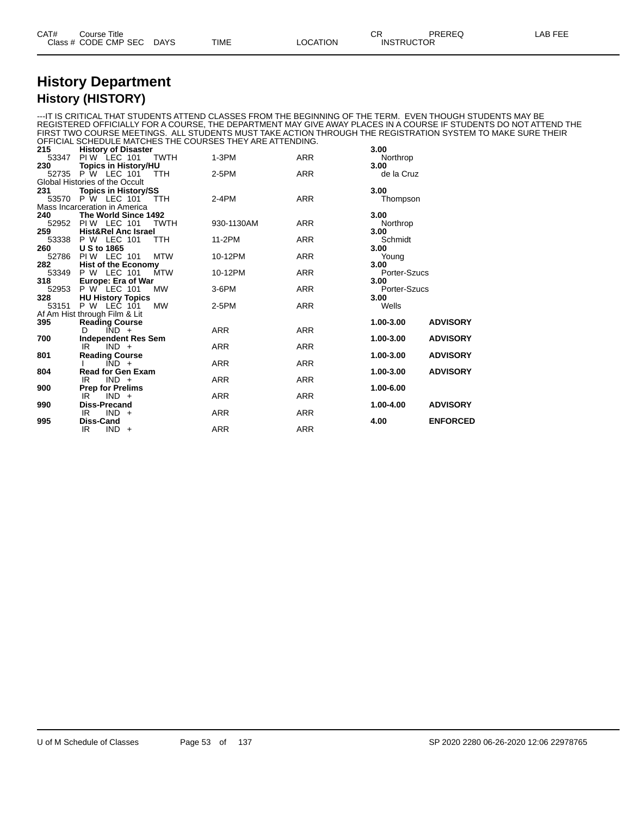| CAT# | Title<br>Course      |             |             |          | ⌒冖<br>◡                       | PREREQ |  |
|------|----------------------|-------------|-------------|----------|-------------------------------|--------|--|
|      | Class # CODE CMP SEC | <b>DAYS</b> | <b>TIME</b> | LOCATION | <b>INSTRUCTOR</b><br>________ |        |  |

#### **History Department History (HISTORY)**

---IT IS CRITICAL THAT STUDENTS ATTEND CLASSES FROM THE BEGINNING OF THE TERM. EVEN THOUGH STUDENTS MAY BE REGISTERED OFFICIALLY FOR A COURSE, THE DEPARTMENT MAY GIVE AWAY PLACES IN A COURSE IF STUDENTS DO NOT ATTEND THE FIRST TWO COURSE MEETINGS. ALL STUDENTS MUST TAKE ACTION THROUGH THE REGISTRATION SYSTEM TO MAKE SURE THEIR OFFICIAL SCHEDULE MATCHES THE COURSES THEY ARE ATTENDING.

| 215   | <b>History of Disaster</b>       |            |            | 3.00                         |
|-------|----------------------------------|------------|------------|------------------------------|
| 53347 | PIW LEC 101<br>TWTH              | $1-3PM$    | <b>ARR</b> | Northrop                     |
| 230   | <b>Topics in History/HU</b>      |            |            | 3.00                         |
| 52735 | <b>P</b> W LEC 101<br><b>TTH</b> | $2-5PM$    | <b>ARR</b> | de la Cruz                   |
|       | Global Histories of the Occult   |            |            |                              |
| 231   | <b>Topics in History/SS</b>      |            |            | 3.00                         |
|       | 53570 P W LEC 101<br><b>TTH</b>  | $2-4PM$    | <b>ARR</b> | Thompson                     |
|       | Mass Incarceration in America    |            |            |                              |
| 240   | The World Since 1492             |            |            | 3.00                         |
| 52952 | PIW LEC 101<br><b>TWTH</b>       | 930-1130AM | <b>ARR</b> | Northrop                     |
| 259   | <b>Hist&amp;Rel Anc Israel</b>   |            |            | 3.00                         |
| 53338 | P W LEC 101<br><b>TTH</b>        | 11-2PM     | <b>ARR</b> | Schmidt                      |
| 260   | <b>U S to 1865</b>               |            |            | 3.00                         |
| 52786 | <b>MTW</b><br>PIW LEC 101        | 10-12PM    | <b>ARR</b> | Young                        |
| 282   | <b>Hist of the Economy</b>       |            |            | 3.00                         |
| 53349 | P W LEC 101<br><b>MTW</b>        | 10-12PM    | <b>ARR</b> | Porter-Szucs                 |
| 318   | Europe: Era of War               |            |            | 3.00                         |
| 52953 | P W LEC 101<br><b>MW</b>         | $3-6$ PM   | <b>ARR</b> | Porter-Szucs                 |
| 328   | <b>HU History Topics</b>         |            |            | 3.00                         |
| 53151 | P W LEC 101<br><b>MW</b>         | $2-5PM$    | <b>ARR</b> | Wells                        |
|       | Af Am Hist through Film & Lit    |            |            |                              |
| 395   | <b>Reading Course</b>            |            |            | <b>ADVISORY</b><br>1.00-3.00 |
|       | D<br>$IND +$                     | <b>ARR</b> | <b>ARR</b> |                              |
| 700   | <b>Independent Res Sem</b>       |            |            | <b>ADVISORY</b><br>1.00-3.00 |
|       | $IND +$<br>IR                    | <b>ARR</b> | <b>ARR</b> |                              |
| 801   | <b>Reading Course</b>            |            |            | 1.00-3.00<br><b>ADVISORY</b> |
|       | $IND +$                          | <b>ARR</b> | <b>ARR</b> |                              |
| 804   | <b>Read for Gen Exam</b>         |            |            | <b>ADVISORY</b><br>1.00-3.00 |
|       | $IND +$<br>IR                    | <b>ARR</b> | <b>ARR</b> |                              |
| 900   | <b>Prep for Prelims</b>          |            |            | 1.00-6.00                    |
|       | $IND +$<br>IR                    | <b>ARR</b> | <b>ARR</b> |                              |
| 990   | <b>Diss-Precand</b>              |            |            | <b>ADVISORY</b><br>1.00-4.00 |
|       | $IND +$<br>IR.                   | <b>ARR</b> | <b>ARR</b> |                              |
| 995   | <b>Diss-Cand</b>                 |            |            | <b>ENFORCED</b><br>4.00      |
|       | IR.<br>$IND +$                   | <b>ARR</b> | <b>ARR</b> |                              |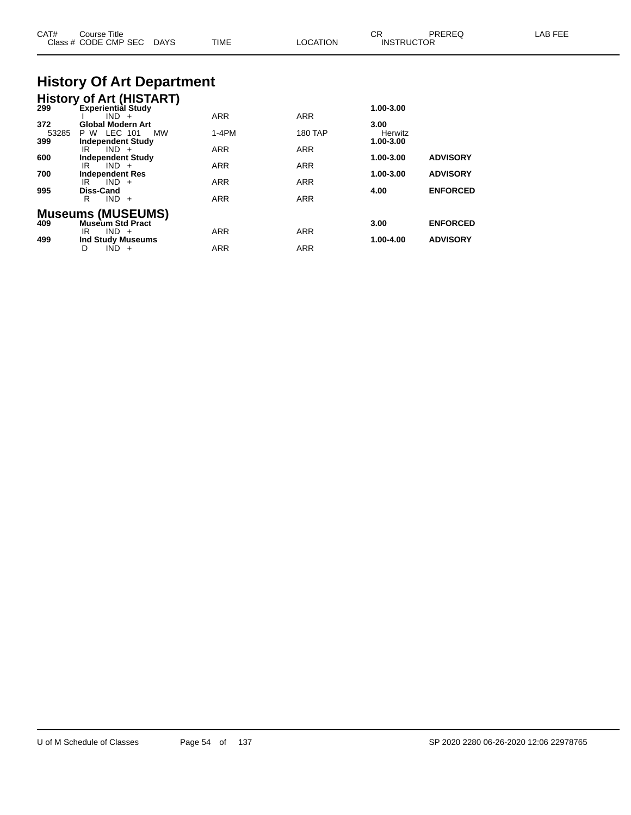| CAT#                | Course Title<br>Class # CODE CMP SEC<br>DAYS                              | <b>TIME</b>       | <b>LOCATION</b>          | <b>CR</b><br><b>INSTRUCTOR</b>            | PREREQ                             | LAB FEE |
|---------------------|---------------------------------------------------------------------------|-------------------|--------------------------|-------------------------------------------|------------------------------------|---------|
|                     | <b>History Of Art Department</b>                                          |                   |                          |                                           |                                    |         |
|                     | <b>History of Art (HISTART)</b><br>299 Experiential Study<br>$IND +$      | ARR               | <b>ARR</b>               | 1.00-3.00                                 |                                    |         |
| 372<br>53285<br>399 | <b>Global Modern Art</b><br>P W LEC 101<br>MW<br><b>Independent Study</b> | $1-4PM$           | <b>180 TAP</b>           | 3.00 <sub>1</sub><br>Herwitz<br>1.00-3.00 |                                    |         |
| 600                 | $IND +$<br>IR<br><b>Independent Study</b><br>$IND +$<br>IR                | <b>ARR</b><br>ARR | <b>ARR</b><br><b>ARR</b> | 1.00-3.00                                 | <b>ADVISORY</b>                    |         |
| 700<br>995          | <b>Independent Res</b><br>$IND +$<br>IR<br>Diss-Cand                      | <b>ARR</b>        | <b>ARR</b>               | 1.00-3.00<br>4.00                         | <b>ADVISORY</b><br><b>ENFORCED</b> |         |
|                     | $IND +$<br>R.                                                             | <b>ARR</b>        | <b>ARR</b>               |                                           |                                    |         |
| 409                 | <b>Museums (MUSEUMS)</b><br><b>Museum Std Pract</b><br>$IND +$<br>IR      | ARR               | <b>ARR</b>               | 3.00                                      | <b>ENFORCED</b>                    |         |
| 499                 | <b>Ind Study Museums</b><br>$IND +$<br>D                                  | ARR               | ARR                      | 1.00-4.00                                 | <b>ADVISORY</b>                    |         |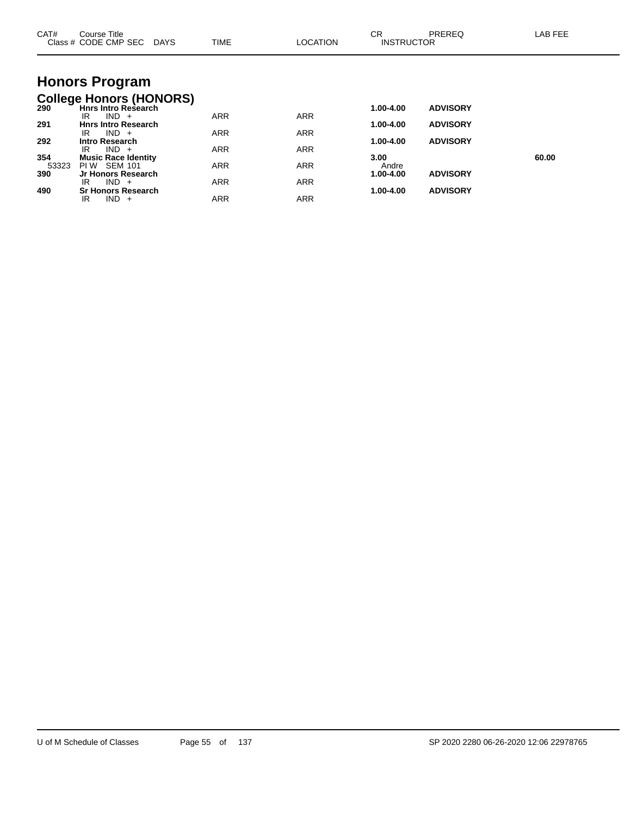| CAT#         | Course Title<br>Class # CODE CMP SEC DAYS                                      | <b>TIME</b> | <b>LOCATION</b> | CR<br><b>INSTRUCTOR</b> | PREREQ          | LAB FEE |
|--------------|--------------------------------------------------------------------------------|-------------|-----------------|-------------------------|-----------------|---------|
|              | <b>Honors Program</b>                                                          |             |                 |                         |                 |         |
| 290          | <b>College Honors (HONORS)</b><br><b>Hnrs Intro Research</b><br>$IND +$<br>IR. | ARR         | ARR             | 1.00-4.00               | <b>ADVISORY</b> |         |
| 291          | <b>Hnrs Intro Research</b><br>$IND +$<br>IR                                    | <b>ARR</b>  | <b>ARR</b>      | 1.00-4.00               | <b>ADVISORY</b> |         |
| 292          | <b>Intro Research</b><br>$IND +$<br>IR.                                        | <b>ARR</b>  | <b>ARR</b>      | 1.00-4.00               | <b>ADVISORY</b> |         |
| 354<br>53323 | <b>Music Race Identity</b><br><b>SEM 101</b><br>PI W                           | <b>ARR</b>  | <b>ARR</b>      | 3.00<br>Andre           |                 | 60.00   |
| 390          | Jr Honors Research<br>$IND +$<br>IR.                                           | <b>ARR</b>  | <b>ARR</b>      | 1.00-4.00               | <b>ADVISORY</b> |         |
| 490          | <b>Sr Honors Research</b><br>$IND +$<br>IR                                     | <b>ARR</b>  | <b>ARR</b>      | 1.00-4.00               | <b>ADVISORY</b> |         |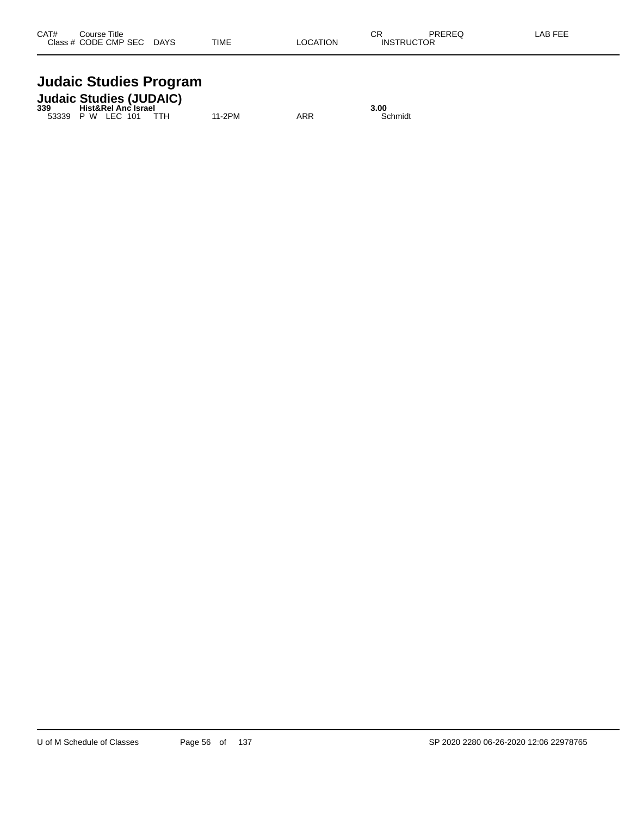## **Judaic Studies Program**

|     | <b>Judaic Studies (JUDAIC)</b> |        |     |         |
|-----|--------------------------------|--------|-----|---------|
| 339 | <b>Hist&amp;Rel Anc Israel</b> |        |     | 3.00    |
|     | 53339 P W LEC 101              | 11-2PM | ARR | Schmidt |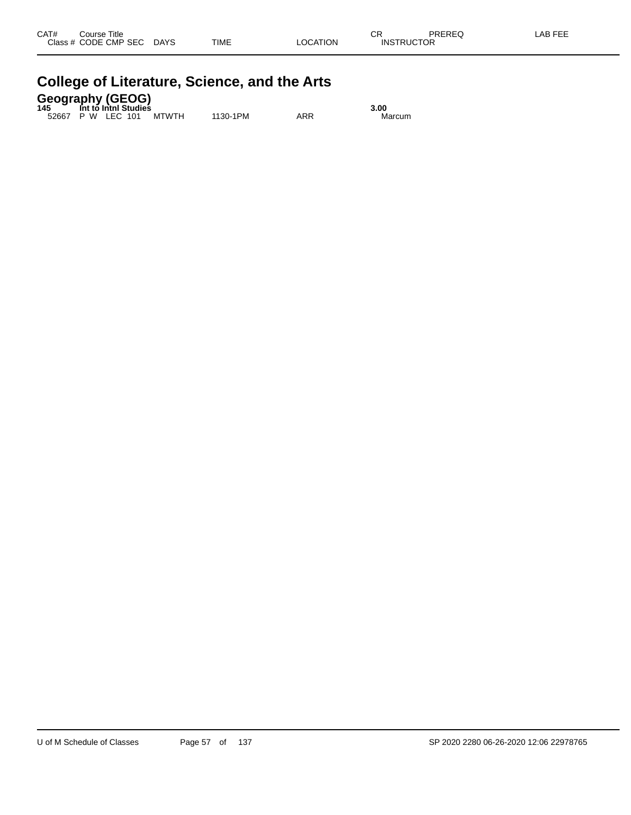| CAT# | Course Title<br>Class # CODE CMP SEC | <b>DAYS</b> | <b>TIME</b> | <b>LOCATION</b> | СR<br><b>INSTRUCTOR</b> | PREREQ | LAB FEE |
|------|--------------------------------------|-------------|-------------|-----------------|-------------------------|--------|---------|
|      |                                      |             |             |                 |                         |        |         |

| <b>College of Literature, Science, and the Arts</b> |  |
|-----------------------------------------------------|--|
|                                                     |  |

| <b>Geography (GEOG)</b><br>145 Int to Inthi Studies |      |
|-----------------------------------------------------|------|
|                                                     | 3.00 |

52667 P W LEC 101 MTWTH 1130-1PM ARR Marcum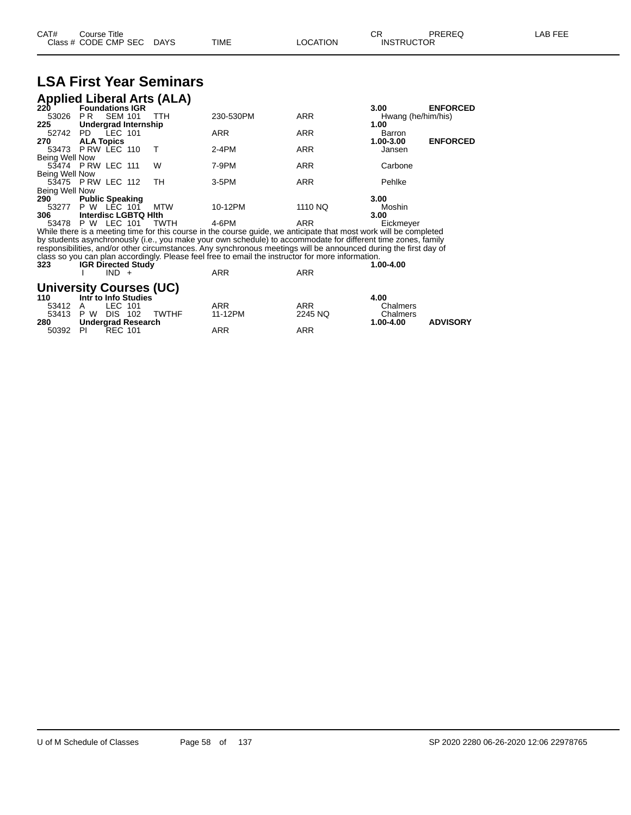| CAT# | Title<br>ڪourse      |      |      |          | $\cap$<br>- UN    | PREREQ | . EEF<br>A <sub>R</sub> |
|------|----------------------|------|------|----------|-------------------|--------|-------------------------|
|      | Class # CODE CMP SEC | DAYS | TIME | LOCATION | <b>INSTRUCTOR</b> |        |                         |

## **LSA First Year Seminars**

| <b>Applied Liberal Arts (ALA)</b> |                             |                |  |      |                                                                                                                   |            |                    |                 |
|-----------------------------------|-----------------------------|----------------|--|------|-------------------------------------------------------------------------------------------------------------------|------------|--------------------|-----------------|
| 220                               | <b>Foundations IGR</b>      |                |  |      |                                                                                                                   |            | 3.00               | <b>ENFORCED</b> |
| 53026                             | PR.                         | <b>SEM 101</b> |  | TTH  | 230-530PM                                                                                                         | <b>ARR</b> | Hwang (he/him/his) |                 |
| 225                               | Undergrad Internship        |                |  |      |                                                                                                                   |            | 1.00               |                 |
| 52742 PD LEC 101                  |                             |                |  |      | <b>ARR</b>                                                                                                        | <b>ARR</b> | Barron             |                 |
| 270                               | <b>ALA Topics</b>           |                |  |      |                                                                                                                   |            | 1.00-3.00          | <b>ENFORCED</b> |
| 53473                             | PRW LEC 110                 |                |  |      | $2-4PM$                                                                                                           | <b>ARR</b> | Jansen             |                 |
| Being Well Now                    |                             |                |  |      |                                                                                                                   |            |                    |                 |
| 53474 P RW LEC 111                |                             |                |  | W    | 7-9PM                                                                                                             | <b>ARR</b> | Carbone            |                 |
| <b>Being Well Now</b>             |                             |                |  |      |                                                                                                                   |            |                    |                 |
| 53475 P RW LEC 112                |                             |                |  | TН   | 3-5PM                                                                                                             | <b>ARR</b> | Pehlke             |                 |
| Being Well Now                    |                             |                |  |      |                                                                                                                   |            |                    |                 |
| 290<br>53277 P W LEC 101          | <b>Public Speaking</b>      |                |  | MTW  | 10-12PM                                                                                                           | 1110 NQ    | 3.00               |                 |
| 306                               | <b>Interdisc LGBTQ Hith</b> |                |  |      |                                                                                                                   |            | Moshin<br>3.00     |                 |
| 53478 P W LEC 101                 |                             |                |  | TWTH | 4-6PM                                                                                                             | ARR        | Eickmeyer          |                 |
|                                   |                             |                |  |      | While there is a meeting time for this course in the course guide, we anticipate that most work will be completed |            |                    |                 |
|                                   |                             |                |  |      | by students asynchronously (i.e., you make your own schedule) to accommodate for different time zones, family     |            |                    |                 |
|                                   |                             |                |  |      | responsibilities, and/or other circumstances. Any synchronous meetings will be announced during the first day of  |            |                    |                 |
|                                   |                             |                |  |      | class so you can plan accordingly. Please feel free to email the instructor for more information.                 |            |                    |                 |
| ົ                                 | $\mathbf{R}$                |                |  |      |                                                                                                                   |            | , <u>.</u>         |                 |

| 323                  | <b>IGR Directed Study</b><br>$IND +$                   | <b>ARR</b>            | <b>ARR</b>            | 1.00-4.00                    |
|----------------------|--------------------------------------------------------|-----------------------|-----------------------|------------------------------|
| 110                  | <b>University Courses (UC)</b><br>Intr to Info Studies |                       |                       | 4.00                         |
| 53412 A<br>53413 P W | LEC 101<br>TWTHF<br>DIS 102                            | <b>ARR</b><br>11-12PM | <b>ARR</b><br>2245 NQ | Chalmers<br>Chalmers         |
| 280<br>50392         | Undergrad Research<br>- PI<br>REC 101                  | ARR                   | ARR                   | <b>ADVISORY</b><br>1.00-4.00 |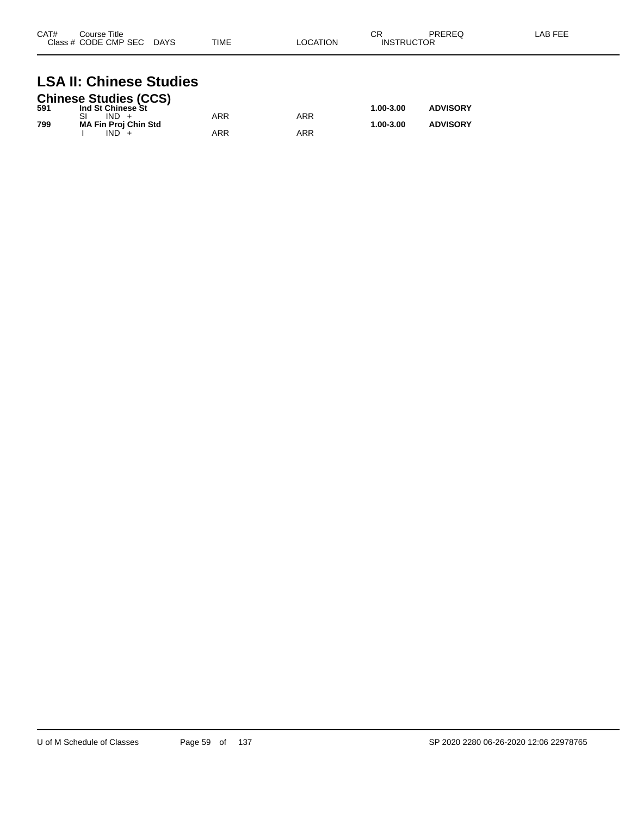| CAT#<br>Class # | Course Title<br>CODE CMP SEC | <b>DAYS</b> | <b>TIME</b> | ` OCATION | ∼⊏<br>◡∩<br>ICTOR<br>″D′<br>INS⊤"<br>ιк | <b>DDEDEA</b><br><b>INCINCY</b> | AR FFF |
|-----------------|------------------------------|-------------|-------------|-----------|-----------------------------------------|---------------------------------|--------|
|                 |                              |             |             |           |                                         |                                 |        |

### **LSA II: Chinese Studies**

|     | <b>Chinese Studies (CCS)</b> |     |     |           |                 |
|-----|------------------------------|-----|-----|-----------|-----------------|
| 591 | Ind St Chinese St            |     |     | 1.00-3.00 | <b>ADVISORY</b> |
|     | $IND +$                      | ARR | ARR |           |                 |
| 799 | <b>MA Fin Proj Chin Std</b>  |     |     | 1.00-3.00 | <b>ADVISORY</b> |
|     | $IND +$                      | ARR | ARR |           |                 |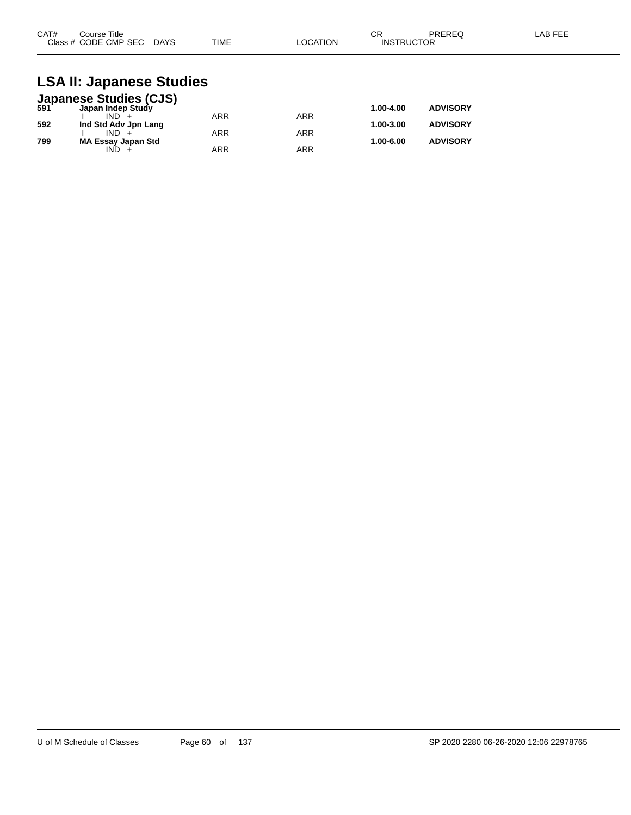| CAT# | ourse Titleٽ<br>Class # CODE CMP SEC DAYS | <b>TIME</b> | LOCATION | ⌒冖<br>◡┍<br><b>INSTRUCTOR</b> | PREREQ | LAB FEE |
|------|-------------------------------------------|-------------|----------|-------------------------------|--------|---------|
|      |                                           |             |          |                               |        |         |

### **LSA II: Japanese Studies**

|     | <b>Japanese Studies (CJS)</b><br>591 Japan Indep Study |            |            |           |                 |
|-----|--------------------------------------------------------|------------|------------|-----------|-----------------|
|     |                                                        |            |            | 1.00-4.00 | <b>ADVISORY</b> |
|     | $IND +$                                                | <b>ARR</b> | ARR        |           |                 |
| 592 | Ind Std Adv Jpn Lang                                   |            |            | 1.00-3.00 | <b>ADVISORY</b> |
|     | $IND +$                                                | <b>ARR</b> | <b>ARR</b> |           |                 |
| 799 | <b>MA Essay Japan Std</b>                              |            |            | 1.00-6.00 | <b>ADVISORY</b> |
|     | IND.                                                   | <b>ARR</b> | ARR        |           |                 |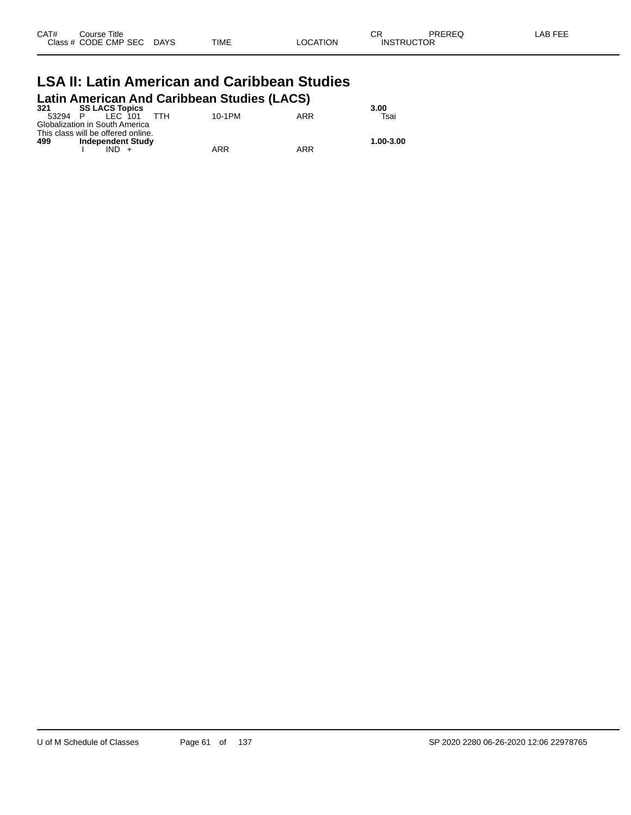| CAT# | Course Title              |      |          | ◠г                | PREREQ | LAB FEE |
|------|---------------------------|------|----------|-------------------|--------|---------|
|      | Class # CODE CMP SEC DAYS | TIME | LOCATION | <b>INSTRUCTOR</b> |        |         |

#### **LSA II: Latin American and Caribbean Studies Latin American And Caribbean Studies (LACS)**

| 321     | <b>SS LACS Topics</b>              |     |        |     | 3.00      |
|---------|------------------------------------|-----|--------|-----|-----------|
| 53294 P | IFC 101                            | ттн | 10-1PM | ARR | Tsai      |
|         | Globalization in South America     |     |        |     |           |
|         | This class will be offered online. |     |        |     |           |
| 499     | <b>Independent Study</b>           |     |        |     | 1.00-3.00 |
|         |                                    |     | ARR    | ARR |           |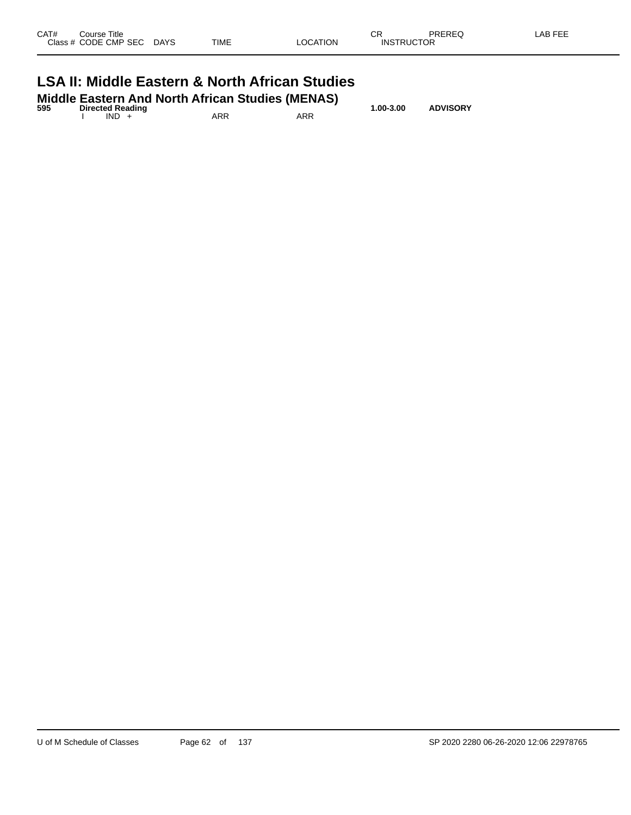| Class # CODE CMP SEC DAYS                                 |  | TIME | LOCATION | <b>INSTRUCTOR</b> |  |  |  |  |
|-----------------------------------------------------------|--|------|----------|-------------------|--|--|--|--|
| <b>LSA II: Middle Eastern &amp; North African Studies</b> |  |      |          |                   |  |  |  |  |

| 595 | Middle Eastern And North African Studies (MENAS)<br><b>Directed Reading</b> |      |  |     |     | 1.00-3.00 | <b>ADVISORY</b> |  |
|-----|-----------------------------------------------------------------------------|------|--|-----|-----|-----------|-----------------|--|
|     |                                                                             | IND. |  | ARR | ARR |           |                 |  |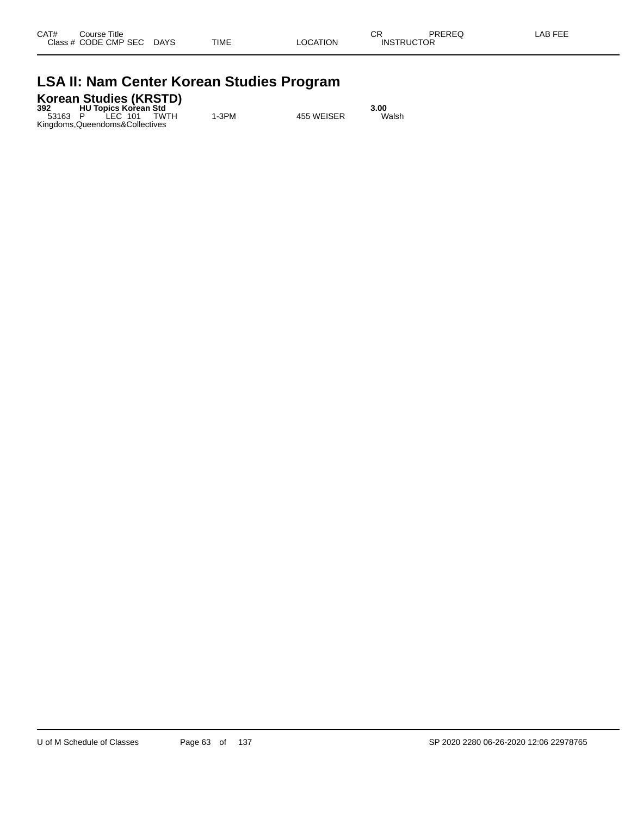### **LSA II: Nam Center Korean Studies Program**

### **Korean Studies (KRSTD) 392 HU Topics Korean Std 3.00**

53163 P LEC 101 TWTH 1-3PM 455 WEISER Walsh Kingdoms,Queendoms&Collectives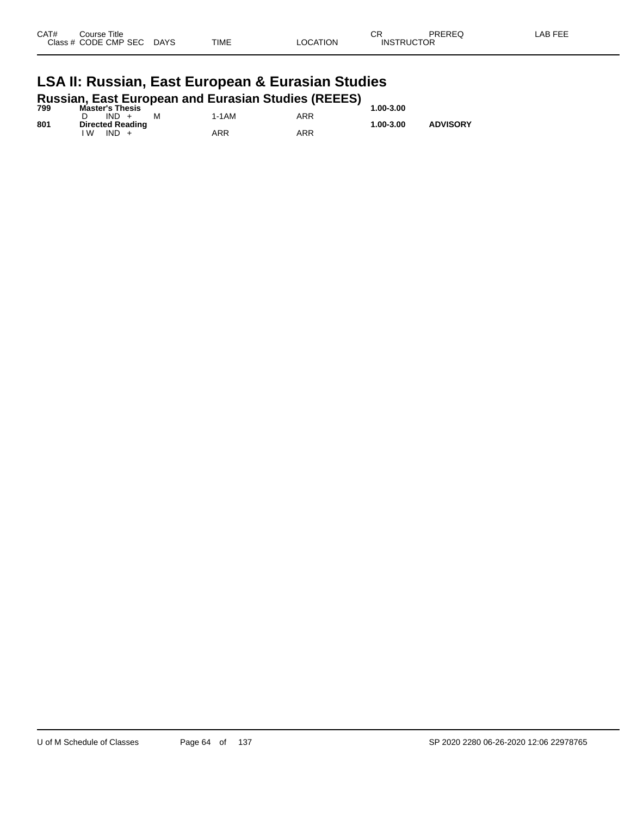| CAT#         | Title<br>Course                                   |                       |             |                           | ⌒冖<br>u١         | <b>DDEDEC</b><br>ט∟יו |  |
|--------------|---------------------------------------------------|-----------------------|-------------|---------------------------|------------------|-----------------------|--|
| <b>Class</b> | <b>CODE</b><br><b>CMP</b><br>0.000<br>5EU<br>$ -$ | <b>DAYS</b><br>$\sim$ | <b>TIME</b> | TION<br>$\cdot$ $\Lambda$ | INC<br>' IC<br>້ | ___                   |  |
|              |                                                   |                       |             |                           |                  |                       |  |

#### **LSA II: Russian, East European & Eurasian Studies Russian, East European and Eurasian Studies (REEES)**

| 799 | Master's Thesis         |       |     | 1.00-3.00 |                 |
|-----|-------------------------|-------|-----|-----------|-----------------|
|     | $IND +$<br>M            | 1-1AM | ARR |           |                 |
| 801 | <b>Directed Reading</b> |       |     | 1.00-3.00 | <b>ADVISORY</b> |
|     | IND<br>۱W               | ARR   | ARR |           |                 |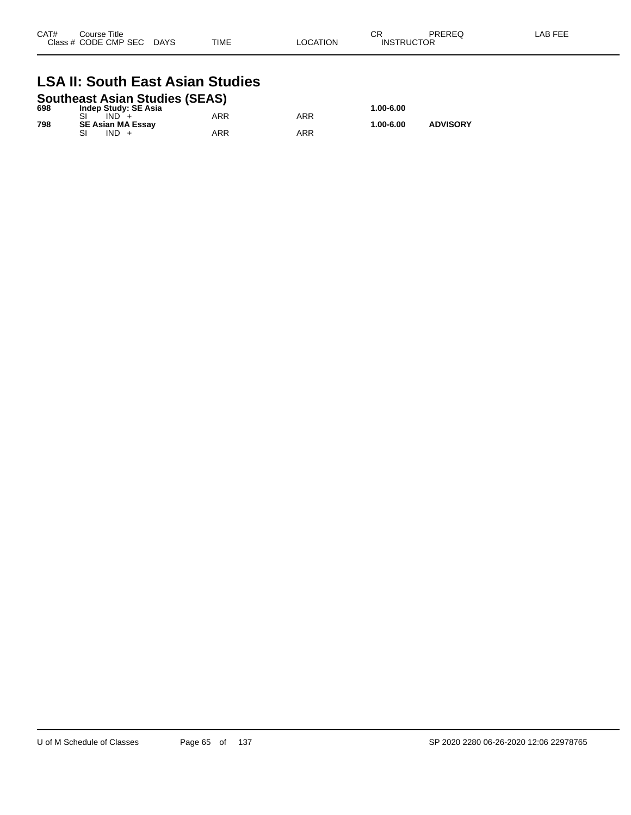| CAT# | Course Title<br>Class # CODE CMP SEC | <b>DAYS</b> | TIME | LOCATION | Ωn<br>◡<br><b>INSTRUCTOR</b> | <b>PREREQ</b> | LAB FEE |
|------|--------------------------------------|-------------|------|----------|------------------------------|---------------|---------|
|      |                                      |             |      |          |                              |               |         |

### **LSA II: South East Asian Studies**

### **Southeast Asian Studies (SEAS) 698 Indep Study: SE Asia 1.00-6.00**

| 698 | indep Study: SE Asia     |     |     | 1.00-6.00 |                 |
|-----|--------------------------|-----|-----|-----------|-----------------|
|     | IND.                     | ARR | ARR |           |                 |
| 798 | <b>SE Asian MA Essav</b> |     |     | 1.00-6.00 | <b>ADVISORY</b> |
|     | IND.                     | ARR | ARR |           |                 |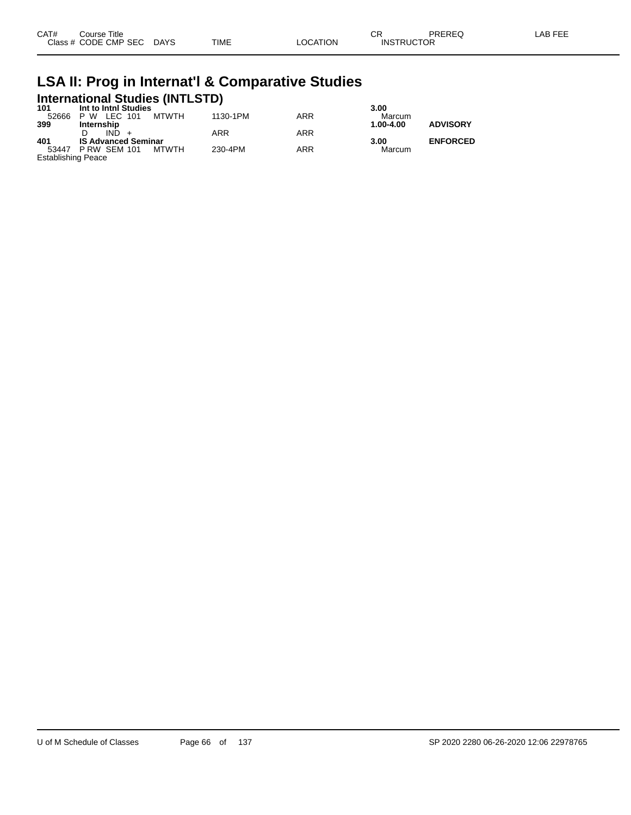| CAT# | Course Title         |             |      |          | Ωn<br>- UN        | PREREQ | _AB FEE |
|------|----------------------|-------------|------|----------|-------------------|--------|---------|
|      | Class # CODE CMP SEC | <b>DAYS</b> | TIME | LOCATION | <b>INSTRUCTOR</b> |        |         |

## **LSA II: Prog in Internat'l & Comparative Studies International Studies (INTLSTD) 101 Int to Intnl Studies 3.00**

| 1 U I              | <b>IIIU IV IIIUII SUUUIES</b> |          |     | .J.UU     |                 |
|--------------------|-------------------------------|----------|-----|-----------|-----------------|
| 52666              | MTWTH<br>P W LEC 101          | 1130-1PM | ARR | Marcum    |                 |
| 399                | Internship                    |          |     | 1.00-4.00 | <b>ADVISORY</b> |
|                    | $IND +$                       | ARR      | ARR |           |                 |
| 401                | <b>IS Advanced Seminar</b>    |          |     | 3.00      | <b>ENFORCED</b> |
| 53447              | MTWTH<br>PRW SEM 101          | 230-4PM  | ARR | Marcum    |                 |
| Establishing Peace |                               |          |     |           |                 |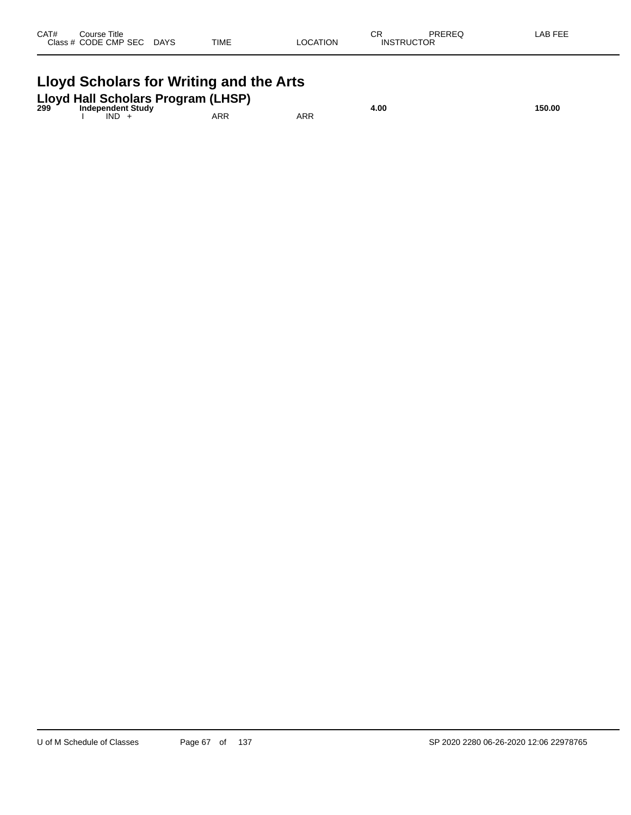| CAT# | Course Title         |             |             |          | ∩⊓<br>- UN        | PREREQ | -AB FEE |
|------|----------------------|-------------|-------------|----------|-------------------|--------|---------|
|      | Class # CODE CMP SEC | <b>DAYS</b> | <b>TIME</b> | LOCATION | <b>INSTRUCTOR</b> |        |         |
|      |                      |             |             |          |                   |        |         |

## **Lloyd Scholars for Writing and the Arts**

| 299 |      | Lloyd Hall Scholars Program (LHSP)<br><b>Independent Study</b> |     |     | 4.00 | 150.00 |
|-----|------|----------------------------------------------------------------|-----|-----|------|--------|
|     | IND. |                                                                | ARR | ARR |      |        |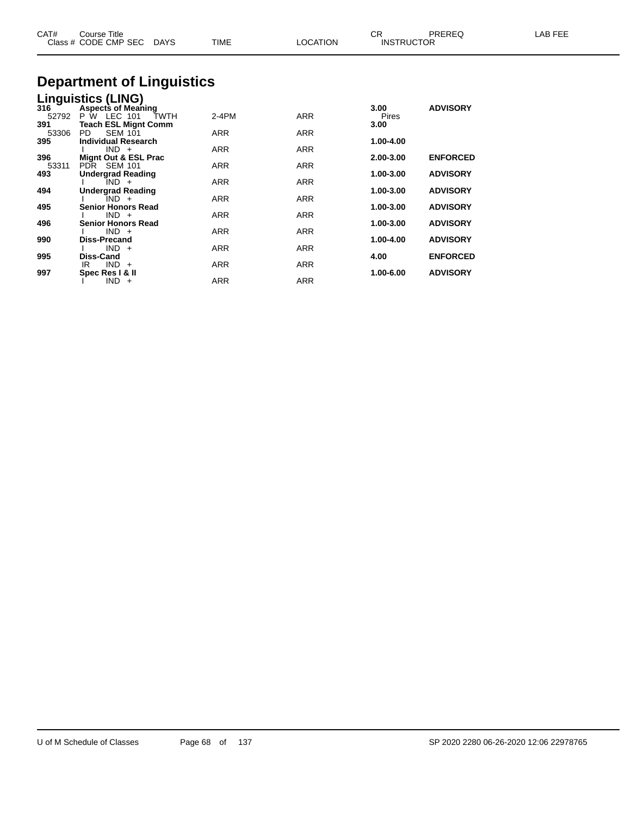| CAT#                | Course Title<br>Class # CODE CMP SEC DAYS                                              | TIME       | <b>LOCATION</b> | CR.<br><b>INSTRUCTOR</b> | PREREQ          | LAB FEE |
|---------------------|----------------------------------------------------------------------------------------|------------|-----------------|--------------------------|-----------------|---------|
|                     | <b>Department of Linguistics</b>                                                       |            |                 |                          |                 |         |
|                     | <b>Linguistics (LING)</b>                                                              |            |                 |                          |                 |         |
| 316<br>52792<br>391 | <b>Aspects of Meaning</b><br>P W LEC 101<br><b>TWTH</b><br><b>Teach ESL Mignt Comm</b> | 2-4PM      | <b>ARR</b>      | 3.00<br>Pires<br>3.00    | <b>ADVISORY</b> |         |
| 53306               | <b>SEM 101</b><br>PD.                                                                  | ARR        | ARR             |                          |                 |         |
| 395                 | <b>Individual Research</b>                                                             |            |                 | 1.00-4.00                |                 |         |
|                     | $IND +$                                                                                | <b>ARR</b> | ARR             |                          |                 |         |
| 396<br>53311        | Mignt Out & ESL Prac<br>PDR SEM 101                                                    | <b>ARR</b> | ARR             | 2.00-3.00                | <b>ENFORCED</b> |         |
| 493                 | <b>Undergrad Reading</b>                                                               |            |                 | 1.00-3.00                | <b>ADVISORY</b> |         |
|                     | IND +                                                                                  | ARR        | ARR             |                          |                 |         |
| 494                 | <b>Undergrad Reading</b>                                                               |            |                 | 1.00-3.00                | <b>ADVISORY</b> |         |
| 495                 | $IND +$<br><b>Senior Honors Read</b>                                                   | ARR        | ARR             | 1.00-3.00                | <b>ADVISORY</b> |         |
|                     | $IND +$                                                                                | <b>ARR</b> | ARR             |                          |                 |         |
| 496                 | <b>Senior Honors Read</b>                                                              |            |                 | 1.00-3.00                | <b>ADVISORY</b> |         |
|                     | $IND +$                                                                                | ARR        | ARR             |                          |                 |         |
| 990                 | <b>Diss-Precand</b>                                                                    |            |                 | 1.00-4.00                | <b>ADVISORY</b> |         |
| 995                 | $IND +$<br><b>Diss-Cand</b>                                                            | ARR        | ARR             | 4.00                     | <b>ENFORCED</b> |         |
|                     | $IND +$<br>IR                                                                          | ARR        | ARR             |                          |                 |         |
| 997                 | Spec Res I & II                                                                        |            |                 | 1.00-6.00                | <b>ADVISORY</b> |         |

I IND + ARR ARR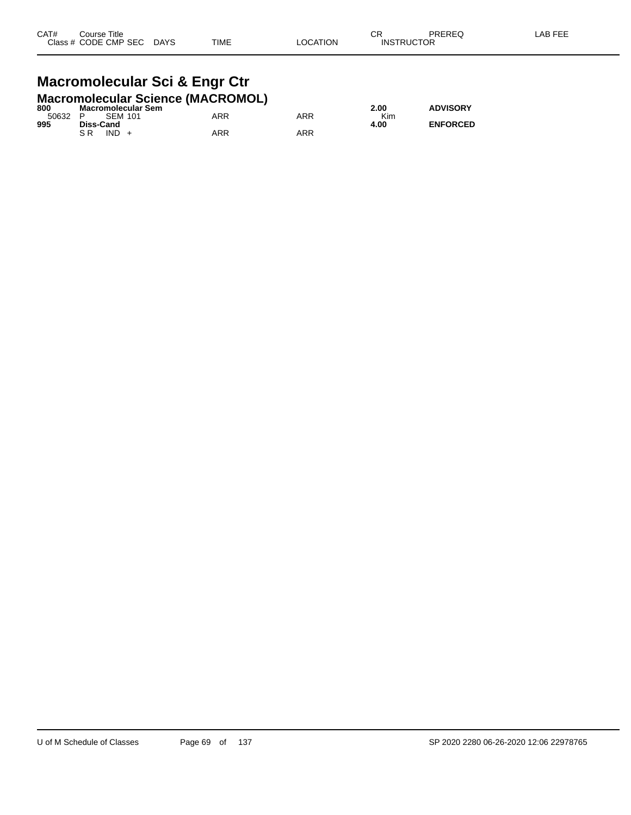#### **Macromolecular Sci & Engr Ctr Macromolecular Science (MACROMOL)**

| 800 | Macromolecular Sem |     |     | 2.00 | <b>ADVISORY</b> |
|-----|--------------------|-----|-----|------|-----------------|
|     | 50632 P SEM 101    | ARR | ARR | Kim  |                 |
| 995 | Diss-Cand          |     |     | 4.00 | <b>ENFORCED</b> |
|     | $IND +$<br>S R     | ARR | ARR |      |                 |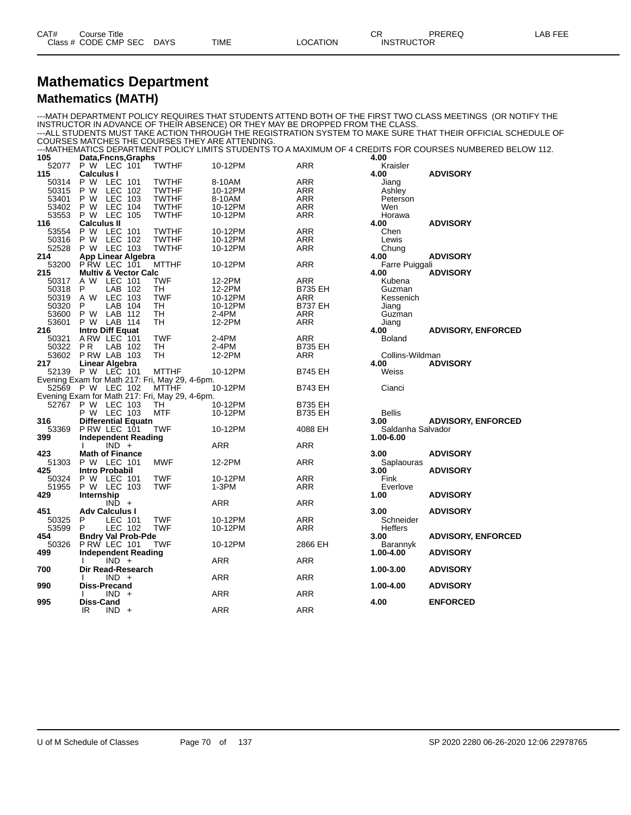#### **Mathematics Department Mathematics (MATH)**

#### ---MATH DEPARTMENT POLICY REQUIRES THAT STUDENTS ATTEND BOTH OF THE FIRST TWO CLASS MEETINGS (OR NOTIFY THE INSTRUCTOR IN ADVANCE OF THEIR ABSENCE) OR THEY MAY BE DROPPED FROM THE CLASS. ---ALL STUDENTS MUST TAKE ACTION THROUGH THE REGISTRATION SYSTEM TO MAKE SURE THAT THEIR OFFICIAL SCHEDULE OF COURSES MATCHES THE COURSES THEY ARE ATTENDING. ---MATHEMATICS DEPARTMENT POLICY LIMITS STUDENTS TO A MAXIMUM OF 4 CREDITS FOR COURSES NUMBERED BELOW 112. **105 Data,Fncns,Graphs 4.00** 52077 P W LEC 101 TWTHF 10-12PM ARR Kraisler **115 Calculus I 4.00 ADVISORY** 50314 P W LEC 101 TWTHF 8-10AM ARR Jiang 50315 P W LEC 102 TWTHF 10-12PM ARR Ashley 53401 P W LEC 103 TWTHF 8-10AM ARR Peterson 53402 P W LEC 104 TWTHF 10-12PM ARR Wen 53553 P W LEC 105 TWTHF 10-12PM ARR Horawa **116 Calculus II 4.00 ADVISORY** 53554 P W LEC 101 TWTHF 10-12PM ARR Chen 50316 P W LEC 102 TWTHF 10-12PM ARR Lewis 52528 P W LEC 103 TWTHF 10-12PM ARR Chung **214 App Linear Algebra 1996 <b>ADVISORY**<br>
53200 PRW LEC 101 MTTHF 10-12PM ARR Farre Puiggali <sup>-</sup> 53200 P RW LEC 101 MTTHF 10-12PM ARR Farre Puiggali<br>215 Multiv & Vector Calc 100 ADVISORY **215 Multiv & Vector Calc 215 222 <b>ADVISORS**<br> **215 ADVISORS 215 ADVISORS**<br> **212-2PM ADVISORS ADVISORS**<br> **212-2PM B735 EH** Guzman 50317 A W LEC 101 TWF 12-2PM ARR Kubena 50318 P LAB 102 TH 12-2PM B735 EH Guzman 50319 A W LEC 103 TWF 10-12PM ARR Kessenich 50320 P LAB 104 TH 10-12PM B737 EH Jiang 53600 P W LAB 112 TH 2-4PM ARR Guzman 53601 P W LAB 114 TH 12-2PM ARR Jiang **2.4PM**<br> **2.4PM**<br>
2.2PM ARR Guzman<br>
216 **Intro Diff Equat**<br>
216 **Intro Diff Equat**<br>
2.4PM ARR 4.00 ADVISORY, ENFORCED<br>
50321 ARW LEC 101 TWF 2.4PM ARR Boland 50321 A RW LEC 101 TWF 2-4PM ARR Boland 50322 P R LAB 102 TH 2-4PM B735 EH 53602 P RW LAB 103 TH 12-2PM ARR Collins-Wildman Collins-Mildman and the term of the 12-2PM ARR Collins-Wildman **217 Linear Algebra 4.00 ADVISORY** P W LEC 101 Evening Exam for Math 217: Fri, May 29, 4-6pm. 52569 P W LEC 102 MTTHF 10-12PM B743 EH Cianci Evening Exam for Math 217: Fri, May 29, 4-6pm. P W LEC 103 TH 1 10-12PM B735 EH<br>P W LEC 103 MTF 10-12PM B735 EH P W LEC 103 MTF 10-12PM B735 EH Bellis **316 Differential Equatn 3.00 ADVISORY, ENFORCED** 53369 P RW LEC 101 TWF 10-12PM 4088 EH Saldanha Salvador<br>399 Independent Reading 1.00-6.00 **399 Independent Reading 1.00-6.00** I IND + ARR ARR ARR **423 Math of Finance 3.00 ADVISORY** 51303 P W LEC 101 MWF 12-2PM ARR Saplaouras **425 Intro Probabil 3.00 ADVISORY** 50324 P W LEC 101 TWF 10-12PM ARR Fink 51955 P W LEC 103 TWF 1-3PM ARR Everlove **429 Internship 1.00 ADVISORY**  $\mathsf{IND}$  +  $\mathsf{ARR}$   $\mathsf{ARR}$   $\mathsf{ARR}$ **451 Adv Calculus I 3.00 ADVISORY** 50325 P LEC 101 TWF 10-12PM ARR Schneider 53599 P LEC 102 TWF 10-12PM ARR Heffers **454 Bndry Val Prob-Pde 3.00 ADVISORY, ENFORCED** 50326 P RW LEC 101 TWF 10-12PM 2866 EH Barannyk **499 Independent Reading 1.00-4.00 ADVISORY** I IND + ARR ARR ARR **700 Dir Read-Research 1.00-3.00 ADVISORY** I IND + ARR ARR ARR **990 Diss-Precand 1.00-4.00 ADVISORY** I IND + ARR ARR ARR **995 Diss-Cand 4.00 ENFORCED** IR IND + ARR ARR ARR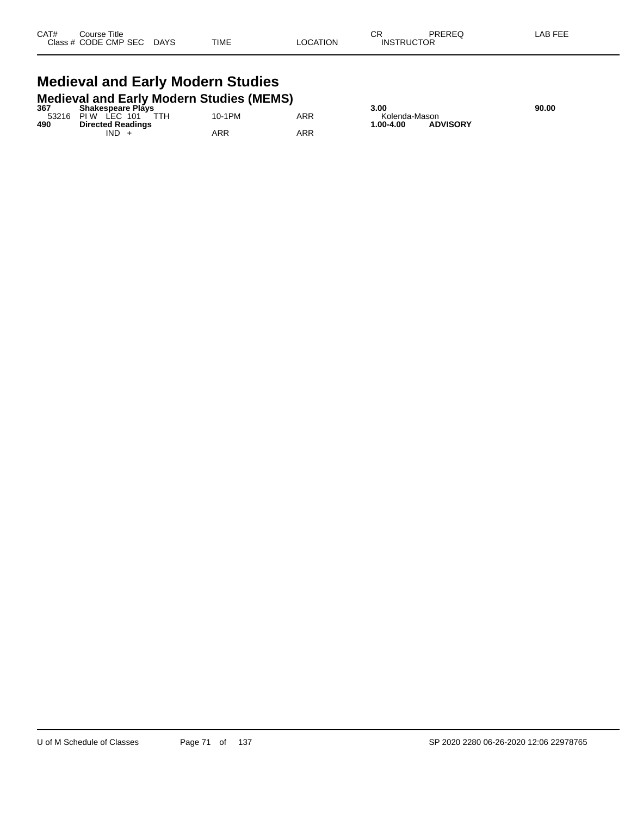#### **Medieval and Early Modern Studies Medieval and Early Modern Studies (MEMS)**

| 367   | <b>Shakespeare Plays</b> |        |     | 3.00          |                 | 90.00 |
|-------|--------------------------|--------|-----|---------------|-----------------|-------|
| 53216 | TTH<br>LEC 101<br>PI W   | 10-1PM | ARR | Kolenda-Mason |                 |       |
| 490   | <b>Directed Readings</b> |        |     | 1.00-4.00     | <b>ADVISORY</b> |       |
|       | <b>IND</b>               | ARR    | ARR |               |                 |       |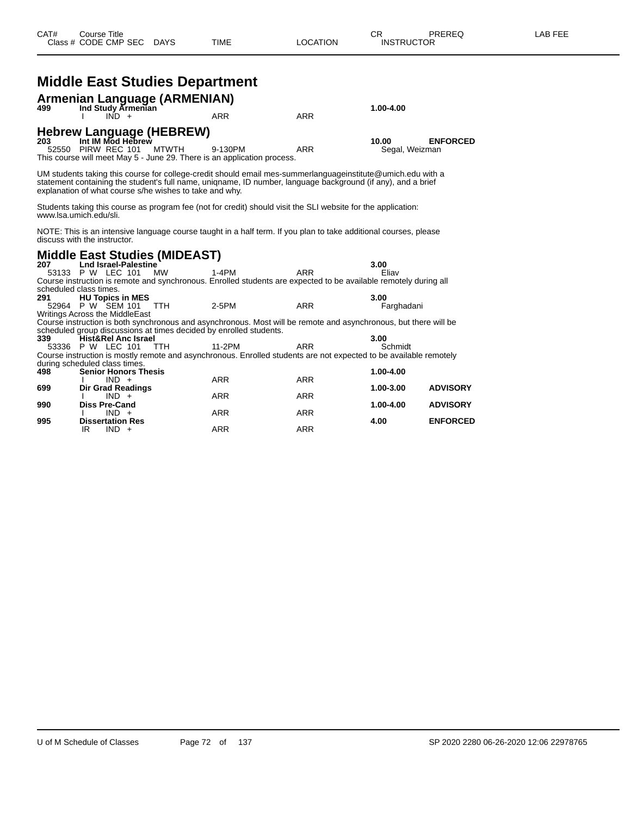|     | <b>Middle East Studies Department</b>                               |              |                                                                                                                                                                                                                             |            |                         |                 |
|-----|---------------------------------------------------------------------|--------------|-----------------------------------------------------------------------------------------------------------------------------------------------------------------------------------------------------------------------------|------------|-------------------------|-----------------|
| 499 | Armenian Language (ARMENIAN)                                        |              |                                                                                                                                                                                                                             |            | 1.00-4.00               |                 |
|     | Ind Study Armenian<br>$\overline{IND}$ +                            |              | <b>ARR</b>                                                                                                                                                                                                                  | <b>ARR</b> |                         |                 |
| 203 | Hebrew Language (HEBREW)<br>Int IM Mod Hebrew<br>52550 PIRW REC 101 | <b>MTWTH</b> | 9-130PM<br>This course will meet May 5 - June 29. There is an application process.                                                                                                                                          | <b>ARR</b> | 10.00<br>Segal, Weizman | <b>ENFORCED</b> |
|     | explanation of what course s/he wishes to take and why.             |              | UM students taking this course for college-credit should email mes-summerlanguageinstitute@umich.edu with a<br>statement containing the student's full name, unigname, ID number, language background (if any), and a brief |            |                         |                 |
|     | www.lsa.umich.edu/sli.                                              |              | Students taking this course as program fee (not for credit) should visit the SLI website for the application:                                                                                                               |            |                         |                 |
|     | discuss with the instructor.                                        |              | NOTE: This is an intensive language course taught in a half term. If you plan to take additional courses, please                                                                                                            |            |                         |                 |
|     | <b>Middle East Studies (MIDEAST)</b>                                |              |                                                                                                                                                                                                                             |            |                         |                 |
| 207 | <b>Lnd Israel-Palestine</b><br>53133 P W LEC 101                    | <b>MW</b>    | 1-4PM                                                                                                                                                                                                                       | <b>ARR</b> | 3.00<br>Eliav           |                 |
|     |                                                                     |              | Course instruction is remote and synchronous. Enrolled students are expected to be available remotely during all                                                                                                            |            |                         |                 |
|     | scheduled class times.                                              |              |                                                                                                                                                                                                                             |            |                         |                 |
| 291 | <b>HU Topics in MES</b><br>52964 P W SEM 101                        | <b>TTH</b>   | 2-5PM                                                                                                                                                                                                                       | <b>ARR</b> | 3.00<br>Farghadani      |                 |
|     | <b>Writings Across the MiddleEast</b>                               |              |                                                                                                                                                                                                                             |            |                         |                 |
|     |                                                                     |              | Course instruction is both synchronous and asynchronous. Most will be remote and asynchronous, but there will be                                                                                                            |            |                         |                 |
|     |                                                                     |              | scheduled group discussions at times decided by enrolled students.                                                                                                                                                          |            |                         |                 |
| 339 | Hist&Rel Anc Israel<br>53336 P W LEC 101                            | <b>TTH</b>   | 11-2PM                                                                                                                                                                                                                      | <b>ARR</b> | 3.00<br>Schmidt         |                 |
|     |                                                                     |              | Course instruction is mostly remote and asynchronous. Enrolled students are not expected to be available remotely                                                                                                           |            |                         |                 |
|     | during scheduled class times.                                       |              |                                                                                                                                                                                                                             |            |                         |                 |
| 498 | <b>Senior Honors Thesis</b>                                         |              |                                                                                                                                                                                                                             |            | 1.00-4.00               |                 |
| 699 | $IND +$<br><b>Dir Grad Readings</b>                                 |              | <b>ARR</b>                                                                                                                                                                                                                  | <b>ARR</b> | 1.00-3.00               | <b>ADVISORY</b> |
|     | $IND +$                                                             |              | <b>ARR</b>                                                                                                                                                                                                                  | <b>ARR</b> |                         |                 |
| 990 | <b>Diss Pre-Cand</b>                                                |              |                                                                                                                                                                                                                             |            | 1.00-4.00               | <b>ADVISORY</b> |
|     | $IND +$                                                             |              | <b>ARR</b>                                                                                                                                                                                                                  | <b>ARR</b> |                         |                 |
| 995 | <b>Dissertation Res</b><br>IR.<br>$IND +$                           |              | <b>ARR</b>                                                                                                                                                                                                                  | <b>ARR</b> | 4.00                    | <b>ENFORCED</b> |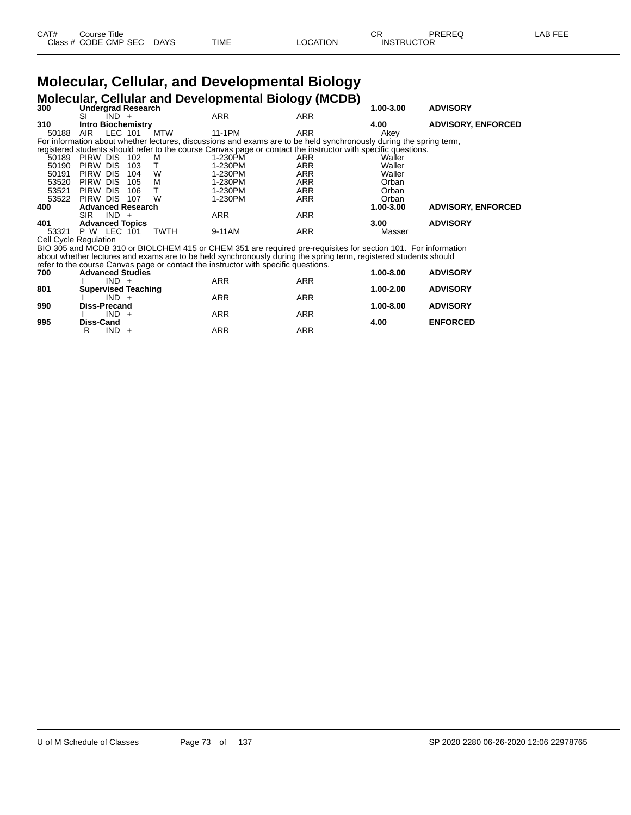| CAT# | ourse Titleٽ         |             |      |          | CD.<br>◡⊓         | PREREQ | _AB FEE |
|------|----------------------|-------------|------|----------|-------------------|--------|---------|
|      | Class # CODE CMP SEC | <b>DAYS</b> | TIME | ∟OCATION | <b>INSTRUCTOR</b> |        |         |

# **Molecular, Cellular, and Developmental Biology**

|       |                              |         |             |                                                                                    | <b>Molecular, Cellular and Developmental Biology (MCDB)</b>                                                        |           |                           |
|-------|------------------------------|---------|-------------|------------------------------------------------------------------------------------|--------------------------------------------------------------------------------------------------------------------|-----------|---------------------------|
| 300   | <b>Undergrad Research</b>    |         |             |                                                                                    |                                                                                                                    | 1.00-3.00 | <b>ADVISORY</b>           |
|       | $IND +$<br>SI                |         |             | <b>ARR</b>                                                                         | <b>ARR</b>                                                                                                         |           |                           |
| 310   | <b>Intro Biochemistry</b>    |         |             |                                                                                    |                                                                                                                    | 4.00      | <b>ADVISORY, ENFORCED</b> |
| 50188 | AIR                          | LEC 101 | <b>MTW</b>  | 11-1PM                                                                             | <b>ARR</b>                                                                                                         | Akey      |                           |
|       |                              |         |             |                                                                                    | For information about whether lectures, discussions and exams are to be held synchronously during the spring term, |           |                           |
|       |                              |         |             |                                                                                    | registered students should refer to the course Canvas page or contact the instructor with specific questions.      |           |                           |
|       | 50189 PIRW DIS               | 102     | м           | 1-230PM                                                                            | ARR                                                                                                                | Waller    |                           |
| 50190 | PIRW DIS                     | 103     | т           | 1-230PM                                                                            | <b>ARR</b>                                                                                                         | Waller    |                           |
| 50191 | PIRW DIS                     | 104     | W           | 1-230PM                                                                            | <b>ARR</b>                                                                                                         | Waller    |                           |
| 53520 | PIRW DIS                     | 105     | M           | 1-230PM                                                                            | <b>ARR</b>                                                                                                         | Orban     |                           |
| 53521 | PIRW DIS                     | 106     | т           | 1-230PM                                                                            | ARR                                                                                                                | Orban     |                           |
| 53522 | PIRW DIS                     | 107     | W           | 1-230PM                                                                            | ARR                                                                                                                | Orban     |                           |
| 400   | <b>Advanced Research</b>     |         |             |                                                                                    |                                                                                                                    | 1.00-3.00 | <b>ADVISORY, ENFORCED</b> |
|       | $IND +$<br><b>SIR</b>        |         |             | <b>ARR</b>                                                                         | ARR                                                                                                                |           |                           |
| 401   | <b>Advanced Topics</b>       |         |             |                                                                                    |                                                                                                                    | 3.00      | <b>ADVISORY</b>           |
| 53321 | <b>P W LEC 101</b>           |         | <b>TWTH</b> | 9-11AM                                                                             | <b>ARR</b>                                                                                                         | Masser    |                           |
|       | <b>Cell Cycle Regulation</b> |         |             |                                                                                    |                                                                                                                    |           |                           |
|       |                              |         |             |                                                                                    | BIO 305 and MCDB 310 or BIOLCHEM 415 or CHEM 351 are required pre-requisites for section 101. For information      |           |                           |
|       |                              |         |             |                                                                                    | about whether lectures and exams are to be held synchronously during the spring term, registered students should   |           |                           |
|       |                              |         |             | refer to the course Canvas page or contact the instructor with specific questions. |                                                                                                                    |           |                           |
| 700   | <b>Advanced Studies</b>      |         |             |                                                                                    |                                                                                                                    | 1.00-8.00 | <b>ADVISORY</b>           |
|       | $IND +$                      |         |             | ARR                                                                                | <b>ARR</b>                                                                                                         |           |                           |
| 901   | Supervised Teaching          |         |             |                                                                                    |                                                                                                                    | 1.00200   | <b>ADVISODY</b>           |

| 801 | .<br><b>Supervised Teaching</b> | , ,, ,, ,  | .          | 1.00-2.00     | <b>ADVISORY</b> |
|-----|---------------------------------|------------|------------|---------------|-----------------|
|     | $IND +$                         | ARR        | <b>ARR</b> |               |                 |
| 990 | Diss-Precand<br>$IND +$         | ARR        | ARR        | $1.00 - 8.00$ | <b>ADVISORY</b> |
| 995 | Diss-Cand                       |            |            | 4.00          | <b>ENFORCED</b> |
|     | $IND +$                         | <b>ARR</b> | <b>ARR</b> |               |                 |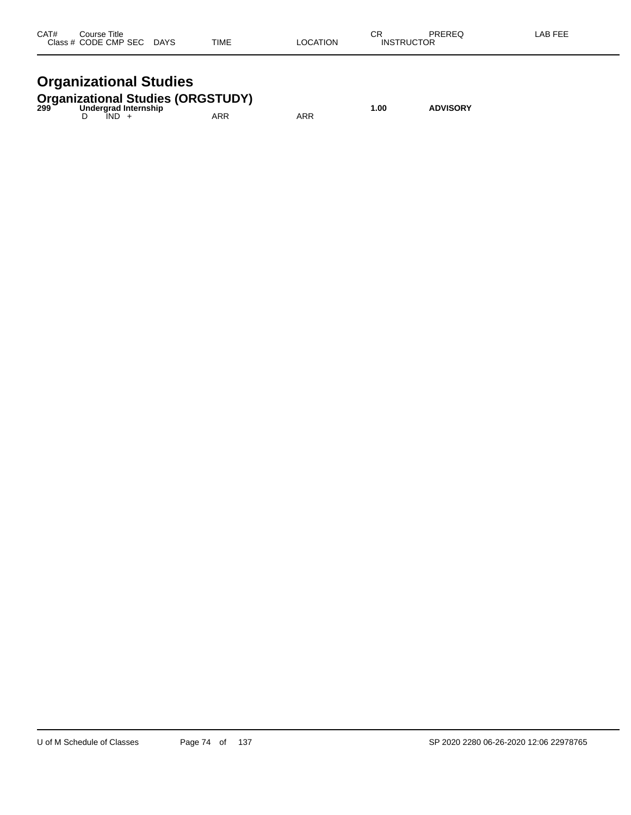| CAT#<br>Close: | Title<br>`ourse<br>ں ب<br><b>CODE CMP SEC</b><br>$ -$ | <b>DAYS</b><br>$\sim$ | <b>TIME</b> | TION | ∼⊏<br>◡◠<br>INS<br>- 10 | DDEDEA<br>∼<br>$\cdot$ . $\sim$<br>TOR | $  -$ |
|----------------|-------------------------------------------------------|-----------------------|-------------|------|-------------------------|----------------------------------------|-------|
|                |                                                       |                       |             |      |                         |                                        |       |

## **Organizational Studies**

|  |      | <b>Organizational Studies (ORGSTUDY)</b><br>299 Undergrad Internship |     | 1.00 | <b>ADVISORY</b> |
|--|------|----------------------------------------------------------------------|-----|------|-----------------|
|  | IND. | ARR                                                                  | ARR |      |                 |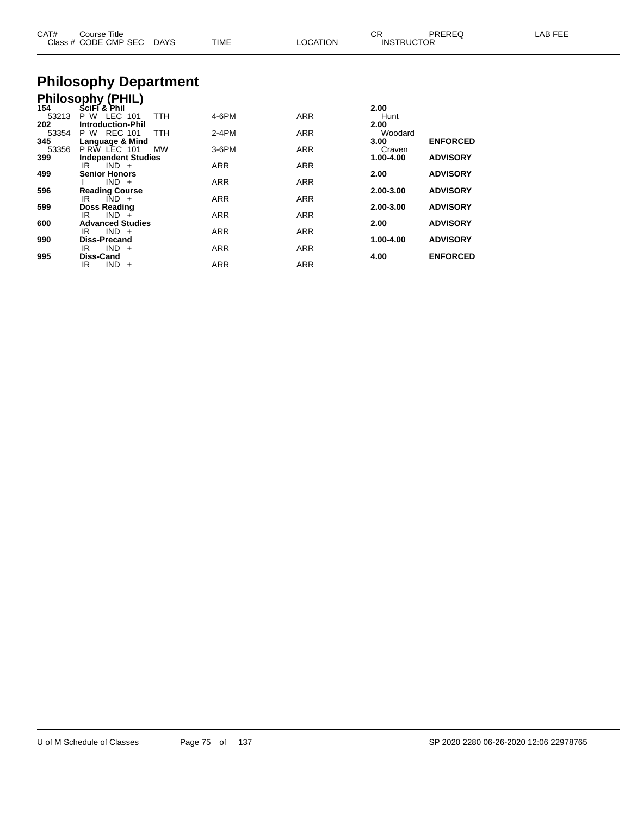| CAT#  | Course Title<br>Class # CODE CMP SEC DAYS   |            | <b>TIME</b> | <b>LOCATION</b> | CR.<br><b>INSTRUCTOR</b> | PREREQ          | LAB FEE |
|-------|---------------------------------------------|------------|-------------|-----------------|--------------------------|-----------------|---------|
|       | <b>Philosophy Department</b>                |            |             |                 |                          |                 |         |
|       | <b>Philosophy (PHIL)</b>                    |            |             |                 |                          |                 |         |
| 154   | SciFi & Phil                                |            |             |                 | 2.00                     |                 |         |
| 53213 | P W LEC 101                                 | <b>TTH</b> | 4-6PM       | ARR             | Hunt                     |                 |         |
| 202   | <b>Introduction-Phil</b>                    |            |             |                 | 2.00                     |                 |         |
| 53354 | P W REC 101                                 | <b>TTH</b> | $2-4PM$     | ARR             | Woodard                  |                 |         |
| 345   | Language & Mind                             |            |             |                 | 3.00                     | <b>ENFORCED</b> |         |
| 53356 | P RW LEC 101                                | MW         | 3-6PM       | ARR             | Craven                   |                 |         |
| 399   | <b>Independent Studies</b><br>$IND +$<br>IR |            |             |                 | 1.00-4.00                | <b>ADVISORY</b> |         |
| 499   | <b>Senior Honors</b>                        |            | ARR         | ARR             | 2.00                     | <b>ADVISORY</b> |         |
|       | $IND +$                                     |            | ARR         | ARR             |                          |                 |         |
| 596   | <b>Reading Course</b>                       |            |             |                 | 2.00-3.00                | <b>ADVISORY</b> |         |
|       | $IND +$<br>IR.                              |            | ARR         | ARR             |                          |                 |         |
| 599   | <b>Doss Reading</b>                         |            |             |                 | 2.00-3.00                | <b>ADVISORY</b> |         |
|       | $IND +$<br>IR.                              |            | <b>ARR</b>  | ARR             |                          |                 |         |
| 600   | <b>Advanced Studies</b>                     |            |             |                 | 2.00                     | <b>ADVISORY</b> |         |
|       | $IND +$<br>IR.                              |            | ARR         | ARR             |                          |                 |         |
| 990   | <b>Diss-Precand</b>                         |            |             |                 | 1.00-4.00                | <b>ADVISORY</b> |         |
|       | $IND +$<br>IR                               |            | ARR         | ARR             |                          |                 |         |
| 995   | Diss-Cand                                   |            |             |                 | 4.00                     | <b>ENFORCED</b> |         |

IR IND + ARR ARR ARR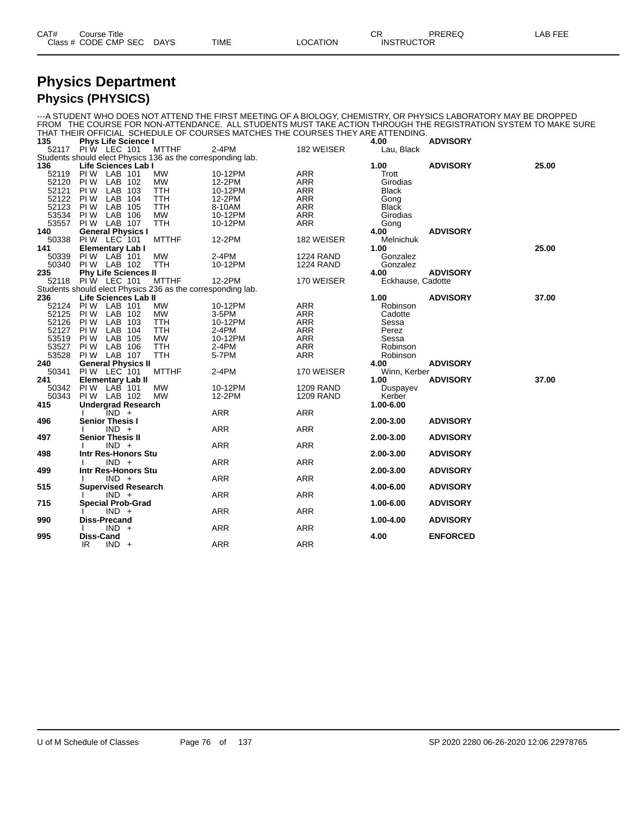| CAT# | Title<br>∴ourse            |                       |             |                         | $\sim$ r<br>◡◠    | <b>PREREC</b> | . <i>.</i> .<br>_AB<br>--- |
|------|----------------------------|-----------------------|-------------|-------------------------|-------------------|---------------|----------------------------|
|      | Class # CODE CMP SEC<br>__ | <b>DAYS</b><br>$\sim$ | <b>TIME</b> | <b>LOCATION</b><br>____ | <b>INSTRUCTOR</b> |               |                            |

#### **Physics Department Physics (PHYSICS)**

|                   |                         |         |                             |                                                             |                                                                                 |                  |                    | ---A STUDENT WHO DOES NOT ATTEND THE FIRST MEETING OF A BIOLOGY, CHEMISTRY, OR PHYSICS LABORATORY MAY BE DROPPED<br>FROM THE COURSE FOR NON-ATTENDANCE. ALL STUDENTS MUST TAKE ACTION THROUGH THE REGISTRATION SYSTEM TO MAKE SURE |       |
|-------------------|-------------------------|---------|-----------------------------|-------------------------------------------------------------|---------------------------------------------------------------------------------|------------------|--------------------|------------------------------------------------------------------------------------------------------------------------------------------------------------------------------------------------------------------------------------|-------|
|                   |                         |         |                             |                                                             | THAT THEIR OFFICIAL SCHEDULE OF COURSES MATCHES THE COURSES THEY ARE ATTENDING. |                  |                    |                                                                                                                                                                                                                                    |       |
| 135               |                         |         | <b>Phys Life Science I</b>  | MTTHF                                                       | 2-4PM                                                                           | 182 WEISER       | 4.00<br>Lau, Black | <b>ADVISORY</b>                                                                                                                                                                                                                    |       |
| 52117 PIW LEC 101 |                         |         |                             | Students should elect Physics 136 as the corresponding lab. |                                                                                 |                  |                    |                                                                                                                                                                                                                                    |       |
| 136               |                         |         | Life Sciences Lab I         |                                                             |                                                                                 |                  | 1.00               | <b>ADVISORY</b>                                                                                                                                                                                                                    | 25.00 |
| 52119             | PIW LAB 101             |         |                             | <b>MW</b>                                                   | 10-12PM                                                                         | <b>ARR</b>       | Trott              |                                                                                                                                                                                                                                    |       |
| 52120             | PI W                    | LAB 102 |                             | <b>MW</b>                                                   | 12-2PM                                                                          | <b>ARR</b>       | Girodias           |                                                                                                                                                                                                                                    |       |
| 52121             | PI W                    | LAB 103 |                             | <b>TTH</b>                                                  | 10-12PM                                                                         | <b>ARR</b>       | <b>Black</b>       |                                                                                                                                                                                                                                    |       |
| 52122             | PI W                    | LAB 104 |                             | <b>TTH</b>                                                  | 12-2PM                                                                          | <b>ARR</b>       | Gong               |                                                                                                                                                                                                                                    |       |
| 52123             | PI W                    | LAB 105 |                             | <b>TTH</b>                                                  | 8-10AM                                                                          | <b>ARR</b>       | <b>Black</b>       |                                                                                                                                                                                                                                    |       |
| 53534             | PI W                    | LAB 106 |                             | <b>MW</b>                                                   | 10-12PM                                                                         | <b>ARR</b>       | Girodias           |                                                                                                                                                                                                                                    |       |
| 53557             | PIW LAB 107             |         |                             | <b>TTH</b>                                                  | 10-12PM                                                                         | ARR              | Gong               |                                                                                                                                                                                                                                    |       |
| 140               |                         |         | <b>General Physics I</b>    |                                                             |                                                                                 |                  | 4.00               | <b>ADVISORY</b>                                                                                                                                                                                                                    |       |
| 50338             | PIW LEC 101             |         |                             | <b>MTTHF</b>                                                | 12-2PM                                                                          | 182 WEISER       | Melnichuk          |                                                                                                                                                                                                                                    |       |
| 141               | <b>Elementary Lab I</b> |         |                             |                                                             |                                                                                 |                  | 1.00               |                                                                                                                                                                                                                                    | 25.00 |
| 50339             | PIW LAB 101             |         |                             | <b>MW</b>                                                   | 2-4PM                                                                           | <b>1224 RAND</b> | Gonzalez           |                                                                                                                                                                                                                                    |       |
| 50340             | PIW LAB 102             |         |                             | <b>TTH</b>                                                  | 10-12PM                                                                         | <b>1224 RAND</b> | Gonzalez           |                                                                                                                                                                                                                                    |       |
| 235               |                         |         | <b>Phy Life Sciences II</b> |                                                             |                                                                                 |                  | 4.00               | <b>ADVISORY</b>                                                                                                                                                                                                                    |       |
| 52118             | <b>PIW LEC 101</b>      |         |                             | <b>MTTHF</b>                                                | 12-2PM                                                                          | 170 WEISER       | Eckhause, Cadotte  |                                                                                                                                                                                                                                    |       |
|                   |                         |         |                             | Students should elect Physics 236 as the corresponding lab. |                                                                                 |                  |                    |                                                                                                                                                                                                                                    |       |
| 236               |                         |         | Life Sciences Lab II        |                                                             |                                                                                 |                  | 1.00               | <b>ADVISORY</b>                                                                                                                                                                                                                    | 37.00 |
| 52124             | PIW LAB 101             |         |                             | <b>MW</b>                                                   | 10-12PM                                                                         | <b>ARR</b>       | Robinson           |                                                                                                                                                                                                                                    |       |
| 52125             | PI W                    | LAB 102 |                             | <b>MW</b>                                                   | 3-5PM                                                                           | <b>ARR</b>       | Cadotte            |                                                                                                                                                                                                                                    |       |
| 52126             | PI W                    | LAB 103 |                             | <b>TTH</b>                                                  | 10-12PM                                                                         | <b>ARR</b>       | Sessa              |                                                                                                                                                                                                                                    |       |
| 52127             | PI W                    | LAB 104 |                             | TTH                                                         | 2-4PM                                                                           | ARR              | Perez              |                                                                                                                                                                                                                                    |       |
| 53519             | PI W                    | LAB 105 |                             | <b>MW</b>                                                   | 10-12PM                                                                         | <b>ARR</b>       | Sessa              |                                                                                                                                                                                                                                    |       |
| 53527             | PIW LAB 106             |         |                             | <b>TTH</b>                                                  | 2-4PM                                                                           | <b>ARR</b>       | Robinson           |                                                                                                                                                                                                                                    |       |
| 53528             | PIW LAB 107             |         |                             | <b>TTH</b>                                                  | 5-7PM                                                                           | ARR              | Robinson           |                                                                                                                                                                                                                                    |       |
| 240               |                         |         | <b>General Physics II</b>   |                                                             |                                                                                 |                  | 4.00               | <b>ADVISORY</b>                                                                                                                                                                                                                    |       |
| 50341             | PIW LEC 101             |         |                             | <b>MTTHF</b>                                                | 2-4PM                                                                           | 170 WEISER       | Winn, Kerber       |                                                                                                                                                                                                                                    |       |
| 241               |                         |         | <b>Elementary Lab II</b>    |                                                             |                                                                                 |                  | 1.00               | <b>ADVISORY</b>                                                                                                                                                                                                                    | 37.00 |
| 50342             | PIW LAB 101             |         |                             | <b>MW</b>                                                   | 10-12PM                                                                         | <b>1209 RAND</b> | Duspayev           |                                                                                                                                                                                                                                    |       |
| 50343             | PIW LAB 102             |         |                             | <b>MW</b>                                                   | 12-2PM                                                                          | <b>1209 RAND</b> | Kerber             |                                                                                                                                                                                                                                    |       |
| 415               |                         |         | <b>Undergrad Research</b>   |                                                             |                                                                                 |                  | 1.00-6.00          |                                                                                                                                                                                                                                    |       |
|                   |                         | IND +   |                             |                                                             | <b>ARR</b>                                                                      | <b>ARR</b>       |                    |                                                                                                                                                                                                                                    |       |
| 496               | <b>Senior Thesis I</b>  |         |                             |                                                             |                                                                                 |                  | 2.00-3.00          | <b>ADVISORY</b>                                                                                                                                                                                                                    |       |
|                   |                         | $IND +$ |                             |                                                             | <b>ARR</b>                                                                      | <b>ARR</b>       |                    |                                                                                                                                                                                                                                    |       |
| 497               | <b>Senior Thesis II</b> |         |                             |                                                             |                                                                                 |                  | 2.00-3.00          | <b>ADVISORY</b>                                                                                                                                                                                                                    |       |
|                   |                         | $IND +$ |                             |                                                             | <b>ARR</b>                                                                      | <b>ARR</b>       |                    |                                                                                                                                                                                                                                    |       |
| 498               |                         |         | Intr Res-Honors Stu         |                                                             |                                                                                 |                  | 2.00-3.00          | <b>ADVISORY</b>                                                                                                                                                                                                                    |       |
|                   |                         | $IND +$ |                             |                                                             | <b>ARR</b>                                                                      | <b>ARR</b>       |                    |                                                                                                                                                                                                                                    |       |
| 499               |                         |         | Intr Res-Honors Stu         |                                                             |                                                                                 |                  | 2.00-3.00          | <b>ADVISORY</b>                                                                                                                                                                                                                    |       |
|                   |                         | $IND +$ |                             |                                                             | <b>ARR</b>                                                                      | <b>ARR</b>       |                    |                                                                                                                                                                                                                                    |       |
| 515               |                         |         | <b>Supervised Research</b>  |                                                             |                                                                                 |                  | 4.00-6.00          | <b>ADVISORY</b>                                                                                                                                                                                                                    |       |
|                   |                         | $IND +$ |                             |                                                             | <b>ARR</b>                                                                      | <b>ARR</b>       |                    |                                                                                                                                                                                                                                    |       |
| 715               |                         |         | <b>Special Prob-Grad</b>    |                                                             |                                                                                 |                  | 1.00-6.00          | <b>ADVISORY</b>                                                                                                                                                                                                                    |       |
|                   |                         | $IND +$ |                             |                                                             | <b>ARR</b>                                                                      | <b>ARR</b>       |                    |                                                                                                                                                                                                                                    |       |
| 990               | <b>Diss-Precand</b>     |         |                             |                                                             |                                                                                 |                  | 1.00-4.00          | <b>ADVISORY</b>                                                                                                                                                                                                                    |       |
|                   |                         | $IND +$ |                             |                                                             | ARR                                                                             | <b>ARR</b>       |                    |                                                                                                                                                                                                                                    |       |
| 995               | Diss-Cand               |         |                             |                                                             |                                                                                 |                  | 4.00               | <b>ENFORCED</b>                                                                                                                                                                                                                    |       |
|                   | IR.                     | $IND +$ |                             |                                                             | <b>ARR</b>                                                                      | <b>ARR</b>       |                    |                                                                                                                                                                                                                                    |       |
|                   |                         |         |                             |                                                             |                                                                                 |                  |                    |                                                                                                                                                                                                                                    |       |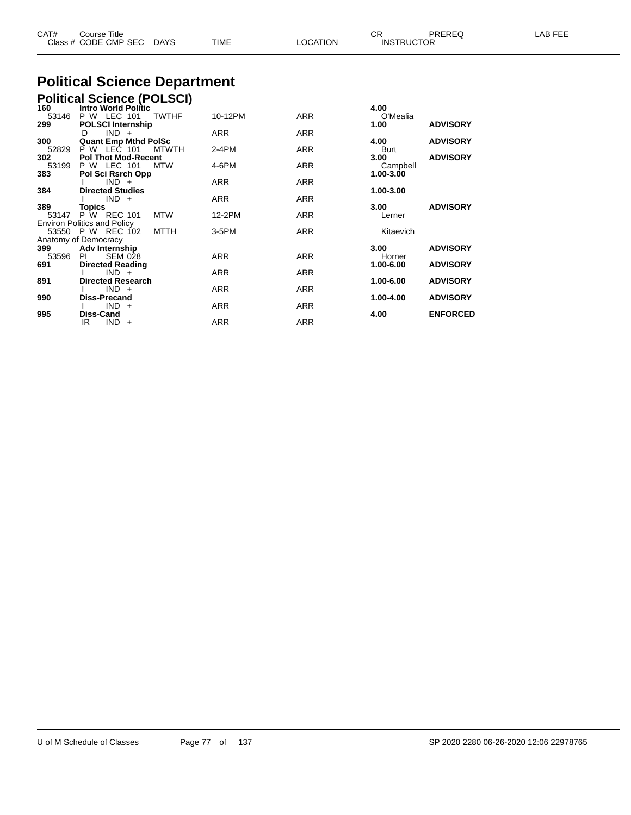|              | Class # CODE CMP SEC DAYS                                       | TIME       | <b>LOCATION</b> | <b>INSTRUCTOR</b>     |                 |  |
|--------------|-----------------------------------------------------------------|------------|-----------------|-----------------------|-----------------|--|
|              | <b>Political Science Department</b>                             |            |                 |                       |                 |  |
|              | <b>Political Science (POLSCI)</b>                               |            |                 |                       |                 |  |
| 160<br>53146 | <b>Intro World Politic</b><br>P W LEC 101<br><b>TWTHF</b>       | 10-12PM    | <b>ARR</b>      | 4.00<br>O'Mealia      |                 |  |
| 299          | <b>POLSCI Internship</b>                                        |            |                 | 1.00                  | <b>ADVISORY</b> |  |
| 300          | $IND +$<br>D<br><b>Quant Emp Mthd PolSc</b>                     | ARR        | <b>ARR</b>      | 4.00                  | <b>ADVISORY</b> |  |
| 52829        | P W LEC 101<br><b>MTWTH</b>                                     | $2-4PM$    | <b>ARR</b>      | Burt                  |                 |  |
| 302          | <b>Pol Thot Mod-Recent</b>                                      |            |                 | 3.00                  | <b>ADVISORY</b> |  |
| 53199<br>383 | P W LEC 101<br>MTW<br>Pol Sci Rsrch Opp                         | 4-6PM      | <b>ARR</b>      | Campbell<br>1.00-3.00 |                 |  |
|              | $IND +$                                                         | <b>ARR</b> | <b>ARR</b>      |                       |                 |  |
| 384          | <b>Directed Studies</b>                                         |            |                 | 1.00-3.00             |                 |  |
| 389          | $IND +$<br>Topics                                               | <b>ARR</b> | <b>ARR</b>      | 3.00                  | <b>ADVISORY</b> |  |
| 53147        | P W REC 101<br><b>MTW</b>                                       | 12-2PM     | <b>ARR</b>      | Lerner                |                 |  |
|              | <b>Environ Politics and Policy</b><br>53550 P W REC 102<br>MTTH | 3-5PM      | <b>ARR</b>      | Kitaevich             |                 |  |
|              | Anatomy of Democracy                                            |            |                 |                       |                 |  |
| 399          | Adv Internship                                                  |            |                 | 3.00                  | <b>ADVISORY</b> |  |
| 53596<br>691 | <b>PI</b><br><b>SEM 028</b><br><b>Directed Reading</b>          | <b>ARR</b> | <b>ARR</b>      | Horner<br>1.00-6.00   | <b>ADVISORY</b> |  |
|              | $IND +$                                                         | <b>ARR</b> | <b>ARR</b>      |                       |                 |  |
| 891          | <b>Directed Research</b><br>$IND +$                             | <b>ARR</b> | <b>ARR</b>      | 1.00-6.00             | <b>ADVISORY</b> |  |
| 990          | <b>Diss-Precand</b>                                             |            |                 | 1.00-4.00             | <b>ADVISORY</b> |  |
|              | $IND +$                                                         | <b>ARR</b> | <b>ARR</b>      |                       |                 |  |
| 995          | Diss-Cand<br>$IND +$<br>IR                                      | <b>ARR</b> | <b>ARR</b>      | 4.00                  | <b>ENFORCED</b> |  |

CAT# Course Title Case CR PREREQ LAB FEE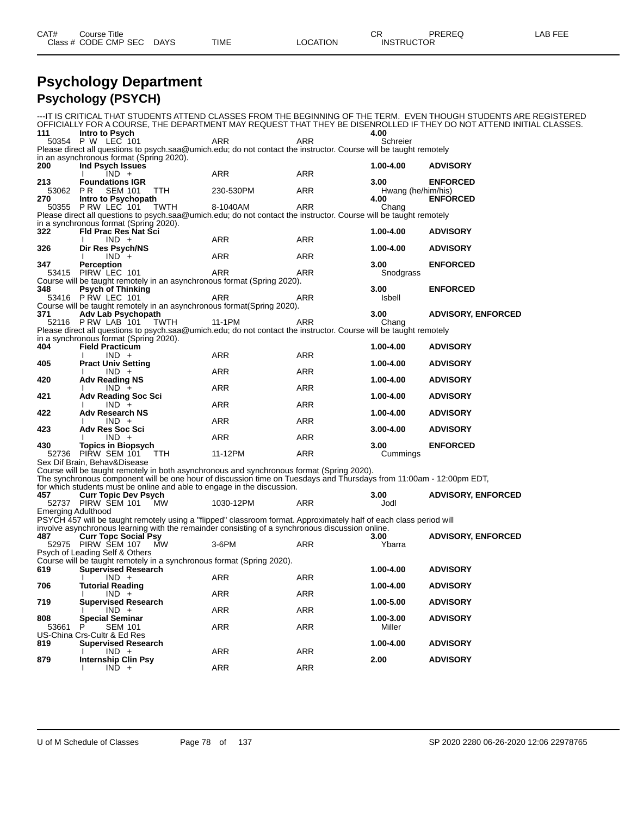| CAT# | Title<br>Course      |      |      |          | Ωn<br>◡∩          | PREREQ | . EEF<br>AR. |
|------|----------------------|------|------|----------|-------------------|--------|--------------|
|      | Class # CODE CMP SEC | DAYS | TIME | LOCATION | <b>INSTRUCTOR</b> |        |              |

#### **Psychology Department Psychology (PSYCH)**

|                           |                                                                                                                                                                                                                       |           |            |                            | ---IT IS CRITICAL THAT STUDENTS ATTEND CLASSES FROM THE BEGINNING OF THE TERM. EVEN THOUGH STUDENTS ARE REGISTERED<br>OFFICIALLY FOR A COURSE, THE DEPARTMENT MAY REQUEST THAT THEY BE DISENROLLED IF THEY DO NOT ATTEND INITIAL CLASSES. |
|---------------------------|-----------------------------------------------------------------------------------------------------------------------------------------------------------------------------------------------------------------------|-----------|------------|----------------------------|-------------------------------------------------------------------------------------------------------------------------------------------------------------------------------------------------------------------------------------------|
| 111                       | Intro to Psych                                                                                                                                                                                                        |           |            | 4.00                       |                                                                                                                                                                                                                                           |
|                           | 50354 P W LEC 101                                                                                                                                                                                                     | ARR       | <b>ARR</b> | Schreier                   |                                                                                                                                                                                                                                           |
|                           | Please direct all questions to psych.saa@umich.edu; do not contact the instructor. Course will be taught remotely<br>in an asynchronous format (Spring 2020).                                                         |           |            |                            |                                                                                                                                                                                                                                           |
| 200                       | Ind Psych Issues                                                                                                                                                                                                      |           |            | 1.00-4.00                  | <b>ADVISORY</b>                                                                                                                                                                                                                           |
|                           | $IND +$                                                                                                                                                                                                               | ARR       | ARR        |                            |                                                                                                                                                                                                                                           |
| 213                       | <b>Foundations IGR</b>                                                                                                                                                                                                |           |            | 3.00                       | <b>ENFORCED</b>                                                                                                                                                                                                                           |
| 53062 PR<br>270           | <b>SEM 101</b><br>TTH<br>Intro to Psychopath                                                                                                                                                                          | 230-530PM | ARR        | Hwang (he/him/his)<br>4.00 | <b>ENFORCED</b>                                                                                                                                                                                                                           |
|                           | 50355 P RW LEC 101<br>TWTH                                                                                                                                                                                            | 8-1040AM  | <b>ARR</b> | Chang                      |                                                                                                                                                                                                                                           |
|                           | Please direct all questions to psych.saa@umich.edu; do not contact the instructor. Course will be taught remotely                                                                                                     |           |            |                            |                                                                                                                                                                                                                                           |
| 322                       | in a synchronous format (Spring 2020).<br><b>Fld Prac Res Nat Sci</b>                                                                                                                                                 |           |            | 1.00-4.00                  | <b>ADVISORY</b>                                                                                                                                                                                                                           |
|                           | $IND +$                                                                                                                                                                                                               | ARR       | ARR        |                            |                                                                                                                                                                                                                                           |
| 326                       | Dir Res Psych/NS                                                                                                                                                                                                      |           |            | 1.00-4.00                  | <b>ADVISORY</b>                                                                                                                                                                                                                           |
|                           | $IND +$                                                                                                                                                                                                               | ARR       | ARR        |                            |                                                                                                                                                                                                                                           |
| 347                       | <b>Perception</b><br>53415 PIRW LEC 101                                                                                                                                                                               | ARR       | ARR        | 3.00<br>Snodgrass          | <b>ENFORCED</b>                                                                                                                                                                                                                           |
|                           | Course will be taught remotely in an asynchronous format (Spring 2020).                                                                                                                                               |           |            |                            |                                                                                                                                                                                                                                           |
| 348                       | <b>Psych of Thinking</b>                                                                                                                                                                                              |           |            | 3.00                       | <b>ENFORCED</b>                                                                                                                                                                                                                           |
|                           | 53416 P RW LEC 101                                                                                                                                                                                                    | ARR       | ARR        | Isbell                     |                                                                                                                                                                                                                                           |
| 371                       | Course will be taught remotely in an asynchronous format (Spring 2020).<br>Adv Lab Psychopath                                                                                                                         |           |            | 3.00                       | <b>ADVISORY, ENFORCED</b>                                                                                                                                                                                                                 |
|                           | 52116 P RW LAB 101<br>TWTH                                                                                                                                                                                            | 11-1PM    | ARR        | Chang                      |                                                                                                                                                                                                                                           |
|                           | Please direct all questions to psych.saa@umich.edu; do not contact the instructor. Course will be taught remotely                                                                                                     |           |            |                            |                                                                                                                                                                                                                                           |
| 404                       | in a synchronous format (Spring 2020).<br><b>Field Practicum</b>                                                                                                                                                      |           |            | 1.00-4.00                  | <b>ADVISORY</b>                                                                                                                                                                                                                           |
|                           | $IND +$                                                                                                                                                                                                               | ARR       | ARR        |                            |                                                                                                                                                                                                                                           |
| 405                       | <b>Pract Univ Setting</b>                                                                                                                                                                                             |           |            | 1.00-4.00                  | <b>ADVISORY</b>                                                                                                                                                                                                                           |
|                           | $IND +$                                                                                                                                                                                                               | ARR       | ARR        | 1.00-4.00                  | <b>ADVISORY</b>                                                                                                                                                                                                                           |
| 420                       | <b>Adv Reading NS</b><br>$IND +$                                                                                                                                                                                      | ARR       | ARR        |                            |                                                                                                                                                                                                                                           |
| 421                       | <b>Adv Reading Soc Sci</b>                                                                                                                                                                                            |           |            | 1.00-4.00                  | <b>ADVISORY</b>                                                                                                                                                                                                                           |
|                           | $IND +$                                                                                                                                                                                                               | ARR       | ARR        |                            |                                                                                                                                                                                                                                           |
| 422                       | <b>Adv Research NS</b><br>$IND +$                                                                                                                                                                                     | ARR       | ARR        | 1.00-4.00                  | <b>ADVISORY</b>                                                                                                                                                                                                                           |
| 423                       | <b>Adv Res Soc Sci</b>                                                                                                                                                                                                |           |            | $3.00 - 4.00$              | <b>ADVISORY</b>                                                                                                                                                                                                                           |
|                           | $IND +$                                                                                                                                                                                                               | ARR       | ARR        |                            |                                                                                                                                                                                                                                           |
| 430                       | <b>Topics in Biopsych</b><br>52736 PIRW SEM 101<br>TTH                                                                                                                                                                | 11-12PM   | ARR        | 3.00<br>Cummings           | <b>ENFORCED</b>                                                                                                                                                                                                                           |
|                           | Sex Dif Brain, Behav&Disease                                                                                                                                                                                          |           |            |                            |                                                                                                                                                                                                                                           |
|                           | Course will be taught remotely in both asynchronous and synchronous format (Spring 2020).                                                                                                                             |           |            |                            |                                                                                                                                                                                                                                           |
|                           | The synchronous component will be one hour of discussion time on Tuesdays and Thursdays from 11:00am - 12:00pm EDT,                                                                                                   |           |            |                            |                                                                                                                                                                                                                                           |
| 457                       | for which students must be online and able to engage in the discussion.<br><b>Curr Topic Dev Psych</b>                                                                                                                |           |            | 3.00                       | <b>ADVISORY, ENFORCED</b>                                                                                                                                                                                                                 |
|                           | 52737 PIRW SEM 101 MW                                                                                                                                                                                                 | 1030-12PM | <b>ARR</b> | Jodl                       |                                                                                                                                                                                                                                           |
| <b>Emerging Adulthood</b> |                                                                                                                                                                                                                       |           |            |                            |                                                                                                                                                                                                                                           |
|                           | PSYCH 457 will be taught remotely using a "flipped" classroom format. Approximately half of each class period will<br>involve asynchronous learning with the remainder consisting of a synchronous discussion online. |           |            |                            |                                                                                                                                                                                                                                           |
| 487                       | <b>Curr Topc Social Psy</b>                                                                                                                                                                                           |           |            | 3.00                       | <b>ADVISORY, ENFORCED</b>                                                                                                                                                                                                                 |
|                           | 52975 PIRW SEM 107 MW                                                                                                                                                                                                 | 3-6PM     | ARR        | Ybarra                     |                                                                                                                                                                                                                                           |
|                           | Psych of Leading Self & Others<br>Course will be taught remotely in a synchronous format (Spring 2020).                                                                                                               |           |            |                            |                                                                                                                                                                                                                                           |
| 619                       | <b>Supervised Research</b>                                                                                                                                                                                            |           |            | 1.00-4.00                  | <b>ADVISORY</b>                                                                                                                                                                                                                           |
|                           | $IND +$                                                                                                                                                                                                               | ARR       | ARR        |                            |                                                                                                                                                                                                                                           |
| 706                       | <b>Tutorial Reading</b>                                                                                                                                                                                               |           |            | 1.00-4.00                  | <b>ADVISORY</b>                                                                                                                                                                                                                           |
| 719                       | $IND +$<br><b>Supervised Research</b>                                                                                                                                                                                 | ARR       | <b>ARR</b> | 1.00-5.00                  | <b>ADVISORY</b>                                                                                                                                                                                                                           |
|                           | $IND +$                                                                                                                                                                                                               | ARR       | <b>ARR</b> |                            |                                                                                                                                                                                                                                           |
| 808                       | <b>Special Seminar</b>                                                                                                                                                                                                |           |            | 1.00-3.00                  | <b>ADVISORY</b>                                                                                                                                                                                                                           |
| 53661                     | <b>SEM 101</b><br>P<br>US-China Crs-Cultr & Ed Res                                                                                                                                                                    | ARR       | <b>ARR</b> | Miller                     |                                                                                                                                                                                                                                           |
| 819                       | <b>Supervised Research</b>                                                                                                                                                                                            |           |            | 1.00-4.00                  | <b>ADVISORY</b>                                                                                                                                                                                                                           |
|                           | $IND +$                                                                                                                                                                                                               | ARR       | ARR        |                            |                                                                                                                                                                                                                                           |
| 879                       | <b>Internship Clin Psy</b><br>$IND +$                                                                                                                                                                                 | ARR       | <b>ARR</b> | 2.00                       | <b>ADVISORY</b>                                                                                                                                                                                                                           |
|                           |                                                                                                                                                                                                                       |           |            |                            |                                                                                                                                                                                                                                           |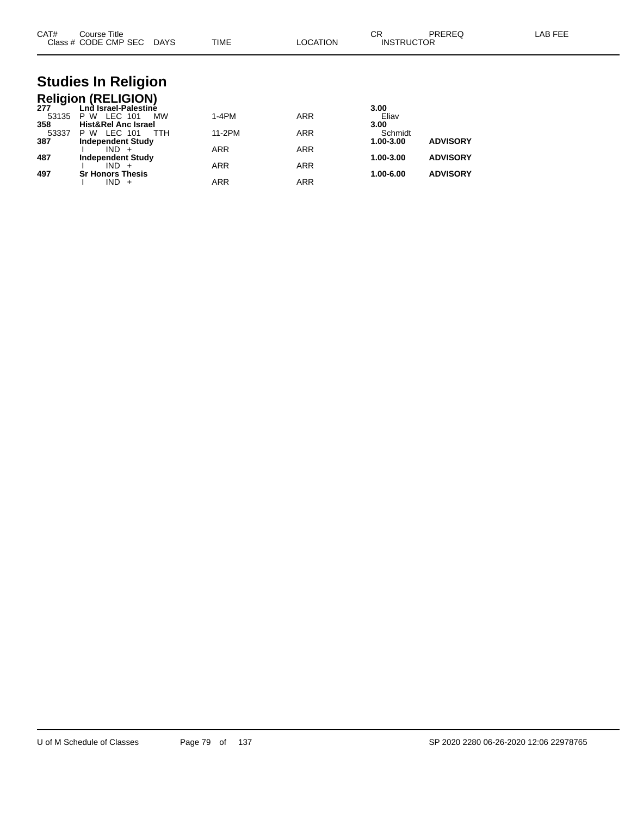| CAT#                | Course Title<br>Class # CODE CMP SEC DAYS                                 |     | <b>TIME</b> | <b>LOCATION</b> | CR<br><b>INSTRUCTOR</b>      | <b>PREREQ</b>   | <b>LAB FEE</b> |
|---------------------|---------------------------------------------------------------------------|-----|-------------|-----------------|------------------------------|-----------------|----------------|
|                     | <b>Studies In Religion</b>                                                |     |             |                 |                              |                 |                |
| 277                 | <b>Religion (RELIGION)</b><br>Lnd Israel-Palestine                        |     |             |                 | 3.00                         |                 |                |
| 53135               | <b>P W LEC 101</b>                                                        | МW  | $1-4PM$     | <b>ARR</b>      | Eliav                        |                 |                |
| 358<br>53337<br>387 | <b>Hist&amp;Rel Anc Israel</b><br>P W LEC 101<br><b>Independent Study</b> | TTH | 11-2PM      | <b>ARR</b>      | 3.00<br>Schmidt<br>1.00-3.00 | <b>ADVISORY</b> |                |
|                     | $IND +$                                                                   |     | <b>ARR</b>  | <b>ARR</b>      |                              |                 |                |
| 487                 | <b>Independent Study</b><br>$IND +$                                       |     | <b>ARR</b>  | <b>ARR</b>      | 1.00-3.00                    | <b>ADVISORY</b> |                |
| 497                 | <b>Sr Honors Thesis</b>                                                   |     |             |                 | 1.00-6.00                    | <b>ADVISORY</b> |                |

I IND + ARR ARR ARR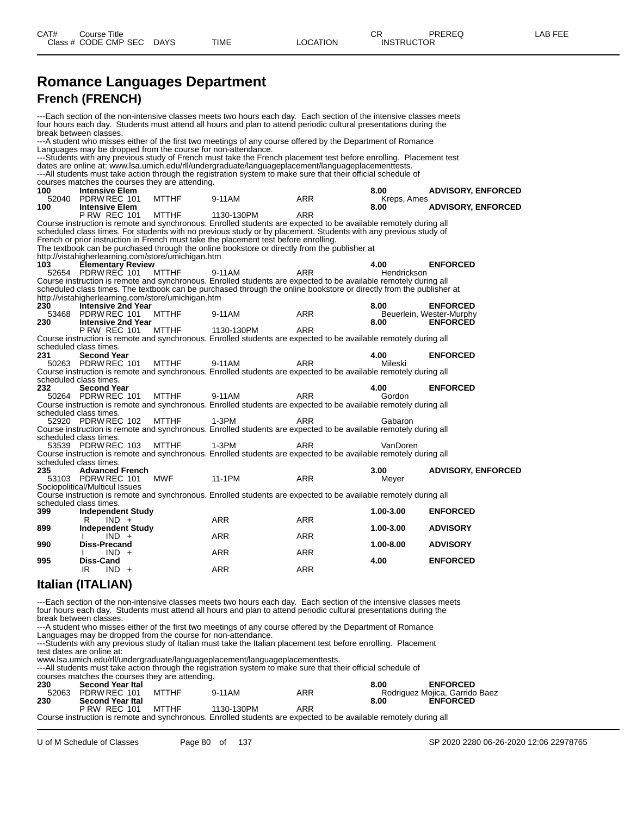#### **Romance Languages Department French (FRENCH)**

---Each section of the non-intensive classes meets two hours each day. Each section of the intensive classes meets four hours each day. Students must attend all hours and plan to attend periodic cultural presentations during the break between classes. ---A student who misses either of the first two meetings of any course offered by the Department of Romance Languages may be dropped from the course for non-attendance. ---Students with any previous study of French must take the French placement test before enrolling. Placement test dates are online at: www.lsa.umich.edu/rll/undergraduate/languageplacement/languageplacementtests. ---All students must take action through the registration system to make sure that their official schedule of courses matches the courses they are attending.<br>100 **Intensive Elem 100 Intensive Elem 8.00 ADVISORY, ENFORCED** 100 Intensive Elem 8.00<br>
52040 PDRW REC 101 MTTHF 9-11AM ARR KR<br>
100 Intensive Elem 8.00 **100 INTEL 1130-130PM**<br> $\overline{R}$  **ARR 8.00 ADVISORY, ENFORCED P RW REC 101** Course instruction is remote and synchronous. Enrolled students are expected to be available remotely during all scheduled class times. For students with no previous study or by placement. Students with any previous study of French or prior instruction in French must take the placement test before enrolling. The textbook can be purchased through the online bookstore or directly from the publisher at http://vistahigherlearning.com/store/umichigan.htm<br>**103 Elementary Review**<br>52654 PDRW REC 101 MTTHF 9-1 **103 Elementary Review 4.00 ENFORCED** 52654 PDRW REC 101 MTTHF 9-11AM ARR Hendrickson Course instruction is remote and synchronous. Enrolled students are expected to be available remotely during all scheduled class times. The textbook can be purchased through the online bookstore or directly from the publisher at http://vistahigherlearning.com/store/umichigan.htm<br>230 **Intensive 2nd Year 230 Intensive 2nd Year 8.00 ENFORCED** 53468 PDRW REC 101 MTTHF 9-11AM ARR Beuerlein, Wester-Murphy<br>**230 Intensive 2nd Year** 9-11AM ARR 8.00 **ENFORCED 230 Intensive 2nd Year 8.00 ENFORCED P RW REC 101** Course instruction is remote and synchronous. Enrolled students are expected to be available remotely during all scheduled class times.<br>231 **Second Year 231 Second Year 4.00 ENFORCED** 50263 PDRW REC 101 MTTHF 9-11AM ARR Mileski Course instruction is remote and synchronous. Enrolled students are expected to be available remotely during all scheduled class times.<br>232 **Second Ye 232 Second Year 4.00 ENFORCED** 50264 PDRW REC 101 Course instruction is remote and synchronous. Enrolled students are expected to be available remotely during all scheduled class times 52920 PDRW REC 102 MTTHF 1-3PM ARR ARR Gabaron Course instruction is remote and synchronous. Enrolled students are expected to be available remotely during all scheduled class times. 53539 PDRW REC 103 MTTHF 1-3PM ARR VanDoren Course instruction is remote and synchronous. Enrolled students are expected to be available remotely during all scheduled class times.<br>235 **Advanced French 235 Advanced French 3.00 ADVISORY, ENFORCED** 53103 PDRW REC 101 Sociopolitical/Multicul Issues Course instruction is remote and synchronous. Enrolled students are expected to be available remotely during all scheduled class times. **399 Independent Study 1.00-3.00 ENFORCED** R IND + ARR ARR ARR **899 Independent Study 1.00-3.00 ADVISORY** I IND + ARR ARR ARR **990 Diss-Precand 1.00-8.00 ADVISORY** I IND + ARR ARR ARR **995 Diss-Cand 4.00 ENFORCED** IR IND + ARR ARR ARR

#### **Italian (ITALIAN)**

---Each section of the non-intensive classes meets two hours each day. Each section of the intensive classes meets four hours each day. Students must attend all hours and plan to attend periodic cultural presentations during the break between classes.

---A student who misses either of the first two meetings of any course offered by the Department of Romance Languages may be dropped from the course for non-attendance.

---Students with any previous study of Italian must take the Italian placement test before enrolling. Placement test dates are online at:

www.lsa.umich.edu/rll/undergraduate/languageplacement/languageplacementtests.

---All students must take action through the registration system to make sure that their official schedule of

|                                                                                                                  | courses matches the courses they are attending. |       |            |     |      |                                |  |  |  |  |  |
|------------------------------------------------------------------------------------------------------------------|-------------------------------------------------|-------|------------|-----|------|--------------------------------|--|--|--|--|--|
| 230                                                                                                              | <b>Second Year Ital</b>                         |       |            |     | 8.00 | <b>ENFORCED</b>                |  |  |  |  |  |
| 52063                                                                                                            | PDRW REC 101                                    | MTTHF | 9-11AM     | ARR |      | Rodriguez Mojica, Garrido Baez |  |  |  |  |  |
| 230                                                                                                              | <b>Second Year Ital</b>                         |       |            |     | 8.00 | <b>ENFORCED</b>                |  |  |  |  |  |
|                                                                                                                  | <b>P RW REC 101</b>                             | MTTHF | 1130-130PM | ARR |      |                                |  |  |  |  |  |
| Course instruction is remate and synchronous. Enrolled students are expected to be available remately during all |                                                 |       |            |     |      |                                |  |  |  |  |  |

instruction is remote and synchronous. Enrolled students are ex-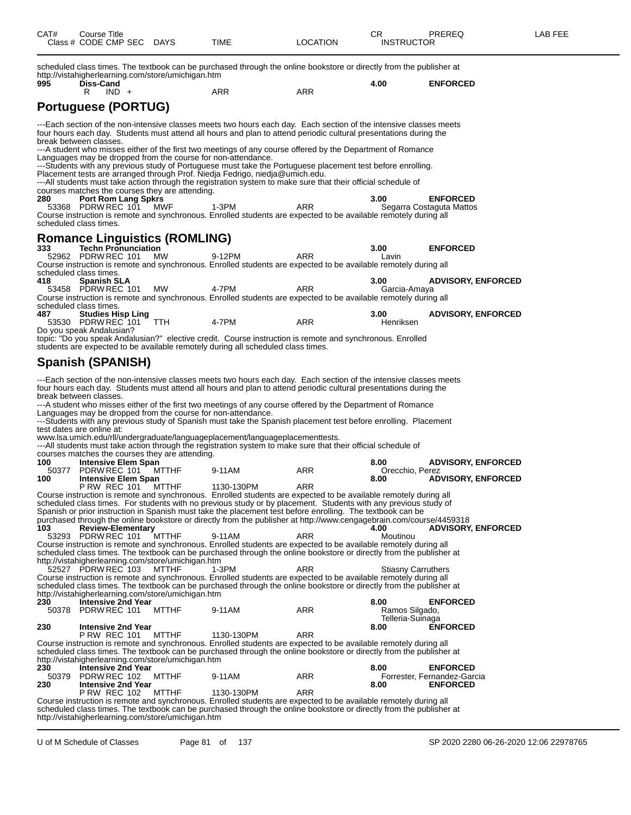| CAT#         | Course Title<br>Class # CODE CMP SEC DAYS                                       |              | <b>TIME</b>                                                                                                                                                                                                                             | <b>LOCATION</b> | CR<br><b>INSTRUCTOR</b>            | PREREQ                      | LAB FEE |
|--------------|---------------------------------------------------------------------------------|--------------|-----------------------------------------------------------------------------------------------------------------------------------------------------------------------------------------------------------------------------------------|-----------------|------------------------------------|-----------------------------|---------|
|              | http://vistahigherlearning.com/store/umichigan.htm                              |              | scheduled class times. The textbook can be purchased through the online bookstore or directly from the publisher at                                                                                                                     |                 |                                    |                             |         |
| 995          | Diss-Cand<br>R<br>$IND +$                                                       |              | ARR                                                                                                                                                                                                                                     | <b>ARR</b>      | 4.00                               | <b>ENFORCED</b>             |         |
|              |                                                                                 |              |                                                                                                                                                                                                                                         |                 |                                    |                             |         |
|              | <b>Portuguese (PORTUG)</b>                                                      |              |                                                                                                                                                                                                                                         |                 |                                    |                             |         |
|              | break between classes.                                                          |              | ---Each section of the non-intensive classes meets two hours each day. Each section of the intensive classes meets<br>four hours each day. Students must attend all hours and plan to attend periodic cultural presentations during the |                 |                                    |                             |         |
|              |                                                                                 |              | ---A student who misses either of the first two meetings of any course offered by the Department of Romance<br>Languages may be dropped from the course for non-attendance.                                                             |                 |                                    |                             |         |
|              |                                                                                 |              | ---Students with any previous study of Portuguese must take the Portuguese placement test before enrolling.<br>Placement tests are arranged through Prof. Niedja Fedrigo, niedja@umich.edu.                                             |                 |                                    |                             |         |
|              | courses matches the courses they are attending.                                 |              | ---All students must take action through the registration system to make sure that their official schedule of                                                                                                                           |                 |                                    |                             |         |
| 280          | <b>Port Rom Lang Spkrs</b>                                                      |              |                                                                                                                                                                                                                                         |                 | 3.00                               | <b>ENFORCED</b>             |         |
|              | 53368 PDRW REC 101                                                              | <b>MWF</b>   | 1-3PM<br>Course instruction is remote and synchronous. Enrolled students are expected to be available remotely during all                                                                                                               | ARR             |                                    | Segarra Costaguta Mattos    |         |
|              | scheduled class times.                                                          |              |                                                                                                                                                                                                                                         |                 |                                    |                             |         |
|              | <b>Romance Linguistics (ROMLING)</b>                                            |              |                                                                                                                                                                                                                                         |                 |                                    |                             |         |
| 333          | <b>Techn Pronunciation</b><br>52962 PDRW REC 101                                | <b>MW</b>    | 9-12PM                                                                                                                                                                                                                                  | ARR             | 3.00                               | <b>ENFORCED</b>             |         |
|              |                                                                                 |              | Course instruction is remote and synchronous. Enrolled students are expected to be available remotely during all                                                                                                                        |                 | Lavin                              |                             |         |
| 418          | scheduled class times.<br><b>Spanish SLA</b>                                    |              |                                                                                                                                                                                                                                         |                 | 3.00                               | <b>ADVISORY, ENFORCED</b>   |         |
|              | 53458 PDRW REC 101                                                              | MW           | 4-7PM                                                                                                                                                                                                                                   | ARR             | Garcia-Amaya                       |                             |         |
|              | scheduled class times.                                                          |              | Course instruction is remote and synchronous. Enrolled students are expected to be available remotely during all                                                                                                                        |                 |                                    |                             |         |
| 487          | <b>Studies Hisp Ling</b>                                                        |              |                                                                                                                                                                                                                                         |                 | 3.00                               | <b>ADVISORY, ENFORCED</b>   |         |
|              | 53530 PDRW REC 101 TTH<br>Do you speak Andalusian?                              |              | 4-7PM                                                                                                                                                                                                                                   | <b>ARR</b>      | Henriksen                          |                             |         |
|              |                                                                                 |              | topic: "Do you speak Andalusian?" elective credit. Course instruction is remote and synchronous. Enrolled                                                                                                                               |                 |                                    |                             |         |
|              |                                                                                 |              | students are expected to be available remotely during all scheduled class times.                                                                                                                                                        |                 |                                    |                             |         |
|              | Spanish (SPANISH)                                                               |              |                                                                                                                                                                                                                                         |                 |                                    |                             |         |
|              |                                                                                 |              | ---Each section of the non-intensive classes meets two hours each day. Each section of the intensive classes meets                                                                                                                      |                 |                                    |                             |         |
|              | break between classes.                                                          |              | four hours each day. Students must attend all hours and plan to attend periodic cultural presentations during the                                                                                                                       |                 |                                    |                             |         |
|              |                                                                                 |              | ---A student who misses either of the first two meetings of any course offered by the Department of Romance                                                                                                                             |                 |                                    |                             |         |
|              |                                                                                 |              | Languages may be dropped from the course for non-attendance.<br>---Students with any previous study of Spanish must take the Spanish placement test before enrolling. Placement                                                         |                 |                                    |                             |         |
|              | test dates are online at:                                                       |              |                                                                                                                                                                                                                                         |                 |                                    |                             |         |
|              |                                                                                 |              | www.lsa.umich.edu/rll/undergraduate/languageplacement/languageplacementtests.<br>---All students must take action through the registration system to make sure that their official schedule of                                          |                 |                                    |                             |         |
|              | courses matches the courses they are attending.                                 |              |                                                                                                                                                                                                                                         |                 |                                    |                             |         |
| 100<br>50377 | <b>Intensive Elem Span</b><br>PDRW REC 101                                      | MTTHF        | 9-11AM                                                                                                                                                                                                                                  | ARR             | 8.00<br>Orecchio, Perez            | <b>ADVISORY, ENFORCED</b>   |         |
| 100          | Intensive Elem Span                                                             |              |                                                                                                                                                                                                                                         |                 | 8.00                               | <b>ADVISORY, ENFORCED</b>   |         |
|              | <b>P RW REC 101</b>                                                             | MTTHF        | 1130-130PM<br>Course instruction is remote and synchronous. Enrolled students are expected to be available remotely during all                                                                                                          | ARR             |                                    |                             |         |
|              |                                                                                 |              | scheduled class times. For students with no previous study or by placement. Students with any previous study of<br>Spanish or prior instruction in Spanish must take the placement test before enrolling. The textbook can be           |                 |                                    |                             |         |
|              |                                                                                 |              | purchased through the online bookstore or directly from the publisher at http://www.cengagebrain.com/course/4459318                                                                                                                     |                 |                                    |                             |         |
| 103          | <b>Review-Elementary</b>                                                        |              | 9-11AM                                                                                                                                                                                                                                  | <b>ARR</b>      | 4.00<br>Moutinou                   | <b>ADVISORY, ENFORCED</b>   |         |
|              | 53293 PDRW REC 101                                                              | <b>MTTHF</b> | Course instruction is remote and synchronous. Enrolled students are expected to be available remotely during all                                                                                                                        |                 |                                    |                             |         |
|              |                                                                                 |              | scheduled class times. The textbook can be purchased through the online bookstore or directly from the publisher at                                                                                                                     |                 |                                    |                             |         |
|              | http://vistahigherlearning.com/store/umichigan.htm<br>52527 PDRW REC 103        | <b>MTTHF</b> | 1-3PM                                                                                                                                                                                                                                   | <b>ARR</b>      | <b>Stiasny Carruthers</b>          |                             |         |
|              |                                                                                 |              | Course instruction is remote and synchronous. Enrolled students are expected to be available remotely during all                                                                                                                        |                 |                                    |                             |         |
|              | http://vistahigherlearning.com/store/umichigan.htm                              |              | scheduled class times. The textbook can be purchased through the online bookstore or directly from the publisher at                                                                                                                     |                 |                                    |                             |         |
| 230          | <b>Intensive 2nd Year</b>                                                       |              |                                                                                                                                                                                                                                         |                 | 8.00                               | <b>ENFORCED</b>             |         |
| 50378        | PDRW REC 101                                                                    | MTTHF        | 9-11AM                                                                                                                                                                                                                                  | ARR             | Ramos Silgado,<br>Telleria-Suinaga |                             |         |
| 230          | <b>Intensive 2nd Year</b>                                                       |              |                                                                                                                                                                                                                                         |                 | 8.00                               | <b>ENFORCED</b>             |         |
|              | P RW REC 101                                                                    | MTTHF        | 1130-130PM<br>Course instruction is remote and synchronous. Enrolled students are expected to be available remotely during all                                                                                                          | <b>ARR</b>      |                                    |                             |         |
|              |                                                                                 |              | scheduled class times. The textbook can be purchased through the online bookstore or directly from the publisher at                                                                                                                     |                 |                                    |                             |         |
| 230          | http://vistahigherlearning.com/store/umichigan.htm<br><b>Intensive 2nd Year</b> |              |                                                                                                                                                                                                                                         |                 | 8.00                               | <b>ENFORCED</b>             |         |
| 50379        | PDRW REC 102                                                                    | MTTHF        | 9-11AM                                                                                                                                                                                                                                  | ARR             |                                    | Forrester, Fernandez-Garcia |         |
| 230          | <b>Intensive 2nd Year</b><br><b>P RW REC 102</b>                                | <b>MTTHF</b> | 1130-130PM                                                                                                                                                                                                                              | <b>ARR</b>      | 8.00                               | <b>ENFORCED</b>             |         |
|              |                                                                                 |              | Course instruction is remote and synchronous. Enrolled students are expected to be available remotely during all<br>scheduled class times. The textbook can be purchased through the online bookstore or directly from the publisher at |                 |                                    |                             |         |

http://vistahigherlearning.com/store/umichigan.htm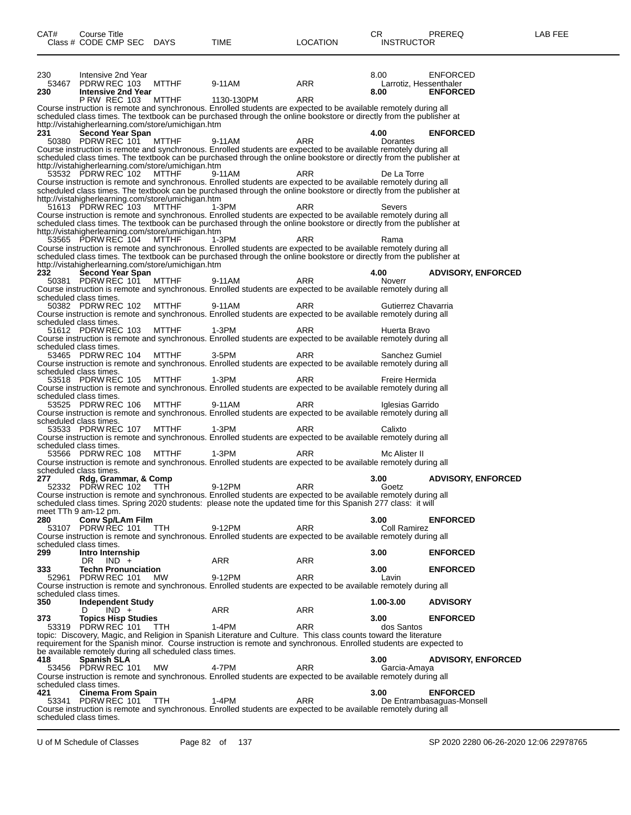| 230<br>53467 | Intensive 2nd Year<br>PDRW REC 103                 | <b>MTTHF</b>                                                       | 9-11AM     | ARR                                                                                                                                                                                                                                     | 8.00<br>Larrotiz, Hessenthaler | <b>ENFORCED</b>           |
|--------------|----------------------------------------------------|--------------------------------------------------------------------|------------|-----------------------------------------------------------------------------------------------------------------------------------------------------------------------------------------------------------------------------------------|--------------------------------|---------------------------|
| 230          | <b>Intensive 2nd Year</b>                          |                                                                    |            |                                                                                                                                                                                                                                         | 8.00                           | <b>ENFORCED</b>           |
|              | P RW REC 103 MTTHF                                 |                                                                    | 1130-130PM | ARR<br>Course instruction is remote and synchronous. Enrolled students are expected to be available remotely during all                                                                                                                 |                                |                           |
|              |                                                    |                                                                    |            | scheduled class times. The textbook can be purchased through the online bookstore or directly from the publisher at                                                                                                                     |                                |                           |
| 231          | <b>Second Year Span</b>                            | http://vistahigherlearning.com/store/umichigan.htm                 |            |                                                                                                                                                                                                                                         | 4.00                           | <b>ENFORCED</b>           |
|              | 50380 PDRW REC 101                                 | <b>MTTHF</b>                                                       | 9-11AM     | ARR                                                                                                                                                                                                                                     | Dorantes                       |                           |
|              |                                                    |                                                                    |            | Course instruction is remote and synchronous. Enrolled students are expected to be available remotely during all<br>scheduled class times. The textbook can be purchased through the online bookstore or directly from the publisher at |                                |                           |
|              |                                                    | http://vistahigherlearning.com/store/umichigan.htm                 |            |                                                                                                                                                                                                                                         |                                |                           |
|              | 53532 PDRW REC 102                                 | MTTHF                                                              | 9-11AM     | <b>ARR</b>                                                                                                                                                                                                                              | De La Torre                    |                           |
|              |                                                    |                                                                    |            | Course instruction is remote and synchronous. Enrolled students are expected to be available remotely during all<br>scheduled class times. The textbook can be purchased through the online bookstore or directly from the publisher at |                                |                           |
|              |                                                    | http://vistahigherlearning.com/store/umichigan.htm                 |            |                                                                                                                                                                                                                                         |                                |                           |
|              | 51613 PDRW REC 103                                 | MTTHF                                                              | 1-3PM      | ARR<br>Course instruction is remote and synchronous. Enrolled students are expected to be available remotely during all                                                                                                                 | Severs                         |                           |
|              |                                                    |                                                                    |            | scheduled class times. The textbook can be purchased through the online bookstore or directly from the publisher at                                                                                                                     |                                |                           |
|              | 53565 PDRW REC 104                                 | http://vistahigherlearning.com/store/umichigan.htm<br><b>MTTHF</b> | 1-3PM      | ARR                                                                                                                                                                                                                                     | Rama                           |                           |
|              |                                                    |                                                                    |            | Course instruction is remote and synchronous. Enrolled students are expected to be available remotely during all                                                                                                                        |                                |                           |
|              |                                                    | http://vistahigherlearning.com/store/umichigan.htm                 |            | scheduled class times. The textbook can be purchased through the online bookstore or directly from the publisher at                                                                                                                     |                                |                           |
| 232          | <b>Second Year Span</b>                            |                                                                    |            |                                                                                                                                                                                                                                         | 4.00                           | <b>ADVISORY, ENFORCED</b> |
|              | 50381 PDRW REC 101                                 | <b>MTTHF</b>                                                       | 9-11AM     | ARR<br>Course instruction is remote and synchronous. Enrolled students are expected to be available remotely during all                                                                                                                 | Noverr                         |                           |
|              | scheduled class times.                             |                                                                    |            |                                                                                                                                                                                                                                         |                                |                           |
|              | 50382 PDRW REC 102                                 | <b>MTTHF</b>                                                       | 9-11AM     | ARR                                                                                                                                                                                                                                     | Gutierrez Chavarria            |                           |
|              | scheduled class times.                             |                                                                    |            | Course instruction is remote and synchronous. Enrolled students are expected to be available remotely during all                                                                                                                        |                                |                           |
|              | 51612 PDRW REC 103                                 | <b>MTTHF</b>                                                       | 1-3PM      | ARR                                                                                                                                                                                                                                     | Huerta Bravo                   |                           |
|              | scheduled class times.                             |                                                                    |            | Course instruction is remote and synchronous. Enrolled students are expected to be available remotely during all                                                                                                                        |                                |                           |
|              | 53465 PDRW REC 104                                 | <b>MTTHF</b>                                                       | $3-5PM$    | ARR                                                                                                                                                                                                                                     | Sanchez Gumiel                 |                           |
|              | scheduled class times.                             |                                                                    |            | Course instruction is remote and synchronous. Enrolled students are expected to be available remotely during all                                                                                                                        |                                |                           |
|              | 53518 PDRW REC 105                                 | <b>MTTHF</b>                                                       | 1-3PM      | ARR                                                                                                                                                                                                                                     | Freire Hermida                 |                           |
|              | scheduled class times.                             |                                                                    |            | Course instruction is remote and synchronous. Enrolled students are expected to be available remotely during all                                                                                                                        |                                |                           |
|              | 53525 PDRW REC 106                                 | <b>MTTHF</b>                                                       | 9-11AM     | ARR                                                                                                                                                                                                                                     | Iglesias Garrido               |                           |
|              | scheduled class times.                             |                                                                    |            | Course instruction is remote and synchronous. Enrolled students are expected to be available remotely during all                                                                                                                        |                                |                           |
|              | 53533 PDRW REC 107                                 | <b>MTTHF</b>                                                       | 1-3PM      | ARR                                                                                                                                                                                                                                     | Calixto                        |                           |
|              | scheduled class times.                             |                                                                    |            | Course instruction is remote and synchronous. Enrolled students are expected to be available remotely during all                                                                                                                        |                                |                           |
|              | 53566 PDRW REC 108                                 | <b>MTTHF</b>                                                       | 1-3PM      | ARR                                                                                                                                                                                                                                     | Mc Alister II                  |                           |
|              | scheduled class times.                             |                                                                    |            | Course instruction is remote and synchronous. Enrolled students are expected to be available remotely during all                                                                                                                        |                                |                           |
| 277          | Rdg, Grammar, & Comp                               |                                                                    |            |                                                                                                                                                                                                                                         | 3.00                           | <b>ADVISORY, ENFORCED</b> |
|              | 52332 PDRW REC 102 TTH                             |                                                                    | 9-12PM     | <b>ARR</b><br>Course instruction is remote and synchronous. Enrolled students are expected to be available remotely during all                                                                                                          | Goetz                          |                           |
|              |                                                    |                                                                    |            | scheduled class times. Spring 2020 students: please note the updated time for this Spanish 277 class: it will                                                                                                                           |                                |                           |
|              | meet TTh 9 am-12 pm.                               |                                                                    |            |                                                                                                                                                                                                                                         |                                |                           |
|              | 280 Conv Sp/LAm Film<br>53107 PDRW REC 101 TTH     |                                                                    | 9-12PM     | ARR                                                                                                                                                                                                                                     | 3.00<br>Coll Ramirez           | <b>ENFORCED</b>           |
|              |                                                    |                                                                    |            | Course instruction is remote and synchronous. Enrolled students are expected to be available remotely during all                                                                                                                        |                                |                           |
| 299          | scheduled class times.<br>Intro Internship         |                                                                    |            |                                                                                                                                                                                                                                         | 3.00                           | <b>ENFORCED</b>           |
|              | DR.<br>$IND +$                                     |                                                                    | ARR        | <b>ARR</b>                                                                                                                                                                                                                              |                                |                           |
| 333          | <b>Techn Pronunciation</b><br>52961 PDRW REC 101   | MW                                                                 | 9-12PM     | <b>ARR</b>                                                                                                                                                                                                                              | 3.00<br>Lavin                  | <b>ENFORCED</b>           |
|              |                                                    |                                                                    |            | Course instruction is remote and synchronous. Enrolled students are expected to be available remotely during all                                                                                                                        |                                |                           |
| 350          | scheduled class times.<br><b>Independent Study</b> |                                                                    |            |                                                                                                                                                                                                                                         | 1.00-3.00                      | <b>ADVISORY</b>           |
|              | $IND +$<br>D                                       |                                                                    | ARR        | <b>ARR</b>                                                                                                                                                                                                                              |                                |                           |
| 373          | <b>Topics Hisp Studies</b><br>53319 PDRW REC 101   | TTH.                                                               | 1-4PM      | ARR                                                                                                                                                                                                                                     | 3.00<br>dos Santos             | <b>ENFORCED</b>           |
|              |                                                    |                                                                    |            | topic: Discovery, Magic, and Religion in Spanish Literature and Culture. This class counts toward the literature                                                                                                                        |                                |                           |
|              |                                                    |                                                                    |            | requirement for the Spanish minor. Course instruction is remote and synchronous. Enrolled students are expected to                                                                                                                      |                                |                           |
| 418          | <b>Spanish SLA</b>                                 | be available remotely during all scheduled class times.            |            |                                                                                                                                                                                                                                         | 3.00                           | <b>ADVISORY, ENFORCED</b> |
|              | 53456 PDRW REC 101                                 | MW                                                                 | 4-7PM      | <b>ARR</b>                                                                                                                                                                                                                              | Garcia-Amaya                   |                           |
|              | scheduled class times.                             |                                                                    |            | Course instruction is remote and synchronous. Enrolled students are expected to be available remotely during all                                                                                                                        |                                |                           |
| 421          | <b>Cinema From Spain</b>                           |                                                                    |            |                                                                                                                                                                                                                                         | 3.00                           | <b>ENFORCED</b>           |
|              | 53341 PDRW REC 101 TTH                             |                                                                    | 1-4PM      | <b>ARR</b><br>Course instruction is remote and synchronous. Enrolled students are expected to be available remotely during all                                                                                                          |                                | De Entrambasaguas-Monsell |
|              | scheduled class times.                             |                                                                    |            |                                                                                                                                                                                                                                         |                                |                           |
|              |                                                    |                                                                    |            |                                                                                                                                                                                                                                         |                                |                           |

CAT# Course Title Case CR PREREQ LAB FEE

Class # CODE CMP SEC DAYS TIME LOCATION INSTRUCTOR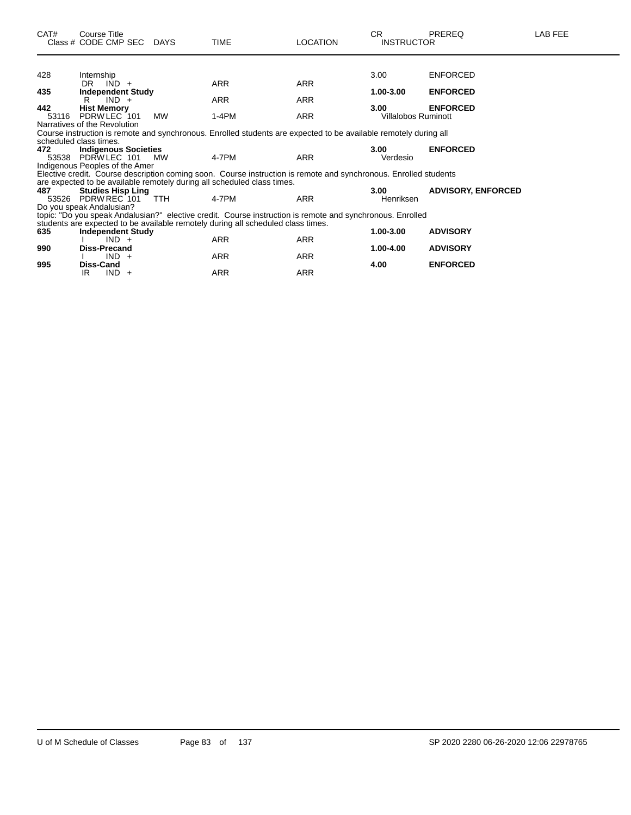| CAT#         | Course Title<br>Class # CODE CMP SEC DAYS                                                                                                        |            | <b>TIME</b>                                                                                                      | <b>LOCATION</b> | <b>CR</b><br><b>INSTRUCTOR</b>     | <b>PREREQ</b>             | LAB FEE |  |  |  |  |
|--------------|--------------------------------------------------------------------------------------------------------------------------------------------------|------------|------------------------------------------------------------------------------------------------------------------|-----------------|------------------------------------|---------------------------|---------|--|--|--|--|
|              |                                                                                                                                                  |            |                                                                                                                  |                 |                                    |                           |         |  |  |  |  |
| 428          | Internship                                                                                                                                       |            |                                                                                                                  |                 | 3.00                               | <b>ENFORCED</b>           |         |  |  |  |  |
|              | DR $IND +$                                                                                                                                       |            | <b>ARR</b>                                                                                                       | <b>ARR</b>      |                                    |                           |         |  |  |  |  |
| 435          | <b>Independent Study</b>                                                                                                                         |            |                                                                                                                  |                 | 1.00-3.00                          | <b>ENFORCED</b>           |         |  |  |  |  |
|              | $IND +$<br>R                                                                                                                                     |            | <b>ARR</b>                                                                                                       | <b>ARR</b>      |                                    |                           |         |  |  |  |  |
| 442<br>53116 | <b>Hist Memory</b><br>PDRW LEC 101                                                                                                               | MW         | $1-4PM$                                                                                                          | ARR             | 3.00<br><b>Villalobos Ruminott</b> | <b>ENFORCED</b>           |         |  |  |  |  |
|              |                                                                                                                                                  |            |                                                                                                                  |                 |                                    |                           |         |  |  |  |  |
|              | Narratives of the Revolution<br>Course instruction is remote and synchronous. Enrolled students are expected to be available remotely during all |            |                                                                                                                  |                 |                                    |                           |         |  |  |  |  |
|              | scheduled class times.                                                                                                                           |            |                                                                                                                  |                 |                                    |                           |         |  |  |  |  |
| 472          | <b>Indigenous Societies</b>                                                                                                                      |            |                                                                                                                  |                 | 3.00                               | <b>ENFORCED</b>           |         |  |  |  |  |
|              | 53538 PDRW LEC 101 MW                                                                                                                            |            | 4-7PM                                                                                                            | <b>ARR</b>      | Verdesio                           |                           |         |  |  |  |  |
|              | Indigenous Peoples of the Amer                                                                                                                   |            |                                                                                                                  |                 |                                    |                           |         |  |  |  |  |
|              |                                                                                                                                                  |            | Elective credit. Course description coming soon. Course instruction is remote and synchronous. Enrolled students |                 |                                    |                           |         |  |  |  |  |
|              |                                                                                                                                                  |            | are expected to be available remotely during all scheduled class times.                                          |                 |                                    |                           |         |  |  |  |  |
| 487          | <b>Studies Hisp Ling</b>                                                                                                                         |            |                                                                                                                  |                 | 3.00                               | <b>ADVISORY, ENFORCED</b> |         |  |  |  |  |
|              | 53526 PDRW REC 101                                                                                                                               | <b>TTH</b> | 4-7PM                                                                                                            | <b>ARR</b>      | Henriksen                          |                           |         |  |  |  |  |
|              | Do you speak Andalusian?                                                                                                                         |            | topic: "Do you speak Andalusian?" elective credit. Course instruction is remote and synchronous. Enrolled        |                 |                                    |                           |         |  |  |  |  |
|              |                                                                                                                                                  |            | students are expected to be available remotely during all scheduled class times.                                 |                 |                                    |                           |         |  |  |  |  |
| 635          | <b>Independent Study</b>                                                                                                                         |            |                                                                                                                  |                 | 1.00-3.00                          | <b>ADVISORY</b>           |         |  |  |  |  |
|              | $IND +$                                                                                                                                          |            | <b>ARR</b>                                                                                                       | ARR             |                                    |                           |         |  |  |  |  |
| 990          | Diss-Precand                                                                                                                                     |            |                                                                                                                  |                 | 1.00-4.00                          | <b>ADVISORY</b>           |         |  |  |  |  |
|              | $IND +$                                                                                                                                          |            | <b>ARR</b>                                                                                                       | ARR             |                                    |                           |         |  |  |  |  |
| 995          | <b>Diss-Cand</b>                                                                                                                                 |            |                                                                                                                  |                 | 4.00                               | <b>ENFORCED</b>           |         |  |  |  |  |
|              | $IND +$<br>IR.                                                                                                                                   |            | <b>ARR</b>                                                                                                       | ARR             |                                    |                           |         |  |  |  |  |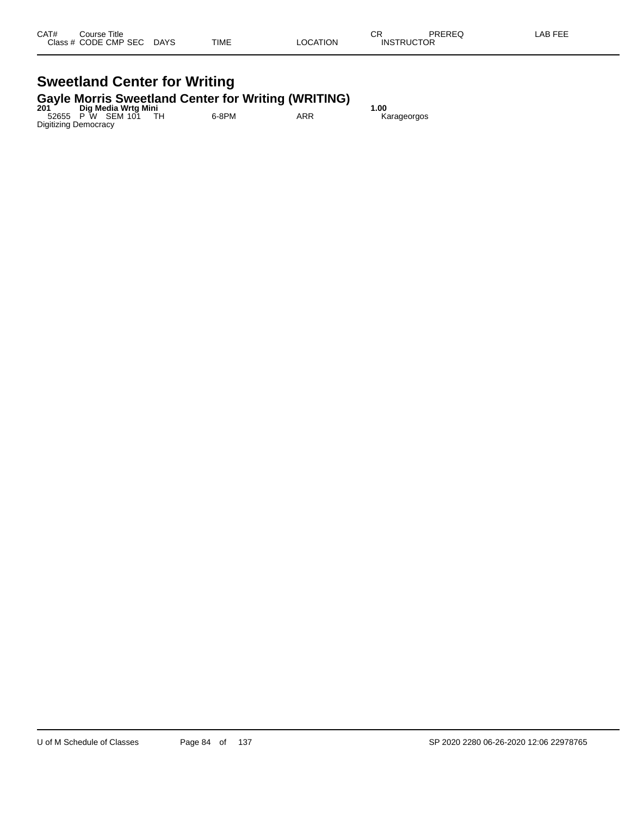#### **Sweetland Center for Writing Gayle Morris Sweetland Center for Writing (WRITING)**

| 201 | Dig Media Wrtg Mini         |       | . . | 1.00        |  |
|-----|-----------------------------|-------|-----|-------------|--|
|     | 52655 P W SEM 101           | 6-8PM | ARR | Karageorgos |  |
|     | <b>Digitizing Democracy</b> |       |     |             |  |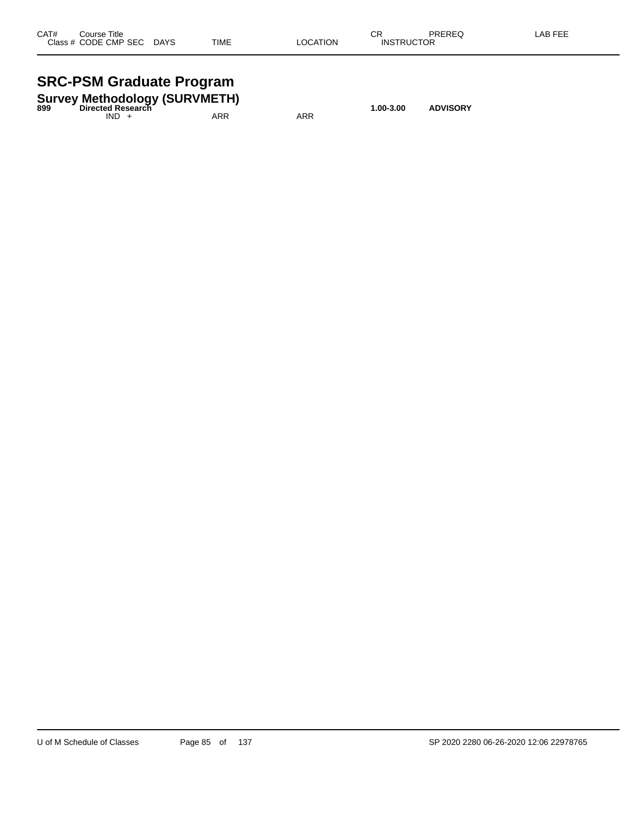| CAT#<br>Class # | Course Title<br>CODE CMP SEC | <b>DAYS</b> | <b>TIME</b> | <b>LOCATION</b> | СR<br><b>INSTRUCTOR</b> | PREREQ | <b>LAB FEE</b> |
|-----------------|------------------------------|-------------|-------------|-----------------|-------------------------|--------|----------------|
|                 |                              |             |             |                 |                         |        |                |

#### **SRC-PSM Graduate Program**

| 899 | <b>Survey Methodology (SURVMETH)</b><br>Directed Research |     | 1.00-3.00 | <b>ADVISORY</b> |  |  |
|-----|-----------------------------------------------------------|-----|-----------|-----------------|--|--|
|     | $IND +$                                                   | ARR | ARR       |                 |  |  |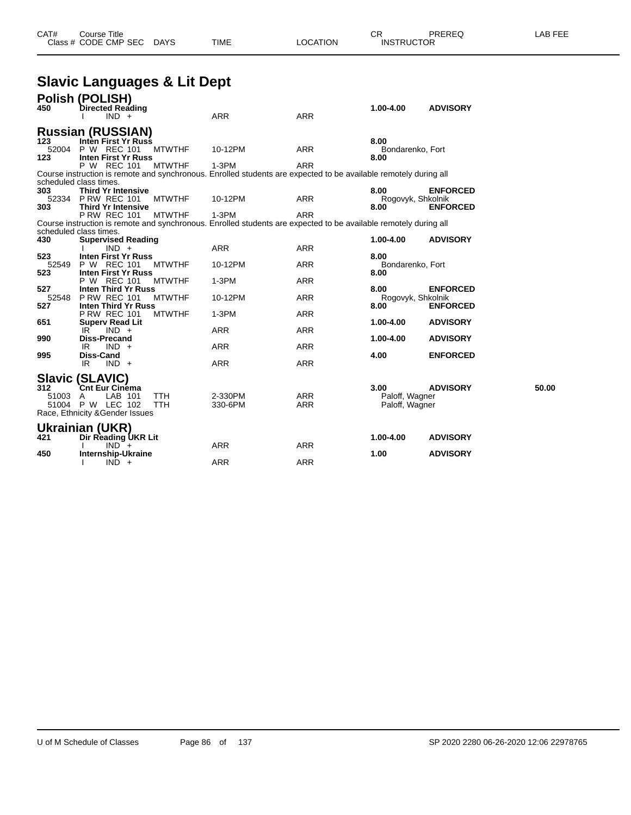#### **Slavic Languages & Lit Dept**

| 450          | Polish (POLISH)<br>Directed Reading                 |               |                                                                                                                  |            | 1.00-4.00                | <b>ADVISORY</b> |       |
|--------------|-----------------------------------------------------|---------------|------------------------------------------------------------------------------------------------------------------|------------|--------------------------|-----------------|-------|
|              | $IND +$                                             |               | <b>ARR</b>                                                                                                       | <b>ARR</b> |                          |                 |       |
| 123          | <b>Russian (RUSSIAN)</b><br>Inten First Yr Russ     |               |                                                                                                                  |            | 8.00                     |                 |       |
| 52004<br>123 | P W REC 101<br><b>Inten First Yr Russ</b>           | <b>MTWTHF</b> | 10-12PM                                                                                                          | <b>ARR</b> | Bondarenko, Fort<br>8.00 |                 |       |
|              | P W REC 101                                         | <b>MTWTHF</b> | $1-3PM$                                                                                                          | <b>ARR</b> |                          |                 |       |
|              | scheduled class times.                              |               | Course instruction is remote and synchronous. Enrolled students are expected to be available remotely during all |            |                          |                 |       |
| 303          | <b>Third Yr Intensive</b>                           |               |                                                                                                                  |            | 8.00                     | <b>ENFORCED</b> |       |
| 52334        | <b>P RW REC 101</b>                                 | <b>MTWTHF</b> | 10-12PM                                                                                                          | ARR        | Rogovyk, Shkolnik        |                 |       |
| 303          | <b>Third Yr Intensive</b><br><b>P RW REC 101</b>    | <b>MTWTHF</b> | $1-3PM$                                                                                                          | <b>ARR</b> | 8.00                     | <b>ENFORCED</b> |       |
|              |                                                     |               | Course instruction is remote and synchronous. Enrolled students are expected to be available remotely during all |            |                          |                 |       |
| 430          | scheduled class times.<br><b>Supervised Reading</b> |               |                                                                                                                  |            | 1.00-4.00                | <b>ADVISORY</b> |       |
|              | $IND +$                                             |               | ARR                                                                                                              | ARR        |                          |                 |       |
| 523          | <b>Inten First Yr Russ</b>                          |               |                                                                                                                  |            | 8.00                     |                 |       |
| 52549        | P W REC 101                                         | <b>MTWTHF</b> | 10-12PM                                                                                                          | <b>ARR</b> | Bondarenko, Fort         |                 |       |
| 523          | <b>Inten First Yr Russ</b><br>P W REC 101           | <b>MTWTHF</b> | 1-3PM                                                                                                            | <b>ARR</b> | 8.00                     |                 |       |
| 527          | Inten Third Yr Russ                                 |               |                                                                                                                  |            | 8.00                     | <b>ENFORCED</b> |       |
| 52548        | <b>P RW REC 101</b>                                 | <b>MTWTHF</b> | 10-12PM                                                                                                          | <b>ARR</b> | Rogovyk, Shkolnik        |                 |       |
| 527          | Inten Third Yr Russ                                 |               |                                                                                                                  |            | 8.00                     | <b>ENFORCED</b> |       |
|              | <b>P RW REC 101</b>                                 | <b>MTWTHF</b> | 1-3PM                                                                                                            | <b>ARR</b> |                          |                 |       |
| 651          | <b>Superv Read Lit</b><br>$IND +$                   |               | ARR                                                                                                              | ARR        | 1.00-4.00                | <b>ADVISORY</b> |       |
| 990          | IR<br><b>Diss-Precand</b>                           |               |                                                                                                                  |            | 1.00-4.00                | <b>ADVISORY</b> |       |
|              | $IND +$<br>IR                                       |               | <b>ARR</b>                                                                                                       | <b>ARR</b> |                          |                 |       |
| 995          | <b>Diss-Cand</b>                                    |               |                                                                                                                  |            | 4.00                     | <b>ENFORCED</b> |       |
|              | $IND +$<br>IR                                       |               | <b>ARR</b>                                                                                                       | <b>ARR</b> |                          |                 |       |
|              | <b>Slavic (SLAVIC)</b>                              |               |                                                                                                                  |            |                          |                 |       |
| 312          | <b>Cnt Eur Cinéma</b>                               |               |                                                                                                                  |            | 3.00                     | <b>ADVISORY</b> | 50.00 |
| 51003        | LAB 101<br>A                                        | <b>TTH</b>    | 2-330PM                                                                                                          | <b>ARR</b> | Paloff, Wagner           |                 |       |
| 51004        | P W LEC 102                                         | <b>TTH</b>    | 330-6PM                                                                                                          | <b>ARR</b> | Paloff, Wagner           |                 |       |
|              | Race, Ethnicity & Gender Issues                     |               |                                                                                                                  |            |                          |                 |       |
|              | Ukrainian (UKR)                                     |               |                                                                                                                  |            |                          |                 |       |
| 421          | Dir Reading UKR Lit                                 |               |                                                                                                                  |            | 1.00-4.00                | <b>ADVISORY</b> |       |
|              | $IND +$                                             |               | ARR                                                                                                              | <b>ARR</b> |                          |                 |       |
| 450          | Internship-Ukraine<br>$IND +$                       |               | <b>ARR</b>                                                                                                       | <b>ARR</b> | 1.00                     | <b>ADVISORY</b> |       |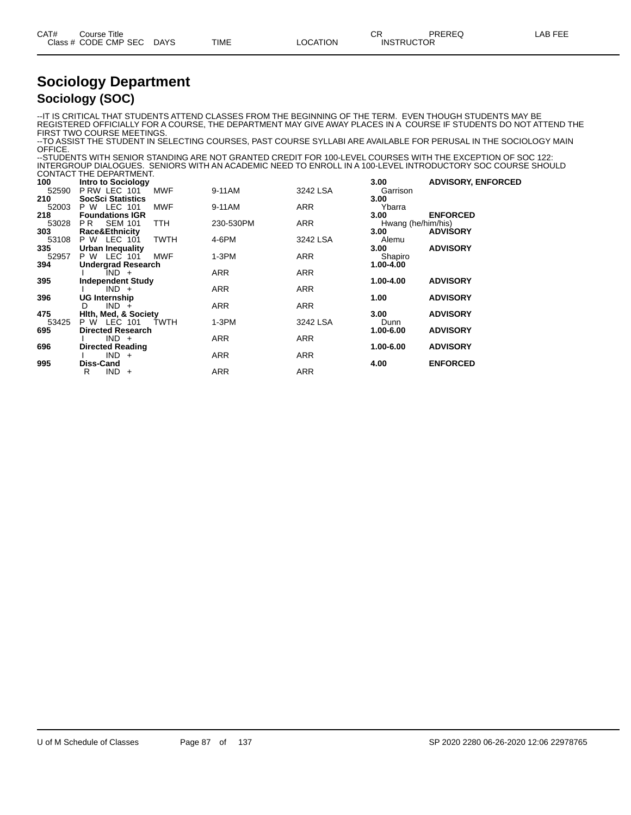| CAT# | Title<br>Course '    |             |      |          | Ωn<br>- UN        | PREREQ | AR FFF |
|------|----------------------|-------------|------|----------|-------------------|--------|--------|
|      | Class # CODE CMP SEC | <b>DAYS</b> | TIME | LOCATION | <b>INSTRUCTOR</b> |        |        |
|      |                      |             |      |          |                   |        |        |

#### **Sociology Department Sociology (SOC)**

--IT IS CRITICAL THAT STUDENTS ATTEND CLASSES FROM THE BEGINNING OF THE TERM. EVEN THOUGH STUDENTS MAY BE REGISTERED OFFICIALLY FOR A COURSE, THE DEPARTMENT MAY GIVE AWAY PLACES IN A COURSE IF STUDENTS DO NOT ATTEND THE FIRST TWO COURSE MEETINGS.

--TO ASSIST THE STUDENT IN SELECTING COURSES, PAST COURSE SYLLABI ARE AVAILABLE FOR PERUSAL IN THE SOCIOLOGY MAIN OFFICE.

--STUDENTS WITH SENIOR STANDING ARE NOT GRANTED CREDIT FOR 100-LEVEL COURSES WITH THE EXCEPTION OF SOC 122: INTERGROUP DIALOGUES. SENIORS WITH AN ACADEMIC NEED TO ENROLL IN A 100-LEVEL INTRODUCTORY SOC COURSE SHOULD CONTACT THE DEPARTMENT.

|                           |                                                                                                                                                                                                                                                                                                                                                                                                                          |                                                                                                  | 3.00                                                                                                     | <b>ADVISORY, ENFORCED</b>                                                                                                          |
|---------------------------|--------------------------------------------------------------------------------------------------------------------------------------------------------------------------------------------------------------------------------------------------------------------------------------------------------------------------------------------------------------------------------------------------------------------------|--------------------------------------------------------------------------------------------------|----------------------------------------------------------------------------------------------------------|------------------------------------------------------------------------------------------------------------------------------------|
| PRW LEC 101<br><b>MWF</b> | 9-11AM                                                                                                                                                                                                                                                                                                                                                                                                                   | 3242 LSA                                                                                         | Garrison                                                                                                 |                                                                                                                                    |
| <b>SocSci Statistics</b>  |                                                                                                                                                                                                                                                                                                                                                                                                                          |                                                                                                  | 3.00                                                                                                     |                                                                                                                                    |
| P W LEC 101<br><b>MWF</b> | 9-11AM                                                                                                                                                                                                                                                                                                                                                                                                                   | ARR                                                                                              | Ybarra                                                                                                   |                                                                                                                                    |
| <b>Foundations IGR</b>    |                                                                                                                                                                                                                                                                                                                                                                                                                          |                                                                                                  | 3.00                                                                                                     | <b>ENFORCED</b>                                                                                                                    |
| <b>TTH</b><br>PR.         |                                                                                                                                                                                                                                                                                                                                                                                                                          |                                                                                                  |                                                                                                          |                                                                                                                                    |
|                           |                                                                                                                                                                                                                                                                                                                                                                                                                          |                                                                                                  |                                                                                                          | <b>ADVISORY</b>                                                                                                                    |
|                           |                                                                                                                                                                                                                                                                                                                                                                                                                          |                                                                                                  |                                                                                                          |                                                                                                                                    |
|                           |                                                                                                                                                                                                                                                                                                                                                                                                                          |                                                                                                  |                                                                                                          | <b>ADVISORY</b>                                                                                                                    |
|                           |                                                                                                                                                                                                                                                                                                                                                                                                                          |                                                                                                  |                                                                                                          |                                                                                                                                    |
|                           |                                                                                                                                                                                                                                                                                                                                                                                                                          |                                                                                                  |                                                                                                          |                                                                                                                                    |
|                           |                                                                                                                                                                                                                                                                                                                                                                                                                          |                                                                                                  |                                                                                                          |                                                                                                                                    |
|                           |                                                                                                                                                                                                                                                                                                                                                                                                                          |                                                                                                  |                                                                                                          | <b>ADVISORY</b>                                                                                                                    |
|                           |                                                                                                                                                                                                                                                                                                                                                                                                                          |                                                                                                  |                                                                                                          | <b>ADVISORY</b>                                                                                                                    |
|                           |                                                                                                                                                                                                                                                                                                                                                                                                                          |                                                                                                  |                                                                                                          |                                                                                                                                    |
|                           |                                                                                                                                                                                                                                                                                                                                                                                                                          |                                                                                                  |                                                                                                          | <b>ADVISORY</b>                                                                                                                    |
|                           |                                                                                                                                                                                                                                                                                                                                                                                                                          |                                                                                                  |                                                                                                          |                                                                                                                                    |
|                           |                                                                                                                                                                                                                                                                                                                                                                                                                          |                                                                                                  |                                                                                                          | <b>ADVISORY</b>                                                                                                                    |
|                           |                                                                                                                                                                                                                                                                                                                                                                                                                          |                                                                                                  |                                                                                                          |                                                                                                                                    |
|                           |                                                                                                                                                                                                                                                                                                                                                                                                                          |                                                                                                  |                                                                                                          | <b>ADVISORY</b>                                                                                                                    |
|                           |                                                                                                                                                                                                                                                                                                                                                                                                                          |                                                                                                  |                                                                                                          |                                                                                                                                    |
| <b>Diss-Cand</b>          |                                                                                                                                                                                                                                                                                                                                                                                                                          |                                                                                                  | 4.00                                                                                                     | <b>ENFORCED</b>                                                                                                                    |
| $IND +$<br>R              | <b>ARR</b>                                                                                                                                                                                                                                                                                                                                                                                                               | <b>ARR</b>                                                                                       |                                                                                                          |                                                                                                                                    |
|                           | <b>Intro to Sociology</b><br><b>SEM 101</b><br>Race&Ethnicity<br><b>TWTH</b><br>P W LEC 101<br><b>Urban Inequality</b><br>P W LEC 101<br><b>MWF</b><br><b>Undergrad Research</b><br>$IND +$<br><b>Independent Study</b><br>$IND +$<br>UG Internship<br>$IND +$<br>D<br><b>Hith, Med, &amp; Society</b><br><b>P W LEC 101</b><br><b>TWTH</b><br><b>Directed Research</b><br>$IND +$<br><b>Directed Reading</b><br>$IND +$ | 230-530PM<br>4-6PM<br>$1-3PM$<br>ARR<br><b>ARR</b><br>ARR<br>$1-3PM$<br><b>ARR</b><br><b>ARR</b> | <b>ARR</b><br>3242 LSA<br>ARR<br><b>ARR</b><br><b>ARR</b><br><b>ARR</b><br>3242 LSA<br><b>ARR</b><br>ARR | Hwang (he/him/his)<br>3.00<br>Alemu<br>3.00<br>Shapiro<br>1.00-4.00<br>1.00-4.00<br>1.00<br>3.00<br>Dunn<br>1.00-6.00<br>1.00-6.00 |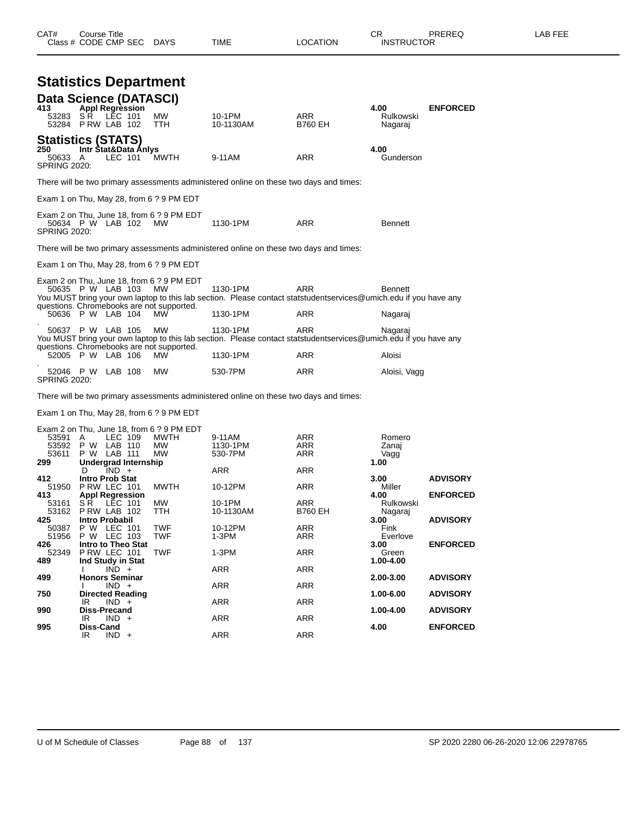|                                       |                                                                     |         |                                                                                                     |                                                                                                                              |                          | nayaraj                         |                 |
|---------------------------------------|---------------------------------------------------------------------|---------|-----------------------------------------------------------------------------------------------------|------------------------------------------------------------------------------------------------------------------------------|--------------------------|---------------------------------|-----------------|
| 250<br>50633 A<br><b>SPRING 2020:</b> | <b>Statistics (STATS)</b><br>Intr Stat&Data Anlys                   | LEC 101 | <b>MWTH</b>                                                                                         | 9-11AM                                                                                                                       | <b>ARR</b>               | 4.00<br>Gunderson               |                 |
|                                       |                                                                     |         |                                                                                                     | There will be two primary assessments administered online on these two days and times:                                       |                          |                                 |                 |
|                                       |                                                                     |         | Exam 1 on Thu, May 28, from 6 ? 9 PM EDT                                                            |                                                                                                                              |                          |                                 |                 |
| <b>SPRING 2020:</b>                   | 50634 P W LAB 102                                                   |         | Exam 2 on Thu, June 18, from 6 ? 9 PM EDT<br><b>MW</b>                                              | 1130-1PM                                                                                                                     | <b>ARR</b>               | <b>Bennett</b>                  |                 |
|                                       |                                                                     |         |                                                                                                     | There will be two primary assessments administered online on these two days and times:                                       |                          |                                 |                 |
|                                       |                                                                     |         | Exam 1 on Thu, May 28, from 6 ? 9 PM EDT                                                            |                                                                                                                              |                          |                                 |                 |
|                                       | 50635 P W LAB 103                                                   |         | Exam 2 on Thu, June 18, from 6 ? 9 PM EDT<br><b>MW</b><br>questions. Chromebooks are not supported. | 1130-1PM<br>You MUST bring your own laptop to this lab section. Please contact statstudentservices@umich.edu if you have any | <b>ARR</b>               | <b>Bennett</b>                  |                 |
|                                       | 50636 P W LAB 104                                                   |         | MW.                                                                                                 | 1130-1PM                                                                                                                     | <b>ARR</b>               | Nagaraj                         |                 |
|                                       | 50637 P W LAB 105                                                   |         | <b>MW</b><br>questions. Chromebooks are not supported.                                              | 1130-1PM<br>You MUST bring your own laptop to this lab section. Please contact statstudentservices@umich.edu if you have any | <b>ARR</b>               | Nagaraj                         |                 |
|                                       | 52005 P W LAB 106                                                   |         | MW                                                                                                  | 1130-1PM                                                                                                                     | <b>ARR</b>               | Aloisi                          |                 |
| <b>SPRING 2020:</b>                   | 52046 P W LAB 108                                                   |         | <b>MW</b>                                                                                           | 530-7PM                                                                                                                      | ARR                      | Aloisi, Vagg                    |                 |
|                                       |                                                                     |         |                                                                                                     | There will be two primary assessments administered online on these two days and times:                                       |                          |                                 |                 |
|                                       |                                                                     |         | Exam 1 on Thu, May 28, from 6 ? 9 PM EDT                                                            |                                                                                                                              |                          |                                 |                 |
| 53591 A<br>53611<br>299               | LEC 109<br>53592 P W LAB 110<br>P W LAB 111<br>Undergrad Internship |         | Exam 2 on Thu, June 18, from 6 ? 9 PM EDT<br>MWTH<br><b>MW</b><br><b>MW</b>                         | 9-11AM<br>1130-1PM<br>530-7PM                                                                                                | ARR<br><b>ARR</b><br>ARR | Romero<br>Zanaj<br>Vagg<br>1.00 |                 |
| 412                                   | $IND +$<br>D<br><b>Intro Prob Stat</b>                              |         |                                                                                                     | <b>ARR</b>                                                                                                                   | <b>ARR</b>               | 3.00                            | <b>ADVISORY</b> |
|                                       |                                                                     |         |                                                                                                     |                                                                                                                              |                          |                                 |                 |

| 51950 | PRW LEC 101             | <b>MWTH</b> | 10-12PM    | <b>ARR</b>     | Miller    |                 |
|-------|-------------------------|-------------|------------|----------------|-----------|-----------------|
| 413   | <b>Appl Regression</b>  |             |            |                | 4.00      | <b>ENFORCED</b> |
| 53161 | LEC 101<br>S R          | <b>MW</b>   | 10-1PM     | <b>ARR</b>     | Rulkowski |                 |
| 53162 | PRW LAB 102             | <b>TTH</b>  | 10-1130AM  | <b>B760 EH</b> | Nagaraj   |                 |
| 425   | <b>Intro Probabil</b>   |             |            |                | 3.00      | <b>ADVISORY</b> |
| 50387 | LEC 101<br>P W          | <b>TWF</b>  | 10-12PM    | <b>ARR</b>     | Fink      |                 |
| 51956 | LEC 103<br>P W          | <b>TWF</b>  | $1-3PM$    | <b>ARR</b>     | Everlove  |                 |
| 426   | Intro to Theo Stat      |             |            |                | 3.00      | <b>ENFORCED</b> |
| 52349 | PRW LEC 101             | <b>TWF</b>  | $1-3PM$    | <b>ARR</b>     | Green     |                 |
| 489   | Ind Study in Stat       |             |            |                | 1.00-4.00 |                 |
|       | $IND +$                 |             | <b>ARR</b> | <b>ARR</b>     |           |                 |
| 499   | <b>Honors Seminar</b>   |             |            |                | 2.00-3.00 | <b>ADVISORY</b> |
|       | $IND +$                 |             | <b>ARR</b> | <b>ARR</b>     |           |                 |
| 750   | <b>Directed Reading</b> |             |            |                | 1.00-6.00 | <b>ADVISORY</b> |
|       | $IND +$<br>IR.          |             | <b>ARR</b> | <b>ARR</b>     |           |                 |
| 990   | <b>Diss-Precand</b>     |             |            |                | 1.00-4.00 | <b>ADVISORY</b> |
|       | IND.<br>IR<br>$+$       |             | <b>ARR</b> | <b>ARR</b>     |           |                 |
| 995   | <b>Diss-Cand</b>        |             |            |                | 4.00      | <b>ENFORCED</b> |
|       | IND.<br>IR<br>$+$       |             | <b>ARR</b> | <b>ARR</b>     |           |                 |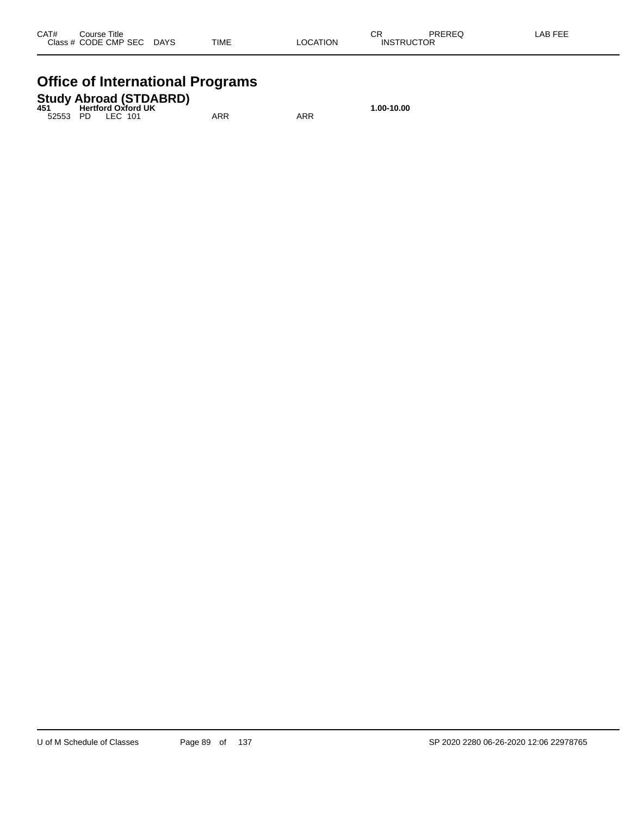## **Office of International Programs**

|       |                             | <b>Study Abroad (STDABRD)</b> |  |
|-------|-----------------------------|-------------------------------|--|
| 4 E 4 | 11. الموطني الموطنية الموار |                               |  |

|  | 451 Hertford Oxford UK |     |     | 1.00-10.00 |
|--|------------------------|-----|-----|------------|
|  | 52553 PD LEC 101       | ARR | ARR |            |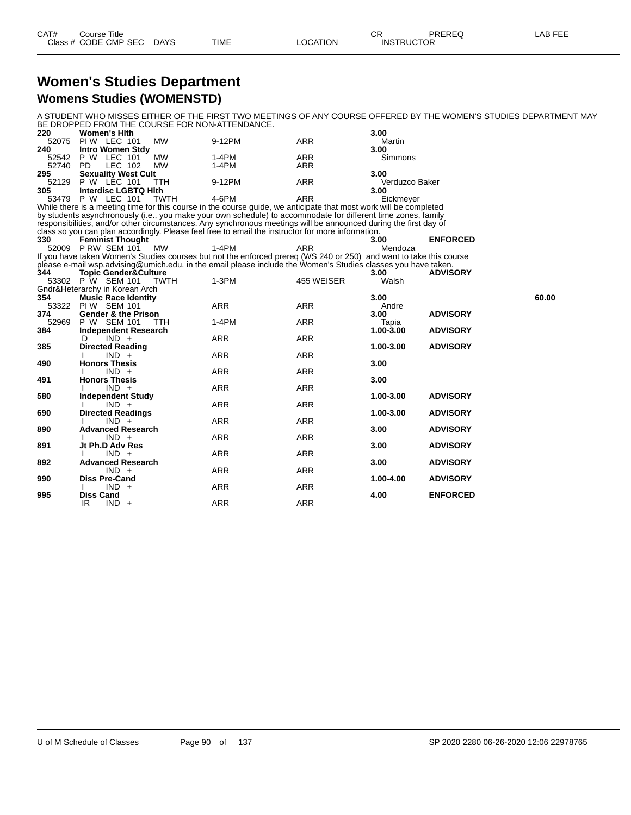| CAT# | Course Title              |             |          | <b>CR</b>         | PREREQ | LAB FEE |
|------|---------------------------|-------------|----------|-------------------|--------|---------|
|      | Class # CODE CMP SEC DAYS | <b>TIME</b> | LOCATION | <b>INSTRUCTOR</b> |        |         |

#### **Women's Studies Department Womens Studies (WOMENSTD)**

A STUDENT WHO MISSES EITHER OF THE FIRST TWO MEETINGS OF ANY COURSE OFFERED BY THE WOMEN'S STUDIES DEPARTMENT MAY BE DROPPED FROM THE COURSE FOR NON-ATTENDANCE.

| 220 | <b>Women's Hith</b>            |         |            | 3.00           |
|-----|--------------------------------|---------|------------|----------------|
|     | <b>MW</b><br>52075 PIW LEC 101 | 9-12PM  | ARR        | Martin         |
| 240 | Intro Women Stdy               |         |            | 3.00           |
|     | 52542 P W LEC 101<br>MW        | $1-4PM$ | ARR        | Simmons        |
|     | 52740 PD LEC 102 MW            | 1-4PM   | <b>ARR</b> |                |
|     | 295 Sexuality West Cult        |         |            | 3.00           |
|     | 52129 P W LEC 101 TTH          | 9-12PM  | ARR        | Verduzco Baker |
| 305 | Interdisc LGBTQ Hith           |         |            | 3.00           |
|     | 53479 P W LEC 101<br>TWTH      | 4-6PM   | ARR        | Eickmeyer      |

While there is a meeting time for this course in the course guide, we anticipate that most work will be completed by students asynchronously (i.e., you make your own schedule) to accommodate for different time zones, family responsibilities, and/or other circumstances. Any synchronous meetings will be announced during the first day of class so you can plan accordingly. Please feel free to email the instructor for more information.

**330 Feminist Thought 3.00 ENFORCED** 52009 P RW SEM 101 MW 1-4PM ARR Mendoza If you have taken Women's Studies courses but not the enforced prereq (WS 240 or 250) and want to take this course please e-mail wsp.advising@umich.edu. in the email please include the Women's Studies classes you have taken.

| 344   | Topic Gender&Culture           |            |            | 3.00      | <b>ADVISORY</b> |       |
|-------|--------------------------------|------------|------------|-----------|-----------------|-------|
| 53302 | P W SEM 101 TWTH               | $1-3PM$    | 455 WEISER | Walsh     |                 |       |
|       | Gndr&Heterarchy in Korean Arch |            |            |           |                 |       |
| 354   | <b>Music Race Identity</b>     |            |            | 3.00      |                 | 60.00 |
| 53322 | <b>PIW SEM 101</b>             | ARR        | ARR        | Andre     |                 |       |
| 374   | <b>Gender &amp; the Prison</b> |            |            | 3.00      | <b>ADVISORY</b> |       |
| 52969 | P W SEM 101<br><b>TTH</b>      | $1-4PM$    | ARR        | Tapia     |                 |       |
| 384   | <b>Independent Research</b>    |            |            | 1.00-3.00 | <b>ADVISORY</b> |       |
|       | $IND +$<br>D                   | ARR        | ARR        |           |                 |       |
| 385   | <b>Directed Reading</b>        |            |            | 1.00-3.00 | <b>ADVISORY</b> |       |
|       | $IND +$                        | <b>ARR</b> | <b>ARR</b> |           |                 |       |
| 490   | <b>Honors Thesis</b>           |            |            | 3.00      |                 |       |
|       | $IND +$                        | <b>ARR</b> | ARR        |           |                 |       |
| 491   | <b>Honors Thesis</b>           |            |            | 3.00      |                 |       |
|       | $IND +$                        | ARR        | ARR        |           |                 |       |
| 580   | <b>Independent Study</b>       |            |            | 1.00-3.00 | <b>ADVISORY</b> |       |
|       | $IND +$                        | ARR        | ARR        |           |                 |       |
| 690   | <b>Directed Readings</b>       |            |            | 1.00-3.00 | <b>ADVISORY</b> |       |
|       | $IND +$                        | <b>ARR</b> | ARR        |           |                 |       |
| 890   | <b>Advanced Research</b>       |            |            | 3.00      | <b>ADVISORY</b> |       |
|       | $IND +$                        | ARR        | ARR        |           |                 |       |
| 891   | Jt Ph.D Adv Res                |            |            | 3.00      | <b>ADVISORY</b> |       |
|       | $IND +$                        | ARR        | ARR        |           |                 |       |
| 892   | <b>Advanced Research</b>       |            |            | 3.00      | <b>ADVISORY</b> |       |
|       | $IND +$                        | ARR        | ARR        |           |                 |       |
| 990   | <b>Diss Pre-Cand</b>           |            |            | 1.00-4.00 | <b>ADVISORY</b> |       |
|       | $IND +$                        | <b>ARR</b> | ARR        |           |                 |       |
| 995   | <b>Diss Cand</b>               |            |            | 4.00      | <b>ENFORCED</b> |       |
|       | $IND +$<br>IR.                 | <b>ARR</b> | <b>ARR</b> |           |                 |       |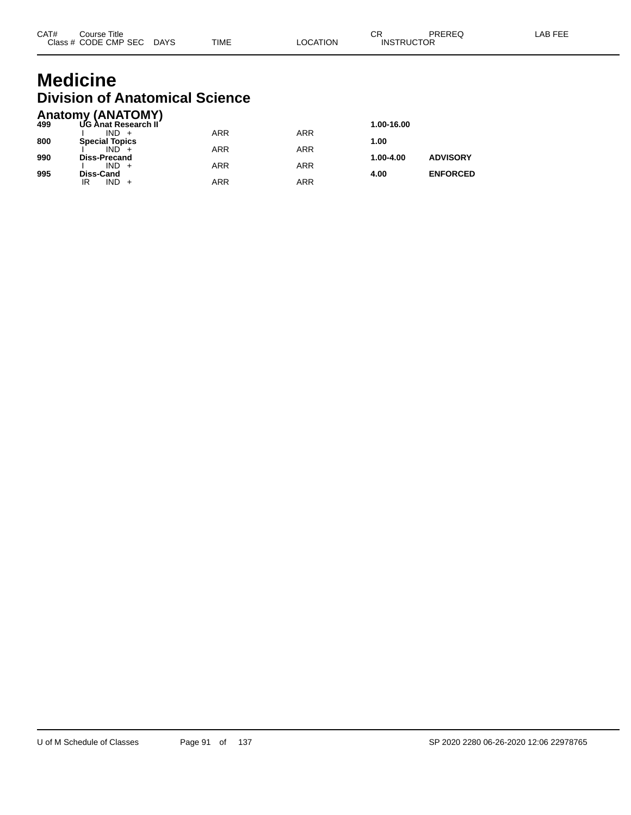## **Medicine Division of Anatomical Science**

|     | <b>Anatomy (ANATOMY)</b> |            |            |            |                 |
|-----|--------------------------|------------|------------|------------|-----------------|
| 499 | UG Anat Research II      |            |            | 1.00-16.00 |                 |
|     | $IND +$                  | <b>ARR</b> | <b>ARR</b> |            |                 |
| 800 | <b>Special Topics</b>    |            |            | 1.00       |                 |
|     | $IND +$                  | ARR        | <b>ARR</b> |            |                 |
| 990 | <b>Diss-Precand</b>      |            |            | 1.00-4.00  | <b>ADVISORY</b> |
|     | $IND +$                  | <b>ARR</b> | <b>ARR</b> |            |                 |
| 995 | Diss-Cand                |            |            | 4.00       | <b>ENFORCED</b> |
|     | IND.<br>IR               | <b>ARR</b> | ARR        |            |                 |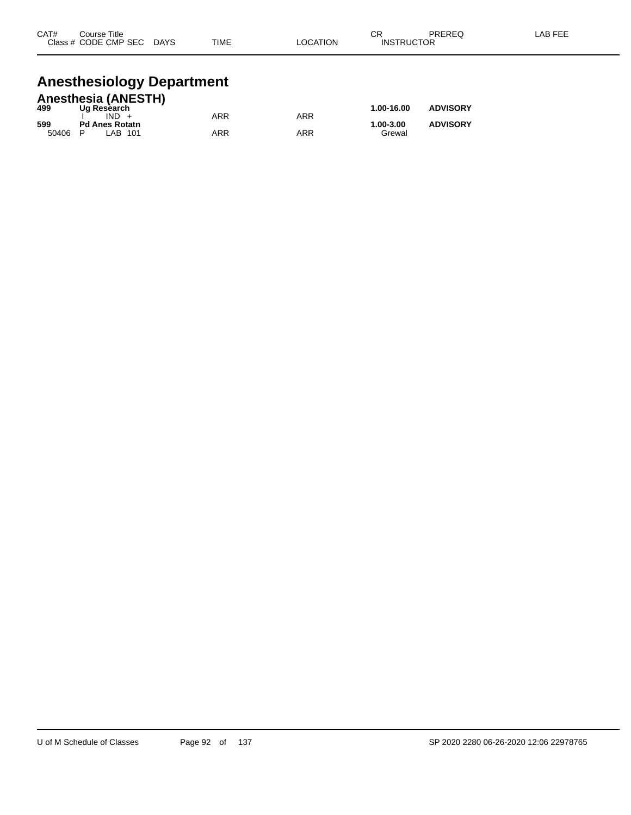| CAT#<br><b>Class</b> | Course Title<br>CODE CMP SEC | <b>DAYS</b> | <b>TIME</b> | <b>LOCATION</b> | ∩⊓<br>- UN<br><b>INSTRUCTOR</b> | PREREQ | AB FEE |
|----------------------|------------------------------|-------------|-------------|-----------------|---------------------------------|--------|--------|
|                      |                              |             |             |                 |                                 |        |        |

## **Anesthesiology Department**

|       | <b>Anesthesia (ANESTH)</b> |     |     |            |                 |
|-------|----------------------------|-----|-----|------------|-----------------|
| 499   | Ug Research                |     |     | 1.00-16.00 | <b>ADVISORY</b> |
|       | $IND +$                    | ARR | ARR |            |                 |
| 599   | <b>Pd Anes Rotatn</b>      |     |     | 1.00-3.00  | <b>ADVISORY</b> |
| 50406 | P<br>LAB 101               | ARR | ARR | Grewal     |                 |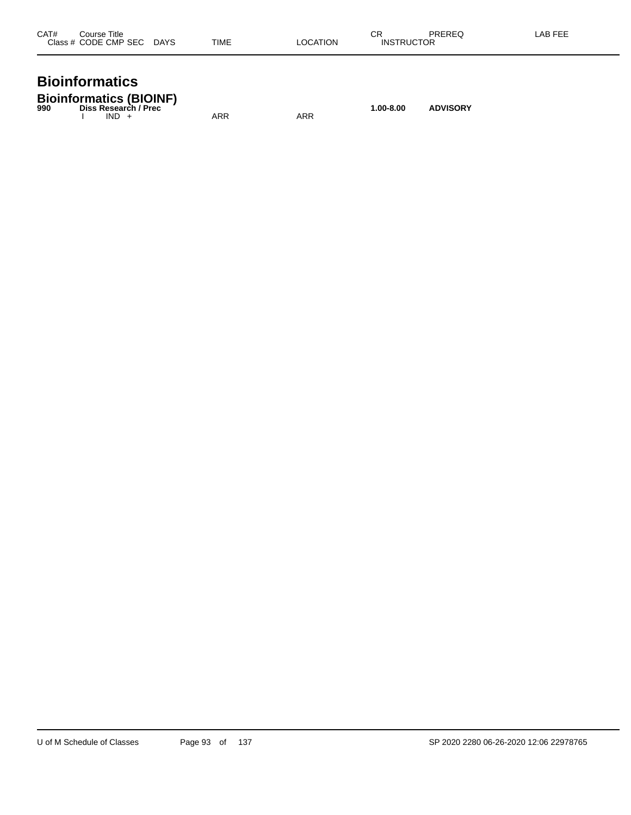| CAT#<br>Title<br>ourse<br>Close<br>CODE CMP SEC<br>- -<br>$\sim$ $\sim$ | DAYS<br>$\sim$ | <b>TIME</b> | <b>TION</b><br>״ | СR<br>INS | $T = T$<br>םת<br>---<br>.<br>. ∨⊢<br>$\sim$ $\sim$ |  |
|-------------------------------------------------------------------------|----------------|-------------|------------------|-----------|----------------------------------------------------|--|
|                                                                         |                |             |                  |           |                                                    |  |

# **Bioinformatics**

|     | <b>Bioinformatics (BIOINF)</b> |           |                 |
|-----|--------------------------------|-----------|-----------------|
| 990 | Diss Research / Prec           | 1.00-8.00 | <b>ADVISORY</b> |

I IND + ARR ARR ARR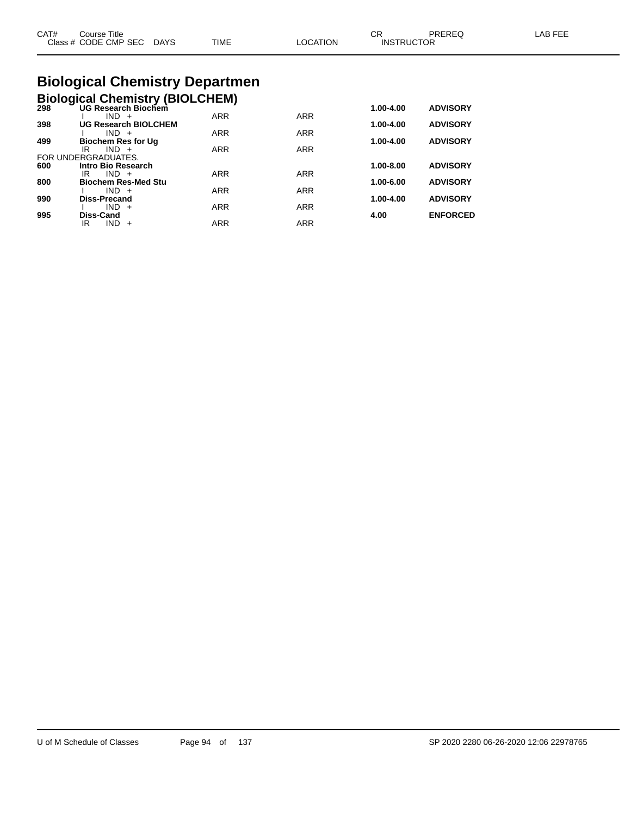|      | <b>Diological Chamictry Department</b>    |      |          |                         |        |         |
|------|-------------------------------------------|------|----------|-------------------------|--------|---------|
| CAT# | Course Title<br>Class # CODE CMP SEC DAYS | TIME | LOCATION | СR<br><b>INSTRUCTOR</b> | PRERFO | LAB FEE |

#### **Biological Chemistry Departmen Biological Chemistry (BIOLCHEM)**

| <b>BIOIOGICAL CREMISTY (BIOLCHEM)</b> |  |  |
|---------------------------------------|--|--|
| $- - -$                               |  |  |

|                             |                     |            |           | <b>ADVISORY</b> |
|-----------------------------|---------------------|------------|-----------|-----------------|
| $IND +$                     | <b>ARR</b>          | <b>ARR</b> |           |                 |
| <b>UG Research BIOLCHEM</b> |                     |            | 1.00-4.00 | <b>ADVISORY</b> |
| $IND +$                     | <b>ARR</b>          | <b>ARR</b> |           |                 |
| <b>Biochem Res for Ug</b>   |                     |            | 1.00-4.00 | <b>ADVISORY</b> |
| $IND +$<br>IR               | <b>ARR</b>          | <b>ARR</b> |           |                 |
| FOR UNDERGRADUATES.         |                     |            |           |                 |
| Intro Bio Research          |                     |            | 1.00-8.00 | <b>ADVISORY</b> |
| IR<br>$IND +$               | <b>ARR</b>          | <b>ARR</b> |           |                 |
| <b>Biochem Res-Med Stu</b>  |                     |            | 1.00-6.00 | <b>ADVISORY</b> |
| $IND +$                     | <b>ARR</b>          | <b>ARR</b> |           |                 |
| <b>Diss-Precand</b>         |                     |            | 1.00-4.00 | <b>ADVISORY</b> |
| $IND +$                     | <b>ARR</b>          | <b>ARR</b> |           |                 |
| Diss-Cand                   |                     |            | 4.00      | <b>ENFORCED</b> |
| IR<br>$IND +$               | <b>ARR</b>          | <b>ARR</b> |           |                 |
|                             | UG Research Biochem |            |           | 1.00-4.00       |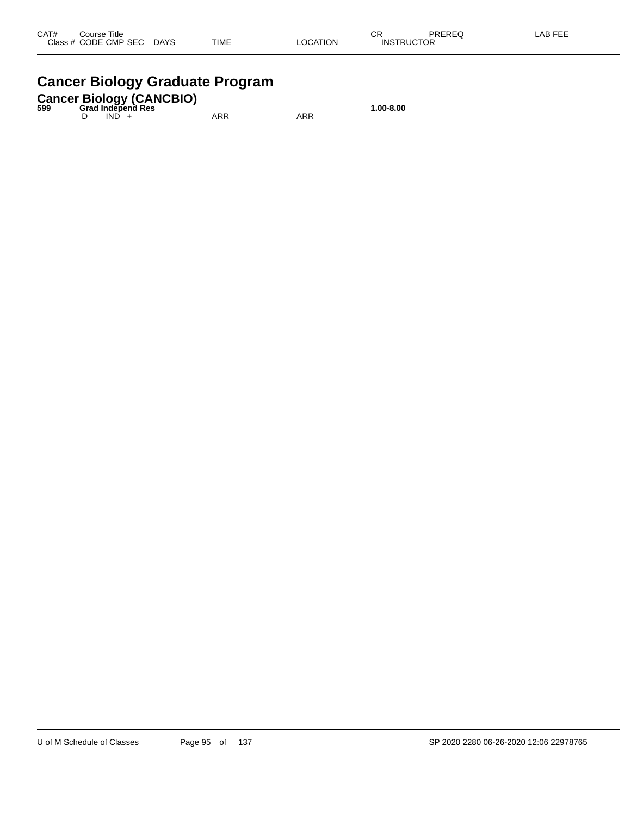#### **Cancer Biology Graduate Program**

#### **Cancer Biology (CANCBIO) 599 Grad Independ Res 1.00-8.00**

D IND + ARR ARR ARR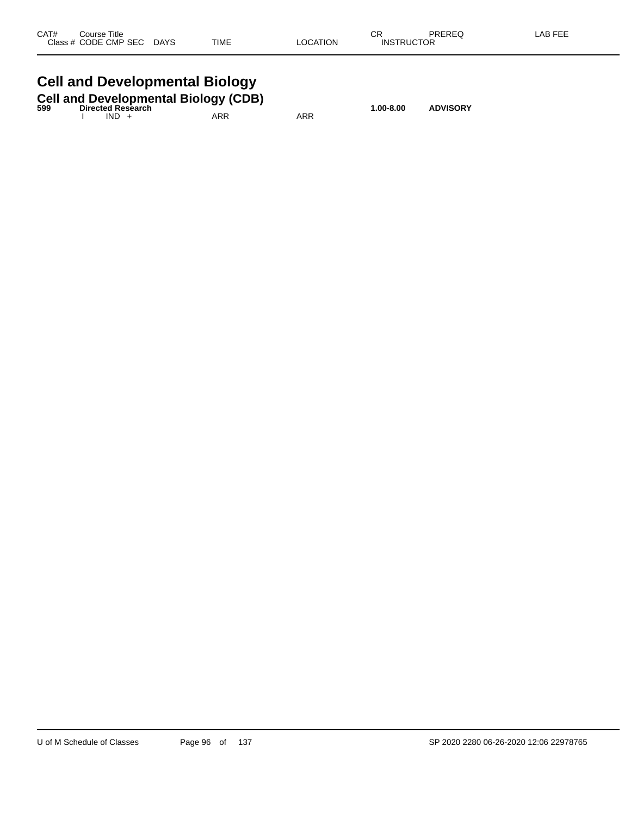| CAT#  | Title<br>Course    |                       |             |             | СR   | 5.0.00<br>. AP |
|-------|--------------------|-----------------------|-------------|-------------|------|----------------|
| Class | CODE CMP SEC<br>__ | <b>DAYS</b><br>$\sim$ | <b>TIME</b> | TION<br>OC. | ____ |                |
|       |                    |                       |             |             |      |                |

# **Cell and Developmental Biology**

| 599 | <b>Cell and Developmental Biology (CDB)</b><br><b>Directed Research</b> |         |  |     |     | 1.00-8.00 | <b>ADVISORY</b> |
|-----|-------------------------------------------------------------------------|---------|--|-----|-----|-----------|-----------------|
|     |                                                                         | $IND +$ |  | ARR | ARR |           |                 |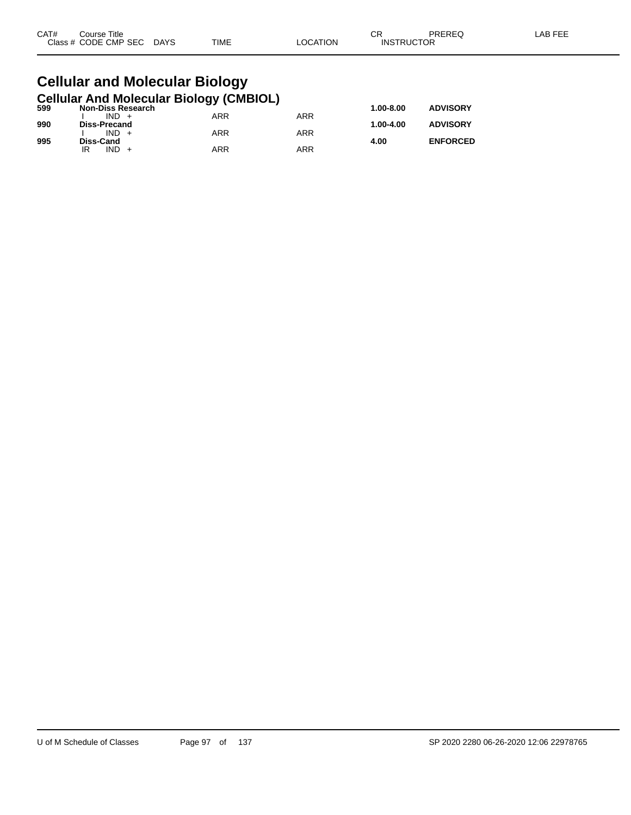| CAT# | Title<br>Course      |                       |             |                 | СR                | PREREQ | LAB FEF |
|------|----------------------|-----------------------|-------------|-----------------|-------------------|--------|---------|
|      | Class # CODE CMP SEC | <b>DAYS</b><br>$\sim$ | <b>TIME</b> | <b>_OCATION</b> | <b>INSTRUCTOR</b> |        |         |

#### **Cellular and Molecular Biology Cellular And Molecular Biology (CMBIOL)**

| 599 | <b>Non-Diss Research</b> | . . |     | $1.00 - 8.00$ | <b>ADVISORY</b> |
|-----|--------------------------|-----|-----|---------------|-----------------|
|     | $IND +$                  | ARR | ARR |               |                 |
| 990 | Diss-Precand             |     |     | 1.00-4.00     | <b>ADVISORY</b> |
|     | $IND +$                  | ARR | ARR |               |                 |
| 995 | Diss-Cand                |     |     | 4.00          | <b>ENFORCED</b> |
|     | IND                      | ARR | ARR |               |                 |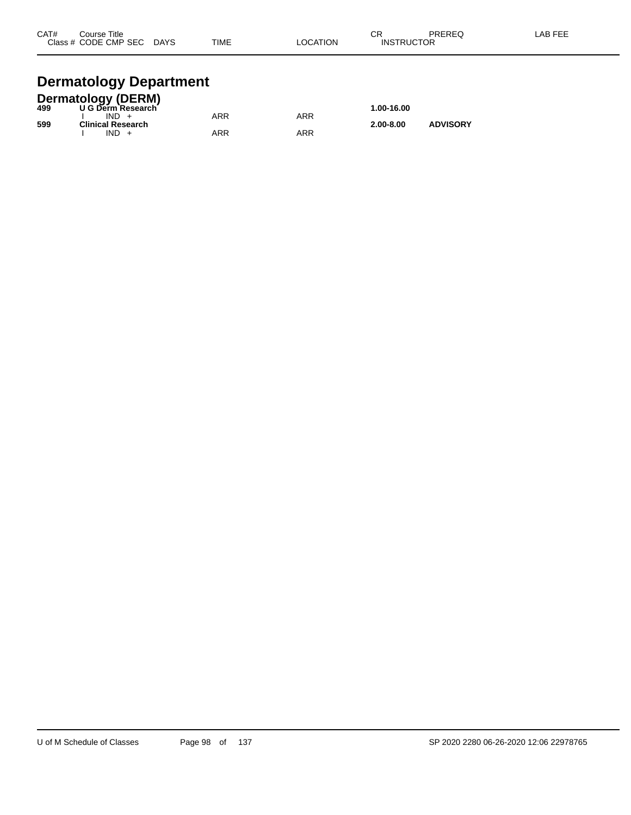| CAT# | Course Title              |             |          | ⌒冖                | PREREQ | LAB FEE |
|------|---------------------------|-------------|----------|-------------------|--------|---------|
|      | Class # CODE CMP SEC DAYS | <b>TIME</b> | LOCATION | <b>INSTRUCTOR</b> |        |         |
|      |                           |             |          |                   |        |         |

# **Dermatology Department**

|     | Dermatology (DERM)<br>499 U G Derm Research |     |     |               |                 |  |
|-----|---------------------------------------------|-----|-----|---------------|-----------------|--|
|     |                                             |     |     | 1.00-16.00    |                 |  |
|     | $IND +$                                     | ARR | ARR |               |                 |  |
| 599 | <b>Clinical Research</b>                    |     |     | $2.00 - 8.00$ | <b>ADVISORY</b> |  |
|     | IND.                                        | ARR | ARR |               |                 |  |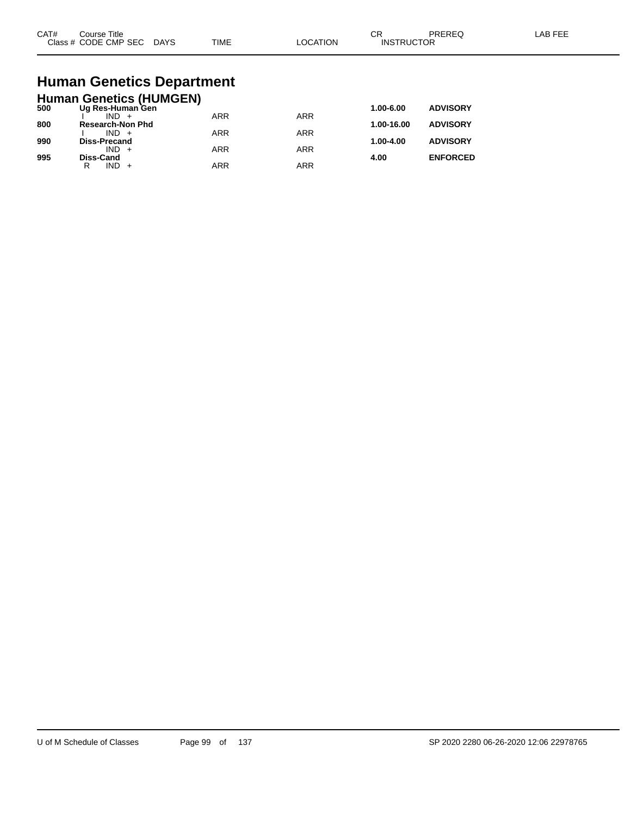| CAT#<br>$C$ lace $\overline{A}$ | Title<br>∵ourse<br><b>CODE CMP SEC</b><br>__ | DAYS<br>_______ | <b>TIME</b> | ٦ι<br>ורו<br>____ | $\sim$<br>◡┍<br>⊣NS <sup>⊤</sup><br>∙ ⊏،<br>$  -$ | TOR |  |
|---------------------------------|----------------------------------------------|-----------------|-------------|-------------------|---------------------------------------------------|-----|--|
|                                 |                                              |                 |             |                   |                                                   |     |  |

# **Human Genetics Department**

|     | <b>Human Genetics (HUMGEN)</b> |            |            |            |                 |
|-----|--------------------------------|------------|------------|------------|-----------------|
| 500 | Ug Res-Human Gen               |            |            | 1.00-6.00  | <b>ADVISORY</b> |
|     | $IND +$                        | <b>ARR</b> | <b>ARR</b> |            |                 |
| 800 | <b>Research-Non Phd</b>        |            |            | 1.00-16.00 | <b>ADVISORY</b> |
| 990 | $IND +$                        | <b>ARR</b> | <b>ARR</b> | 1.00-4.00  | <b>ADVISORY</b> |
|     | Diss-Precand<br>$IND +$        | <b>ARR</b> | <b>ARR</b> |            |                 |
| 995 | Diss-Cand                      |            |            | 4.00       | <b>ENFORCED</b> |
|     | $IND +$<br>R                   | <b>ARR</b> | ARR        |            |                 |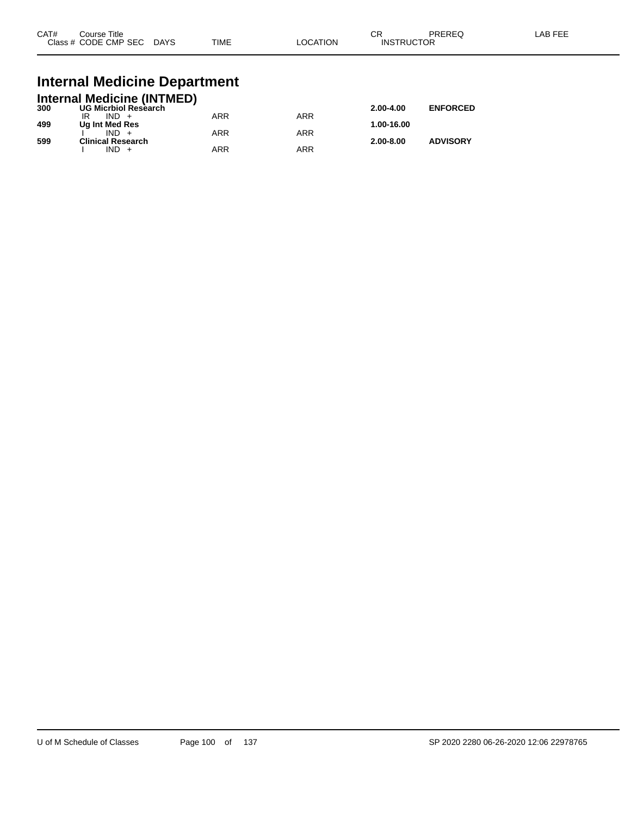| CAT# | Course Title<br>Class # CODE CMP SEC | <b>DAYS</b> | <b>TIME</b> | _OCATION | ∩n<br>- UN<br><b>INSTRUCTOR</b> | PREREQ | _AB FEF |
|------|--------------------------------------|-------------|-------------|----------|---------------------------------|--------|---------|
|      |                                      |             |             |          |                                 |        |         |

#### **Internal Medicine Department**

|     | <b>Internal Medicine (INTMED)</b> |     |     |               |                 |
|-----|-----------------------------------|-----|-----|---------------|-----------------|
| 300 | <b>UG Micrbiol Research</b>       |     |     | $2.00 - 4.00$ | <b>ENFORCED</b> |
|     | $IND +$                           | ARR | ARR |               |                 |
| 499 | Ug Int Med Res                    |     |     | 1.00-16.00    |                 |
|     | $IND +$                           | ARR | ARR |               |                 |
| 599 | <b>Clinical Research</b>          |     |     | $2.00 - 8.00$ | <b>ADVISORY</b> |
|     | $IND +$                           | ARR | ARR |               |                 |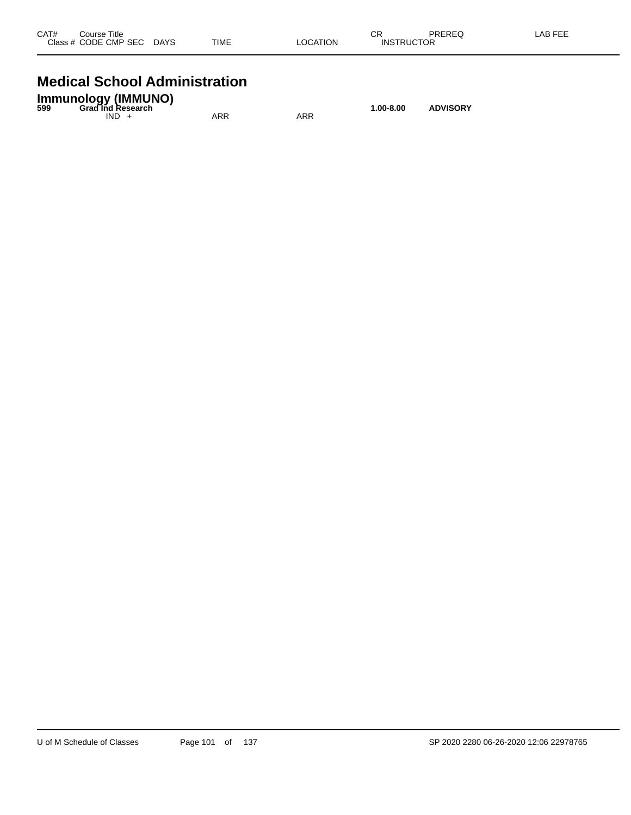| CAT# | Course Title<br>Class # CODE CMP SEC | <b>DAYS</b> | <b>TIME</b> | <b>LOCATION</b> | СR<br><b>INSTRUCTOR</b> | PREREQ | <b>LAB FEE</b> |
|------|--------------------------------------|-------------|-------------|-----------------|-------------------------|--------|----------------|
|      |                                      |             |             |                 |                         |        |                |

#### **Medical School Administration**

| <b>Immunology (IMMUNO)</b><br><b>Grad Ind Research</b><br>599 |     |     | 1.00-8.00 | <b>ADVISORY</b> |
|---------------------------------------------------------------|-----|-----|-----------|-----------------|
| IND.                                                          | ARR | ARR |           |                 |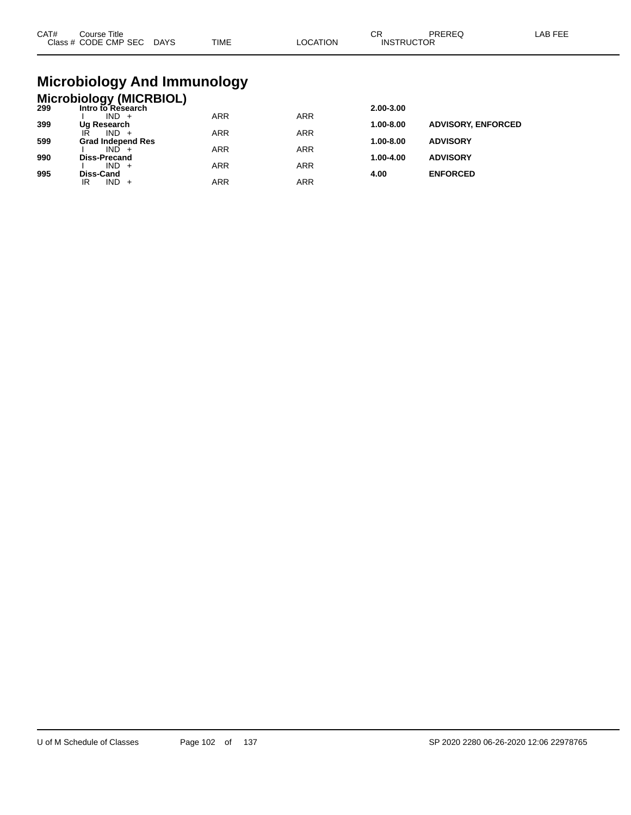| CAT# | ourse Titleٽ<br>Class # CODE CMP SEC DAYS | TIME | LOCATION | ∩⊓<br>◡┍<br><b>INSTRUCTOR</b> | PREREC | LAB FEE |
|------|-------------------------------------------|------|----------|-------------------------------|--------|---------|
|      |                                           |      |          |                               |        |         |

## **Microbiology And Immunology**

#### **Microbiology (MICRBIOL) 299 Intro to Research 2.00-3.00**

| -33 | וועו ט געס איז טויין     |            |            | 2.00-J.00     |                           |
|-----|--------------------------|------------|------------|---------------|---------------------------|
|     | $IND +$                  | <b>ARR</b> | <b>ARR</b> |               |                           |
| 399 | Ug Research              |            |            | 1.00-8.00     | <b>ADVISORY, ENFORCED</b> |
|     | IŔ<br>$IND +$            | <b>ARR</b> | <b>ARR</b> |               |                           |
| 599 | <b>Grad Independ Res</b> |            |            | 1.00-8.00     | <b>ADVISORY</b>           |
|     | $IND +$                  | <b>ARR</b> | <b>ARR</b> |               |                           |
| 990 | <b>Diss-Precand</b>      |            |            | $1.00 - 4.00$ | <b>ADVISORY</b>           |
|     | $IND +$                  | <b>ARR</b> | <b>ARR</b> |               |                           |
| 995 | Diss-Cand                |            |            | 4.00          | <b>ENFORCED</b>           |
|     |                          |            |            |               |                           |
|     | $IND +$<br>IR            | ARR        | ARR        |               |                           |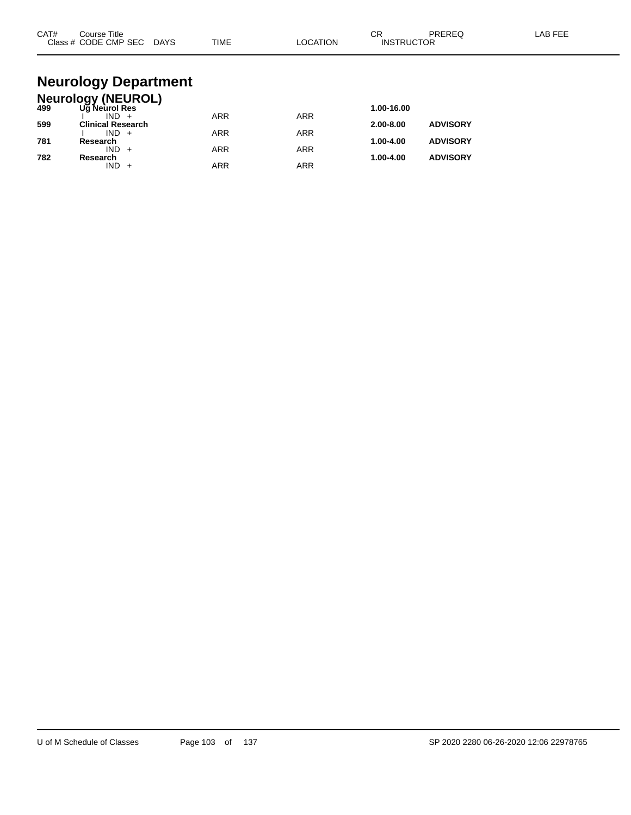| CAT# | Course Title<br>Class # CODE CMP SEC DAYS  | <b>TIME</b> | <b>LOCATION</b> | CR<br>PREREQ<br><b>INSTRUCTOR</b> | LAB FEE |
|------|--------------------------------------------|-------------|-----------------|-----------------------------------|---------|
|      | <b>Neurology Department</b>                |             |                 |                                   |         |
|      |                                            |             |                 |                                   |         |
| 499  | <b>Neurology (NEUROL)</b><br>Ug Neurol Res |             |                 | 1.00-16.00                        |         |
| 599  | $IND +$<br><b>Clinical Research</b>        | <b>ARR</b>  | <b>ARR</b>      | <b>ADVISORY</b><br>2.00-8.00      |         |
| 781  | $IND +$<br>Research                        | <b>ARR</b>  | <b>ARR</b>      | 1.00-4.00<br><b>ADVISORY</b>      |         |
| 782  | $IND +$<br>Research                        | <b>ARR</b>  | <b>ARR</b>      | <b>ADVISORY</b><br>1.00-4.00      |         |

 $IND + ARR$  ARR ARR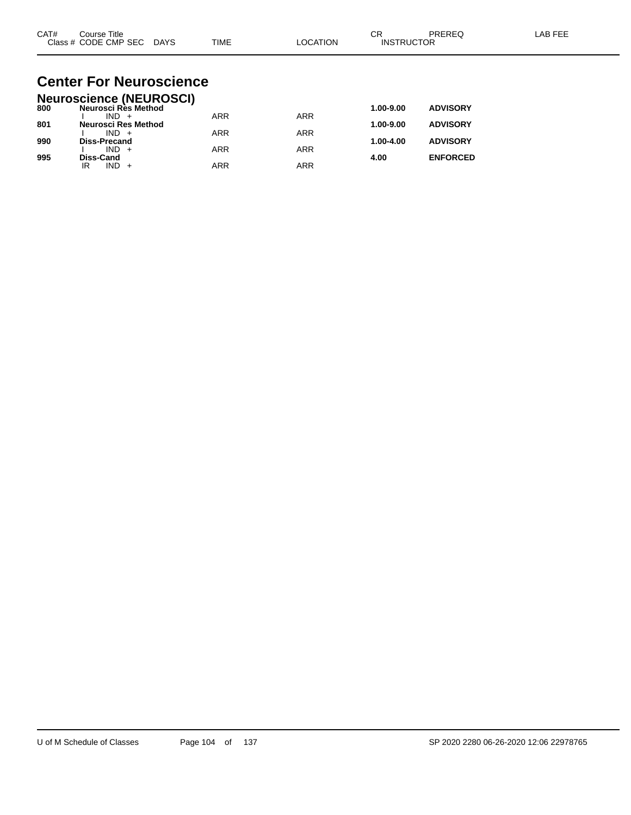| CAT# | Title<br>Course      |             |             |          | ⌒г<br>◡           | PREREC | $\lambda$ $\Gamma$ $\Gamma$ $\Gamma$<br>AR |
|------|----------------------|-------------|-------------|----------|-------------------|--------|--------------------------------------------|
|      | Class # CODE CMP SEC | <b>DAYS</b> | <b>TIME</b> | LOCATION | <b>INSTRUCTOR</b> |        |                                            |

#### **Center For Neuroscience Neuroscience (NEUROSCI)**

|     | Neuroscience (NEUROSCI) |            |            |           |                 |
|-----|-------------------------|------------|------------|-----------|-----------------|
| 800 | Neurosci Rès Method     |            |            | 1.00-9.00 | <b>ADVISORY</b> |
|     | $IND +$                 | <b>ARR</b> | <b>ARR</b> |           |                 |
| 801 | Neurosci Res Method     |            |            | 1.00-9.00 | <b>ADVISORY</b> |
|     | $IND +$                 | <b>ARR</b> | ARR        |           |                 |
| 990 | <b>Diss-Precand</b>     |            |            | 1.00-4.00 | <b>ADVISORY</b> |
|     | $IND +$                 | <b>ARR</b> | ARR        |           |                 |
| 995 | Diss-Cand               |            |            | 4.00      | <b>ENFORCED</b> |
|     | $IND +$<br>IR           | <b>ARR</b> | ARR        |           |                 |
|     |                         |            |            |           |                 |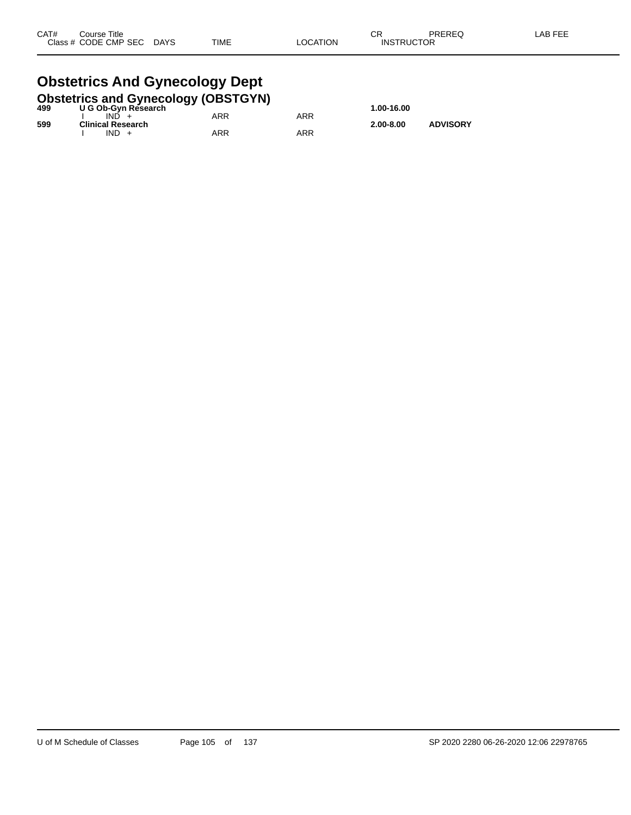## **Obstetrics And Gynecology Dept**

|     | <b>Obstetrics and Gynecology (OBSTGYN)</b> |     |     |               |                 |
|-----|--------------------------------------------|-----|-----|---------------|-----------------|
| 499 | U G Ob-Gyn Research                        |     |     | 1.00-16.00    |                 |
|     | $IND +$                                    | ARR | ARR |               |                 |
| 599 | <b>Clinical Research</b>                   |     |     | $2.00 - 8.00$ | <b>ADVISORY</b> |
|     | $IND +$                                    | ARR | ARR |               |                 |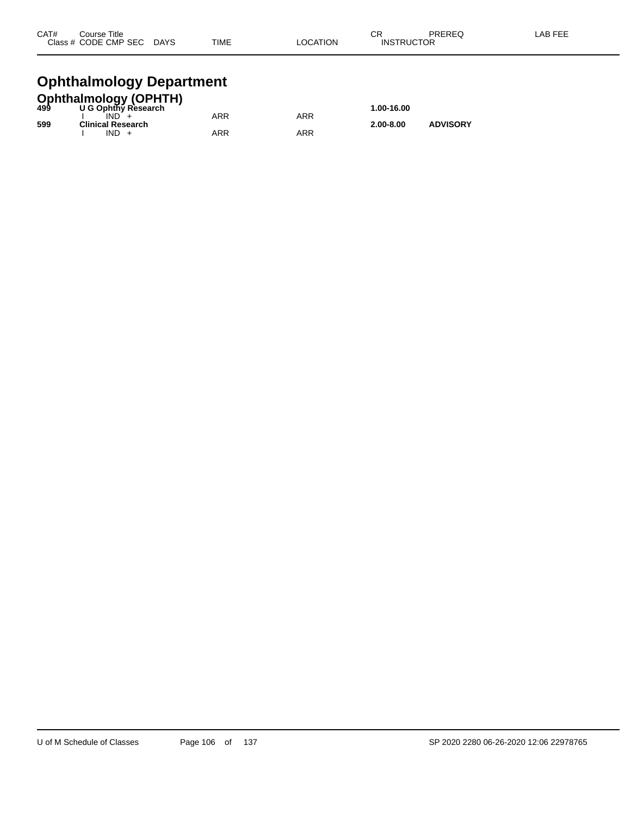| CAT# | Course Title         |             |             |          | <b>CR</b>         | PREREQ | LAB FEE |
|------|----------------------|-------------|-------------|----------|-------------------|--------|---------|
|      | Class # CODE CMP SEC | <b>DAYS</b> | <b>TIME</b> | LOCATION | <b>INSTRUCTOR</b> |        |         |
|      |                      |             |             |          |                   |        |         |

## **Ophthalmology Department**

|     | <b>Ophthalmology (OPHTH)</b> |     |     |               |                 |
|-----|------------------------------|-----|-----|---------------|-----------------|
| 499 | U G Ophthy Research          |     |     | 1.00-16.00    |                 |
|     | IND.                         | ARR | ARR |               |                 |
| 599 | <b>Clinical Research</b>     |     |     | $2.00 - 8.00$ | <b>ADVISORY</b> |
|     | IND.                         | ARR | ARR |               |                 |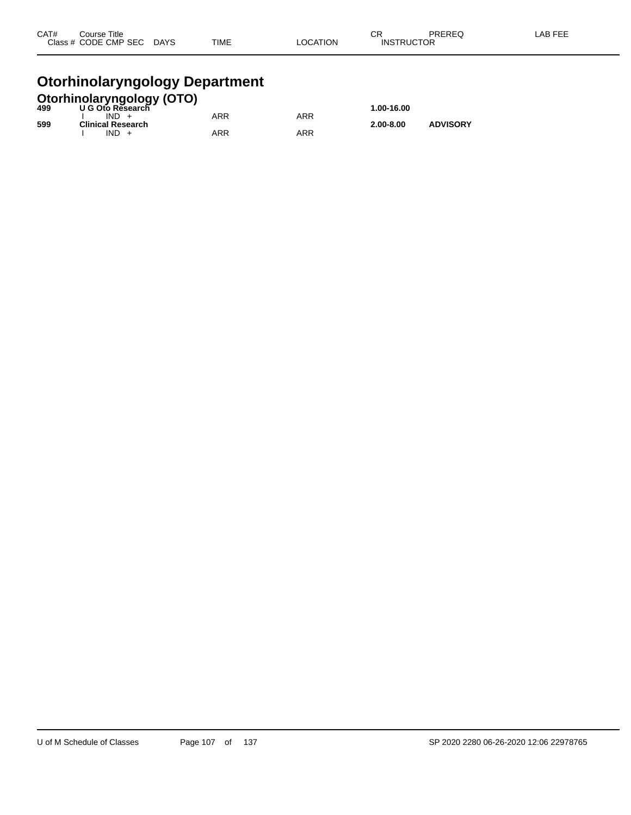| CAT# | Course Title              |             |          | ⌒冖                | PREREQ | LAB FEE |
|------|---------------------------|-------------|----------|-------------------|--------|---------|
|      | Class # CODE CMP SEC DAYS | <b>TIME</b> | LOCATION | <b>INSTRUCTOR</b> |        |         |
|      |                           |             |          |                   |        |         |

#### **Otorhinolaryngology Department**

|     | <b>Otorhinolaryngology (OTO)</b><br>499 U G Oto Research |            |     |               |                 |
|-----|----------------------------------------------------------|------------|-----|---------------|-----------------|
|     |                                                          |            |     | 1.00-16.00    |                 |
|     | $IND +$                                                  | <b>ARR</b> | ARR |               |                 |
| 599 | <b>Clinical Research</b>                                 |            |     | $2.00 - 8.00$ | <b>ADVISORY</b> |
|     | $IND +$                                                  | ARR        | ARR |               |                 |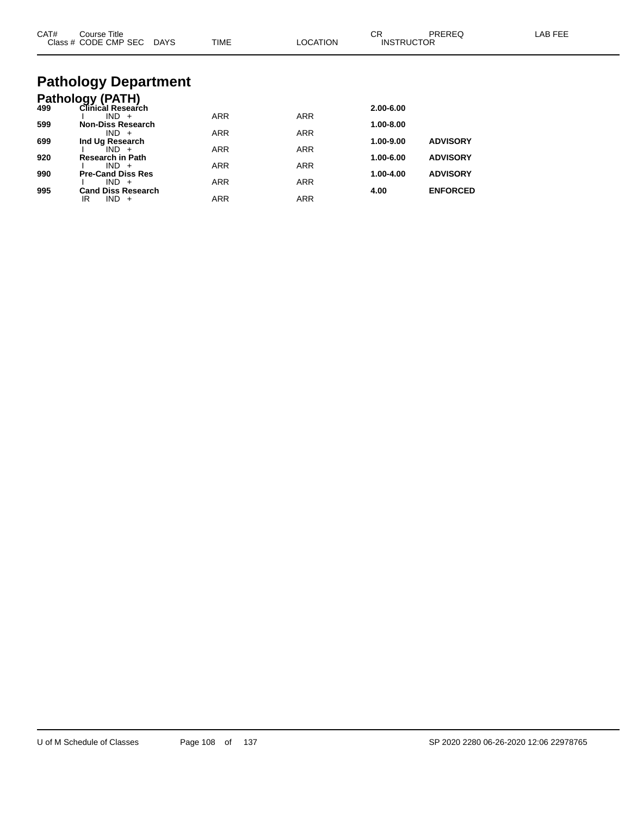| CAT# | Course Title<br>Class # CODE CMP SEC DAYS | <b>TIME</b> | <b>LOCATION</b> | СR<br><b>INSTRUCTOR</b> | PREREQ          | <b>LAB FEE</b> |
|------|-------------------------------------------|-------------|-----------------|-------------------------|-----------------|----------------|
|      | <b>Pathology Department</b>               |             |                 |                         |                 |                |
|      | <b>Pathology (PATH)</b>                   |             |                 |                         |                 |                |
| 499  | Clinical Research                         |             |                 | 2.00-6.00               |                 |                |
|      | $IND +$                                   | <b>ARR</b>  | <b>ARR</b>      |                         |                 |                |
| 599  | <b>Non-Diss Research</b><br>$IND +$       | <b>ARR</b>  | <b>ARR</b>      | 1.00-8.00               |                 |                |
| 699  | Ind Ug Research                           |             |                 | 1.00-9.00               | <b>ADVISORY</b> |                |
|      | $IND +$                                   | <b>ARR</b>  | <b>ARR</b>      |                         |                 |                |
| 920  | <b>Research in Path</b>                   |             |                 | 1.00-6.00               | <b>ADVISORY</b> |                |
| 990  | $IND +$<br><b>Pre-Cand Diss Res</b>       | <b>ARR</b>  | <b>ARR</b>      | 1.00-4.00               | <b>ADVISORY</b> |                |
|      | $IND +$                                   | <b>ARR</b>  | <b>ARR</b>      |                         |                 |                |
| 995  | <b>Cand Diss Research</b>                 |             |                 | 4.00                    | <b>ENFORCED</b> |                |
|      | $IND +$<br>IR                             | <b>ARR</b>  | <b>ARR</b>      |                         |                 |                |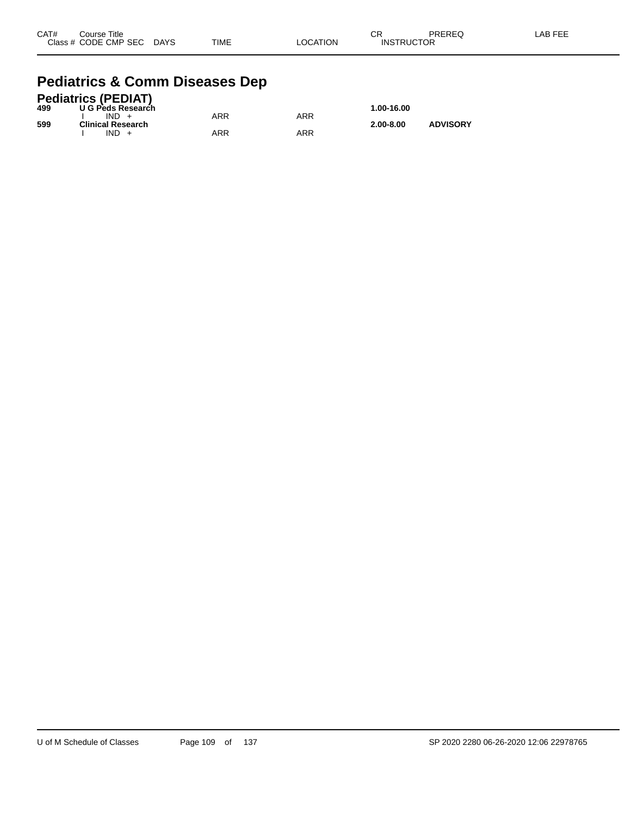| CAT# | Course Title              |             |          | CR                | PREREQ | -AB FEE |
|------|---------------------------|-------------|----------|-------------------|--------|---------|
|      | Class # CODE CMP SEC DAYS | <b>TIME</b> | LOCATION | <b>INSTRUCTOR</b> |        |         |

#### **Pediatrics & Comm Diseases Dep**

|     | <b>Pediatrics (PEDIAT)</b> |     |     |               |                 |
|-----|----------------------------|-----|-----|---------------|-----------------|
| 499 | U G Peds Research          |     |     | 1.00-16.00    |                 |
|     | $IND +$                    | ARR | ARR |               |                 |
| 599 | <b>Clinical Research</b>   |     |     | $2.00 - 8.00$ | <b>ADVISORY</b> |
|     | $IND +$                    | ARR | ARR |               |                 |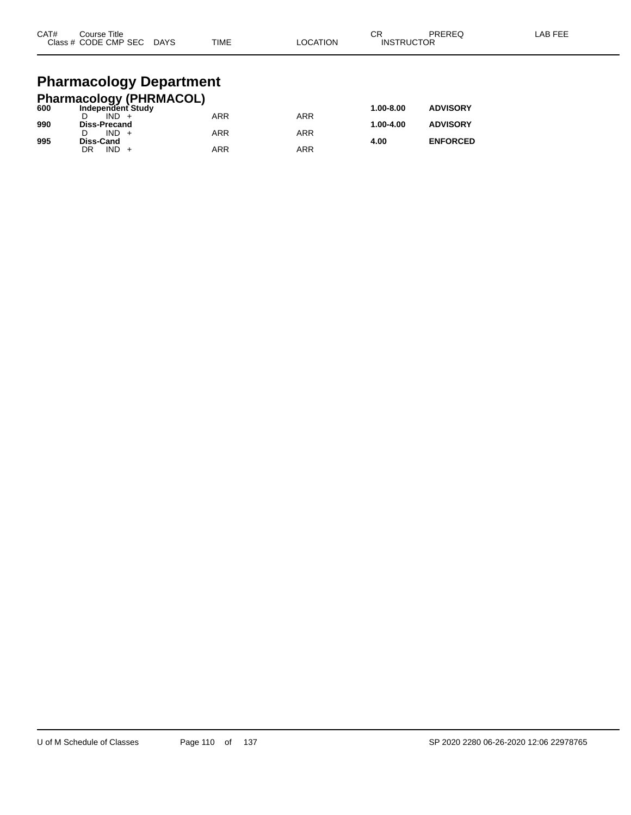| CAT# | Course Title<br>Class # CODE CMP SEC | <b>DAYS</b> | <b>TIME</b> | LOCATION | CR<br><b>INSTRUCTOR</b> | PREREQ | LAB FEE |
|------|--------------------------------------|-------------|-------------|----------|-------------------------|--------|---------|
|      |                                      |             |             |          |                         |        |         |

## **Pharmacology Department**

|     | <b>Pharmacology (PHRMACOL)</b> |     |     |           |                 |
|-----|--------------------------------|-----|-----|-----------|-----------------|
| 600 | Independent Study              |     |     | 1.00-8.00 | <b>ADVISORY</b> |
|     | $IND +$                        | ARR | ARR |           |                 |
| 990 | <b>Diss-Precand</b>            |     |     | 1.00-4.00 | <b>ADVISORY</b> |
|     | $IND +$                        | ARR | ARR |           |                 |
| 995 | Diss-Cand                      |     |     | 4.00      | <b>ENFORCED</b> |
|     | $IND +$<br>DR                  | ARR | ARR |           |                 |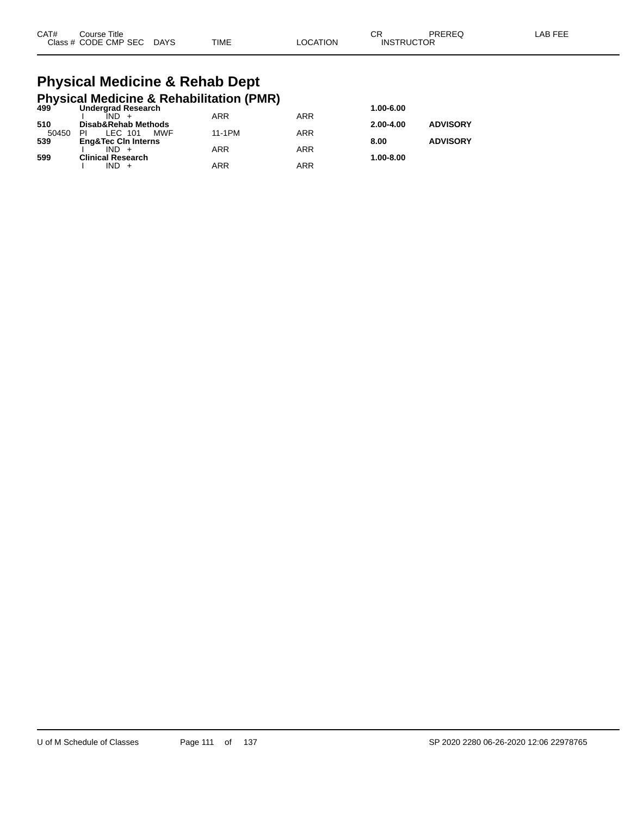| CAT# | Course Title              |             |                 | ∩⊓<br>◡◚          | PREREQ | LAB FEE |
|------|---------------------------|-------------|-----------------|-------------------|--------|---------|
|      | Class # CODE CMP SEC DAYS | <b>TIME</b> | <b>LOCATION</b> | <b>INSTRUCTOR</b> |        |         |

#### **Physical Medicine & Rehab Dept Physical Medicine & Rehabilitation (PMR)**

| 499'  | <b>Undergrad Research</b>      |            |            | 1.00-6.00     |                 |
|-------|--------------------------------|------------|------------|---------------|-----------------|
|       |                                | <b>ARR</b> | <b>ARR</b> |               |                 |
| 510   | Disab&Rehab Methods            |            |            | $2.00 - 4.00$ | <b>ADVISORY</b> |
| 50450 | MWF<br>LEC 101<br>ΡI           | 11-1PM     | ARR        |               |                 |
| 539   | <b>Eng&amp;Tec Cin Interns</b> |            |            | 8.00          | <b>ADVISORY</b> |
|       | $IND +$                        | ARR        | <b>ARR</b> |               |                 |
| 599   | <b>Clinical Research</b>       |            |            | 1.00-8.00     |                 |
|       | $IND +$                        | ARR        | <b>ARR</b> |               |                 |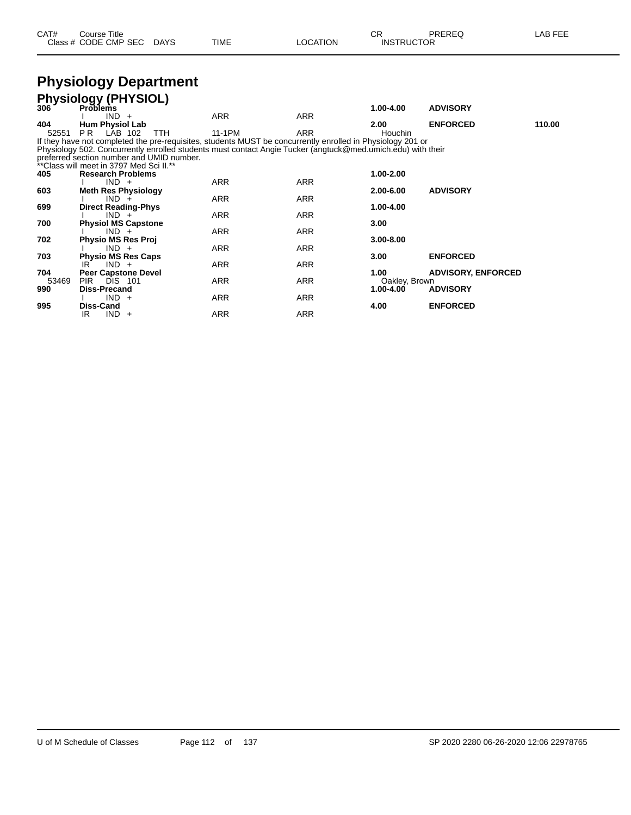| CAT# | Course Title              |             |                 | ∩⊓                | PREREQ | <b>LAB FEE</b> |
|------|---------------------------|-------------|-----------------|-------------------|--------|----------------|
|      | Class # CODE CMP SEC DAYS | <b>TIME</b> | <b>LOCATION</b> | <b>INSTRUCTOR</b> |        |                |

#### **Physiology Department**

|       | <b>Physiology (PHYSIOL)</b>                                                                                 |            |            |                |                           |        |
|-------|-------------------------------------------------------------------------------------------------------------|------------|------------|----------------|---------------------------|--------|
| 306   | <b>Problems</b>                                                                                             |            |            | 1.00-4.00      | <b>ADVISORY</b>           |        |
|       | $IND +$                                                                                                     | ARR        | <b>ARR</b> |                |                           |        |
| 404   | <b>Hum Physiol Lab</b>                                                                                      |            |            | 2.00           | <b>ENFORCED</b>           | 110.00 |
| 52551 | PR.<br>LAB 102<br><b>TTH</b>                                                                                | 11-1PM     | <b>ARR</b> | <b>Houchin</b> |                           |        |
|       | If they have not completed the pre-requisites, students MUST be concurrently enrolled in Physiology 201 or  |            |            |                |                           |        |
|       | Physiology 502. Concurrently enrolled students must contact Angie Tucker (angtuck@med.umich.edu) with their |            |            |                |                           |        |
|       | preferred section number and UMID number.                                                                   |            |            |                |                           |        |
|       | **Class will meet in 3797 Med Sci II.**                                                                     |            |            |                |                           |        |
| 405   | <b>Research Problems</b>                                                                                    |            |            | 1.00-2.00      |                           |        |
|       | $IND +$                                                                                                     | <b>ARR</b> | <b>ARR</b> |                |                           |        |
| 603   | <b>Meth Res Physiology</b>                                                                                  |            |            | 2.00-6.00      | <b>ADVISORY</b>           |        |
|       | $IND +$                                                                                                     | <b>ARR</b> | ARR        |                |                           |        |
| 699   | <b>Direct Reading-Phys</b>                                                                                  |            |            | 1.00-4.00      |                           |        |
|       | $IND +$                                                                                                     | ARR        | ARR        |                |                           |        |
| 700   | <b>Physiol MS Capstone</b>                                                                                  |            |            | 3.00           |                           |        |
|       | $IND +$                                                                                                     | ARR        | ARR        |                |                           |        |
| 702   | <b>Physio MS Res Proj</b>                                                                                   |            |            | $3.00 - 8.00$  |                           |        |
|       | $IND +$                                                                                                     | <b>ARR</b> | ARR        |                |                           |        |
| 703   | <b>Physio MS Res Caps</b>                                                                                   |            |            | 3.00           | <b>ENFORCED</b>           |        |
|       | $IND +$<br>IR.                                                                                              | <b>ARR</b> | <b>ARR</b> |                |                           |        |
| 704   | <b>Peer Capstone Devel</b>                                                                                  |            |            | 1.00           | <b>ADVISORY, ENFORCED</b> |        |
| 53469 | PIR.<br><b>DIS 101</b><br><b>Diss-Precand</b>                                                               | <b>ARR</b> | ARR        | Oakley, Brown  | <b>ADVISORY</b>           |        |
| 990   | $IND +$                                                                                                     | <b>ARR</b> | <b>ARR</b> | 1.00-4.00      |                           |        |
| 995   | Diss-Cand                                                                                                   |            |            | 4.00           |                           |        |
|       | IND.<br>IR                                                                                                  | <b>ARR</b> | <b>ARR</b> |                | <b>ENFORCED</b>           |        |
|       | $+$                                                                                                         |            |            |                |                           |        |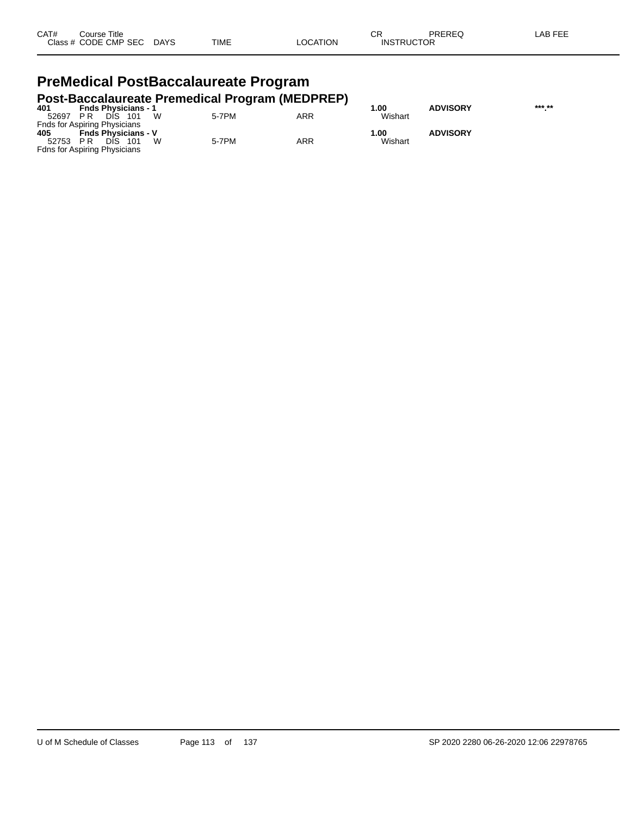| CAT# | Title<br>Course      |             |             |          | ⌒г<br>-UN         | PREREQ | _AB FEF |
|------|----------------------|-------------|-------------|----------|-------------------|--------|---------|
|      | Class # CODE CMP SEC | <b>DAYS</b> | <b>TIME</b> | _OCATION | <b>INSTRUCTOR</b> |        |         |

#### **PreMedical PostBaccalaureate Program Post-Baccalaureate Premedical Program (MEDPREP)**

| 401   | <b>Fnds Physicians - 1</b>          | ີ     |     | .00     | <b>ADVISORY</b> | *** ** |
|-------|-------------------------------------|-------|-----|---------|-----------------|--------|
| 52697 | W<br>DIS.<br>- 101<br>PR.           | 5-7PM | ARR | Wishart |                 |        |
|       | <b>Fnds for Aspiring Physicians</b> |       |     |         |                 |        |
| 405   | <b>Fnds Physicians - V</b>          |       |     | 1.00    | <b>ADVISORY</b> |        |
| 52753 | W<br>DIS.<br>- 101<br>PR            | 5-7PM | ARR | Wishart |                 |        |
|       | <b>Fdns for Aspiring Physicians</b> |       |     |         |                 |        |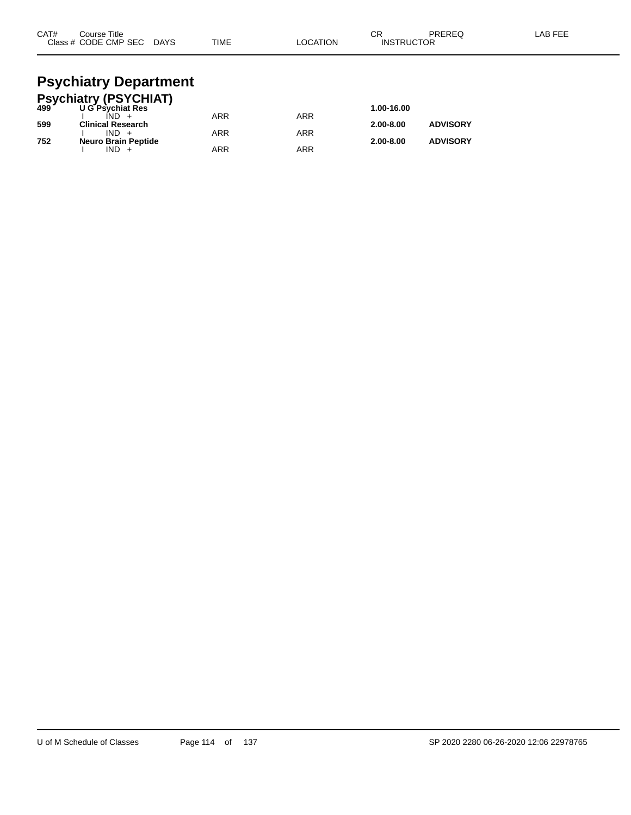| CAT#<br>Course Title<br>Class # CODE CMP SEC DAYS | TIME | <b>LOCATION</b> | СR<br><b>INSTRUCTOR</b> | PREREQ | LAB FEE |
|---------------------------------------------------|------|-----------------|-------------------------|--------|---------|
| Doughinter Donortmant                             |      |                 |                         |        |         |

#### **Psychiatry Department Psychiatry (PSYCHIAT)**

|     | <b>FSychiatry (FSTCTTAT)</b><br>499 UG Psychiat Res |     |            | 1.00-16.00    |                 |
|-----|-----------------------------------------------------|-----|------------|---------------|-----------------|
|     | $IND +$                                             | ARR | <b>ARR</b> |               |                 |
| 599 | <b>Clinical Research</b>                            |     |            | $2.00 - 8.00$ | <b>ADVISORY</b> |
|     | $IND +$                                             | ARR | ARR        |               |                 |
| 752 | <b>Neuro Brain Peptide</b>                          |     |            | $2.00 - 8.00$ | <b>ADVISORY</b> |
|     | $IND +$                                             | ARR | ARR        |               |                 |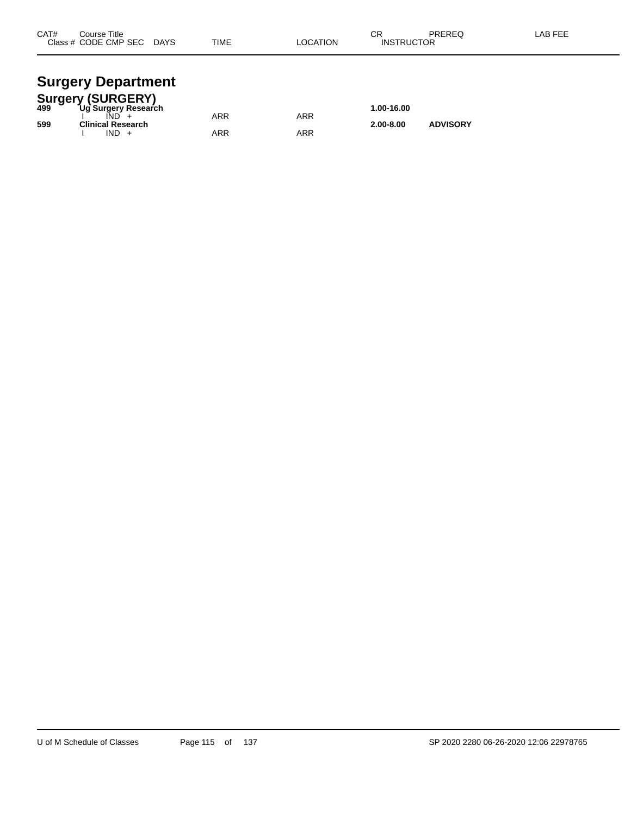| CAT# | Course Title<br>Class # CODE CMP SEC | <b>DAYS</b> | <b>TIME</b> | <b>LOCATION</b> | ◠◻<br>۱۷۱۰ -<br><b>INSTRUCTOR</b> | PREREQ | <b>AB FEE</b> |
|------|--------------------------------------|-------------|-------------|-----------------|-----------------------------------|--------|---------------|
|      |                                      |             |             |                 |                                   |        |               |

#### **Surgery Department**

|     | <b>Surgery (SURGERY)</b> |     |     |               |                 |  |
|-----|--------------------------|-----|-----|---------------|-----------------|--|
| 499 | Ug Surgery Research      |     |     | 1.00-16.00    |                 |  |
|     |                          | ARR | ARR |               |                 |  |
| 599 | <b>Clinical Research</b> |     |     | $2.00 - 8.00$ | <b>ADVISORY</b> |  |
|     | $IND +$                  | ARR | ARR |               |                 |  |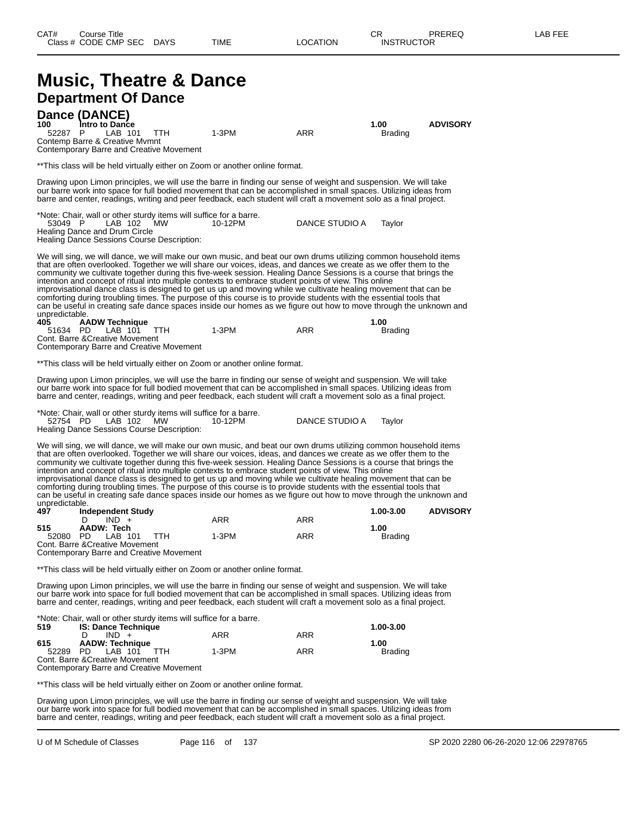#### **Music, Theatre & Dance Department Of Dance Dance (DANCE) 100 Intro to Dance 1.00 ADVISORY** 52287 P LAB 101 TTH 1-3PM ARR Brading Contemp Barre & Creative Mvmnt Contemporary Barre and Creative Movement \*\*This class will be held virtually either on Zoom or another online format. Drawing upon Limon principles, we will use the barre in finding our sense of weight and suspension. We will take our barre work into space for full bodied movement that can be accomplished in small spaces. Utilizing ideas from barre and center, readings, writing and peer feedback, each student will craft a movement solo as a final project. \*Note: Chair, wall or other sturdy items will suffice for a barre. 53049 P LAB 102 MW 10-12PM DANCE STUDIO A Taylor Healing Dance and Drum Circle Healing Dance Sessions Course Description: We will sing, we will dance, we will make our own music, and beat our own drums utilizing common household items that are often overlooked. Together we will share our voices, ideas, and dances we create as we offer them to the community we cultivate together during this five-week session. Healing Dance Sessions is a course that brings the intention and concept of ritual into multiple contexts to embrace student points of view. This online improvisational dance class is designed to get us up and moving while we cultivate healing movement that can be comforting during troubling times. The purpose of this course is to provide students with the essential tools that can be useful in creating safe dance spaces inside our homes as we figure out how to move through the unknown and unpredictable.<br>405 A **405 AADW Technique 1.00** 51634 PD LAB 101 TTH 1-3PM ARR Brading Cont. Barre &Creative Movement Contemporary Barre and Creative Movement \*\*This class will be held virtually either on Zoom or another online format. Drawing upon Limon principles, we will use the barre in finding our sense of weight and suspension. We will take our barre work into space for full bodied movement that can be accomplished in small spaces. Utilizing ideas from barre and center, readings, writing and peer feedback, each student will craft a movement solo as a final project. \*Note: Chair, wall or other sturdy items will suffice for a barre. 52754 PD LAB 102 MW 10-12PM DANCE STUDIO A Taylor Healing Dance Sessions Course Description: We will sing, we will dance, we will make our own music, and beat our own drums utilizing common household items that are often overlooked. Together we will share our voices, ideas, and dances we create as we offer them to the community we cultivate together during this five-week session. Healing Dance Sessions is a course that brings the intention and concept of ritual into multiple contexts to embrace student points of view. This online improvisational dance class is designed to get us up and moving while we cultivate healing movement that can be comforting during troubling times. The purpose of this course is to provide students with the essential tools that can be useful in creating safe dance spaces inside our homes as we figure out how to move through the unknown and unpredictable.<br>497 Inc **497 Independent Study 1.00-3.00 ADVISORY** D IND + ARR ARR ARR **515 AADW: Tech 1.00** 52080 PD LAB 101 TTH 1-3PM ARR Brading Cont. Barre &Creative Movement Contemporary Barre and Creative Movement \*\*This class will be held virtually either on Zoom or another online format. Drawing upon Limon principles, we will use the barre in finding our sense of weight and suspension. We will take our barre work into space for full bodied movement that can be accomplished in small spaces. Utilizing ideas from barre and center, readings, writing and peer feedback, each student will craft a movement solo as a final project. \*Note: Chair, wall or other sturdy items will suffice for a barre. **519 IS: Dance Technique 1.00-3.00** D IND + ARR ARR ARR **615 AADW: Technique 1.00** 52289 PD LAB 101 TTH 1-3PM ARR Brading Cont. Barre &Creative Movement

Contemporary Barre and Creative Movement

\*\*This class will be held virtually either on Zoom or another online format.

Drawing upon Limon principles, we will use the barre in finding our sense of weight and suspension. We will take our barre work into space for full bodied movement that can be accomplished in small spaces. Utilizing ideas from barre and center, readings, writing and peer feedback, each student will craft a movement solo as a final project.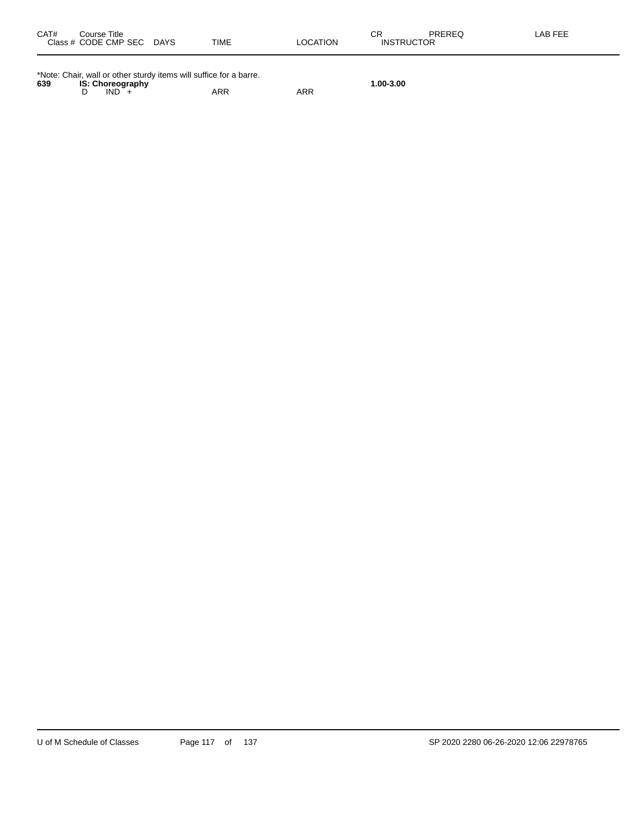| CAT#<br>Course Title<br>Class # CODE CMP SEC DAYS                                                               | TIME | LOCATION | PREREQ<br>СR<br><b>INSTRUCTOR</b> | LAB FEE |
|-----------------------------------------------------------------------------------------------------------------|------|----------|-----------------------------------|---------|
| *Note: Chair, wall or other sturdy items will suffice for a barre.<br>639<br><b>IS: Choreography</b><br>$IND +$ | ARR  | ARR      | 1.00-3.00                         |         |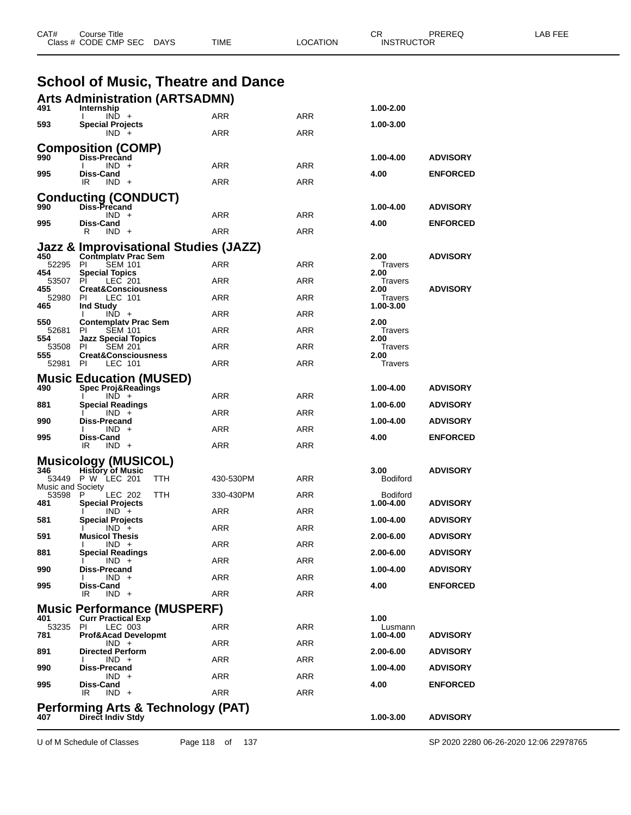| CAT#              | Course Title<br>Class # CODE CMP SEC DAYS                           | TIME       | <b>LOCATION</b> | CR<br><b>INSTRUCTOR</b> | PREREQ          | LAB FEE |
|-------------------|---------------------------------------------------------------------|------------|-----------------|-------------------------|-----------------|---------|
|                   | <b>School of Music, Theatre and Dance</b>                           |            |                 |                         |                 |         |
|                   | <b>Arts Administration (ARTSADMN)</b>                               |            |                 |                         |                 |         |
| 491               | Internship<br>$IND +$                                               | ARR        | ARR             | 1.00-2.00               |                 |         |
| 593               | <b>Special Projects</b><br>$IND +$                                  | ARR        | ARR             | 1.00-3.00               |                 |         |
|                   | <b>Composition (COMP)</b>                                           |            |                 |                         |                 |         |
| 990               | Diss-Precand<br>$IND +$                                             | ARR        | ARR             | 1.00-4.00               | <b>ADVISORY</b> |         |
| 995               | Diss-Cand<br>IR<br>$IND +$                                          | ARR        | ARR             | 4.00                    | <b>ENFORCED</b> |         |
|                   | <b>Conducting (CONDUCT)</b>                                         |            |                 |                         |                 |         |
| 990               | Diss-Precand<br>$IND +$                                             |            |                 | 1.00-4.00               | <b>ADVISORY</b> |         |
| 995               | Diss-Cand                                                           | ARR        | ARR             | 4.00                    | <b>ENFORCED</b> |         |
|                   | R<br>$IND +$                                                        | ARR        | ARR             |                         |                 |         |
| 450               | Jazz & Improvisational Studies (JAZZ)<br><b>Contmplatv Prac Sem</b> |            |                 | 2.00                    | <b>ADVISORY</b> |         |
| 52295<br>454      | -PI<br><b>SEM 101</b><br><b>Special Topics</b>                      | ARR        | ARR             | Travers<br>2.00         |                 |         |
| 53507<br>455      | PI<br>LEC 201<br><b>Creat&amp;Consciousness</b>                     | ARR        | ARR             | Travers<br>2.00         | <b>ADVISORY</b> |         |
| 52980<br>465      | PI<br>LEC 101<br><b>Ind Study</b>                                   | ARR        | ARR             | Travers<br>1.00-3.00    |                 |         |
| 550               | $IND +$<br><b>Contemplaty Prac Sem</b>                              | ARR        | ARR             | 2.00                    |                 |         |
| 52681<br>554      | <b>SEM 101</b><br>PI.<br><b>Jazz Special Topics</b>                 | ARR        | ARR             | Travers<br>2.00         |                 |         |
| 53508             | PI<br><b>SEM 201</b>                                                | ARR        | ARR             | Travers                 |                 |         |
| 555<br>52981 PI   | <b>Creat&amp;Consciousness</b><br>LEC 101                           | ARR        | ARR             | 2.00<br>Travers         |                 |         |
|                   | <b>Music Education (MUSED)</b>                                      |            |                 |                         |                 |         |
| 490               | <b>Spec Proj&amp;Readings</b><br>$IND +$                            | ARR        | ARR             | 1.00-4.00               | <b>ADVISORY</b> |         |
| 881               | Special Readings<br>$IND +$                                         | ARR        | ARR             | 1.00-6.00               | <b>ADVISORY</b> |         |
| 990               | Diss-Precand<br>$IND +$                                             | ARR        | ARR             | 1.00-4.00               | <b>ADVISORY</b> |         |
| 995               | Diss-Cand<br>IR.<br>$IND +$                                         | ARR        | <b>ARR</b>      | 4.00                    | <b>ENFORCED</b> |         |
|                   | <b>Musicology (MUSICOL)</b>                                         |            |                 |                         |                 |         |
| 346               | <b>History of Music</b><br>53449 P W LEC 201<br>TTH                 | 430-530PM  | ARR             | 3.00<br><b>Bodiford</b> | <b>ADVISORY</b> |         |
| Music and Society | <b>LEC 202</b><br><b>TTH</b><br>Р                                   | 330-430PM  | ARR             | Bodiford                |                 |         |
| 53598<br>481      | <b>Special Projects</b>                                             | ARR        | <b>ARR</b>      | 1.00-4.00               | <b>ADVISORY</b> |         |
| 581               | $IND +$<br>Special Projects                                         |            |                 | 1.00-4.00               | <b>ADVISORY</b> |         |
| 591               | $IND +$<br><b>Musicol Thesis</b>                                    | <b>ARR</b> | <b>ARR</b>      | 2.00-6.00               | <b>ADVISORY</b> |         |
| 881               | $IND +$<br>Special Readings                                         | ARR        | <b>ARR</b>      | 2.00-6.00               | <b>ADVISORY</b> |         |
| 990               | $IND +$<br>Diss-Precand                                             | ARR        | ARR             | 1.00-4.00               | <b>ADVISORY</b> |         |
| 995               | $IND +$<br>Diss-Cand                                                | ARR        | <b>ARR</b>      | 4.00                    | <b>ENFORCED</b> |         |
|                   | IR<br>$IND +$                                                       | <b>ARR</b> | <b>ARR</b>      |                         |                 |         |
| 401               | <b>Music Performance (MUSPERF)</b><br><b>Curr Practical Exp</b>     |            |                 | 1.00                    |                 |         |
| 53235<br>781      | PI.<br>LEC 003<br><b>Prof&amp;Acad Developmt</b>                    | ARR        | ARR             | Lusmann<br>1.00-4.00    | <b>ADVISORY</b> |         |
| 891               | $IND +$<br><b>Directed Perform</b>                                  | ARR        | <b>ARR</b>      | 2.00-6.00               | <b>ADVISORY</b> |         |
|                   | $IND +$                                                             | ARR        | <b>ARR</b>      |                         |                 |         |
| 990               | Diss-Precand<br>$IND +$                                             | ARR        | <b>ARR</b>      | 1.00-4.00               | <b>ADVISORY</b> |         |
| 995               | Diss-Cand<br>IR<br>$IND +$                                          | <b>ARR</b> | <b>ARR</b>      | 4.00                    | <b>ENFORCED</b> |         |
|                   | Performing Arts & Technology (PAT)                                  |            |                 |                         |                 |         |
| 407               | Direct Indiv Stdy                                                   |            |                 | 1.00-3.00               | <b>ADVISORY</b> |         |

U of M Schedule of Classes Page 118 of 137 SP 2020 2280 06-26-2020 12:06 22978765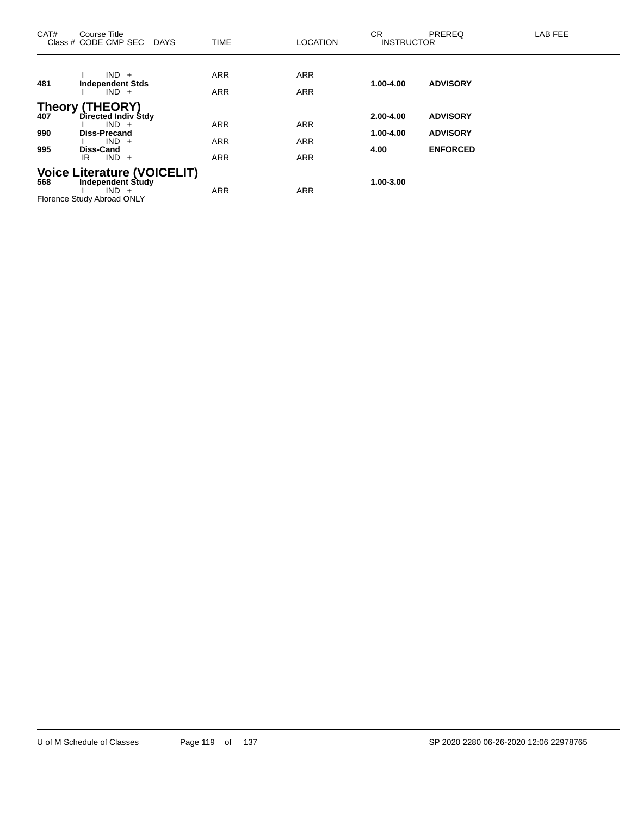| CAT# | Course Title<br>Class # CODE CMP SEC<br><b>DAYS</b> | <b>TIME</b>              | <b>LOCATION</b>          | <b>CR</b><br><b>INSTRUCTOR</b> | PREREQ          | LAB FEE |
|------|-----------------------------------------------------|--------------------------|--------------------------|--------------------------------|-----------------|---------|
|      | $IND +$                                             | <b>ARR</b>               | <b>ARR</b>               |                                |                 |         |
| 481  | <b>Independent Stds</b><br>$IND +$                  | <b>ARR</b>               | <b>ARR</b>               | 1.00-4.00                      | <b>ADVISORY</b> |         |
| 407  | Theory (THEORY)<br>Directed Indiv Stdy              |                          |                          | 2.00-4.00                      | <b>ADVISORY</b> |         |
| 990  | $IND +$<br><b>Diss-Precand</b>                      | <b>ARR</b>               | <b>ARR</b>               | 1.00-4.00                      | <b>ADVISORY</b> |         |
| 995  | $IND +$<br><b>Diss-Cand</b><br>$IND +$<br>IR        | <b>ARR</b><br><b>ARR</b> | <b>ARR</b><br><b>ARR</b> | 4.00                           | <b>ENFORCED</b> |         |
| 568  | Voice Literature (VOICELIT)<br>Independent Study    |                          |                          | 1.00-3.00                      |                 |         |
|      | $IND +$<br>Florence Study Abroad ONLY               | <b>ARR</b>               | <b>ARR</b>               |                                |                 |         |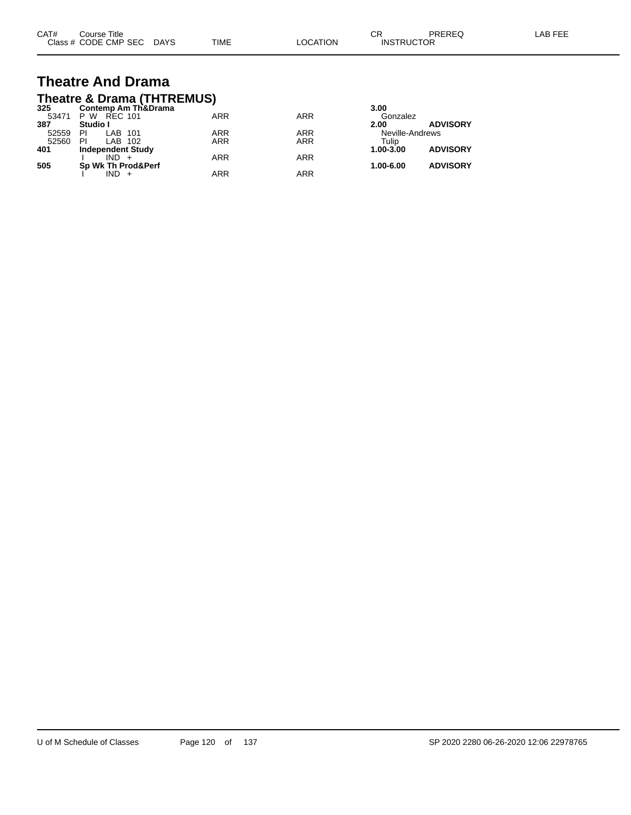| CAT# | Course Title              |      |          | ∩⊓<br>◡⊓          | PREREQ | LAB FEE |
|------|---------------------------|------|----------|-------------------|--------|---------|
|      | Class # CODE CMP SEC DAYS | TIME | LOCATION | <b>INSTRUCTOR</b> |        |         |

#### **Theatre And Drama Theatre & Drama (THTREMUS)**

| 325<br><b>Contemp Am Th&amp;Drama</b><br>3.00      |                              |
|----------------------------------------------------|------------------------------|
| <b>ARR</b><br><b>ARR</b><br>53471<br>P W REC 101   | Gonzalez                     |
| 387<br>Studio I<br>2.00                            | <b>ADVISORY</b>              |
| ARR<br><b>ARR</b><br>PI<br>52559<br>LAB 101        | Neville-Andrews              |
| <b>ARR</b><br><b>ARR</b><br>52560<br>PI<br>LAB 102 | Tulip                        |
| 401<br><b>Independent Study</b>                    | <b>ADVISORY</b><br>1.00-3.00 |
| <b>ARR</b><br><b>ARR</b><br>$IND +$                |                              |
| 505<br>Sp Wk Th Prod&Perf                          | <b>ADVISORY</b><br>1.00-6.00 |
| ARR<br>ARR<br>IND                                  |                              |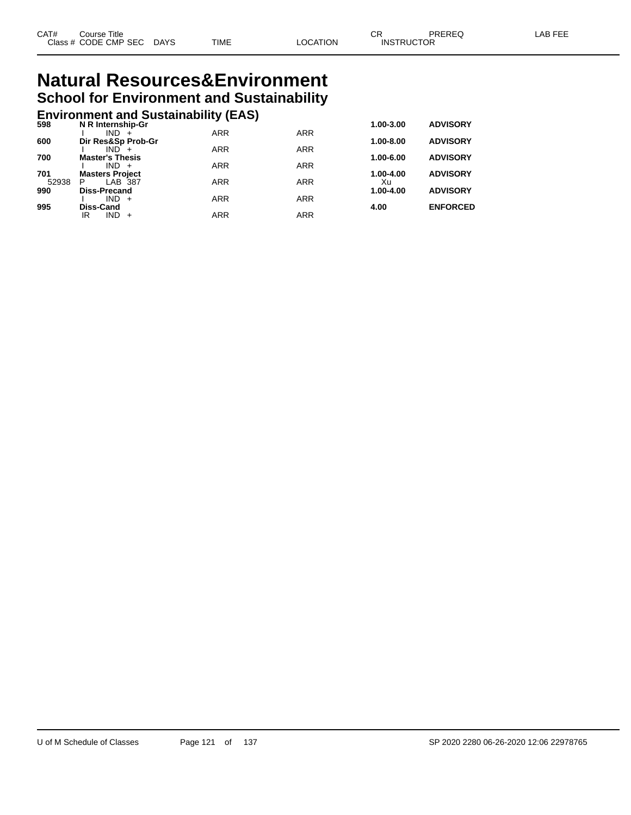#### **Natural Resources&Environment School for Environment and Sustainability**

## **Environment and Sustainability (EAS) 598 N R Internship-Gr 1.00-3.00 ADVISORY**

| 598          | N R Internship-Gr                      |            |            | 1.00-3.00       | <b>ADVISORY</b> |
|--------------|----------------------------------------|------------|------------|-----------------|-----------------|
|              | $IND +$                                | <b>ARR</b> | <b>ARR</b> |                 |                 |
| 600          | Dir Res&Sp Prob-Gr                     |            |            | 1.00-8.00       | <b>ADVISORY</b> |
|              | $IND +$                                | <b>ARR</b> | <b>ARR</b> |                 |                 |
| 700          | <b>Master's Thesis</b>                 |            |            | 1.00-6.00       | <b>ADVISORY</b> |
|              | $IND +$                                | <b>ARR</b> | <b>ARR</b> |                 |                 |
| 701<br>52938 | <b>Masters Project</b><br>LAB 387<br>P | <b>ARR</b> | <b>ARR</b> | 1.00-4.00<br>Xu | <b>ADVISORY</b> |
| 990          | <b>Diss-Precand</b>                    |            |            | $1.00 - 4.00$   | <b>ADVISORY</b> |
|              | $IND +$                                | <b>ARR</b> | <b>ARR</b> |                 |                 |
| 995          | Diss-Cand                              |            |            | 4.00            | <b>ENFORCED</b> |
|              | $IND +$<br>IR                          | ARR        | <b>ARR</b> |                 |                 |
|              |                                        |            |            |                 |                 |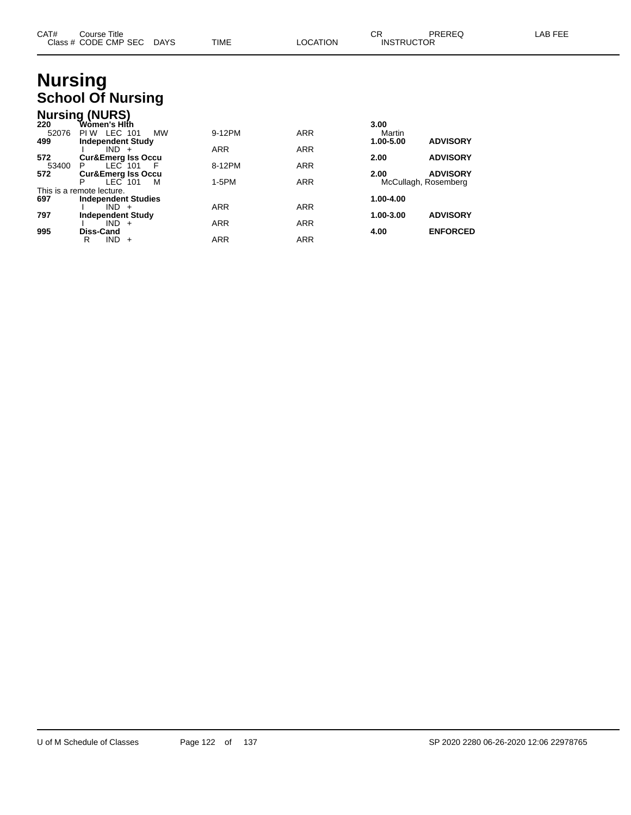| CAT# | Course Title              |      |                 | ⌒冖                | PREREQ | LAB FEE |
|------|---------------------------|------|-----------------|-------------------|--------|---------|
|      | Class # CODE CMP SEC DAYS | TIME | <b>LOCATION</b> | <b>INSTRUCTOR</b> |        |         |

#### **Nursing School Of Nursing**

|       | <b>Nursing (NURS)</b>         |     |            |            |                      |                 |
|-------|-------------------------------|-----|------------|------------|----------------------|-----------------|
| 220   | Wòmen's Hlṫh                  |     |            |            | 3.00                 |                 |
| 52076 | LEC 101<br>PI W               | МW  | 9-12PM     | <b>ARR</b> | Martin               |                 |
| 499   | <b>Independent Study</b>      |     |            |            | 1.00-5.00            | <b>ADVISORY</b> |
|       | $IND +$                       |     | <b>ARR</b> | <b>ARR</b> |                      |                 |
| 572   | <b>Cur&amp;Emerg Iss Occu</b> |     |            |            | 2.00                 | <b>ADVISORY</b> |
| 53400 | $LEC$ 101<br>P                | - F | 8-12PM     | <b>ARR</b> |                      |                 |
| 572   | <b>Cur&amp;Emerg Iss Occu</b> |     |            |            | 2.00                 | <b>ADVISORY</b> |
|       | IEC <sub>101</sub><br>P       | м   | $1-5PM$    | <b>ARR</b> | McCullagh, Rosemberg |                 |
|       | This is a remote lecture.     |     |            |            |                      |                 |
| 697   | <b>Independent Studies</b>    |     |            |            | 1.00-4.00            |                 |
|       | $IND +$                       |     | <b>ARR</b> | <b>ARR</b> |                      |                 |
| 797   | <b>Independent Study</b>      |     |            |            | 1.00-3.00            | <b>ADVISORY</b> |
|       | $IND +$                       |     | <b>ARR</b> | <b>ARR</b> |                      |                 |
| 995   | Diss-Cand                     |     |            |            | 4.00                 | <b>ENFORCED</b> |
|       | $IND +$<br>R                  |     | ARR        | <b>ARR</b> |                      |                 |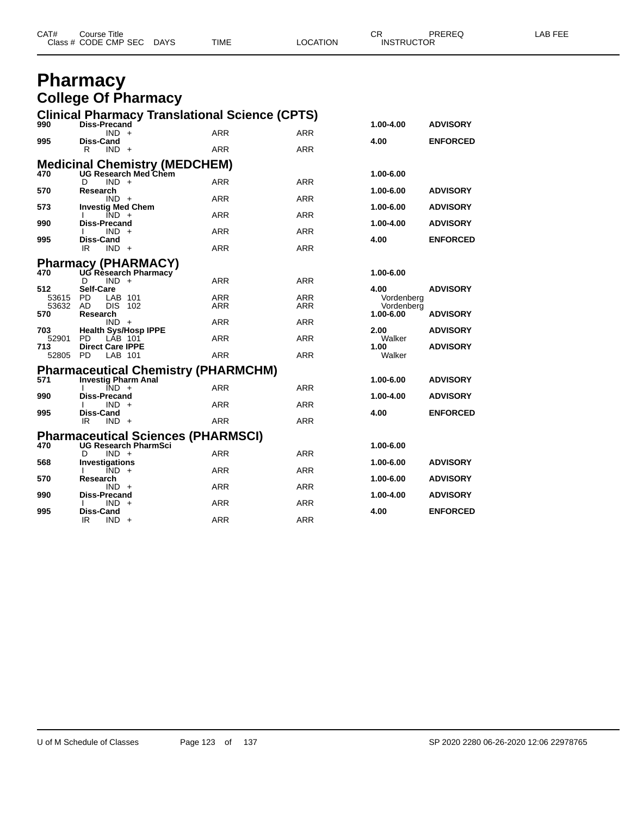| CAT# | Course Title              |      |          | $\cap$<br><b>UN</b> | PREREQ | <b>AB FEE</b> |
|------|---------------------------|------|----------|---------------------|--------|---------------|
|      | Class # CODE CMP SEC DAYS | TIME | LOCATION | <b>INSTRUCTOR</b>   |        |               |

#### **Pharmacy College Of Pharmacy**

|          |                                                                                                                                           |                                                                                                                                                                                                                                                                                                                                                                                                                                                                                                                                                                                                      |                                                                                                                                                                                                                                                 | 1.00-4.00                                                                                                                                                      | <b>ADVISORY</b>                                                                                                                                                                       |  |  |  |
|----------|-------------------------------------------------------------------------------------------------------------------------------------------|------------------------------------------------------------------------------------------------------------------------------------------------------------------------------------------------------------------------------------------------------------------------------------------------------------------------------------------------------------------------------------------------------------------------------------------------------------------------------------------------------------------------------------------------------------------------------------------------------|-------------------------------------------------------------------------------------------------------------------------------------------------------------------------------------------------------------------------------------------------|----------------------------------------------------------------------------------------------------------------------------------------------------------------|---------------------------------------------------------------------------------------------------------------------------------------------------------------------------------------|--|--|--|
|          |                                                                                                                                           |                                                                                                                                                                                                                                                                                                                                                                                                                                                                                                                                                                                                      |                                                                                                                                                                                                                                                 |                                                                                                                                                                | <b>ENFORCED</b>                                                                                                                                                                       |  |  |  |
| R        |                                                                                                                                           | <b>ARR</b>                                                                                                                                                                                                                                                                                                                                                                                                                                                                                                                                                                                           | <b>ARR</b>                                                                                                                                                                                                                                      |                                                                                                                                                                |                                                                                                                                                                                       |  |  |  |
|          |                                                                                                                                           |                                                                                                                                                                                                                                                                                                                                                                                                                                                                                                                                                                                                      |                                                                                                                                                                                                                                                 |                                                                                                                                                                |                                                                                                                                                                                       |  |  |  |
|          |                                                                                                                                           |                                                                                                                                                                                                                                                                                                                                                                                                                                                                                                                                                                                                      |                                                                                                                                                                                                                                                 |                                                                                                                                                                |                                                                                                                                                                                       |  |  |  |
| D        |                                                                                                                                           | ARR                                                                                                                                                                                                                                                                                                                                                                                                                                                                                                                                                                                                  | <b>ARR</b>                                                                                                                                                                                                                                      |                                                                                                                                                                |                                                                                                                                                                                       |  |  |  |
|          |                                                                                                                                           |                                                                                                                                                                                                                                                                                                                                                                                                                                                                                                                                                                                                      |                                                                                                                                                                                                                                                 |                                                                                                                                                                | <b>ADVISORY</b>                                                                                                                                                                       |  |  |  |
|          |                                                                                                                                           |                                                                                                                                                                                                                                                                                                                                                                                                                                                                                                                                                                                                      |                                                                                                                                                                                                                                                 |                                                                                                                                                                | <b>ADVISORY</b>                                                                                                                                                                       |  |  |  |
|          |                                                                                                                                           | <b>ARR</b>                                                                                                                                                                                                                                                                                                                                                                                                                                                                                                                                                                                           | <b>ARR</b>                                                                                                                                                                                                                                      |                                                                                                                                                                |                                                                                                                                                                                       |  |  |  |
|          |                                                                                                                                           |                                                                                                                                                                                                                                                                                                                                                                                                                                                                                                                                                                                                      |                                                                                                                                                                                                                                                 |                                                                                                                                                                | <b>ADVISORY</b>                                                                                                                                                                       |  |  |  |
|          |                                                                                                                                           |                                                                                                                                                                                                                                                                                                                                                                                                                                                                                                                                                                                                      |                                                                                                                                                                                                                                                 |                                                                                                                                                                | <b>ENFORCED</b>                                                                                                                                                                       |  |  |  |
| IR       |                                                                                                                                           | <b>ARR</b>                                                                                                                                                                                                                                                                                                                                                                                                                                                                                                                                                                                           | <b>ARR</b>                                                                                                                                                                                                                                      |                                                                                                                                                                |                                                                                                                                                                                       |  |  |  |
|          |                                                                                                                                           |                                                                                                                                                                                                                                                                                                                                                                                                                                                                                                                                                                                                      |                                                                                                                                                                                                                                                 |                                                                                                                                                                |                                                                                                                                                                                       |  |  |  |
|          |                                                                                                                                           |                                                                                                                                                                                                                                                                                                                                                                                                                                                                                                                                                                                                      |                                                                                                                                                                                                                                                 | 1.00-6.00                                                                                                                                                      |                                                                                                                                                                                       |  |  |  |
| D        |                                                                                                                                           | <b>ARR</b>                                                                                                                                                                                                                                                                                                                                                                                                                                                                                                                                                                                           | <b>ARR</b>                                                                                                                                                                                                                                      |                                                                                                                                                                |                                                                                                                                                                                       |  |  |  |
|          |                                                                                                                                           |                                                                                                                                                                                                                                                                                                                                                                                                                                                                                                                                                                                                      |                                                                                                                                                                                                                                                 |                                                                                                                                                                | <b>ADVISORY</b>                                                                                                                                                                       |  |  |  |
|          |                                                                                                                                           |                                                                                                                                                                                                                                                                                                                                                                                                                                                                                                                                                                                                      |                                                                                                                                                                                                                                                 |                                                                                                                                                                |                                                                                                                                                                                       |  |  |  |
| Research |                                                                                                                                           |                                                                                                                                                                                                                                                                                                                                                                                                                                                                                                                                                                                                      |                                                                                                                                                                                                                                                 | 1.00-6.00                                                                                                                                                      | <b>ADVISORY</b>                                                                                                                                                                       |  |  |  |
|          |                                                                                                                                           | <b>ARR</b>                                                                                                                                                                                                                                                                                                                                                                                                                                                                                                                                                                                           | <b>ARR</b>                                                                                                                                                                                                                                      |                                                                                                                                                                |                                                                                                                                                                                       |  |  |  |
|          |                                                                                                                                           |                                                                                                                                                                                                                                                                                                                                                                                                                                                                                                                                                                                                      |                                                                                                                                                                                                                                                 |                                                                                                                                                                | <b>ADVISORY</b>                                                                                                                                                                       |  |  |  |
|          |                                                                                                                                           |                                                                                                                                                                                                                                                                                                                                                                                                                                                                                                                                                                                                      |                                                                                                                                                                                                                                                 |                                                                                                                                                                | <b>ADVISORY</b>                                                                                                                                                                       |  |  |  |
| 52805 PD |                                                                                                                                           | <b>ARR</b>                                                                                                                                                                                                                                                                                                                                                                                                                                                                                                                                                                                           | <b>ARR</b>                                                                                                                                                                                                                                      | Walker                                                                                                                                                         |                                                                                                                                                                                       |  |  |  |
|          |                                                                                                                                           |                                                                                                                                                                                                                                                                                                                                                                                                                                                                                                                                                                                                      |                                                                                                                                                                                                                                                 |                                                                                                                                                                |                                                                                                                                                                                       |  |  |  |
|          |                                                                                                                                           |                                                                                                                                                                                                                                                                                                                                                                                                                                                                                                                                                                                                      |                                                                                                                                                                                                                                                 |                                                                                                                                                                | <b>ADVISORY</b>                                                                                                                                                                       |  |  |  |
|          |                                                                                                                                           | <b>ARR</b>                                                                                                                                                                                                                                                                                                                                                                                                                                                                                                                                                                                           | <b>ARR</b>                                                                                                                                                                                                                                      |                                                                                                                                                                |                                                                                                                                                                                       |  |  |  |
|          |                                                                                                                                           |                                                                                                                                                                                                                                                                                                                                                                                                                                                                                                                                                                                                      |                                                                                                                                                                                                                                                 | 1.00-4.00                                                                                                                                                      | <b>ADVISORY</b>                                                                                                                                                                       |  |  |  |
|          |                                                                                                                                           |                                                                                                                                                                                                                                                                                                                                                                                                                                                                                                                                                                                                      |                                                                                                                                                                                                                                                 |                                                                                                                                                                | <b>ENFORCED</b>                                                                                                                                                                       |  |  |  |
| IR       |                                                                                                                                           | <b>ARR</b>                                                                                                                                                                                                                                                                                                                                                                                                                                                                                                                                                                                           | <b>ARR</b>                                                                                                                                                                                                                                      |                                                                                                                                                                |                                                                                                                                                                                       |  |  |  |
|          |                                                                                                                                           |                                                                                                                                                                                                                                                                                                                                                                                                                                                                                                                                                                                                      |                                                                                                                                                                                                                                                 |                                                                                                                                                                |                                                                                                                                                                                       |  |  |  |
|          |                                                                                                                                           |                                                                                                                                                                                                                                                                                                                                                                                                                                                                                                                                                                                                      |                                                                                                                                                                                                                                                 |                                                                                                                                                                |                                                                                                                                                                                       |  |  |  |
| D        |                                                                                                                                           | <b>ARR</b>                                                                                                                                                                                                                                                                                                                                                                                                                                                                                                                                                                                           | <b>ARR</b>                                                                                                                                                                                                                                      |                                                                                                                                                                |                                                                                                                                                                                       |  |  |  |
|          |                                                                                                                                           |                                                                                                                                                                                                                                                                                                                                                                                                                                                                                                                                                                                                      |                                                                                                                                                                                                                                                 | 1.00-6.00                                                                                                                                                      | <b>ADVISORY</b>                                                                                                                                                                       |  |  |  |
|          |                                                                                                                                           |                                                                                                                                                                                                                                                                                                                                                                                                                                                                                                                                                                                                      |                                                                                                                                                                                                                                                 |                                                                                                                                                                | <b>ADVISORY</b>                                                                                                                                                                       |  |  |  |
|          |                                                                                                                                           | <b>ARR</b>                                                                                                                                                                                                                                                                                                                                                                                                                                                                                                                                                                                           | <b>ARR</b>                                                                                                                                                                                                                                      |                                                                                                                                                                |                                                                                                                                                                                       |  |  |  |
|          |                                                                                                                                           |                                                                                                                                                                                                                                                                                                                                                                                                                                                                                                                                                                                                      |                                                                                                                                                                                                                                                 | 1.00-4.00                                                                                                                                                      | <b>ADVISORY</b>                                                                                                                                                                       |  |  |  |
|          |                                                                                                                                           |                                                                                                                                                                                                                                                                                                                                                                                                                                                                                                                                                                                                      |                                                                                                                                                                                                                                                 |                                                                                                                                                                | <b>ENFORCED</b>                                                                                                                                                                       |  |  |  |
| IR       |                                                                                                                                           | <b>ARR</b>                                                                                                                                                                                                                                                                                                                                                                                                                                                                                                                                                                                           | <b>ARR</b>                                                                                                                                                                                                                                      |                                                                                                                                                                |                                                                                                                                                                                       |  |  |  |
|          | <b>Diss-Cand</b><br>Research<br>Diss-Cand<br><b>Self-Care</b><br>53615 PD<br>53632 AD<br>PD.<br><b>Diss-Cand</b><br>Research<br>Diss-Cand | <b>Diss-Precand</b><br>$IND +$<br>$IND +$<br><b>UG Research Med Chem</b><br>$IND +$<br>$IND +$<br><b>Investig Med Chem</b><br>$IND +$<br><b>Diss-Precand</b><br>$IND +$<br>$IND +$<br><b>Pharmacy (PHARMACY)</b><br>UG Research Pharmacy<br>$IND +$<br>LAB 101<br><b>DIS 102</b><br>$IND +$<br><b>Health Sys/Hosp IPPE</b><br>LAB 101<br><b>Direct Care IPPE</b><br>LAB 101<br><b>Investig Pharm Anal</b><br>$\overline{IND}$ +<br><b>Diss-Precand</b><br>$IND +$<br>$IND +$<br><b>UG Research PharmSci</b><br>$IND +$<br>Investigations<br>$IND +$<br>$IND +$<br>Diss-Precand<br>$IND +$<br>$IND +$ | <b>ARR</b><br><b>Medicinal Chemistry (MEDCHEM)</b><br><b>ARR</b><br><b>ARR</b><br><b>ARR</b><br><b>ARR</b><br><b>ARR</b><br><b>Pharmaceutical Chemistry (PHARMCHM)</b><br><b>ARR</b><br><b>Pharmaceutical Sciences (PHARMSCI)</b><br>ARR<br>ARR | <b>Clinical Pharmacy Translational Science (CPTS)</b><br>ARR<br><b>ARR</b><br><b>ARR</b><br>ARR<br><b>ARR</b><br><b>ARR</b><br><b>ARR</b><br>ARR<br><b>ARR</b> | 4.00<br>1.00-6.00<br>1.00-6.00<br>1.00-6.00<br>1.00-4.00<br>4.00<br>4.00<br>Vordenberg<br>Vordenberg<br>2.00<br>Walker<br>1.00<br>1.00-6.00<br>4.00<br>1.00-6.00<br>1.00-6.00<br>4.00 |  |  |  |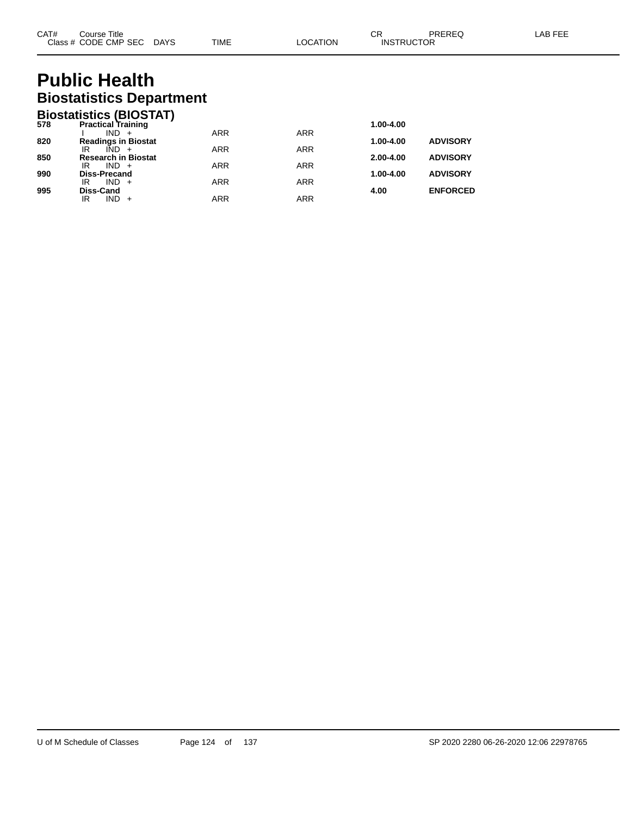## **Public Health Biostatistics Department**

|     | <b>Biostatistics (BIOSTAT)</b>              |            |            |               |                 |
|-----|---------------------------------------------|------------|------------|---------------|-----------------|
| 578 | <b>Practical Training</b>                   |            |            | 1.00-4.00     |                 |
|     | IND.<br>$+$                                 | <b>ARR</b> | <b>ARR</b> |               |                 |
| 820 | <b>Readings in Biostat</b>                  |            |            | 1.00-4.00     | <b>ADVISORY</b> |
| 850 | $IND +$<br>IR                               | <b>ARR</b> | <b>ARR</b> |               |                 |
|     | <b>Research in Biostat</b><br>$IND +$<br>IR | <b>ARR</b> | <b>ARR</b> | $2.00 - 4.00$ | <b>ADVISORY</b> |
| 990 | <b>Diss-Precand</b>                         |            |            | 1.00-4.00     | <b>ADVISORY</b> |
|     | $IND +$<br>IR                               | <b>ARR</b> | <b>ARR</b> |               |                 |
| 995 | Diss-Cand                                   |            |            | 4.00          | <b>ENFORCED</b> |
|     | IND.<br>IR                                  | ARR        | <b>ARR</b> |               |                 |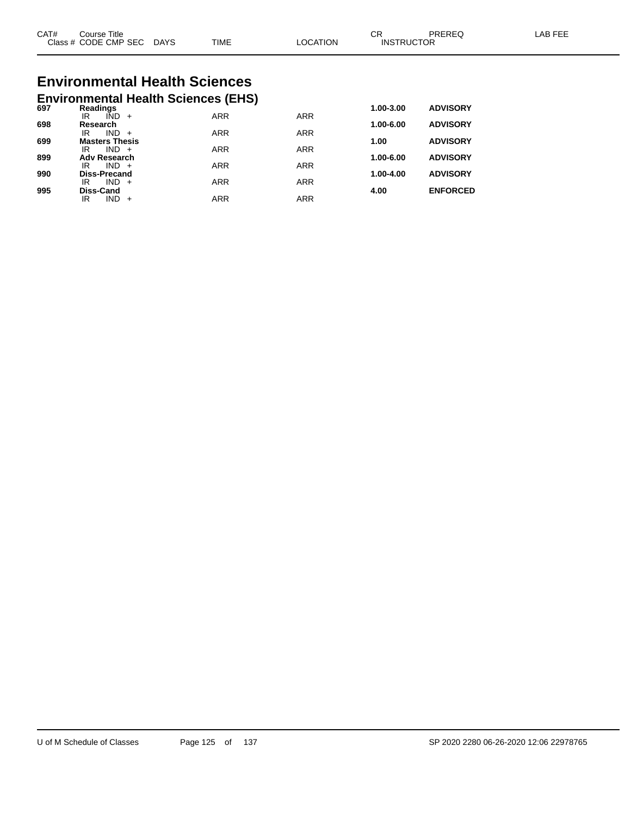| CAT#<br>$\bigcap$ acc $\bigcup$<br>טוט | Title<br>Course<br><b>CODE CMP SEC</b> | <b>DAYS</b> | <b>TIME</b> | <b>TION</b><br>C. | ⌒冖<br>◡<br>ICTOR<br><b>INSTRL</b> | ODEDE <sup>r</sup> | AP |
|----------------------------------------|----------------------------------------|-------------|-------------|-------------------|-----------------------------------|--------------------|----|
|                                        |                                        |             |             |                   |                                   |                    |    |

# **Environmental Health Sciences**

|     | <b>Environmental Health Sciences (EHS)</b> |            |            |           |                 |
|-----|--------------------------------------------|------------|------------|-----------|-----------------|
| 697 | Readings                                   |            |            | 1.00-3.00 | <b>ADVISORY</b> |
|     | IÑD<br>IR<br>$+$                           | <b>ARR</b> | <b>ARR</b> |           |                 |
| 698 | Research<br><b>IND</b><br>IR<br>$+$        | <b>ARR</b> | <b>ARR</b> | 1.00-6.00 | <b>ADVISORY</b> |
| 699 | <b>Masters Thesis</b>                      |            |            | 1.00      | <b>ADVISORY</b> |
|     | $IND +$<br>IR                              | <b>ARR</b> | <b>ARR</b> |           |                 |
| 899 | <b>Adv Research</b>                        |            |            | 1.00-6.00 | <b>ADVISORY</b> |
|     | $IND +$<br>IR                              | <b>ARR</b> | <b>ARR</b> |           |                 |
| 990 | <b>Diss-Precand</b><br>IND.<br>IR<br>$+$   | <b>ARR</b> | <b>ARR</b> | 1.00-4.00 | <b>ADVISORY</b> |
| 995 | Diss-Cand                                  |            |            | 4.00      | <b>ENFORCED</b> |
|     | <b>IND</b><br>IR                           | ARR        | <b>ARR</b> |           |                 |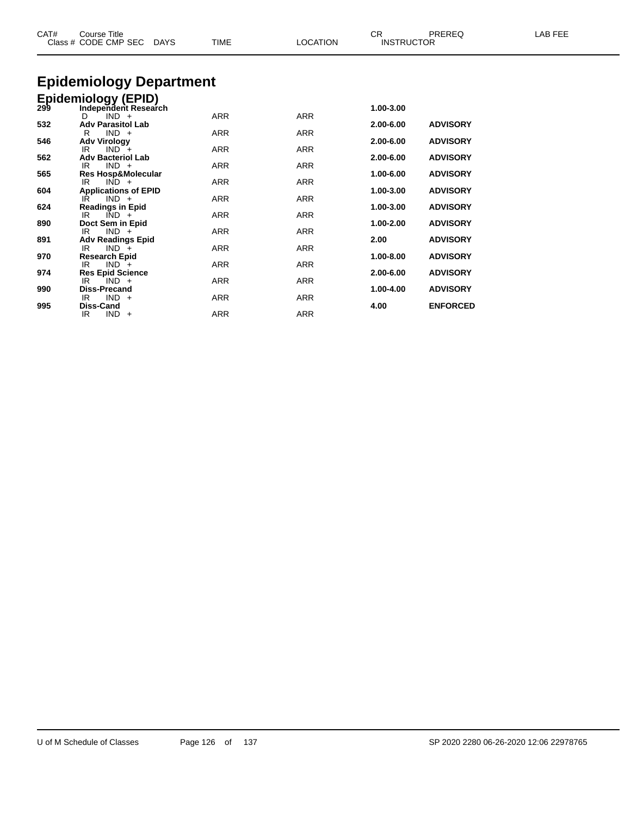| CAT# | <b>Course Title</b><br>Class # CODE CMP SEC DAYS                       | <b>TIME</b> | <b>LOCATION</b> | CR<br><b>INSTRUCTOR</b> | PREREQ          | LAB FEE |
|------|------------------------------------------------------------------------|-------------|-----------------|-------------------------|-----------------|---------|
|      | <b>Epidemiology Department</b>                                         |             |                 |                         |                 |         |
|      |                                                                        |             |                 |                         |                 |         |
|      | Epidemiology (EPID)<br>299 Independent Researd<br>Independent Research |             |                 | 1.00-3.00               |                 |         |
|      | $IND +$<br>D                                                           | <b>ARR</b>  | <b>ARR</b>      |                         |                 |         |
| 532  | <b>Adv Parasitol Lab</b>                                               |             |                 | 2.00-6.00               | <b>ADVISORY</b> |         |
|      | $IND +$<br>R                                                           | <b>ARR</b>  | <b>ARR</b>      |                         |                 |         |
| 546  | <b>Adv Virology</b><br>$IND +$<br>IR.                                  | <b>ARR</b>  | <b>ARR</b>      | 2.00-6.00               | <b>ADVISORY</b> |         |
| 562  | <b>Adv Bacteriol Lab</b>                                               |             |                 | 2.00-6.00               | <b>ADVISORY</b> |         |
|      | $IND +$<br>IR                                                          | ARR         | ARR             |                         |                 |         |
| 565  | <b>Res Hosp&amp;Molecular</b>                                          |             |                 | 1.00-6.00               | <b>ADVISORY</b> |         |
| 604  | $IND +$<br>IR                                                          | ARR         | <b>ARR</b>      | 1.00-3.00               | <b>ADVISORY</b> |         |
|      | <b>Applications of EPID</b><br>$IND +$<br>IR                           | ARR         | <b>ARR</b>      |                         |                 |         |
| 624  | <b>Readings in Epid</b>                                                |             |                 | 1.00-3.00               | <b>ADVISORY</b> |         |
|      | IR.<br>$IND +$                                                         | <b>ARR</b>  | <b>ARR</b>      |                         |                 |         |
| 890  | Doct Sem in Epid                                                       |             |                 | 1.00-2.00               | <b>ADVISORY</b> |         |
| 891  | $IND +$<br>IR<br><b>Adv Readings Epid</b>                              | <b>ARR</b>  | <b>ARR</b>      | 2.00                    | <b>ADVISORY</b> |         |
|      | $IND +$<br>IR.                                                         | <b>ARR</b>  | <b>ARR</b>      |                         |                 |         |
| 970  | <b>Research Epid</b>                                                   |             |                 | 1.00-8.00               | <b>ADVISORY</b> |         |
|      | $IND +$<br>IR                                                          | ARR         | <b>ARR</b>      |                         |                 |         |
| 974  | <b>Res Epid Science</b>                                                |             |                 | 2.00-6.00               | <b>ADVISORY</b> |         |
| 990  | $IND +$<br>IR<br><b>Diss-Precand</b>                                   | <b>ARR</b>  | <b>ARR</b>      | 1.00-4.00               | <b>ADVISORY</b> |         |
|      | $IND +$<br>IR                                                          | <b>ARR</b>  | ARR             |                         |                 |         |
| 995  | Diss-Cand                                                              |             |                 | 4.00                    | <b>ENFORCED</b> |         |
|      | $IND +$<br>IR                                                          | <b>ARR</b>  | <b>ARR</b>      |                         |                 |         |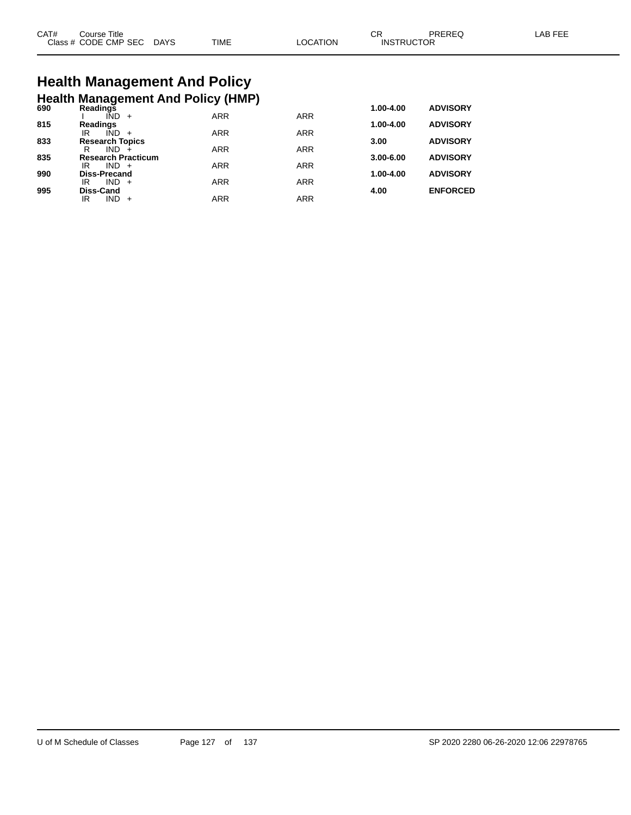| CAT# | Course Title .       |             |             |                | СF                | <b>PRERE</b> | AR FFF |
|------|----------------------|-------------|-------------|----------------|-------------------|--------------|--------|
|      | Class # CODE CMP SEC | <b>DAYS</b> | <b>TIME</b> | <b>OCATION</b> | <b>INSTRUCTOR</b> |              |        |

## **Health Management And Policy Health Management And Policy (HMP) 690 Readings 1.00-4.00 ADVISORY**

| งฮบ | Reaulius                  |            |            | 1.vv-4.vv     | ADVIJUNI        |
|-----|---------------------------|------------|------------|---------------|-----------------|
|     | IND<br>$+$                | <b>ARR</b> | <b>ARR</b> |               |                 |
| 815 | <b>Readings</b>           |            |            | $1.00 - 4.00$ | <b>ADVISORY</b> |
|     | IND<br>IR                 | <b>ARR</b> | <b>ARR</b> |               |                 |
| 833 | <b>Research Topics</b>    |            |            | 3.00          | <b>ADVISORY</b> |
|     | IND.<br>R                 | <b>ARR</b> | <b>ARR</b> |               |                 |
| 835 | <b>Research Practicum</b> |            |            | $3.00 - 6.00$ | <b>ADVISORY</b> |
|     | $IND +$<br>IR             | <b>ARR</b> | <b>ARR</b> |               |                 |
| 990 | <b>Diss-Precand</b>       |            |            | $1.00 - 4.00$ | <b>ADVISORY</b> |
|     | $IND +$<br>IR             | ARR        | <b>ARR</b> |               |                 |
| 995 | <b>Diss-Cand</b>          |            |            | 4.00          | <b>ENFORCED</b> |
|     | IND.<br>IR<br>$+$         | ARR        | <b>ARR</b> |               |                 |
|     |                           |            |            |               |                 |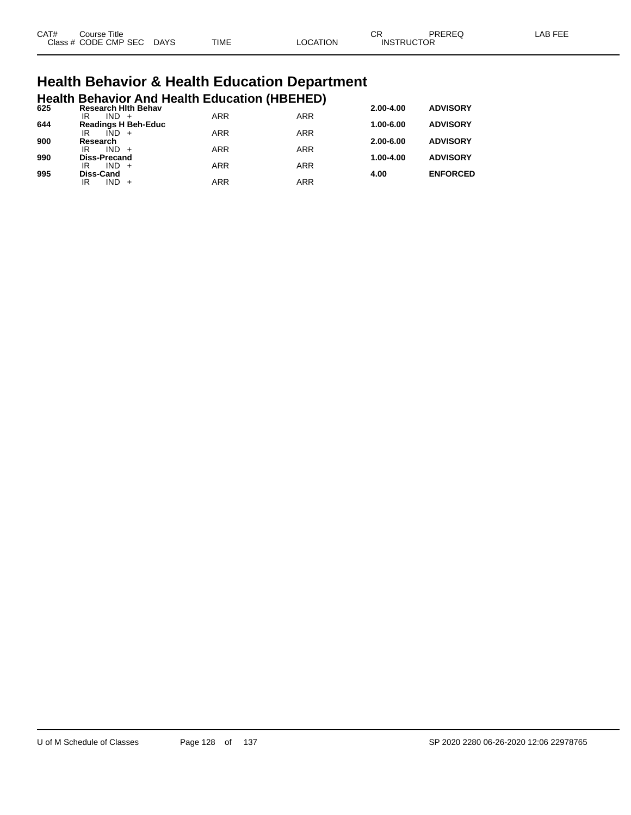| CAT# | Title<br>Course      |             |             |                | $\cap$<br>◡       | PREREQ | AR EEI |
|------|----------------------|-------------|-------------|----------------|-------------------|--------|--------|
|      | Class # CODE CMP SEC | <b>DAYS</b> | <b>TIME</b> | <b>OCATION</b> | <b>INSTRUCTOR</b> |        |        |

# **Health Behavior & Health Education Department**

|     |                           |         |                            | <b>Health Behavior And Health Education (HBEHED)</b> |            |               |                 |
|-----|---------------------------|---------|----------------------------|------------------------------------------------------|------------|---------------|-----------------|
| 625 | IR                        | $IND +$ | <b>Research Hith Behav</b> | <b>ARR</b>                                           | <b>ARR</b> | 2.00-4.00     | <b>ADVISORY</b> |
| 644 |                           |         | <b>Readings H Beh-Educ</b> |                                                      |            | $1.00 - 6.00$ | <b>ADVISORY</b> |
| 900 | IR<br>Research            | $IND +$ |                            | <b>ARR</b>                                           | <b>ARR</b> | $2.00 - 6.00$ | <b>ADVISORY</b> |
|     | IR                        | $IND +$ |                            | <b>ARR</b>                                           | <b>ARR</b> |               |                 |
| 990 | <b>Diss-Precand</b><br>IR | $IND +$ |                            | <b>ARR</b>                                           | <b>ARR</b> | 1.00-4.00     | <b>ADVISORY</b> |
| 995 | <b>Diss-Cand</b>          |         |                            |                                                      |            | 4.00          | <b>ENFORCED</b> |
|     | ΙR                        | $IND +$ |                            | ARR                                                  | <b>ARR</b> |               |                 |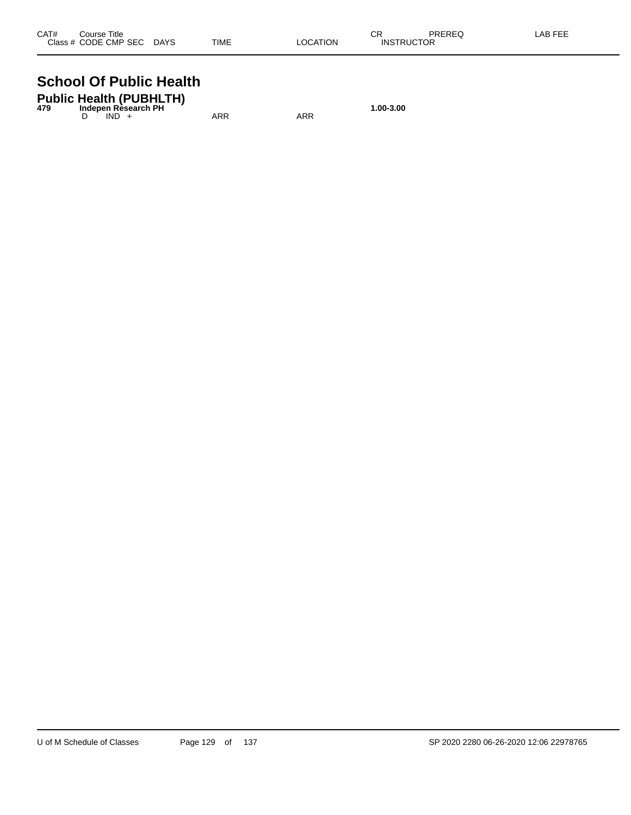| CAT# | Course Title              |             |          | СR                | PREREQ | LAB FEE |
|------|---------------------------|-------------|----------|-------------------|--------|---------|
|      | Class # CODE CMP SEC DAYS | <b>TIME</b> | LOCATION | <b>INSTRUCTOR</b> |        |         |

#### **School Of Public Health**

| 479 |         | <b>Public Health (PUBHLTH)</b><br>Indepen Rèsearch PH |     |     | 1.00-3.00 |
|-----|---------|-------------------------------------------------------|-----|-----|-----------|
|     | $IND +$ |                                                       | ARR | ARR |           |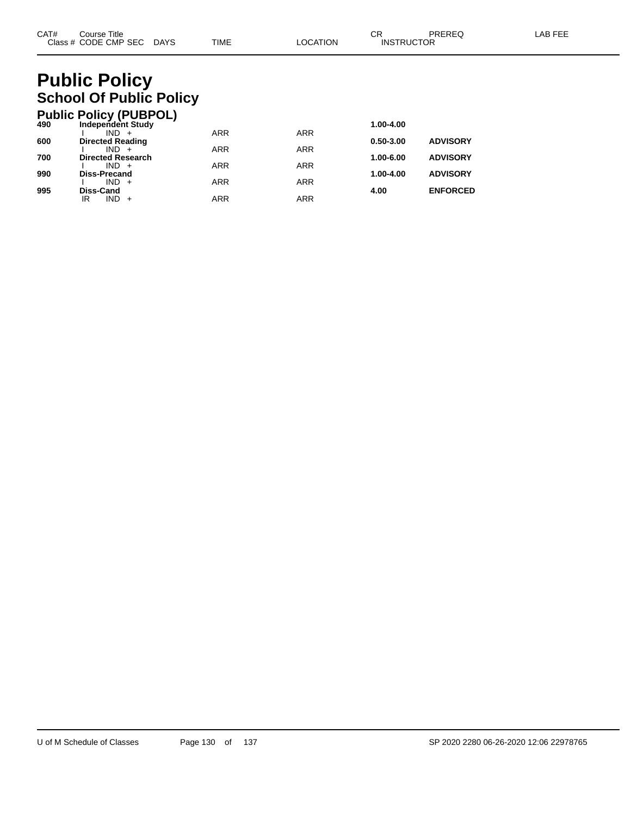## **Public Policy School Of Public Policy**

|     | <b>Public Policy (PUBPOL)</b>      |            |            |               |                 |
|-----|------------------------------------|------------|------------|---------------|-----------------|
| 490 | <b>Independent Study</b>           |            |            | 1.00-4.00     |                 |
|     | $IND +$                            | <b>ARR</b> | <b>ARR</b> | $0.50 - 3.00$ |                 |
| 600 | <b>Directed Reading</b><br>$IND +$ | <b>ARR</b> | <b>ARR</b> |               | <b>ADVISORY</b> |
| 700 | <b>Directed Research</b>           |            |            | 1.00-6.00     | <b>ADVISORY</b> |
|     | $IND +$                            | <b>ARR</b> | <b>ARR</b> |               |                 |
| 990 | <b>Diss-Precand</b>                |            |            | 1.00-4.00     | <b>ADVISORY</b> |
| 995 | $IND +$<br>Diss-Cand               | <b>ARR</b> | <b>ARR</b> | 4.00          | <b>ENFORCED</b> |
|     | $IND +$<br>ΙR                      | <b>ARR</b> | ARR        |               |                 |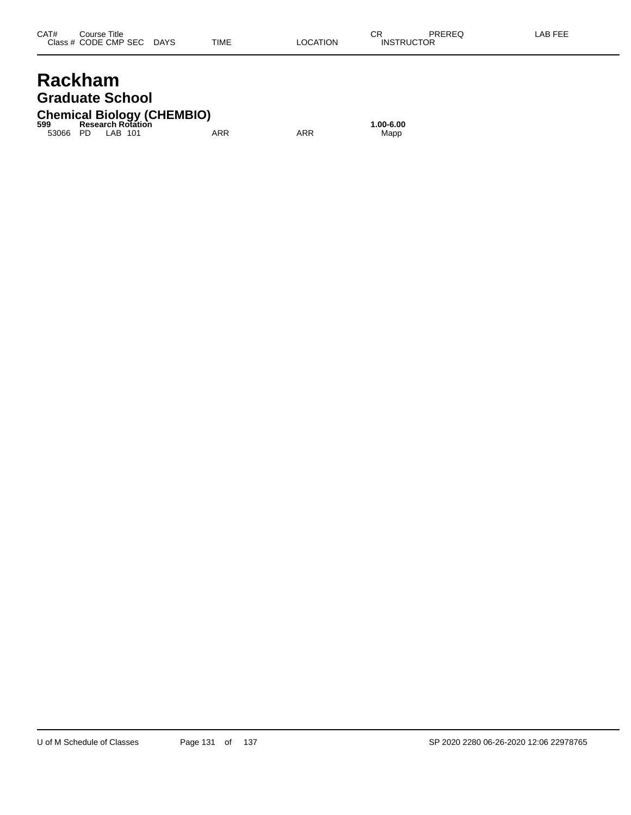#### **Rackham Graduate School**

#### **Chemical Biology (CHEMBIO) 599 Research Rotation 1.00-6.00**

53066 PD LAB 101 ARR ARR Mapp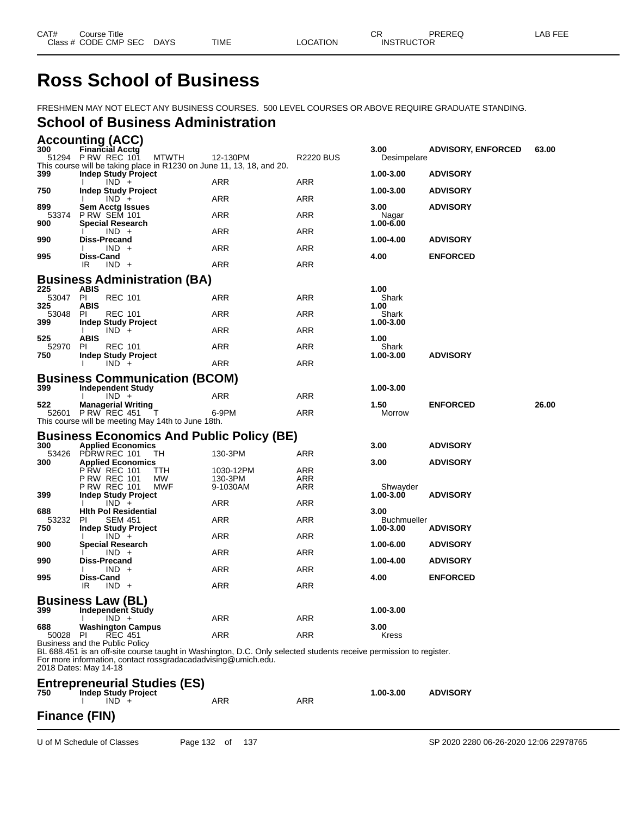## **Ross School of Business**

FRESHMEN MAY NOT ELECT ANY BUSINESS COURSES. 500 LEVEL COURSES OR ABOVE REQUIRE GRADUATE STANDING.

#### **School of Business Administration**

|              | <b>Accounting (ACC)</b>                                 |                                                                                                                                                                                     |                      |                  |                    |                           |       |
|--------------|---------------------------------------------------------|-------------------------------------------------------------------------------------------------------------------------------------------------------------------------------------|----------------------|------------------|--------------------|---------------------------|-------|
| 300          | Financial Acctg                                         |                                                                                                                                                                                     |                      |                  | 3.00               | <b>ADVISORY, ENFORCED</b> | 63.00 |
|              | 51294 P RW REC 101                                      | MTWTH<br>This course will be taking place in R1230 on June 11, 13, 18, and 20.                                                                                                      | 12-130PM             | <b>R2220 BUS</b> | Desimpelare        |                           |       |
| 399          | <b>Indep Study Project</b>                              |                                                                                                                                                                                     |                      |                  | 1.00-3.00          | <b>ADVISORY</b>           |       |
|              | $IND +$                                                 |                                                                                                                                                                                     | ARR                  | ARR              |                    |                           |       |
| 750          | Indep Study Project<br>$IND +$                          |                                                                                                                                                                                     | ARR                  | ARR              | 1.00-3.00          | <b>ADVISORY</b>           |       |
| 899          | <b>Sem Acctg Issues</b>                                 |                                                                                                                                                                                     |                      |                  | 3.00               | <b>ADVISORY</b>           |       |
| 53374        | <b>P RW SEM 101</b>                                     |                                                                                                                                                                                     | ARR                  | ARR              | Nagar              |                           |       |
| 900          | <b>Special Research</b><br>$IND +$                      |                                                                                                                                                                                     | ARR                  | ARR              | 1.00-6.00          |                           |       |
| 990          | Diss-Precand                                            |                                                                                                                                                                                     |                      |                  | 1.00-4.00          | <b>ADVISORY</b>           |       |
|              | $IND +$                                                 |                                                                                                                                                                                     | ARR                  | ARR              |                    |                           |       |
| 995          | Diss-Cand<br>$IND +$<br>IR                              |                                                                                                                                                                                     | ARR                  | ARR              | 4.00               | <b>ENFORCED</b>           |       |
|              |                                                         |                                                                                                                                                                                     |                      |                  |                    |                           |       |
| 225          | ABIS                                                    | <b>Business Administration (BA)</b>                                                                                                                                                 |                      |                  | 1.00               |                           |       |
| 53047 PI     | <b>REC 101</b>                                          |                                                                                                                                                                                     | ARR                  | ARR              | Shark              |                           |       |
| 325          | <b>ABIS</b>                                             |                                                                                                                                                                                     |                      |                  | 1.00               |                           |       |
| 53048<br>399 | <b>REC 101</b><br>PI.<br><b>Indep Study Project</b>     |                                                                                                                                                                                     | ARR                  | ARR              | Shark<br>1.00-3.00 |                           |       |
|              | $IND +$                                                 |                                                                                                                                                                                     | ARR                  | ARR              |                    |                           |       |
| 525          | <b>ABIS</b>                                             |                                                                                                                                                                                     |                      |                  | 1.00               |                           |       |
| 52970<br>750 | <b>REC 101</b><br>-PI<br><b>Indep Study Project</b>     |                                                                                                                                                                                     | ARR                  | ARR              | Shark<br>1.00-3.00 | <b>ADVISORY</b>           |       |
|              | $IND +$                                                 |                                                                                                                                                                                     | ARR                  | ARR              |                    |                           |       |
|              |                                                         | <b>Business Communication (BCOM)</b>                                                                                                                                                |                      |                  |                    |                           |       |
| 399          | <b>Independent Study</b>                                |                                                                                                                                                                                     |                      |                  | 1.00-3.00          |                           |       |
|              | $IND +$                                                 |                                                                                                                                                                                     | ARR                  | ARR              |                    |                           |       |
| 522          | <b>Managerial Writing</b><br>52601 P RW REC 451         |                                                                                                                                                                                     | 6-9PM                | ARR              | 1.50<br>Morrow     | <b>ENFORCED</b>           | 26.00 |
|              |                                                         | This course will be meeting May 14th to June 18th.                                                                                                                                  |                      |                  |                    |                           |       |
|              |                                                         |                                                                                                                                                                                     |                      |                  |                    |                           |       |
|              |                                                         |                                                                                                                                                                                     |                      |                  |                    |                           |       |
|              |                                                         | <b>Business Economics And Public Policy (BE)</b>                                                                                                                                    |                      |                  |                    |                           |       |
| 300<br>53426 | <b>Applied Economics</b><br>PDRW REC 101                | TH                                                                                                                                                                                  | 130-3PM              | ARR              | 3.00               | <b>ADVISORY</b>           |       |
| 300          | <b>Applied Economics</b>                                |                                                                                                                                                                                     |                      |                  | 3.00               | <b>ADVISORY</b>           |       |
|              | <b>PRW REC 101</b>                                      | ттн<br><b>MW</b>                                                                                                                                                                    | 1030-12PM<br>130-3PM | ARR              |                    |                           |       |
|              | <b>PRW REC 101</b><br>P RW REC 101                      | MWF                                                                                                                                                                                 | 9-1030AM             | ARR<br>ARR       | Shwayder           |                           |       |
| 399          | <b>Indep Study Project</b>                              |                                                                                                                                                                                     |                      |                  | 1.00-3.00          | <b>ADVISORY</b>           |       |
| 688          | $IND +$<br><b>Hith Pol Residential</b>                  |                                                                                                                                                                                     | ARR                  | ARR              | 3.00               |                           |       |
| 53232        | <b>SEM 451</b><br>PI                                    |                                                                                                                                                                                     | ARR                  | ARR              | Buchmueller        |                           |       |
| 750          | Indep Study Project                                     |                                                                                                                                                                                     |                      |                  | 1.00-3.00          | <b>ADVISORY</b>           |       |
| 900          | $IND +$<br><b>Special Research</b>                      |                                                                                                                                                                                     | ARR                  | ARR              | 1.00-6.00          | <b>ADVISORY</b>           |       |
|              | $IND +$                                                 |                                                                                                                                                                                     | ARR                  | ARR              |                    |                           |       |
| 990          | Diss-Precand<br>$IND +$                                 |                                                                                                                                                                                     | ARR                  | ARR              | 1.00-4.00          | <b>ADVISORY</b>           |       |
| 995          | Diss-Cand                                               |                                                                                                                                                                                     |                      |                  | 4.00               | <b>ENFORCED</b>           |       |
|              | IR<br>$IND +$                                           |                                                                                                                                                                                     | ARR                  | ARR              |                    |                           |       |
|              | <b>Business Law (BL)</b>                                |                                                                                                                                                                                     |                      |                  |                    |                           |       |
| 399          | Independent Study                                       |                                                                                                                                                                                     |                      |                  | 1.00-3.00          |                           |       |
| 688          | $IND +$                                                 |                                                                                                                                                                                     | ARR                  | ARR              | 3.00               |                           |       |
| 50028        | <b>Washington Campus</b><br><b>REC 451</b><br><b>PI</b> |                                                                                                                                                                                     | ARR                  | ARR              | Kress              |                           |       |
|              | Business and the Public Policy                          |                                                                                                                                                                                     |                      |                  |                    |                           |       |
|              |                                                         | BL 688.451 is an off-site course taught in Washington, D.C. Only selected students receive permission to register.<br>For more information, contact rossgradacadadvising@umich.edu. |                      |                  |                    |                           |       |
|              | 2018 Dates: May 14-18                                   |                                                                                                                                                                                     |                      |                  |                    |                           |       |
|              |                                                         |                                                                                                                                                                                     |                      |                  |                    |                           |       |
| 750          | <b>Indep Study Project</b>                              | <b>Entrepreneurial Studies (ES)</b>                                                                                                                                                 |                      |                  | 1.00-3.00          | <b>ADVISORY</b>           |       |
|              | $IND +$                                                 |                                                                                                                                                                                     | ARR                  | ARR              |                    |                           |       |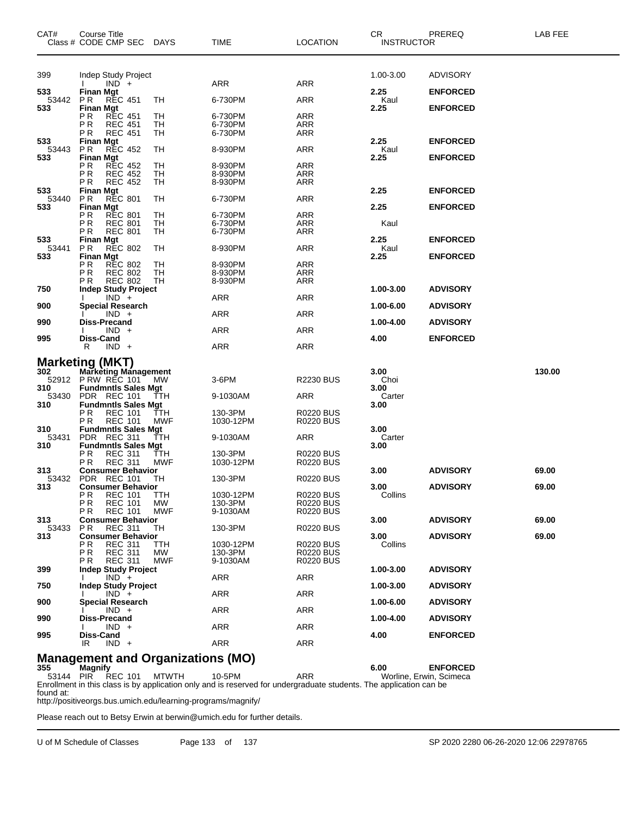| CAT#         | Course Title<br>Class # CODE CMP SEC DAYS            |            | <b>TIME</b>          | <b>LOCATION</b>                      | CR.<br><b>INSTRUCTOR</b> | PREREQ          | LAB FEE |
|--------------|------------------------------------------------------|------------|----------------------|--------------------------------------|--------------------------|-----------------|---------|
| 399          | Indep Study Project                                  |            |                      |                                      | 1.00-3.00                | <b>ADVISORY</b> |         |
|              | $IND +$                                              |            | ARR                  | ARR                                  |                          |                 |         |
| 533<br>53442 | <b>Finan Mgt</b><br>PR<br><b>REC 451</b>             | ТH         | 6-730PM              | <b>ARR</b>                           | 2.25<br>Kaul             | <b>ENFORCED</b> |         |
| 533          | <b>Finan Mgt</b>                                     |            |                      |                                      | 2.25                     | <b>ENFORCED</b> |         |
|              | РR<br><b>REC 451</b><br>PR<br><b>REC 451</b>         | TН<br>TH   | 6-730PM<br>6-730PM   | ARR<br><b>ARR</b>                    |                          |                 |         |
|              | <b>REC 451</b><br>ΡR                                 | TН         | 6-730PM              | ARR                                  |                          |                 |         |
| 533<br>53443 | <b>Finan Mgt</b><br>P <sub>R</sub><br><b>REC 452</b> | TН         | 8-930PM              | <b>ARR</b>                           | 2.25<br>Kaul             | <b>ENFORCED</b> |         |
| 533          | <b>Finan Mgt</b>                                     |            |                      |                                      | 2.25                     | <b>ENFORCED</b> |         |
|              | P R<br><b>REC 452</b><br>PR<br><b>REC 452</b>        | TН<br>TH   | 8-930PM<br>8-930PM   | ARR<br><b>ARR</b>                    |                          |                 |         |
|              | <b>REC 452</b><br>ΡR                                 | TН         | 8-930PM              | ARR                                  |                          |                 |         |
| 533<br>53440 | <b>Finan Mgt</b><br>P <sub>R</sub><br><b>REC 801</b> | TН         | 6-730PM              | <b>ARR</b>                           | 2.25                     | <b>ENFORCED</b> |         |
| 533          | Finan Mgt                                            |            |                      |                                      | 2.25                     | <b>ENFORCED</b> |         |
|              | РR<br><b>REC 801</b><br>PR<br><b>REC 801</b>         | TН<br>TH   | 6-730PM<br>6-730PM   | ARR<br><b>ARR</b>                    | Kaul                     |                 |         |
|              | ΡR<br><b>REC 801</b>                                 | TН         | 6-730PM              | ARR                                  |                          |                 |         |
| 533<br>53441 | <b>Finan Mgt</b><br>P <sub>R</sub><br><b>REC 802</b> | TН         | 8-930PM              | <b>ARR</b>                           | 2.25<br>Kaul             | <b>ENFORCED</b> |         |
| 533          | Finan Mgt                                            |            |                      |                                      | 2.25                     | <b>ENFORCED</b> |         |
|              | РR<br><b>REC 802</b><br>PR<br><b>REC 802</b>         | TН<br>TH   | 8-930PM<br>8-930PM   | ARR<br><b>ARR</b>                    |                          |                 |         |
|              | <b>REC 802</b><br>РR                                 | TН         | 8-930PM              | ARR                                  |                          |                 |         |
| 750          | <b>Indep Study Project</b><br>$IND +$                |            | <b>ARR</b>           | <b>ARR</b>                           | 1.00-3.00                | <b>ADVISORY</b> |         |
| 900          | <b>Special Research</b>                              |            |                      |                                      | 1.00-6.00                | <b>ADVISORY</b> |         |
| 990          | $IND +$<br>Diss-Precand                              |            | ARR                  | ARR                                  | 1.00-4.00                | <b>ADVISORY</b> |         |
| 995          | $IND +$<br>Diss-Cand                                 |            | ARR                  | <b>ARR</b>                           | 4.00                     | <b>ENFORCED</b> |         |
|              | $IND +$<br>R                                         |            | <b>ARR</b>           | <b>ARR</b>                           |                          |                 |         |
|              | <b>Marketing (MKT)</b>                               |            |                      |                                      |                          |                 |         |
| 302          | <b>Marketing Management</b>                          |            |                      |                                      | 3.00                     |                 | 130.00  |
| 310          | 52912 P RW REC 101<br><b>Fundmntls Sales Mgt</b>     | MW         | 3-6PM                | <b>R2230 BUS</b>                     | Choi<br>3.00             |                 |         |
| 53430        | PDR REC 101                                          | ттн        | 9-1030AM             | ARR                                  | Carter                   |                 |         |
| 310          | <b>Fundmntls Sales Mgt</b><br><b>REC 101</b><br>P R  | TTH        | 130-3PM              | <b>R0220 BUS</b>                     | 3.00                     |                 |         |
|              | <b>REC 101</b><br>РR                                 | MWF        | 1030-12PM            | <b>R0220 BUS</b>                     |                          |                 |         |
| 310<br>53431 | <b>Fundmntls Sales Mgt</b><br>PDR REC 311            | ттн        | 9-1030AM             | ARR                                  | 3.00<br>Carter           |                 |         |
| 310          | <b>Fundmntls Sales Mgt</b>                           |            |                      |                                      | 3.00                     |                 |         |
|              | ΡR<br><b>REC 311</b><br>P R<br><b>REC 311</b>        | ттн<br>MWF | 130-3PM<br>1030-12PM | <b>R0220 BUS</b><br><b>R0220 BUS</b> |                          |                 |         |
| 313          | <b>Consumer Behavior</b>                             |            |                      |                                      | 3.00                     | <b>ADVISORY</b> | 69.00   |
| 53432<br>313 | PDR REC 101<br><b>Consumer Behavior</b>              | ТH         | 130-3PM              | <b>R0220 BUS</b>                     | 3.00                     | <b>ADVISORY</b> | 69.00   |
|              | <b>REC 101</b><br>ΡR                                 | TTH        | 1030-12PM            | <b>R0220 BUS</b>                     | Collins                  |                 |         |
|              | <b>REC 101</b><br>ΡR<br>P R<br><b>REC 101</b>        | MW.<br>MWF | 130-3PM<br>9-1030AM  | <b>R0220 BUS</b><br><b>R0220 BUS</b> |                          |                 |         |
| 313          | <b>Consumer Behavior</b>                             |            |                      |                                      | 3.00                     | <b>ADVISORY</b> | 69.00   |
| 53433<br>313 | <b>REC 311</b><br>P R<br><b>Consumer Behavior</b>    | TН         | 130-3PM              | <b>R0220 BUS</b>                     | 3.00                     | <b>ADVISORY</b> | 69.00   |
|              | ΡR<br><b>REC 311</b>                                 | ттн        | 1030-12PM            | <b>R0220 BUS</b>                     | Collins                  |                 |         |
|              | <b>REC 311</b><br>PR.<br>РR<br><b>REC 311</b>        | МW<br>MWF  | 130-3PM<br>9-1030AM  | <b>R0220 BUS</b><br><b>R0220 BUS</b> |                          |                 |         |
| 399          | <b>Indep Study Project</b>                           |            |                      |                                      | 1.00-3.00                | <b>ADVISORY</b> |         |
| 750          | $IND +$<br><b>Indep Study Project</b>                |            | ARR                  | <b>ARR</b>                           | 1.00-3.00                | <b>ADVISORY</b> |         |
|              | $IND +$                                              |            | ARR                  | ARR                                  |                          |                 |         |
| 900          | <b>Special Research</b><br>$IND +$                   |            | ARR                  | ARR                                  | 1.00-6.00                | <b>ADVISORY</b> |         |
| 990          | Diss-Precand                                         |            |                      |                                      | 1.00-4.00                | <b>ADVISORY</b> |         |
| 995          | $IND +$<br>Diss-Cand                                 |            | <b>ARR</b>           | <b>ARR</b>                           | 4.00                     | <b>ENFORCED</b> |         |
|              | $IND +$<br>IR                                        |            | ARR                  | ARR                                  |                          |                 |         |
|              | Management and Organizations (MO)                    |            |                      |                                      |                          |                 |         |

#### **Management and Organizations (MO) 355 Magnify 6.00 ENFORCED**

53144 PIR REC 101 MTWTH 10-5PM ARR Worline, Erwin, Scimeca Enrollment in this class is by application only and is reserved for undergraduate students. The application can be found at:

http://positiveorgs.bus.umich.edu/learning-programs/magnify/

Please reach out to Betsy Erwin at berwin@umich.edu for further details.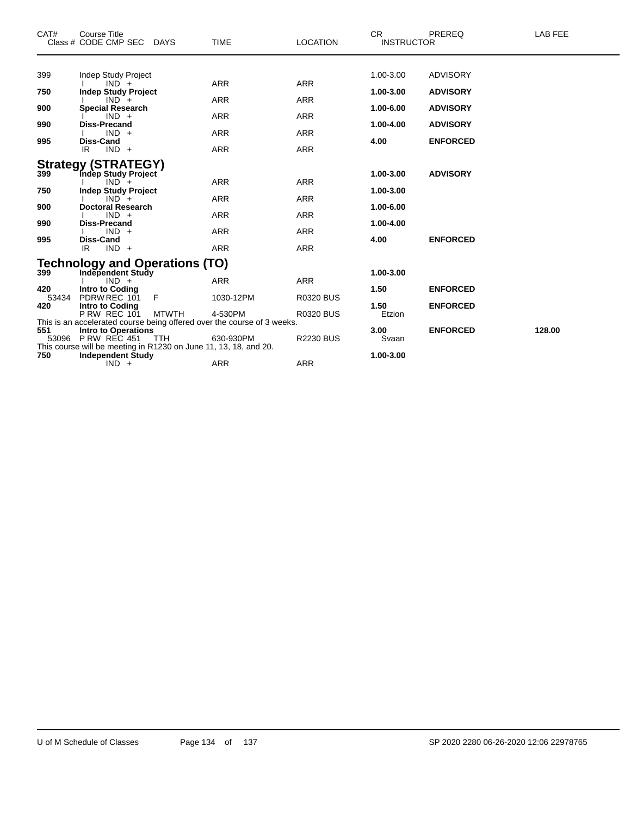| CAT#                                                                                                                                    | <b>Course Title</b><br>Class # CODE CMP SEC DAYS                                             |              | TIME       | <b>LOCATION</b>  | CR.<br><b>INSTRUCTOR</b> | <b>PREREQ</b>   | LAB FEE |
|-----------------------------------------------------------------------------------------------------------------------------------------|----------------------------------------------------------------------------------------------|--------------|------------|------------------|--------------------------|-----------------|---------|
|                                                                                                                                         |                                                                                              |              |            |                  | 1.00-3.00                | <b>ADVISORY</b> |         |
| 399                                                                                                                                     | <b>Indep Study Project</b><br>$IND +$                                                        |              | <b>ARR</b> | <b>ARR</b>       |                          |                 |         |
| 750                                                                                                                                     | <b>Indep Study Project</b>                                                                   |              |            |                  | 1.00-3.00                | <b>ADVISORY</b> |         |
| 900                                                                                                                                     | $IND +$<br><b>Special Research</b>                                                           |              | <b>ARR</b> | <b>ARR</b>       | 1.00-6.00                | <b>ADVISORY</b> |         |
|                                                                                                                                         | $IND +$                                                                                      |              | <b>ARR</b> | <b>ARR</b>       |                          |                 |         |
| 990                                                                                                                                     | <b>Diss-Precand</b>                                                                          |              |            |                  | 1.00-4.00                | <b>ADVISORY</b> |         |
| 995                                                                                                                                     | $IND +$<br><b>Diss-Cand</b>                                                                  |              | <b>ARR</b> | <b>ARR</b>       | 4.00                     | <b>ENFORCED</b> |         |
|                                                                                                                                         | $IND +$<br>IR.                                                                               |              | <b>ARR</b> | <b>ARR</b>       |                          |                 |         |
|                                                                                                                                         | <b>Strategy (STRATEGY)</b>                                                                   |              |            |                  |                          |                 |         |
| 399                                                                                                                                     | Indep Study Project                                                                          |              |            |                  | 1.00-3.00                | <b>ADVISORY</b> |         |
|                                                                                                                                         | $IND +$                                                                                      |              | <b>ARR</b> | <b>ARR</b>       |                          |                 |         |
| 750                                                                                                                                     | <b>Indep Study Project</b><br>$IND +$                                                        |              | <b>ARR</b> | <b>ARR</b>       | 1.00-3.00                |                 |         |
| 900                                                                                                                                     | <b>Doctoral Research</b>                                                                     |              |            |                  | 1.00-6.00                |                 |         |
|                                                                                                                                         | $IND +$                                                                                      |              | ARR        | <b>ARR</b>       |                          |                 |         |
| 990                                                                                                                                     | Diss-Precand<br>$IND +$                                                                      |              | <b>ARR</b> | <b>ARR</b>       | 1.00-4.00                |                 |         |
| 995                                                                                                                                     | <b>Diss-Cand</b>                                                                             |              |            |                  | 4.00                     | <b>ENFORCED</b> |         |
|                                                                                                                                         | IR.<br>$IND +$                                                                               |              | <b>ARR</b> | <b>ARR</b>       |                          |                 |         |
|                                                                                                                                         | <b>Technology and Operations (TO)</b>                                                        |              |            |                  |                          |                 |         |
| 399                                                                                                                                     | <b>Independent Study</b>                                                                     |              |            |                  | 1.00-3.00                |                 |         |
| 420                                                                                                                                     | $IND +$<br><b>Intro to Coding</b>                                                            |              | <b>ARR</b> | <b>ARR</b>       | 1.50                     | <b>ENFORCED</b> |         |
| 53434                                                                                                                                   | PDRW REC 101                                                                                 | - F          | 1030-12PM  | <b>R0320 BUS</b> |                          |                 |         |
| 420                                                                                                                                     | <b>Intro to Coding</b>                                                                       |              |            |                  | 1.50                     | <b>ENFORCED</b> |         |
|                                                                                                                                         | <b>P RW REC 101</b>                                                                          | <b>MTWTH</b> | 4-530PM    | <b>R0320 BUS</b> | Etzion                   |                 |         |
| This is an accelerated course being offered over the course of 3 weeks.<br>551<br>3.00<br><b>Intro to Operations</b><br><b>ENFORCED</b> |                                                                                              |              |            |                  |                          |                 | 128.00  |
|                                                                                                                                         | 53096 P RW REC 451                                                                           | TTH          | 630-930PM  | <b>R2230 BUS</b> | Svaan                    |                 |         |
| 750                                                                                                                                     | This course will be meeting in R1230 on June 11, 13, 18, and 20.<br><b>Independent Study</b> |              |            |                  | 1.00-3.00                |                 |         |
|                                                                                                                                         | $IND +$                                                                                      |              | ARR        | <b>ARR</b>       |                          |                 |         |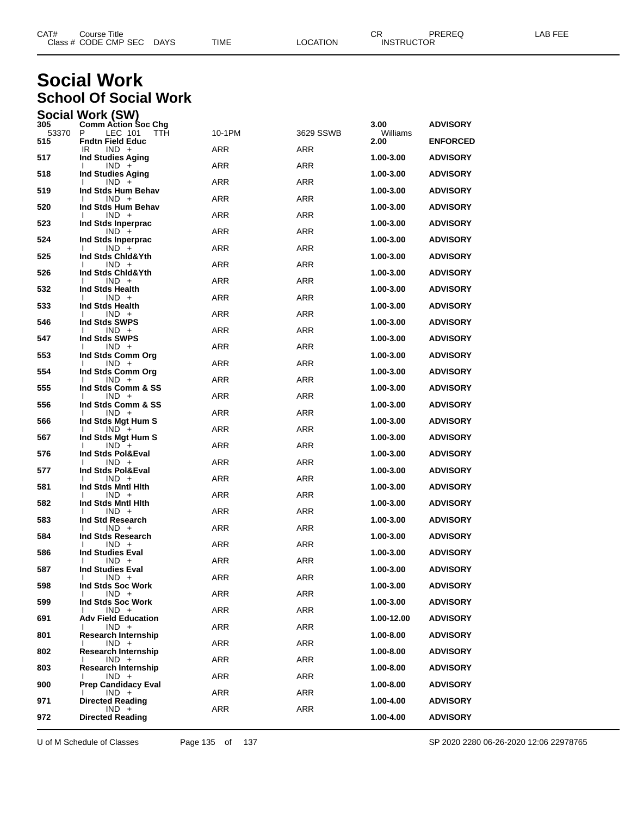| CAT# | $\mathop{\mathsf{course}}$ Title |             |      |          | ⌒冖<br>ັບເ         | PREREQ | AR FFF |
|------|----------------------------------|-------------|------|----------|-------------------|--------|--------|
|      | Class # CODE CMP SEC             | <b>DAYS</b> | TIME | LOCATION | <b>INSTRUCTOR</b> |        |        |
|      |                                  |             |      |          |                   |        |        |

#### **Social Work School Of Social Work**

| <b>Social Work (SW)</b> |                   |  |
|-------------------------|-------------------|--|
| <b>OOE</b>              | Orman Anton Brook |  |

| 305          | <b>Comm Action Soc Chg</b>                          |            |            | 3.00             | <b>ADVISORY</b> |
|--------------|-----------------------------------------------------|------------|------------|------------------|-----------------|
| 53370<br>515 | P.<br>LEC 101<br>TTH<br><b>Fndtn Field Educ</b>     | 10-1PM     | 3629 SSWB  | Williams<br>2.00 | <b>ENFORCED</b> |
| 517          | IR<br>$IND +$<br><b>Ind Studies Aging</b>           | ARR        | <b>ARR</b> | 1.00-3.00        | <b>ADVISORY</b> |
| 518          | $IND +$<br>$\mathbf{I}$<br><b>Ind Studies Aging</b> | <b>ARR</b> | ARR        | 1.00-3.00        | <b>ADVISORY</b> |
| 519          | $IND +$<br>Ind Stds Hum Behav                       | <b>ARR</b> | ARR        |                  |                 |
|              | $IND +$                                             | ARR        | <b>ARR</b> | 1.00-3.00        | <b>ADVISORY</b> |
| 520          | Ind Stds Hum Behav<br>$IND +$                       | <b>ARR</b> | ARR        | 1.00-3.00        | <b>ADVISORY</b> |
| 523          | Ind Stds Inperprac<br>$IND +$                       | <b>ARR</b> | ARR        | 1.00-3.00        | <b>ADVISORY</b> |
| 524          | Ind Stds Inperprac<br>$IND +$<br>$\mathbf{I}$       | ARR        | <b>ARR</b> | 1.00-3.00        | <b>ADVISORY</b> |
| 525          | Ind Stds Chid&Yth<br>$IND +$                        | <b>ARR</b> | ARR        | 1.00-3.00        | <b>ADVISORY</b> |
| 526          | Ind Stds Chid&Yth<br>$IND +$                        | ARR        | ARR        | 1.00-3.00        | <b>ADVISORY</b> |
| 532          | Ind Stds Health                                     |            |            | 1.00-3.00        | <b>ADVISORY</b> |
| 533          | $IND +$<br>Ι.<br>Ind Stds Health                    | ARR        | <b>ARR</b> | 1.00-3.00        | <b>ADVISORY</b> |
| 546          | $IND +$<br>Ind Stds SWPS                            | <b>ARR</b> | ARR        | 1.00-3.00        | <b>ADVISORY</b> |
| 547          | $IND +$<br>Ind Stds SWPS                            | <b>ARR</b> | ARR        | 1.00-3.00        | <b>ADVISORY</b> |
| 553          | $IND +$<br>Ι.<br>Ind Stds Comm Org                  | ARR        | <b>ARR</b> | 1.00-3.00        | <b>ADVISORY</b> |
| 554          | $IND +$<br>Ind Stds Comm Org                        | <b>ARR</b> | ARR        | 1.00-3.00        | <b>ADVISORY</b> |
| 555          | $IND +$<br>Ind Stds Comm & SS                       | <b>ARR</b> | ARR        | 1.00-3.00        | <b>ADVISORY</b> |
|              | $IND +$                                             | ARR        | <b>ARR</b> |                  |                 |
| 556          | Ind Stds Comm & SS<br>$IND +$                       | <b>ARR</b> | ARR        | 1.00-3.00        | <b>ADVISORY</b> |
| 566          | Ind Stds Mgt Hum S<br>$IND +$                       | <b>ARR</b> | ARR        | 1.00-3.00        | <b>ADVISORY</b> |
| 567          | Ind Stds Mgt Hum S<br>$IND +$                       | ARR        | <b>ARR</b> | 1.00-3.00        | <b>ADVISORY</b> |
| 576          | Ind Stds Pol&Eval<br>$IND +$                        | <b>ARR</b> | ARR        | 1.00-3.00        | <b>ADVISORY</b> |
| 577          | Ind Stds Pol&Eval<br>$IND +$                        | <b>ARR</b> | ARR        | 1.00-3.00        | <b>ADVISORY</b> |
| 581          | Ind Stds Mntl Hith<br>$IND +$<br>Ι.                 | ARR        | <b>ARR</b> | 1.00-3.00        | <b>ADVISORY</b> |
| 582          | Ind Stds Mntl Hith                                  |            |            | 1.00-3.00        | <b>ADVISORY</b> |
| 583          | $IND +$<br>Ind Std Research                         | <b>ARR</b> | ARR        | 1.00-3.00        | <b>ADVISORY</b> |
| 584          | $IND +$<br>Ind Stds Research                        | <b>ARR</b> | <b>ARR</b> | 1.00-3.00        | <b>ADVISORY</b> |
| 586          | $IND +$<br>Ι.<br><b>Ind Studies Eval</b>            | <b>ARR</b> | <b>ARR</b> | 1.00-3.00        | <b>ADVISORY</b> |
| 587          | $IND +$<br><b>Ind Studies Eval</b>                  | <b>ARR</b> | <b>ARR</b> | 1.00-3.00        | <b>ADVISORY</b> |
| 598          | $IND +$<br>I.<br>Ind Stds Soc Work                  | ARR        | <b>ARR</b> | 1.00-3.00        | <b>ADVISORY</b> |
| 599          | $\mathbf{I}$<br>$IND +$<br>Ind Stds Soc Work        | <b>ARR</b> | <b>ARR</b> | 1.00-3.00        | <b>ADVISORY</b> |
|              | $IND +$                                             | ARR        | ARR        |                  |                 |
| 691          | <b>Adv Field Education</b><br>$IND +$               | ARR        | ARR        | 1.00-12.00       | <b>ADVISORY</b> |
| 801          | <b>Research Internship</b><br>$IND +$               | ARR        | ARR        | $1.00 - 8.00$    | <b>ADVISORY</b> |
| 802          | Research Internship<br>$IND +$                      | ARR        | ARR        | $1.00 - 8.00$    | <b>ADVISORY</b> |
| 803          | <b>Research Internship</b><br>$IND +$               | ARR        | ARR        | 1.00-8.00        | ADVISORY        |
| 900          | <b>Prep Candidacy Eval</b><br>$IND +$               | ARR        | ARR        | 1.00-8.00        | <b>ADVISORY</b> |
| 971          | <b>Directed Reading</b><br>$IND +$                  | ARR        | ARR        | 1.00-4.00        | <b>ADVISORY</b> |
| 972          | <b>Directed Reading</b>                             |            |            | 1.00-4.00        | <b>ADVISORY</b> |
|              |                                                     |            |            |                  |                 |

U of M Schedule of Classes Page 135 of 137 SP 2020 2280 06-26-2020 12:06 22978765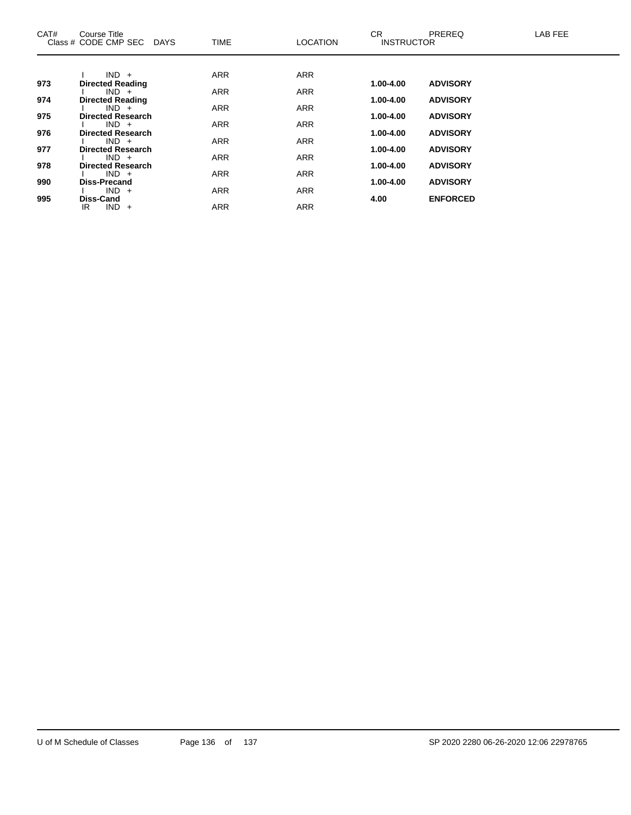| CAT# | Course Title<br>Class # CODE CMP SEC DAYS | <b>TIME</b> | <b>LOCATION</b> | CR.<br><b>INSTRUCTOR</b> | <b>PREREQ</b>   | LAB FEE |
|------|-------------------------------------------|-------------|-----------------|--------------------------|-----------------|---------|
|      |                                           |             |                 |                          |                 |         |
|      | $IND +$                                   | <b>ARR</b>  | <b>ARR</b>      |                          |                 |         |
| 973  | <b>Directed Reading</b><br>$IND +$        | <b>ARR</b>  | <b>ARR</b>      | 1.00-4.00                | <b>ADVISORY</b> |         |
| 974  | <b>Directed Reading</b>                   |             |                 | 1.00-4.00                | <b>ADVISORY</b> |         |
|      | $IND +$                                   | <b>ARR</b>  | <b>ARR</b>      |                          |                 |         |
| 975  | <b>Directed Research</b>                  |             |                 | 1.00-4.00                | <b>ADVISORY</b> |         |
|      | $IND +$                                   | <b>ARR</b>  | <b>ARR</b>      |                          |                 |         |
| 976  | <b>Directed Research</b>                  |             |                 | 1.00-4.00                | <b>ADVISORY</b> |         |
| 977  | $IND +$<br><b>Directed Research</b>       | <b>ARR</b>  | <b>ARR</b>      | 1.00-4.00                | <b>ADVISORY</b> |         |
|      | $IND +$                                   | <b>ARR</b>  | <b>ARR</b>      |                          |                 |         |
| 978  | <b>Directed Research</b>                  |             |                 | 1.00-4.00                | <b>ADVISORY</b> |         |
|      | $IND +$                                   | <b>ARR</b>  | <b>ARR</b>      |                          |                 |         |
| 990  | <b>Diss-Precand</b>                       |             |                 | 1.00-4.00                | <b>ADVISORY</b> |         |
|      | $IND +$                                   | <b>ARR</b>  | <b>ARR</b>      |                          |                 |         |
| 995  | <b>Diss-Cand</b><br>$IND +$<br>IR         | <b>ARR</b>  | <b>ARR</b>      | 4.00                     | <b>ENFORCED</b> |         |